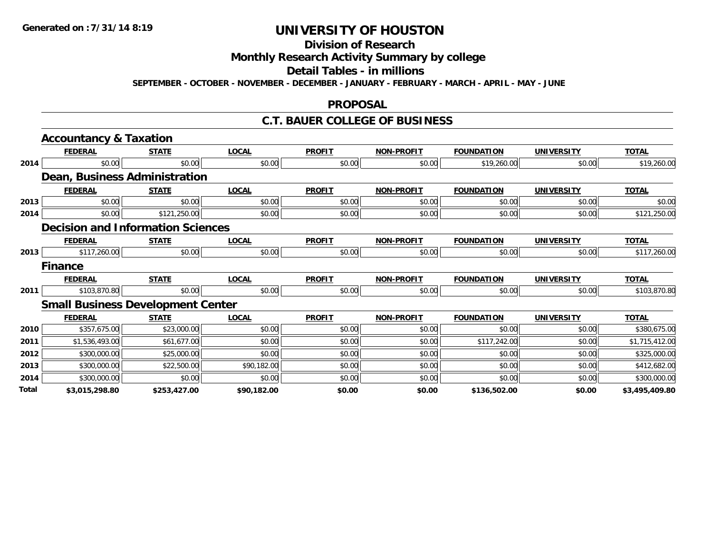#### **Division of Research**

**Monthly Research Activity Summary by college**

#### **Detail Tables - in millions**

**SEPTEMBER - OCTOBER - NOVEMBER - DECEMBER - JANUARY - FEBRUARY - MARCH - APRIL - MAY - JUNE**

#### **PROPOSAL**

### **C.T. BAUER COLLEGE OF BUSINESS**

|       | <b>Accountancy &amp; Taxation</b>        |              |              |               |                   |                   |                   |                |
|-------|------------------------------------------|--------------|--------------|---------------|-------------------|-------------------|-------------------|----------------|
|       | <b>FEDERAL</b>                           | <b>STATE</b> | <b>LOCAL</b> | <b>PROFIT</b> | <b>NON-PROFIT</b> | <b>FOUNDATION</b> | <b>UNIVERSITY</b> | <b>TOTAL</b>   |
| 2014  | \$0.00                                   | \$0.00       | \$0.00       | \$0.00        | \$0.00            | \$19,260.00       | \$0.00            | \$19,260.00    |
|       | Dean, Business Administration            |              |              |               |                   |                   |                   |                |
|       | <b>FEDERAL</b>                           | <b>STATE</b> | <b>LOCAL</b> | <b>PROFIT</b> | <b>NON-PROFIT</b> | <b>FOUNDATION</b> | <b>UNIVERSITY</b> | <b>TOTAL</b>   |
| 2013  | \$0.00                                   | \$0.00       | \$0.00       | \$0.00        | \$0.00            | \$0.00            | \$0.00            | \$0.00         |
| 2014  | \$0.00                                   | \$121,250.00 | \$0.00       | \$0.00        | \$0.00            | \$0.00            | \$0.00            | \$121,250.00   |
|       | <b>Decision and Information Sciences</b> |              |              |               |                   |                   |                   |                |
|       | <b>FEDERAL</b>                           | <b>STATE</b> | <b>LOCAL</b> | <b>PROFIT</b> | <b>NON-PROFIT</b> | <b>FOUNDATION</b> | <b>UNIVERSITY</b> | <b>TOTAL</b>   |
| 2013  | \$117,260.00                             | \$0.00       | \$0.00       | \$0.00        | \$0.00            | \$0.00            | \$0.00            | \$117,260.00   |
|       | <b>Finance</b>                           |              |              |               |                   |                   |                   |                |
|       | <b>FEDERAL</b>                           | <b>STATE</b> | <b>LOCAL</b> | <b>PROFIT</b> | <b>NON-PROFIT</b> | <b>FOUNDATION</b> | <b>UNIVERSITY</b> | <b>TOTAL</b>   |
| 2011  | \$103,870.80                             | \$0.00       | \$0.00       | \$0.00        | \$0.00            | \$0.00            | \$0.00            | \$103,870.80   |
|       | <b>Small Business Development Center</b> |              |              |               |                   |                   |                   |                |
|       | <b>FEDERAL</b>                           | <b>STATE</b> | <b>LOCAL</b> | <b>PROFIT</b> | <b>NON-PROFIT</b> | <b>FOUNDATION</b> | <b>UNIVERSITY</b> | <b>TOTAL</b>   |
| 2010  | \$357,675.00                             | \$23,000.00  | \$0.00       | \$0.00        | \$0.00            | \$0.00            | \$0.00            | \$380,675.00   |
| 2011  | \$1,536,493.00                           | \$61,677.00  | \$0.00       | \$0.00        | \$0.00            | \$117,242.00      | \$0.00            | \$1,715,412.00 |
| 2012  | \$300,000.00                             | \$25,000.00  | \$0.00       | \$0.00        | \$0.00            | \$0.00            | \$0.00            | \$325,000.00   |
| 2013  | \$300,000.00                             | \$22,500.00  | \$90,182.00  | \$0.00        | \$0.00            | \$0.00            | \$0.00            | \$412,682.00   |
| 2014  | \$300,000.00                             | \$0.00       | \$0.00       | \$0.00        | \$0.00            | \$0.00            | \$0.00            | \$300,000.00   |
| Total | \$3,015,298.80                           | \$253,427.00 | \$90,182.00  | \$0.00        | \$0.00            | \$136,502.00      | \$0.00            | \$3,495,409.80 |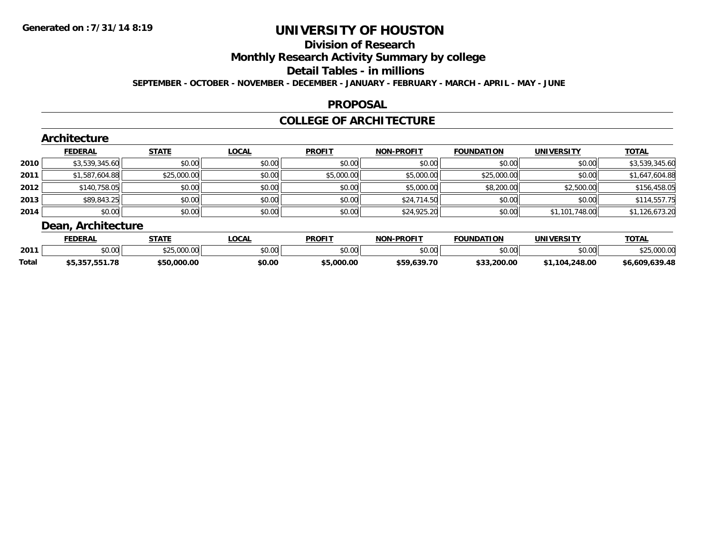## **Division of Research**

**Monthly Research Activity Summary by college**

#### **Detail Tables - in millions**

**SEPTEMBER - OCTOBER - NOVEMBER - DECEMBER - JANUARY - FEBRUARY - MARCH - APRIL - MAY - JUNE**

### **PROPOSAL**

### **COLLEGE OF ARCHITECTURE**

|        | Architecture       |              |              |               |                   |                   |                   |                |
|--------|--------------------|--------------|--------------|---------------|-------------------|-------------------|-------------------|----------------|
|        | <b>FEDERAL</b>     | <b>STATE</b> | <b>LOCAL</b> | <b>PROFIT</b> | <b>NON-PROFIT</b> | <b>FOUNDATION</b> | <b>UNIVERSITY</b> | <b>TOTAL</b>   |
| ا 2010 | \$3,539,345.60     | \$0.00       | \$0.00       | \$0.00        | \$0.00            | \$0.00            | \$0.00            | \$3,539,345.60 |
| 2011   | \$1,587,604.88     | \$25,000.00  | \$0.00       | \$5,000.00    | \$5,000.00        | \$25,000.00       | \$0.00            | \$1,647,604.88 |
| 2012   | \$140,758.05       | \$0.00       | \$0.00       | \$0.00        | \$5,000.00        | \$8,200.00        | \$2,500.00        | \$156,458.05   |
| 2013   | \$89,843.25        | \$0.00       | \$0.00       | \$0.00        | \$24,714.50       | \$0.00            | \$0.00            | \$114,557.75   |
| 2014   | \$0.00             | \$0.00       | \$0.00       | \$0.00        | \$24,925.20       | \$0.00            | \$1,101,748.00    | \$1,126,673.20 |
|        | Dean, Architecture |              |              |               |                   |                   |                   |                |

|              | <b>FEDERAL</b>          | <b>STATE</b>             | <b>OCAL</b>  | <b>PROFIT</b> | <b>J-PROFIT</b><br>NON | <b>FOUNDATION</b> | UNIVERSITY     | <b>TOTAL</b>   |
|--------------|-------------------------|--------------------------|--------------|---------------|------------------------|-------------------|----------------|----------------|
| 2011         | nn nn<br>JU.UU          | $0.25$ 0.00<br>25.000.00 | 400<br>JU.UU | 0000<br>JU.UU | \$0.00                 | ልስ ሰሰ<br>JU.UU    | \$0.00         | - nnr          |
| <b>Total</b> | 551.78<br>つにつ<br>,,,,,, | \$50,000.00              | \$0.00       | \$5,000.00    | \$59,639.70            | \$33,200.00       | \$1,104,248.00 | \$6,609,639.48 |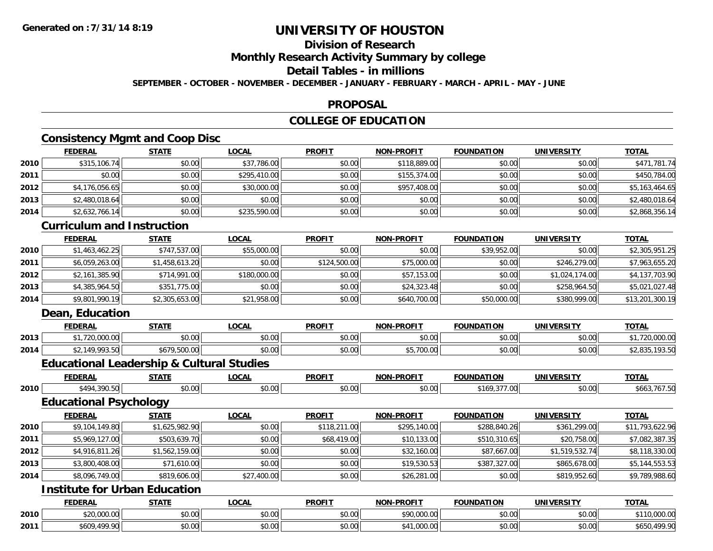## **Division of Research**

**Monthly Research Activity Summary by college**

## **Detail Tables - in millions**

**SEPTEMBER - OCTOBER - NOVEMBER - DECEMBER - JANUARY - FEBRUARY - MARCH - APRIL - MAY - JUNE**

#### **PROPOSAL**

## **COLLEGE OF EDUCATION**

## **Consistency Mgmt and Coop Disc**

|      | <b>FEDERAL</b> | <b>STATE</b> | LOCAL        | <b>PROFIT</b> | <b>NON-PROFIT</b> | <b>FOUNDATION</b> | <b>UNIVERSITY</b> | <b>TOTAL</b>   |
|------|----------------|--------------|--------------|---------------|-------------------|-------------------|-------------------|----------------|
| 2010 | \$315,106.74   | \$0.00       | \$37,786.00  | \$0.00        | \$118,889.00      | \$0.00            | \$0.00            | \$471,781.74   |
| 2011 | \$0.00         | \$0.00       | \$295,410.00 | \$0.00        | \$155,374.00      | \$0.00            | \$0.00            | \$450,784.00   |
| 2012 | \$4,176,056.65 | \$0.00       | \$30,000.00  | \$0.00        | \$957,408.00      | \$0.00            | \$0.00            | \$5,163,464.65 |
| 2013 | \$2,480,018.64 | \$0.00       | \$0.00       | \$0.00        | \$0.00            | \$0.00            | \$0.00            | \$2,480,018.64 |
| 2014 | \$2,632,766.14 | \$0.00       | \$235,590.00 | \$0.00        | \$0.00            | \$0.00            | \$0.00            | \$2,868,356.14 |
|      |                |              |              |               |                   |                   |                   |                |

#### **Curriculum and Instruction**

|      | <b>FEDERAL</b> | <b>STATE</b>   | <u>LOCAL</u> | <b>PROFIT</b> | <b>NON-PROFIT</b> | <b>FOUNDATION</b> | <b>UNIVERSITY</b> | <b>TOTAL</b>    |
|------|----------------|----------------|--------------|---------------|-------------------|-------------------|-------------------|-----------------|
| 2010 | \$1,463,462.25 | \$747,537.00   | \$55,000.00  | \$0.00        | \$0.00            | \$39,952.00       | \$0.00            | \$2,305,951.25  |
| 2011 | \$6,059,263.00 | \$1,458,613.20 | \$0.00       | \$124,500.00  | \$75,000.00       | \$0.00            | \$246,279,00      | \$7,963,655.20  |
| 2012 | \$2,161,385.90 | \$714,991.00   | \$180,000.00 | \$0.00        | \$57,153,00       | \$0.00            | \$1,024,174,00    | \$4,137,703.90  |
| 2013 | \$4,385,964.50 | \$351,775.00   | \$0.00       | \$0.00        | \$24,323.48       | \$0.00            | \$258,964.50      | \$5,021,027.48  |
| 2014 | \$9,801,990.19 | \$2,305,653.00 | \$21,958.00  | \$0.00        | \$640,700.00      | \$50,000.00       | \$380,999.00      | \$13,201,300.19 |

## **Dean, Education**

|      | <b>FEDERAL</b>          | STATE                               | .OCAI              | <b>PROFIT</b> | <b>DDAFIT</b><br><b>BIABI</b> | <b>FOUNDATION</b> | UNIVERSITY | TOTA.             |
|------|-------------------------|-------------------------------------|--------------------|---------------|-------------------------------|-------------------|------------|-------------------|
| 2013 | 700,000,00<br>zu.uuu.uu | 0000<br>vu.uu                       | $\sim$ 00<br>PU.UU | \$0.00        | 0000<br>vv.vv                 | 0000<br>PO.OO     | \$0.00     | 00000<br>ZU.UUU.U |
| 2014 | 22.1000000<br>,,,,,     | <b>FOO</b><br>, u<br>,500.U<br>60 I | $\sim$ 00<br>DU.UU | \$0.00        | $AT$ 700 $O$<br>, vv. ve      | 0000<br>PO.OO     | \$0.00     | 79.99<br>92.UJJ.  |

## **Educational Leadership & Cultural Studies**

|        | <b>FEDERAL</b>                | <b>STATE</b>                         | <b>LOCAL</b> | <b>PROFIT</b> | <b>NON-PROFIT</b> | <b>FOUNDATION</b> | <b>UNIVERSITY</b> | <b>TOTAL</b>    |
|--------|-------------------------------|--------------------------------------|--------------|---------------|-------------------|-------------------|-------------------|-----------------|
| 2010   | \$494,390.50                  | \$0.00                               | \$0.00       | \$0.00        | \$0.00            | \$169,377.00      | \$0.00            | \$663,767.50    |
|        | <b>Educational Psychology</b> |                                      |              |               |                   |                   |                   |                 |
|        | <b>FEDERAL</b>                | <b>STATE</b>                         | <b>LOCAL</b> | <b>PROFIT</b> | <b>NON-PROFIT</b> | <b>FOUNDATION</b> | <b>UNIVERSITY</b> | <b>TOTAL</b>    |
| ا 2010 | \$9,104,149.80                | \$1,625,982.90                       | \$0.00       | \$118,211.00  | \$295,140.00      | \$288,840.26      | \$361,299.00      | \$11,793,622.96 |
| 2011   | \$5,969,127.00                | \$503,639.70                         | \$0.00       | \$68,419.00   | \$10,133.00       | \$510,310.65      | \$20,758.00       | \$7,082,387.35  |
| 2012   | \$4,916,811.26                | \$1,562,159.00                       | \$0.00       | \$0.00        | \$32,160.00       | \$87,667.00       | \$1,519,532.74    | \$8,118,330.00  |
| 2013   | \$3,800,408.00                | \$71,610.00                          | \$0.00       | \$0.00        | \$19,530.53       | \$387,327.00      | \$865,678.00      | \$5,144,553.53  |
| 2014   | \$8,096,749.00                | \$819,606.00                         | \$27,400.00  | \$0.00        | \$26,281.00       | \$0.00            | \$819,952.60      | \$9,789,988.60  |
|        |                               | <b>Institute for Urban Education</b> |              |               |                   |                   |                   |                 |

|      | <b>FEDERAI</b>   | <b>STATE</b>  | LOCAL                   | <b>PROFIT</b> | -PROFIT<br><b>NIONI</b> | ורה<br><b>FOUNDAT</b> | UNIVE<br>ידו אם:<br>--- | <b>TOTAL</b>                             |
|------|------------------|---------------|-------------------------|---------------|-------------------------|-----------------------|-------------------------|------------------------------------------|
| 2010 | \$20,000.00      | 0000<br>טט.טע | $n \cap \Omega$<br>∪.∪∪ | ሖጣ<br>ט. טע   | <b>COO OOO OO</b><br>   | 0000<br>JU.UU         | 0.001<br>PO.OO          | 00000<br>,uuu.uu<br>.                    |
| 2011 | 400.00<br>\$609. | 0000<br>DU.UU | \$0.00                  | ሖጣ<br>JU.U    | $\sim$<br>uuu.uu        | 0000<br>JU.UU         | 0000<br><b>DU.UU</b>    | 100 ON<br>$\sim$<br>.nni<br>⊅ບບບ<br>7. Z |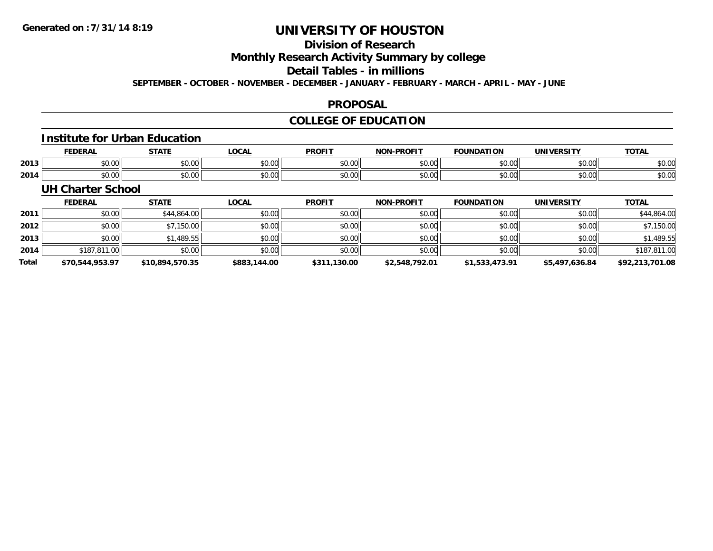## **Division of Research**

**Monthly Research Activity Summary by college**

#### **Detail Tables - in millions**

**SEPTEMBER - OCTOBER - NOVEMBER - DECEMBER - JANUARY - FEBRUARY - MARCH - APRIL - MAY - JUNE**

### **PROPOSAL**

## **COLLEGE OF EDUCATION**

#### **Institute for Urban Education**

|      | <b>EENEDAI</b><br>DERF        | -----         | .OCAI                   | <b>DDOEIT</b>                         | <b>BBAFIT</b><br>חחו | וחסי          | ------<br>JNI)       | <b>TOTAL</b> |
|------|-------------------------------|---------------|-------------------------|---------------------------------------|----------------------|---------------|----------------------|--------------|
| 2013 | ሶስ ስስ<br>JU.UU                | 0000<br>JU.UU | 0.00<br>JU.UU           | 0000<br><b>SU.U</b>                   | $\sim$ 00<br>JU.UU   | 0.00<br>וט.טי | 0000<br>vv.v         | \$0.00       |
| 2014 | $\sim$ $\sim$ $\sim$<br>DU.UU | 0000<br>JU.UU | $\sim$ $\sim$<br>ູນປ.ປພ | $\mathbf{A} \cap \mathbf{A}$<br>\$U.U | 0000<br>vu.uu        | 0.00<br>u.uu  | 0000<br><b>JU.UU</b> | \$0.00       |

#### **UH Charter School**

|              | <b>FEDERAL</b>  | <b>STATE</b>    | <u>LOCAL</u> | <b>PROFIT</b> | <b>NON-PROFIT</b> | <b>FOUNDATION</b> | <b>UNIVERSITY</b> | <b>TOTAL</b>    |
|--------------|-----------------|-----------------|--------------|---------------|-------------------|-------------------|-------------------|-----------------|
| 2011         | \$0.00          | \$44,864.00     | \$0.00       | \$0.00        | \$0.00            | \$0.00            | \$0.00            | \$44,864.00     |
| 2012         | \$0.00          | \$7,150.00      | \$0.00       | \$0.00        | \$0.00            | \$0.00            | \$0.00            | \$7,150.00      |
| 2013         | \$0.00          | \$1,489.55      | \$0.00       | \$0.00        | \$0.00            | \$0.00            | \$0.00            | \$1,489.55      |
| 2014         | \$187,811.00    | \$0.00          | \$0.00       | \$0.00        | \$0.00            | \$0.00            | \$0.00            | \$187,811.00    |
| <b>Total</b> | \$70,544,953.97 | \$10,894,570.35 | \$883,144.00 | \$311,130.00  | \$2,548,792.01    | \$1,533,473.91    | \$5,497,636.84    | \$92,213,701.08 |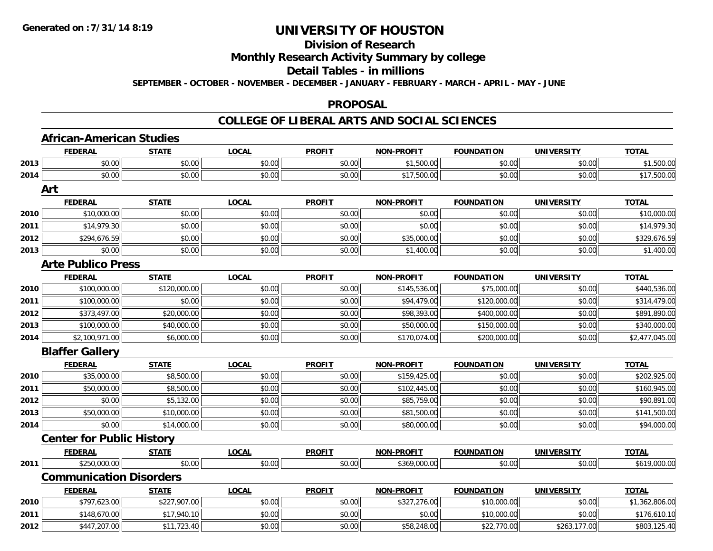#### **Division of Research**

**Monthly Research Activity Summary by college**

#### **Detail Tables - in millions**

**SEPTEMBER - OCTOBER - NOVEMBER - DECEMBER - JANUARY - FEBRUARY - MARCH - APRIL - MAY - JUNE**

### **PROPOSAL**

### **COLLEGE OF LIBERAL ARTS AND SOCIAL SCIENCES**

|      | <b>African-American Studies</b>  |              |              |               |                   |                   |                   |                |
|------|----------------------------------|--------------|--------------|---------------|-------------------|-------------------|-------------------|----------------|
|      | <b>FEDERAL</b>                   | <b>STATE</b> | <b>LOCAL</b> | <b>PROFIT</b> | <b>NON-PROFIT</b> | <b>FOUNDATION</b> | <b>UNIVERSITY</b> | <b>TOTAL</b>   |
| 2013 | \$0.00                           | \$0.00       | \$0.00       | \$0.00        | \$1,500.00        | \$0.00            | \$0.00            | \$1,500.00     |
| 2014 | \$0.00                           | \$0.00       | \$0.00       | \$0.00        | \$17,500.00       | \$0.00            | \$0.00            | \$17,500.00    |
|      | Art                              |              |              |               |                   |                   |                   |                |
|      | <b>FEDERAL</b>                   | <b>STATE</b> | <b>LOCAL</b> | <b>PROFIT</b> | <b>NON-PROFIT</b> | <b>FOUNDATION</b> | <b>UNIVERSITY</b> | <b>TOTAL</b>   |
| 2010 | \$10,000.00                      | \$0.00       | \$0.00       | \$0.00        | \$0.00            | \$0.00            | \$0.00            | \$10,000.00    |
| 2011 | \$14,979.30                      | \$0.00       | \$0.00       | \$0.00        | \$0.00            | \$0.00            | \$0.00            | \$14,979.30    |
| 2012 | \$294,676.59                     | \$0.00       | \$0.00       | \$0.00        | \$35,000.00       | \$0.00            | \$0.00            | \$329,676.59   |
| 2013 | \$0.00                           | \$0.00       | \$0.00       | \$0.00        | \$1,400.00        | \$0.00            | \$0.00            | \$1,400.00     |
|      | <b>Arte Publico Press</b>        |              |              |               |                   |                   |                   |                |
|      | <b>FEDERAL</b>                   | <b>STATE</b> | <b>LOCAL</b> | <b>PROFIT</b> | <b>NON-PROFIT</b> | <b>FOUNDATION</b> | <b>UNIVERSITY</b> | <b>TOTAL</b>   |
| 2010 | \$100,000.00                     | \$120,000.00 | \$0.00       | \$0.00        | \$145,536.00      | \$75,000.00       | \$0.00            | \$440,536.00   |
| 2011 | \$100,000.00                     | \$0.00       | \$0.00       | \$0.00        | \$94,479.00       | \$120,000.00      | \$0.00            | \$314,479.00   |
| 2012 | \$373,497.00                     | \$20,000.00  | \$0.00       | \$0.00        | \$98,393.00       | \$400,000.00      | \$0.00            | \$891,890.00   |
| 2013 | \$100,000.00                     | \$40,000.00  | \$0.00       | \$0.00        | \$50,000.00       | \$150,000.00      | \$0.00            | \$340,000.00   |
| 2014 | \$2,100,971.00                   | \$6,000.00   | \$0.00       | \$0.00        | \$170,074.00      | \$200,000.00      | \$0.00            | \$2,477,045.00 |
|      | <b>Blaffer Gallery</b>           |              |              |               |                   |                   |                   |                |
|      | <b>FEDERAL</b>                   | <b>STATE</b> | <b>LOCAL</b> | <b>PROFIT</b> | <b>NON-PROFIT</b> | <b>FOUNDATION</b> | <b>UNIVERSITY</b> | <b>TOTAL</b>   |
| 2010 | \$35,000.00                      | \$8,500.00   | \$0.00       | \$0.00        | \$159,425.00      | \$0.00            | \$0.00            | \$202,925.00   |
| 2011 | \$50,000.00                      | \$8,500.00   | \$0.00       | \$0.00        | \$102,445.00      | \$0.00            | \$0.00            | \$160,945.00   |
| 2012 | \$0.00                           | \$5,132.00   | \$0.00       | \$0.00        | \$85,759.00       | \$0.00            | \$0.00            | \$90,891.00    |
| 2013 | \$50,000.00                      | \$10,000.00  | \$0.00       | \$0.00        | \$81,500.00       | \$0.00            | \$0.00            | \$141,500.00   |
| 2014 | \$0.00                           | \$14,000.00  | \$0.00       | \$0.00        | \$80,000.00       | \$0.00            | \$0.00            | \$94,000.00    |
|      | <b>Center for Public History</b> |              |              |               |                   |                   |                   |                |
|      | <b>FEDERAL</b>                   | <b>STATE</b> | <b>LOCAL</b> | <b>PROFIT</b> | <b>NON-PROFIT</b> | <b>FOUNDATION</b> | <b>UNIVERSITY</b> | <b>TOTAL</b>   |
| 2011 | \$250,000.00                     | \$0.00       | \$0.00       | \$0.00        | \$369,000.00      | \$0.00            | \$0.00            | \$619,000.00   |
|      | <b>Communication Disorders</b>   |              |              |               |                   |                   |                   |                |
|      | <b>FEDERAL</b>                   | <b>STATE</b> | <b>LOCAL</b> | <b>PROFIT</b> | <b>NON-PROFIT</b> | <b>FOUNDATION</b> | <b>UNIVERSITY</b> | <b>TOTAL</b>   |
| 2010 | \$797,623.00                     | \$227,907.00 | \$0.00       | \$0.00        | \$327,276.00      | \$10,000.00       | \$0.00            | \$1,362,806.00 |
| 2011 | \$148,670.00                     | \$17,940.10  | \$0.00       | \$0.00        | \$0.00            | \$10,000.00       | \$0.00            | \$176,610.10   |
| 2012 | \$447,207.00                     | \$11,723.40  | \$0.00       | \$0.00        | \$58,248.00       | \$22,770.00       | \$263,177.00      | \$803,125.40   |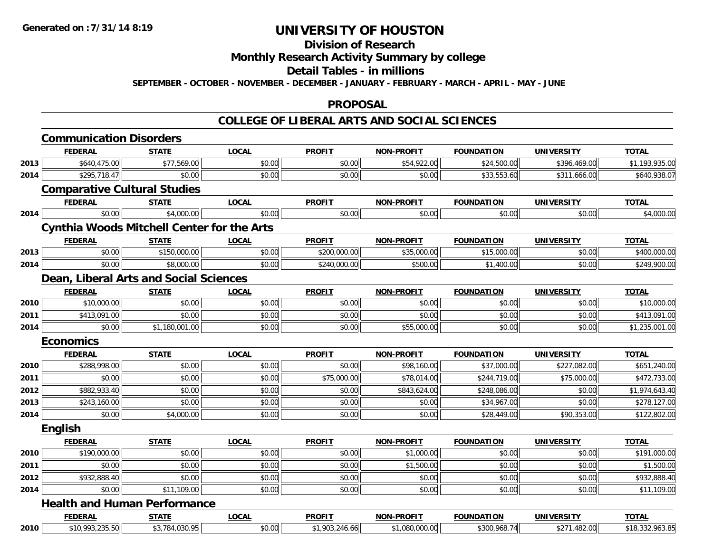#### **Division of Research**

# **Monthly Research Activity Summary by college**

#### **Detail Tables - in millions**

**SEPTEMBER - OCTOBER - NOVEMBER - DECEMBER - JANUARY - FEBRUARY - MARCH - APRIL - MAY - JUNE**

### **PROPOSAL**

### **COLLEGE OF LIBERAL ARTS AND SOCIAL SCIENCES**

|      | <b>Communication Disorders</b>                    |                |              |                |                   |                   |                   |                 |
|------|---------------------------------------------------|----------------|--------------|----------------|-------------------|-------------------|-------------------|-----------------|
|      | <b>FEDERAL</b>                                    | <b>STATE</b>   | <b>LOCAL</b> | <b>PROFIT</b>  | <b>NON-PROFIT</b> | <b>FOUNDATION</b> | <b>UNIVERSITY</b> | <b>TOTAL</b>    |
| 2013 | \$640,475.00                                      | \$77,569.00    | \$0.00       | \$0.00         | \$54,922.00       | \$24,500.00       | \$396,469.00      | \$1,193,935.00  |
| 2014 | \$295,718.47                                      | \$0.00         | \$0.00       | \$0.00         | \$0.00            | \$33,553.60       | \$311,666.00      | \$640,938.07    |
|      | <b>Comparative Cultural Studies</b>               |                |              |                |                   |                   |                   |                 |
|      | <b>FEDERAL</b>                                    | <b>STATE</b>   | <b>LOCAL</b> | <b>PROFIT</b>  | <b>NON-PROFIT</b> | <b>FOUNDATION</b> | <b>UNIVERSITY</b> | <b>TOTAL</b>    |
| 2014 | \$0.00                                            | \$4,000.00     | \$0.00       | \$0.00         | \$0.00            | \$0.00            | \$0.00            | \$4,000.00      |
|      | <b>Cynthia Woods Mitchell Center for the Arts</b> |                |              |                |                   |                   |                   |                 |
|      | <b>FEDERAL</b>                                    | <b>STATE</b>   | <b>LOCAL</b> | <b>PROFIT</b>  | <b>NON-PROFIT</b> | <b>FOUNDATION</b> | <b>UNIVERSITY</b> | <b>TOTAL</b>    |
| 2013 | \$0.00                                            | \$150,000.00   | \$0.00       | \$200,000.00   | \$35,000.00       | \$15,000.00       | \$0.00            | \$400,000.00    |
| 2014 | \$0.00                                            | \$8,000.00     | \$0.00       | \$240,000.00   | \$500.00          | \$1,400.00        | \$0.00            | \$249,900.00    |
|      | Dean, Liberal Arts and Social Sciences            |                |              |                |                   |                   |                   |                 |
|      | <b>FEDERAL</b>                                    | <b>STATE</b>   | <b>LOCAL</b> | <b>PROFIT</b>  | <b>NON-PROFIT</b> | <b>FOUNDATION</b> | <b>UNIVERSITY</b> | <b>TOTAL</b>    |
| 2010 | \$10,000.00                                       | \$0.00         | \$0.00       | \$0.00         | \$0.00            | \$0.00            | \$0.00            | \$10,000.00     |
| 2011 | \$413,091.00                                      | \$0.00         | \$0.00       | \$0.00         | \$0.00            | \$0.00            | \$0.00            | \$413,091.00    |
| 2014 | \$0.00                                            | \$1,180,001.00 | \$0.00       | \$0.00         | \$55,000.00       | \$0.00            | \$0.00            | \$1,235,001.00  |
|      | <b>Economics</b>                                  |                |              |                |                   |                   |                   |                 |
|      | <b>FEDERAL</b>                                    | <b>STATE</b>   | <b>LOCAL</b> | <b>PROFIT</b>  | <b>NON-PROFIT</b> | <b>FOUNDATION</b> | <b>UNIVERSITY</b> | <b>TOTAL</b>    |
| 2010 | \$288,998.00                                      | \$0.00         | \$0.00       | \$0.00         | \$98,160.00       | \$37,000.00       | \$227,082.00      | \$651,240.00    |
| 2011 | \$0.00                                            | \$0.00         | \$0.00       | \$75,000.00    | \$78,014.00       | \$244,719.00      | \$75,000.00       | \$472,733.00    |
| 2012 | \$882,933.40                                      | \$0.00         | \$0.00       | \$0.00         | \$843,624.00      | \$248,086.00      | \$0.00            | \$1,974,643.40  |
| 2013 | \$243,160.00                                      | \$0.00         | \$0.00       | \$0.00         | \$0.00            | \$34,967.00       | \$0.00            | \$278,127.00    |
| 2014 | \$0.00                                            | \$4,000.00     | \$0.00       | \$0.00         | \$0.00            | \$28,449.00       | \$90,353.00       | \$122,802.00    |
|      | <b>English</b>                                    |                |              |                |                   |                   |                   |                 |
|      | <b>FEDERAL</b>                                    | <b>STATE</b>   | <b>LOCAL</b> | <b>PROFIT</b>  | <b>NON-PROFIT</b> | <b>FOUNDATION</b> | <b>UNIVERSITY</b> | <b>TOTAL</b>    |
| 2010 | \$190,000.00                                      | \$0.00         | \$0.00       | \$0.00         | \$1,000.00        | \$0.00            | \$0.00            | \$191,000.00    |
| 2011 | \$0.00                                            | \$0.00         | \$0.00       | \$0.00         | \$1,500.00        | \$0.00            | \$0.00            | \$1,500.00      |
| 2012 | \$932,888.40                                      | \$0.00         | \$0.00       | \$0.00         | \$0.00            | \$0.00            | \$0.00            | \$932,888.40    |
| 2014 | \$0.00                                            | \$11,109.00    | \$0.00       | \$0.00         | \$0.00            | \$0.00            | \$0.00            | \$11,109.00     |
|      | <b>Health and Human Performance</b>               |                |              |                |                   |                   |                   |                 |
|      | <b>FEDERAL</b>                                    | <b>STATE</b>   | <b>LOCAL</b> | <b>PROFIT</b>  | <b>NON-PROFIT</b> | <b>FOUNDATION</b> | <b>UNIVERSITY</b> | <b>TOTAL</b>    |
| 2010 | \$10,993,235.50                                   | \$3,784,030.95 | \$0.00       | \$1,903,246.66 | \$1,080,000.00    | \$300,968.74      | \$271,482.00      | \$18,332,963.85 |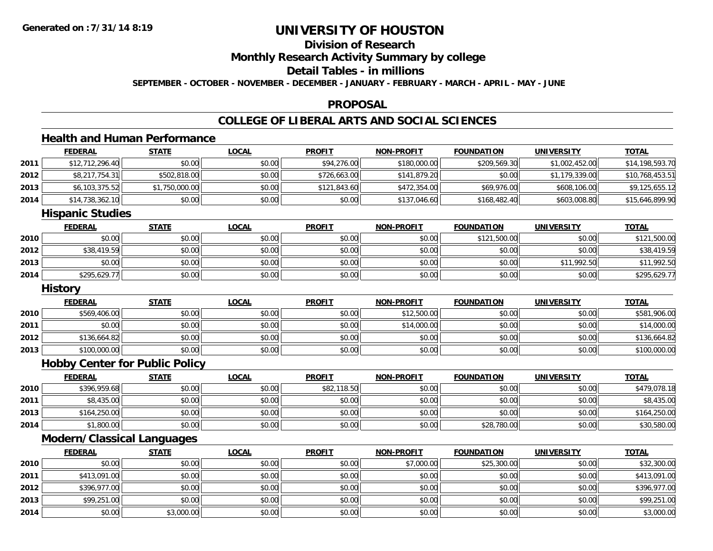**2014**

# **UNIVERSITY OF HOUSTON**

## **Division of Research**

**Monthly Research Activity Summary by college**

### **Detail Tables - in millions**

**SEPTEMBER - OCTOBER - NOVEMBER - DECEMBER - JANUARY - FEBRUARY - MARCH - APRIL - MAY - JUNE**

### **PROPOSAL**

## **COLLEGE OF LIBERAL ARTS AND SOCIAL SCIENCES**

## **Health and Human Performance**

|      | <b>FEDERAL</b>                    | <b>STATE</b>                          | <b>LOCAL</b> | <b>PROFIT</b> | <b>NON-PROFIT</b> | <b>FOUNDATION</b> | <b>UNIVERSITY</b> | <b>TOTAL</b>    |
|------|-----------------------------------|---------------------------------------|--------------|---------------|-------------------|-------------------|-------------------|-----------------|
| 2011 | \$12,712,296.40                   | \$0.00                                | \$0.00       | \$94,276.00   | \$180,000.00      | \$209,569.30      | \$1,002,452.00    | \$14,198,593.70 |
| 2012 | \$8,217,754.31                    | \$502,818.00                          | \$0.00       | \$726,663.00  | \$141,879.20      | \$0.00            | \$1,179,339.00    | \$10,768,453.51 |
| 2013 | \$6,103,375.52                    | \$1,750,000.00                        | \$0.00       | \$121,843.60  | \$472,354.00      | \$69,976.00       | \$608,106.00      | \$9,125,655.12  |
| 2014 | \$14,738,362.10                   | \$0.00                                | \$0.00       | \$0.00        | \$137,046.60      | \$168,482.40      | \$603,008.80      | \$15,646,899.90 |
|      | <b>Hispanic Studies</b>           |                                       |              |               |                   |                   |                   |                 |
|      | <b>FEDERAL</b>                    | <b>STATE</b>                          | <b>LOCAL</b> | <b>PROFIT</b> | <b>NON-PROFIT</b> | <b>FOUNDATION</b> | <b>UNIVERSITY</b> | <b>TOTAL</b>    |
| 2010 | \$0.00                            | \$0.00                                | \$0.00       | \$0.00        | \$0.00            | \$121,500.00      | \$0.00            | \$121,500.00    |
| 2012 | \$38,419.59                       | \$0.00                                | \$0.00       | \$0.00        | \$0.00            | \$0.00            | \$0.00            | \$38,419.59     |
| 2013 | \$0.00                            | \$0.00                                | \$0.00       | \$0.00        | \$0.00            | \$0.00            | \$11,992.50       | \$11,992.50     |
| 2014 | \$295,629.77                      | \$0.00                                | \$0.00       | \$0.00        | \$0.00            | \$0.00            | \$0.00            | \$295,629.77    |
|      | <b>History</b>                    |                                       |              |               |                   |                   |                   |                 |
|      | <b>FEDERAL</b>                    | <b>STATE</b>                          | <b>LOCAL</b> | <b>PROFIT</b> | <b>NON-PROFIT</b> | <b>FOUNDATION</b> | <b>UNIVERSITY</b> | <b>TOTAL</b>    |
| 2010 | \$569,406.00                      | \$0.00                                | \$0.00       | \$0.00        | \$12,500.00       | \$0.00            | \$0.00            | \$581,906.00    |
| 2011 | \$0.00                            | \$0.00                                | \$0.00       | \$0.00        | \$14,000.00       | \$0.00            | \$0.00            | \$14,000.00     |
| 2012 | \$136,664.82                      | \$0.00                                | \$0.00       | \$0.00        | \$0.00            | \$0.00            | \$0.00            | \$136,664.82    |
| 2013 | \$100,000.00                      | \$0.00                                | \$0.00       | \$0.00        | \$0.00            | \$0.00            | \$0.00            | \$100,000.00    |
|      |                                   | <b>Hobby Center for Public Policy</b> |              |               |                   |                   |                   |                 |
|      | <b>FEDERAL</b>                    | <b>STATE</b>                          | <b>LOCAL</b> | <b>PROFIT</b> | <b>NON-PROFIT</b> | <b>FOUNDATION</b> | <b>UNIVERSITY</b> | <b>TOTAL</b>    |
| 2010 | \$396,959.68                      | \$0.00                                | \$0.00       | \$82,118.50   | \$0.00            | \$0.00            | \$0.00            | \$479,078.18    |
| 2011 | \$8,435.00                        | \$0.00                                | \$0.00       | \$0.00        | \$0.00            | \$0.00            | \$0.00            | \$8,435.00      |
| 2013 | \$164,250.00                      | \$0.00                                | \$0.00       | \$0.00        | \$0.00            | \$0.00            | \$0.00            | \$164,250.00    |
| 2014 | \$1,800.00                        | \$0.00                                | \$0.00       | \$0.00        | \$0.00            | \$28,780.00       | \$0.00            | \$30,580.00     |
|      | <b>Modern/Classical Languages</b> |                                       |              |               |                   |                   |                   |                 |
|      | <b>FEDERAL</b>                    | <b>STATE</b>                          | <b>LOCAL</b> | <b>PROFIT</b> | <b>NON-PROFIT</b> | <b>FOUNDATION</b> | <b>UNIVERSITY</b> | <b>TOTAL</b>    |
| 2010 | \$0.00                            | \$0.00                                | \$0.00       | \$0.00        | \$7,000.00        | \$25,300.00       | \$0.00            | \$32,300.00     |
| 2011 | \$413,091.00                      | \$0.00                                | \$0.00       | \$0.00        | \$0.00            | \$0.00            | \$0.00            | \$413,091.00    |
| 2012 | \$396,977.00                      | \$0.00                                | \$0.00       | \$0.00        | \$0.00            | \$0.00            | \$0.00            | \$396,977.00    |
| 2013 | \$99,251.00                       | \$0.00                                | \$0.00       | \$0.00        | \$0.00            | \$0.00            | \$0.00            | \$99,251.00     |

4 \$0.00 \$0.00 \$3,000.00 \$0.00 \$0.00 \$0.00 \$0.00 \$0.00 \$0.00 \$0.00 \$0.00 \$0.00 \$0.00 \$3,000.00 \$3,000.00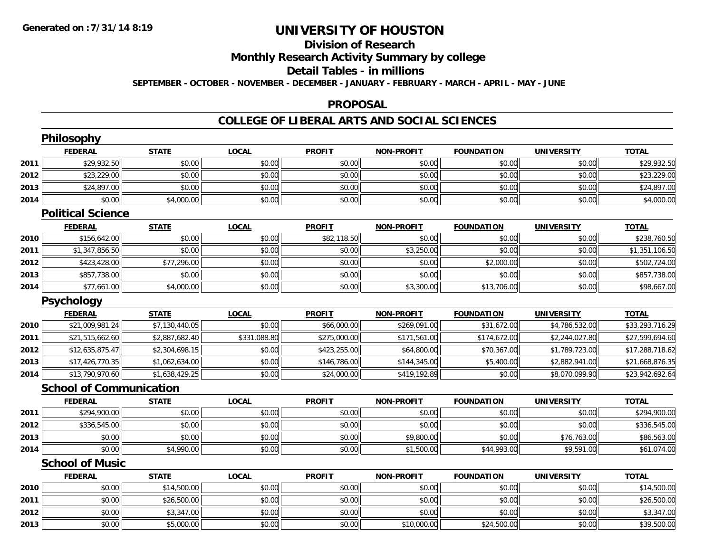# **Division of Research**

**Monthly Research Activity Summary by college**

#### **Detail Tables - in millions**

**SEPTEMBER - OCTOBER - NOVEMBER - DECEMBER - JANUARY - FEBRUARY - MARCH - APRIL - MAY - JUNE**

### **PROPOSAL**

### **COLLEGE OF LIBERAL ARTS AND SOCIAL SCIENCES**

|      | Philosophy                     |                |              |               |                   |                   |                   |                 |
|------|--------------------------------|----------------|--------------|---------------|-------------------|-------------------|-------------------|-----------------|
|      | <b>FEDERAL</b>                 | <b>STATE</b>   | <b>LOCAL</b> | <b>PROFIT</b> | <b>NON-PROFIT</b> | <b>FOUNDATION</b> | <b>UNIVERSITY</b> | <b>TOTAL</b>    |
| 2011 | \$29,932.50                    | \$0.00         | \$0.00       | \$0.00        | \$0.00            | \$0.00            | \$0.00            | \$29,932.50     |
| 2012 | \$23,229.00                    | \$0.00         | \$0.00       | \$0.00        | \$0.00            | \$0.00            | \$0.00            | \$23,229.00     |
| 2013 | \$24,897.00                    | \$0.00         | \$0.00       | \$0.00        | \$0.00            | \$0.00            | \$0.00            | \$24,897.00     |
| 2014 | \$0.00                         | \$4,000.00     | \$0.00       | \$0.00        | \$0.00            | \$0.00            | \$0.00            | \$4,000.00      |
|      | <b>Political Science</b>       |                |              |               |                   |                   |                   |                 |
|      | <b>FEDERAL</b>                 | <b>STATE</b>   | <b>LOCAL</b> | <b>PROFIT</b> | <b>NON-PROFIT</b> | <b>FOUNDATION</b> | <b>UNIVERSITY</b> | <b>TOTAL</b>    |
| 2010 | \$156,642.00                   | \$0.00         | \$0.00       | \$82,118.50   | \$0.00            | \$0.00            | \$0.00            | \$238,760.50    |
| 2011 | \$1,347,856.50                 | \$0.00         | \$0.00       | \$0.00        | \$3,250.00        | \$0.00            | \$0.00            | \$1,351,106.50  |
| 2012 | \$423,428.00                   | \$77,296.00    | \$0.00       | \$0.00        | \$0.00            | \$2,000.00        | \$0.00            | \$502,724.00    |
| 2013 | \$857,738.00                   | \$0.00         | \$0.00       | \$0.00        | \$0.00            | \$0.00            | \$0.00            | \$857,738.00    |
| 2014 | \$77,661.00                    | \$4,000.00     | \$0.00       | \$0.00        | \$3,300.00        | \$13,706.00       | \$0.00            | \$98,667.00     |
|      | <b>Psychology</b>              |                |              |               |                   |                   |                   |                 |
|      | <b>FEDERAL</b>                 | <b>STATE</b>   | <b>LOCAL</b> | <b>PROFIT</b> | <b>NON-PROFIT</b> | <b>FOUNDATION</b> | <b>UNIVERSITY</b> | <b>TOTAL</b>    |
| 2010 | \$21,009,981.24                | \$7,130,440.05 | \$0.00       | \$66,000.00   | \$269,091.00      | \$31,672.00       | \$4,786,532.00    | \$33,293,716.29 |
| 2011 | \$21,515,662.60                | \$2,887,682.40 | \$331,088.80 | \$275,000.00  | \$171,561.00      | \$174,672.00      | \$2,244,027.80    | \$27,599,694.60 |
| 2012 | \$12,635,875.47                | \$2,304,698.15 | \$0.00       | \$423,255.00  | \$64,800.00       | \$70,367.00       | \$1,789,723.00    | \$17,288,718.62 |
| 2013 | \$17,426,770.35                | \$1,062,634.00 | \$0.00       | \$146,786.00  | \$144,345.00      | \$5,400.00        | \$2,882,941.00    | \$21,668,876.35 |
| 2014 | \$13,790,970.60                | \$1,638,429.25 | \$0.00       | \$24,000.00   | \$419,192.89      | \$0.00            | \$8,070,099.90    | \$23,942,692.64 |
|      | <b>School of Communication</b> |                |              |               |                   |                   |                   |                 |
|      | <b>FEDERAL</b>                 | <b>STATE</b>   | <b>LOCAL</b> | <b>PROFIT</b> | <b>NON-PROFIT</b> | <b>FOUNDATION</b> | <b>UNIVERSITY</b> | <b>TOTAL</b>    |
| 2011 | \$294,900.00                   | \$0.00         | \$0.00       | \$0.00        | \$0.00            | \$0.00            | \$0.00            | \$294,900.00    |
| 2012 | \$336,545.00                   | \$0.00         | \$0.00       | \$0.00        | \$0.00            | \$0.00            | \$0.00            | \$336,545.00    |
| 2013 | \$0.00                         | \$0.00         | \$0.00       | \$0.00        | \$9,800.00        | \$0.00            | \$76,763.00       | \$86,563.00     |
| 2014 | \$0.00                         | \$4,990.00     | \$0.00       | \$0.00        | \$1,500.00        | \$44,993.00       | \$9,591.00        | \$61,074.00     |
|      | <b>School of Music</b>         |                |              |               |                   |                   |                   |                 |
|      | <b>FEDERAL</b>                 | <b>STATE</b>   | <b>LOCAL</b> | <b>PROFIT</b> | <b>NON-PROFIT</b> | <b>FOUNDATION</b> | <b>UNIVERSITY</b> | <b>TOTAL</b>    |
| 2010 | \$0.00                         | \$14,500.00    | \$0.00       | \$0.00        | \$0.00            | \$0.00            | \$0.00            | \$14,500.00     |
| 2011 | \$0.00                         | \$26,500.00    | \$0.00       | \$0.00        | \$0.00            | \$0.00            | \$0.00            | \$26,500.00     |
| 2012 | \$0.00                         | \$3,347.00     | \$0.00       | \$0.00        | \$0.00            | \$0.00            | \$0.00            | \$3,347.00      |
| 2013 | \$0.00                         | \$5,000.00     | \$0.00       | \$0.00        | \$10,000.00       | \$24,500.00       | \$0.00            | \$39,500.00     |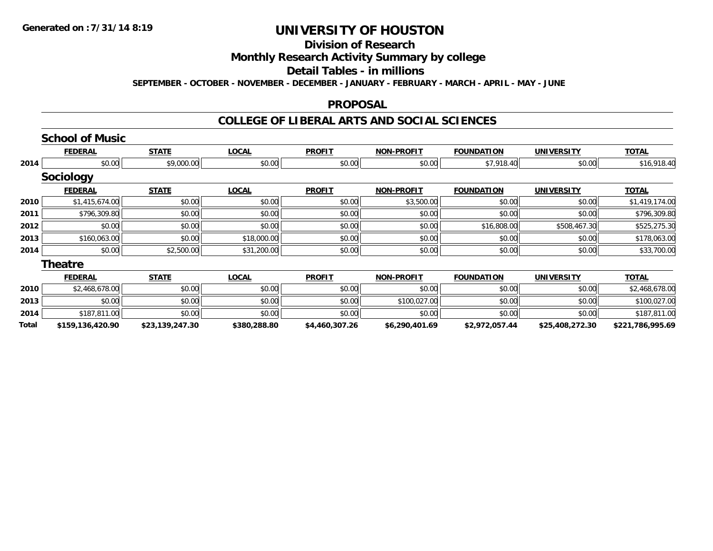#### **Division of Research**

# **Monthly Research Activity Summary by college**

#### **Detail Tables - in millions**

**SEPTEMBER - OCTOBER - NOVEMBER - DECEMBER - JANUARY - FEBRUARY - MARCH - APRIL - MAY - JUNE**

#### **PROPOSAL**

### **COLLEGE OF LIBERAL ARTS AND SOCIAL SCIENCES**

|       | <b>School of Music</b> |                 |              |                |                   |                   |                   |                  |
|-------|------------------------|-----------------|--------------|----------------|-------------------|-------------------|-------------------|------------------|
|       | <b>FEDERAL</b>         | <b>STATE</b>    | <b>LOCAL</b> | <b>PROFIT</b>  | <b>NON-PROFIT</b> | <b>FOUNDATION</b> | <b>UNIVERSITY</b> | <b>TOTAL</b>     |
| 2014  | \$0.00                 | \$9,000.00      | \$0.00       | \$0.00         | \$0.00            | \$7,918.40        | \$0.00            | \$16,918.40      |
|       | <b>Sociology</b>       |                 |              |                |                   |                   |                   |                  |
|       | <b>FEDERAL</b>         | <b>STATE</b>    | <b>LOCAL</b> | <b>PROFIT</b>  | <b>NON-PROFIT</b> | <b>FOUNDATION</b> | <b>UNIVERSITY</b> | <b>TOTAL</b>     |
| 2010  | \$1,415,674.00         | \$0.00          | \$0.00       | \$0.00         | \$3,500.00        | \$0.00            | \$0.00            | \$1,419,174.00   |
| 2011  | \$796,309.80           | \$0.00          | \$0.00       | \$0.00         | \$0.00            | \$0.00            | \$0.00            | \$796,309.80     |
| 2012  | \$0.00                 | \$0.00          | \$0.00       | \$0.00         | \$0.00            | \$16,808.00       | \$508,467.30      | \$525,275.30     |
| 2013  | \$160,063.00           | \$0.00          | \$18,000.00  | \$0.00         | \$0.00            | \$0.00            | \$0.00            | \$178,063.00     |
| 2014  | \$0.00                 | \$2,500.00      | \$31,200.00  | \$0.00         | \$0.00            | \$0.00            | \$0.00            | \$33,700.00      |
|       | <b>Theatre</b>         |                 |              |                |                   |                   |                   |                  |
|       | <b>FEDERAL</b>         | <b>STATE</b>    | <b>LOCAL</b> | <b>PROFIT</b>  | <b>NON-PROFIT</b> | <b>FOUNDATION</b> | <b>UNIVERSITY</b> | <b>TOTAL</b>     |
| 2010  | \$2,468,678.00         | \$0.00          | \$0.00       | \$0.00         | \$0.00            | \$0.00            | \$0.00            | \$2,468,678.00   |
| 2013  | \$0.00                 | \$0.00          | \$0.00       | \$0.00         | \$100,027.00      | \$0.00            | \$0.00            | \$100,027.00     |
| 2014  | \$187,811.00           | \$0.00          | \$0.00       | \$0.00         | \$0.00            | \$0.00            | \$0.00            | \$187,811.00     |
| Total | \$159,136,420.90       | \$23,139,247.30 | \$380,288.80 | \$4,460,307.26 | \$6,290,401.69    | \$2,972,057.44    | \$25,408,272.30   | \$221,786,995.69 |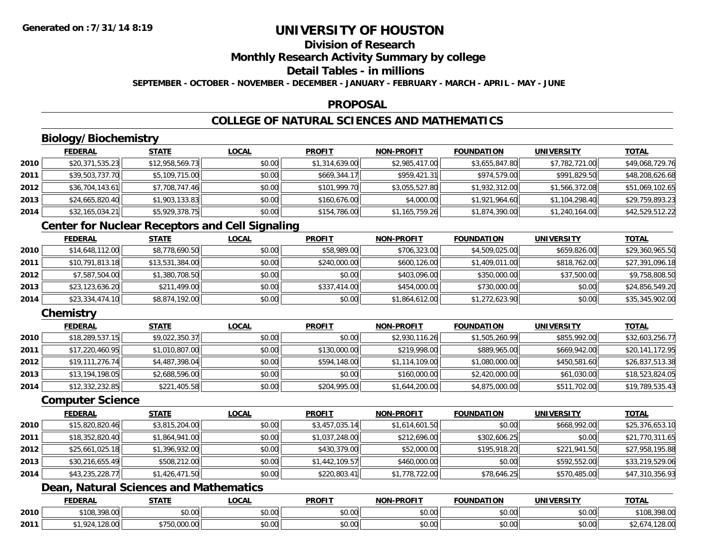## **Division of Research**

**Monthly Research Activity Summary by college**

#### **Detail Tables - in millions**

**SEPTEMBER - OCTOBER - NOVEMBER - DECEMBER - JANUARY - FEBRUARY - MARCH - APRIL - MAY - JUNE**

### **PROPOSAL**

## **COLLEGE OF NATURAL SCIENCES AND MATHEMATICS**

## **Biology/Biochemistry**

|      | <b>FEDERAL</b>  | <b>STATE</b>    | <b>LOCAL</b> | <b>PROFIT</b>  | <b>NON-PROFIT</b> | <b>FOUNDATION</b> | <b>UNIVERSITY</b> | <b>TOTAL</b>    |
|------|-----------------|-----------------|--------------|----------------|-------------------|-------------------|-------------------|-----------------|
| 2010 | \$20,371,535.23 | \$12,958,569.73 | \$0.00       | \$1,314,639.00 | \$2,985,417.00    | \$3,655,847.80    | \$7,782,721.00    | \$49,068,729.76 |
| 2011 | \$39,503,737.70 | \$5,109,715.00  | \$0.00       | \$669,344.17   | \$959,421.31      | \$974,579.00      | \$991,829.50      | \$48,208,626.68 |
| 2012 | \$36,704,143.61 | \$7,708,747.46  | \$0.00       | \$101,999.70   | \$3,055,527.80    | \$1,932,312.00    | \$1,566,372.08    | \$51,069,102.65 |
| 2013 | \$24,665,820.40 | \$1,903,133.83  | \$0.00       | \$160,676.00   | \$4,000.00        | \$1,921,964.60    | \$1,104,298.40    | \$29,759,893.23 |
| 2014 | \$32,165,034.21 | \$5,929,378.75  | \$0.00       | \$154,786.00   | \$1,165,759.26    | \$1,874,390.00    | \$1,240,164.00    | \$42,529,512.22 |

## **Center for Nuclear Receptors and Cell Signaling**

|      | <b>FEDERAL</b>  | <b>STATE</b>    | <b>LOCAL</b> | <b>PROFIT</b> | <b>NON-PROFIT</b> | <b>FOUNDATION</b> | <b>UNIVERSITY</b> | <u>TOTAL</u>    |
|------|-----------------|-----------------|--------------|---------------|-------------------|-------------------|-------------------|-----------------|
| 2010 | \$14,648,112.00 | \$8,778,690.50  | \$0.00       | \$58,989.00   | \$706,323.00      | \$4,509,025.00    | \$659,826.00      | \$29,360,965.50 |
| 2011 | \$10,791,813.18 | \$13,531,384.00 | \$0.00       | \$240,000.00  | \$600,126.00      | \$1,409,011.00    | \$818,762,00      | \$27,391,096.18 |
| 2012 | \$7,587,504.00  | \$1,380,708.50  | \$0.00       | \$0.00        | \$403,096,00      | \$350,000.00      | \$37,500.00       | \$9,758,808.50  |
| 2013 | \$23,123,636.20 | \$211,499.00    | \$0.00       | \$337,414.00  | \$454,000.00      | \$730,000.00      | \$0.00            | \$24,856,549.20 |
| 2014 | \$23,334,474.10 | \$8,874,192.00  | \$0.00       | \$0.00        | \$1,864,612.00    | \$1,272,623.90    | \$0.00            | \$35,345,902.00 |

## **Chemistry**

|      | <b>FEDERAL</b>  | <b>STATE</b>   | <b>LOCAL</b> | <b>PROFIT</b> | <b>NON-PROFIT</b> | <b>FOUNDATION</b> | <b>UNIVERSITY</b> | <u>TOTAL</u>    |
|------|-----------------|----------------|--------------|---------------|-------------------|-------------------|-------------------|-----------------|
| 2010 | \$18,289,537.15 | \$9,022,350.37 | \$0.00       | \$0.00        | \$2,930,116.26    | \$1,505,260.99    | \$855,992.00      | \$32,603,256.77 |
| 2011 | \$17,220,460.95 | \$1,010,807.00 | \$0.00       | \$130,000.00  | \$219,998.00      | \$889,965.00      | \$669,942.00      | \$20,141,172.95 |
| 2012 | \$19,111,276.74 | \$4,487,398.04 | \$0.00       | \$594,148.00  | \$1,114,109.00    | \$1,080,000.00    | \$450,581.60      | \$26,837,513.38 |
| 2013 | \$13,194,198.05 | \$2,688,596.00 | \$0.00       | \$0.00        | \$160,000.00      | \$2,420,000.00    | \$61,030.00       | \$18,523,824.05 |
| 2014 | \$12,332,232.85 | \$221,405.58   | \$0.00       | \$204,995.00  | \$1,644,200.00    | \$4,875,000.00    | \$511,702.00      | \$19,789,535.43 |

### **Computer Science**

|      | <b>FEDERAL</b>  | <b>STATE</b>   | <b>LOCAL</b> | <b>PROFIT</b>  | <b>NON-PROFIT</b> | <b>FOUNDATION</b> | <b>UNIVERSITY</b> | <b>TOTAL</b>    |
|------|-----------------|----------------|--------------|----------------|-------------------|-------------------|-------------------|-----------------|
| 2010 | \$15,820,820.46 | \$3,815,204.00 | \$0.00       | \$3,457,035.14 | \$1,614,601.50    | \$0.00            | \$668,992.00      | \$25,376,653.10 |
| 2011 | \$18,352,820.40 | \$1,864,941.00 | \$0.00       | \$1,037,248.00 | \$212,696.00      | \$302,606.25      | \$0.00            | \$21,770,311.65 |
| 2012 | \$25,661,025.18 | \$1,396,932.00 | \$0.00       | \$430,379.00   | \$52,000.00       | \$195,918.20      | \$221,941.50      | \$27,958,195.88 |
| 2013 | \$30,216,655.49 | \$508,212.00   | \$0.00       | \$1,442,109.57 | \$460,000.00      | \$0.00            | \$592,552.00      | \$33,219,529.06 |
| 2014 | \$43,235,228.77 | \$1,426,471.50 | \$0.00       | \$220,803.41   | \$1,778,722.00    | \$78,646.25       | \$570,485.00      | \$47,310,356.93 |

## **Dean, Natural Sciences and Mathematics**

|      | <b>FEDERAL</b>                         | <b>STATE</b> | .OCAL                  | <b>PROFIT</b>          | <b>M-PROF!</b><br><b>NICK</b>              | FOUNDATION | EDCITY<br>UNIVE | <b>TOTAL</b>             |
|------|----------------------------------------|--------------|------------------------|------------------------|--------------------------------------------|------------|-----------------|--------------------------|
| 2010 | $\sim$<br><b>¢100</b><br>$\sim$<br>2 U | \$0.00       | ሶስ ሰሰ<br>JU.UU         | $\sim$ $\sim$<br>טט.טע | $\mathsf{A} \cap \mathsf{A} \cap$<br>vv.vv | \$0.00     | 0.00<br>JU.UU   | 200.00<br>\$108<br>70.UU |
| 2011 | $\sim$<br>. ZO.UU                      | .,,,,,,,,,,, | ሖ ∩<br>$\sim$<br>vu.uu | ሶስ ስስ<br>טט.טע         | $\sim$ 00<br>vu.vu                         | \$0.00     | \$0.00          | 0.00<br>, 120.UU         |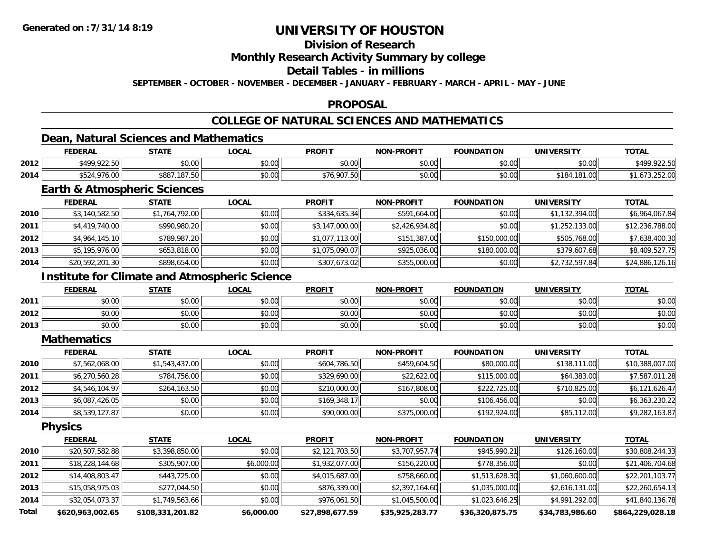## **Division of Research**

### **Monthly Research Activity Summary by college**

#### **Detail Tables - in millions**

**SEPTEMBER - OCTOBER - NOVEMBER - DECEMBER - JANUARY - FEBRUARY - MARCH - APRIL - MAY - JUNE**

### **PROPOSAL**

## **COLLEGE OF NATURAL SCIENCES AND MATHEMATICS**

### **Dean, Natural Sciences and Mathematics**

|      | <b>FEDERAL</b> | <b>STATE</b>                 | .OCAL          | <b>PROFIT</b>                                         | <b>NON-PROFIT</b> | <b>FOUNDATION</b> | UNIVERSITY     | <b>TOTAL</b>        |
|------|----------------|------------------------------|----------------|-------------------------------------------------------|-------------------|-------------------|----------------|---------------------|
| 2012 | \$499,922.50   | <b>ተገ</b><br>$\cap$<br>JU.UU | ልስ ለለ<br>DU.UU | $\mathsf{A} \cap \mathsf{A} \cap \mathsf{A}$<br>JU.UU | 0000<br>JU.UU     | \$0.00            | \$0.00         | 0.0000              |
| 2014 | \$524,976.00   | \$887<br>107E<br>, 107. JU   | nn na<br>DU.UU | \$76,907.50                                           | 0000<br>JU.UU     | \$0.00            | 181.00<br>01 ه | . . O /<br>22.32.01 |

## **Earth & Atmospheric Sciences**

|      | <b>FEDERAL</b>  | <b>STATE</b>   | <b>LOCAL</b> | <b>PROFIT</b>  | NON-PROFIT     | <b>FOUNDATION</b> | <b>UNIVERSITY</b> | <u>TOTAL</u>    |
|------|-----------------|----------------|--------------|----------------|----------------|-------------------|-------------------|-----------------|
| 2010 | \$3,140,582.50  | \$1,764,792.00 | \$0.00       | \$334,635.34   | \$591,664.00   | \$0.00            | \$1,132,394.00    | \$6,964,067.84  |
| 2011 | \$4,419,740.00  | \$990,980.20   | \$0.00       | \$3,147,000.00 | \$2,426,934.80 | \$0.00            | \$1,252,133.00    | \$12,236,788.00 |
| 2012 | \$4,964,145.10  | \$789,987.20   | \$0.00       | \$1,077,113.00 | \$151,387.00   | \$150,000.00      | \$505,768.00      | \$7,638,400.30  |
| 2013 | \$5,195,976.00  | \$653,818.00   | \$0.00       | \$1,075,090.07 | \$925,036.00   | \$180,000.00      | \$379,607.68      | \$8,409,527.75  |
| 2014 | \$20,592,201.30 | \$898,654.00   | \$0.00       | \$307,673.02   | \$355,000.00   | \$0.00            | \$2,732,597.84    | \$24,886,126.16 |

## **Institute for Climate and Atmospheric Science**

|      | <b>FEDERAL</b> | <b>STATE</b> | <u>_OCAL</u>            | <b>PROFIT</b>                                            | <b>NON-PROFIT</b> | <b>FOUNDATION</b> | <b>UNIVERSITY</b> | <b>TOTAL</b> |
|------|----------------|--------------|-------------------------|----------------------------------------------------------|-------------------|-------------------|-------------------|--------------|
| 2011 | \$0.00         | \$0.00       | 0.00<br>DU.UU           | ≮N UU<br>JU.UU                                           | \$0.00            | \$0.00            | \$0.00            | \$0.00       |
| 2012 | \$0.00         | \$0.00       | 0 <sup>n</sup><br>DU.UG | $\mathsf{A}\cap\mathsf{A}\cap\mathsf{A}$<br><b>JU.UU</b> | \$0.00            | \$0.00            | \$0.00            | \$0.00       |
| 2013 | \$0.00         | \$0.00       | 0000<br>\$U.UU          | <b>SU.UU</b>                                             | \$0.00            | \$0.00            | \$0.00            | \$0.00       |

#### **Mathematics**

|      | <b>FEDERAL</b> | <b>STATE</b>   | <u>LOCAL</u> | <b>PROFIT</b> | NON-PROFIT   | <b>FOUNDATION</b> | <b>UNIVERSITY</b> | <b>TOTAL</b>    |
|------|----------------|----------------|--------------|---------------|--------------|-------------------|-------------------|-----------------|
| 2010 | \$7,562,068.00 | \$1,543,437.00 | \$0.00       | \$604,786.50  | \$459,604.50 | \$80,000.00       | \$138,111.00      | \$10,388,007.00 |
| 2011 | \$6,270,560.28 | \$784,756.00   | \$0.00       | \$329,690.00  | \$22,622.00  | \$115,000.00      | \$64,383.00       | \$7,587,011.28  |
| 2012 | \$4,546,104.97 | \$264,163.50   | \$0.00       | \$210,000.00  | \$167,808.00 | \$222,725.00      | \$710,825.00      | \$6,121,626.47  |
| 2013 | \$6,087,426.05 | \$0.00         | \$0.00       | \$169,348.17  | \$0.00       | \$106,456,00      | \$0.00            | \$6,363,230.22  |
| 2014 | \$8,539,127.87 | \$0.00         | \$0.00       | \$90,000.00   | \$375,000.00 | \$192,924.00      | \$85,112.00       | \$9,282,163.87  |

**Physics**

|              | <b>FEDERAL</b>   | <b>STATE</b>     | <u>LOCAL</u> | <b>PROFIT</b>   | <b>NON-PROFIT</b> | <b>FOUNDATION</b> | <b>UNIVERSITY</b> | <b>TOTAL</b>     |
|--------------|------------------|------------------|--------------|-----------------|-------------------|-------------------|-------------------|------------------|
| 2010         | \$20,507,582.88  | \$3,398,850.00   | \$0.00       | \$2,121,703.50  | \$3,707,957.74    | \$945,990.21      | \$126,160.00      | \$30,808,244.33  |
| 2011         | \$18,228,144.68  | \$305,907.00     | \$6,000.00   | \$1,932,077.00  | \$156,220.00      | \$778,356.00      | \$0.00            | \$21,406,704.68  |
| 2012         | \$14,408,803.47  | \$443,725.00     | \$0.00       | \$4,015,687.00  | \$758,660.00      | \$1,513,628.30    | \$1,060,600.00    | \$22,201,103.77  |
| 2013         | \$15,058,975.03  | \$277,044.50     | \$0.00       | \$876,339.00    | \$2,397,164.60    | \$1,035,000.00    | \$2,616,131.00    | \$22,260,654.13  |
| 2014         | \$32,054,073.37  | \$1,749,563.66   | \$0.00       | \$976,061.50    | \$1,045,500.00    | \$1,023,646.25    | \$4,991,292.00    | \$41,840,136.78  |
| <b>Total</b> | \$620,963,002.65 | \$108,331,201.82 | \$6,000.00   | \$27,898,677.59 | \$35,925,283.77   | \$36,320,875.75   | \$34,783,986.60   | \$864,229,028.18 |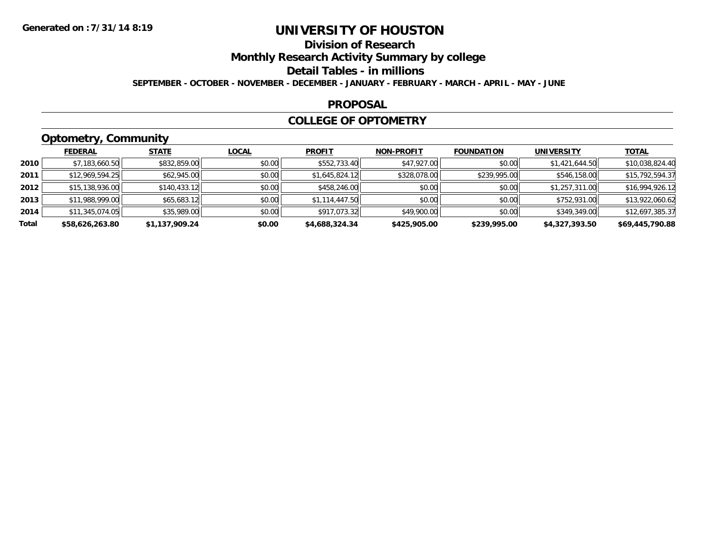## **Division of Research**

**Monthly Research Activity Summary by college**

#### **Detail Tables - in millions**

**SEPTEMBER - OCTOBER - NOVEMBER - DECEMBER - JANUARY - FEBRUARY - MARCH - APRIL - MAY - JUNE**

### **PROPOSAL**

### **COLLEGE OF OPTOMETRY**

## **Optometry, Community**

|       | ___             |                |              |                |                   |                   |                   |                 |
|-------|-----------------|----------------|--------------|----------------|-------------------|-------------------|-------------------|-----------------|
|       | <b>FEDERAL</b>  | <b>STATE</b>   | <u>LOCAL</u> | <b>PROFIT</b>  | <b>NON-PROFIT</b> | <b>FOUNDATION</b> | <b>UNIVERSITY</b> | <b>TOTAL</b>    |
| 2010  | \$7,183,660.50  | \$832,859.00   | \$0.00       | \$552,733.40   | \$47,927.00       | \$0.00            | \$1,421,644.50    | \$10,038,824.40 |
| 2011  | \$12,969,594.25 | \$62,945.00    | \$0.00       | \$1.645.824.12 | \$328,078.00      | \$239,995.00      | \$546,158.00      | \$15,792,594.37 |
| 2012  | \$15,138,936.00 | \$140,433.12   | \$0.00       | \$458,246.00   | \$0.00            | \$0.00            | \$1,257,311.00    | \$16,994,926.12 |
| 2013  | \$11,988,999.00 | \$65,683.12    | \$0.00       | \$1,114,447.50 | \$0.00            | \$0.00            | \$752,931.00      | \$13,922,060.62 |
| 2014  | \$11,345,074.05 | \$35,989.00    | \$0.00       | \$917,073.32   | \$49,900.00       | \$0.00            | \$349,349.00      | \$12,697,385.37 |
| Total | \$58,626,263.80 | \$1,137,909.24 | \$0.00       | \$4,688,324.34 | \$425,905.00      | \$239,995.00      | \$4,327,393.50    | \$69,445,790.88 |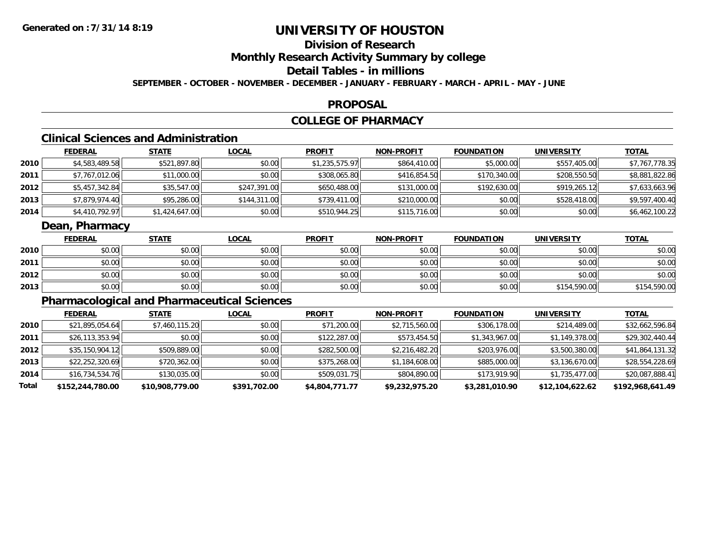## **Division of Research**

**Monthly Research Activity Summary by college**

## **Detail Tables - in millions**

**SEPTEMBER - OCTOBER - NOVEMBER - DECEMBER - JANUARY - FEBRUARY - MARCH - APRIL - MAY - JUNE**

### **PROPOSAL**

## **COLLEGE OF PHARMACY**

## **Clinical Sciences and Administration**

|      | <b>FEDERAL</b> | <u>STATE</u>   | <b>LOCAL</b> | <b>PROFIT</b>  | <b>NON-PROFIT</b> | <b>FOUNDATION</b> | <b>UNIVERSITY</b> | <b>TOTAL</b>   |
|------|----------------|----------------|--------------|----------------|-------------------|-------------------|-------------------|----------------|
| 2010 | \$4,583,489.58 | \$521,897.80   | \$0.00       | \$1,235,575.97 | \$864,410.00      | \$5,000.00        | \$557,405.00      | \$7,767,778.35 |
| 2011 | \$7,767,012.06 | \$11,000.00    | \$0.00       | \$308,065.80   | \$416,854.50      | \$170,340.00      | \$208,550.50      | \$8,881,822.86 |
| 2012 | \$5,457,342.84 | \$35,547.00    | \$247,391.00 | \$650,488.00   | \$131,000.00      | \$192,630.00      | \$919,265.12      | \$7,633,663.96 |
| 2013 | \$7,879,974.40 | \$95,286.00    | \$144,311.00 | \$739,411.00   | \$210,000.00      | \$0.00            | \$528,418,00      | \$9,597,400.40 |
| 2014 | \$4,410,792.97 | \$1,424,647.00 | \$0.00       | \$510,944.25   | \$115,716.00      | \$0.00            | \$0.00            | \$6,462,100.22 |

### **Dean, Pharmacy**

|      | <b>FEDERAL</b> | <b>STATE</b> | <u>LOCAL</u> | <b>PROFIT</b> | <b>NON-PROFIT</b> | <b>FOUNDATION</b> | <b>UNIVERSITY</b> | <b>TOTAL</b> |
|------|----------------|--------------|--------------|---------------|-------------------|-------------------|-------------------|--------------|
| 2010 | \$0.00         | \$0.00       | \$0.00       | \$0.00        | \$0.00            | \$0.00            | \$0.00            | \$0.00       |
| 2011 | \$0.00         | \$0.00       | \$0.00       | \$0.00        | \$0.00            | \$0.00            | \$0.00            | \$0.00       |
| 2012 | \$0.00         | \$0.00       | \$0.00       | \$0.00        | \$0.00            | \$0.00            | \$0.00            | \$0.00       |
| 2013 | \$0.00         | \$0.00       | \$0.00       | \$0.00        | \$0.00            | \$0.00            | \$154,590.00      | \$154,590.00 |

## **Pharmacological and Pharmaceutical Sciences**

|       | <b>FEDERAL</b>   | <b>STATE</b>    | <b>LOCAL</b> | <b>PROFIT</b>  | <b>NON-PROFIT</b> | <b>FOUNDATION</b> | UNIVERSITY      | <u>TOTAL</u>     |
|-------|------------------|-----------------|--------------|----------------|-------------------|-------------------|-----------------|------------------|
| 2010  | \$21,895,054.64  | \$7,460,115.20  | \$0.00       | \$71,200.00    | \$2,715,560.00    | \$306,178.00      | \$214,489.00    | \$32,662,596.84  |
| 2011  | \$26,113,353.94  | \$0.00          | \$0.00       | \$122,287.00   | \$573,454.50      | \$1,343,967.00    | \$1,149,378.00  | \$29,302,440.44  |
| 2012  | \$35,150,904.12  | \$509,889.00    | \$0.00       | \$282,500.00   | \$2,216,482.20    | \$203,976.00      | \$3,500,380.00  | \$41,864,131.32  |
| 2013  | \$22,252,320.69  | \$720,362.00    | \$0.00       | \$375,268.00   | \$1,184,608.00    | \$885,000.00      | \$3,136,670.00  | \$28,554,228.69  |
| 2014  | \$16,734,534.76  | \$130,035.00    | \$0.00       | \$509,031.75   | \$804,890.00      | \$173,919.90      | \$1,735,477.00  | \$20,087,888.41  |
| Total | \$152,244,780.00 | \$10,908,779.00 | \$391,702.00 | \$4,804,771.77 | \$9,232,975.20    | \$3,281,010.90    | \$12,104,622.62 | \$192,968,641.49 |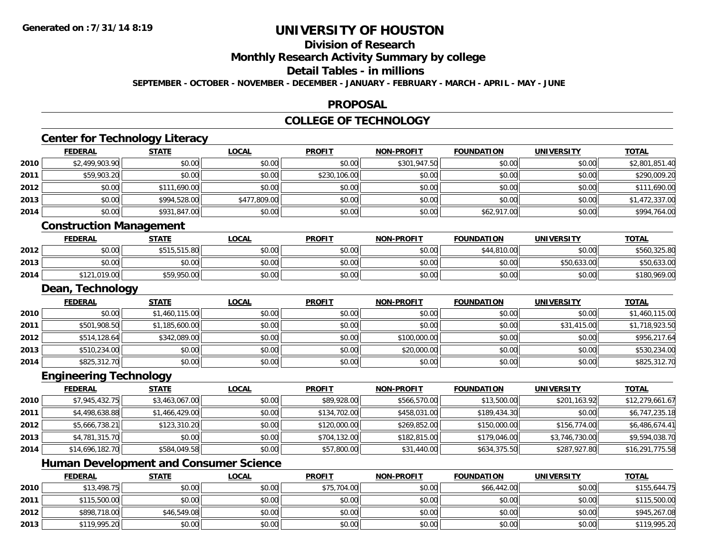**2013**

# **UNIVERSITY OF HOUSTON**

# **Division of Research**

**Monthly Research Activity Summary by college**

#### **Detail Tables - in millions**

**SEPTEMBER - OCTOBER - NOVEMBER - DECEMBER - JANUARY - FEBRUARY - MARCH - APRIL - MAY - JUNE**

### **PROPOSAL**

### **COLLEGE OF TECHNOLOGY**

|      |                                | <b>Center for Technology Literacy</b>         |              |               |                   |                   |                   |                 |
|------|--------------------------------|-----------------------------------------------|--------------|---------------|-------------------|-------------------|-------------------|-----------------|
|      | <b>FEDERAL</b>                 | <b>STATE</b>                                  | <b>LOCAL</b> | <b>PROFIT</b> | <b>NON-PROFIT</b> | <b>FOUNDATION</b> | <b>UNIVERSITY</b> | <b>TOTAL</b>    |
| 2010 | \$2,499,903.90                 | \$0.00                                        | \$0.00       | \$0.00        | \$301,947.50      | \$0.00            | \$0.00            | \$2,801,851.40  |
| 2011 | \$59,903.20                    | \$0.00                                        | \$0.00       | \$230,106.00  | \$0.00            | \$0.00            | \$0.00            | \$290,009.20    |
| 2012 | \$0.00                         | \$111,690.00                                  | \$0.00       | \$0.00        | \$0.00            | \$0.00            | \$0.00            | \$111,690.00    |
| 2013 | \$0.00                         | \$994,528.00                                  | \$477,809.00 | \$0.00        | \$0.00            | \$0.00            | \$0.00            | \$1,472,337.00  |
| 2014 | \$0.00                         | \$931,847.00                                  | \$0.00       | \$0.00        | \$0.00            | \$62,917.00       | \$0.00            | \$994,764.00    |
|      | <b>Construction Management</b> |                                               |              |               |                   |                   |                   |                 |
|      | <b>FEDERAL</b>                 | <b>STATE</b>                                  | LOCAL        | <b>PROFIT</b> | <b>NON-PROFIT</b> | <b>FOUNDATION</b> | <b>UNIVERSITY</b> | <b>TOTAL</b>    |
| 2012 | \$0.00                         | \$515,515.80                                  | \$0.00       | \$0.00        | \$0.00            | \$44,810.00       | \$0.00            | \$560,325.80    |
| 2013 | \$0.00                         | \$0.00                                        | \$0.00       | \$0.00        | \$0.00            | \$0.00            | \$50,633.00       | \$50,633.00     |
| 2014 | \$121,019.00                   | \$59,950.00                                   | \$0.00       | \$0.00        | \$0.00            | \$0.00            | \$0.00            | \$180,969.00    |
|      | Dean, Technology               |                                               |              |               |                   |                   |                   |                 |
|      | <b>FEDERAL</b>                 | <b>STATE</b>                                  | <b>LOCAL</b> | <b>PROFIT</b> | <b>NON-PROFIT</b> | <b>FOUNDATION</b> | <b>UNIVERSITY</b> | <b>TOTAL</b>    |
| 2010 | \$0.00                         | \$1,460,115.00                                | \$0.00       | \$0.00        | \$0.00            | \$0.00            | \$0.00            | \$1,460,115.00  |
| 2011 | \$501,908.50                   | \$1,185,600.00                                | \$0.00       | \$0.00        | \$0.00            | \$0.00            | \$31,415.00       | \$1,718,923.50  |
| 2012 | \$514,128.64                   | \$342,089.00                                  | \$0.00       | \$0.00        | \$100,000.00      | \$0.00            | \$0.00            | \$956,217.64    |
| 2013 | \$510,234.00                   | \$0.00                                        | \$0.00       | \$0.00        | \$20,000.00       | \$0.00            | \$0.00            | \$530,234.00    |
| 2014 | \$825,312.70                   | \$0.00                                        | \$0.00       | \$0.00        | \$0.00            | \$0.00            | \$0.00            | \$825,312.70    |
|      | <b>Engineering Technology</b>  |                                               |              |               |                   |                   |                   |                 |
|      | <b>FEDERAL</b>                 | <b>STATE</b>                                  | <b>LOCAL</b> | <b>PROFIT</b> | <b>NON-PROFIT</b> | <b>FOUNDATION</b> | <b>UNIVERSITY</b> | <b>TOTAL</b>    |
| 2010 | \$7,945,432.75                 | \$3,463,067.00                                | \$0.00       | \$89,928.00   | \$566,570.00      | \$13,500.00       | \$201,163.92      | \$12,279,661.67 |
| 2011 | \$4,498,638.88                 | \$1,466,429.00                                | \$0.00       | \$134,702.00  | \$458,031.00      | \$189,434.30      | \$0.00            | \$6,747,235.18  |
| 2012 | \$5,666,738.21                 | \$123,310.20                                  | \$0.00       | \$120,000.00  | \$269,852.00      | \$150,000.00      | \$156,774.00      | \$6,486,674.41  |
| 2013 | \$4,781,315.70                 | \$0.00                                        | \$0.00       | \$704,132.00  | \$182,815.00      | \$179,046.00      | \$3,746,730.00    | \$9,594,038.70  |
| 2014 | \$14,696,182.70                | \$584,049.58                                  | \$0.00       | \$57,800.00   | \$31,440.00       | \$634,375.50      | \$287,927.80      | \$16,291,775.58 |
|      |                                | <b>Human Development and Consumer Science</b> |              |               |                   |                   |                   |                 |
|      | <b>FEDERAL</b>                 | <b>STATE</b>                                  | <b>LOCAL</b> | <b>PROFIT</b> | <b>NON-PROFIT</b> | <b>FOUNDATION</b> | <b>UNIVERSITY</b> | <b>TOTAL</b>    |
| 2010 | \$13,498.75                    | \$0.00                                        | \$0.00       | \$75,704.00   | \$0.00            | \$66,442.00       | \$0.00            | \$155,644.75    |
| 2011 | \$115,500.00                   | \$0.00                                        | \$0.00       | \$0.00        | \$0.00            | \$0.00            | \$0.00            | \$115,500.00    |
| 2012 | \$898,718.00                   | \$46,549.08                                   | \$0.00       | \$0.00        | \$0.00            | \$0.00            | \$0.00            | \$945,267.08    |

\$119,995.20 \$0.00 \$0.00 \$0.00 \$0.00 \$0.00 \$0.00 \$119,995.20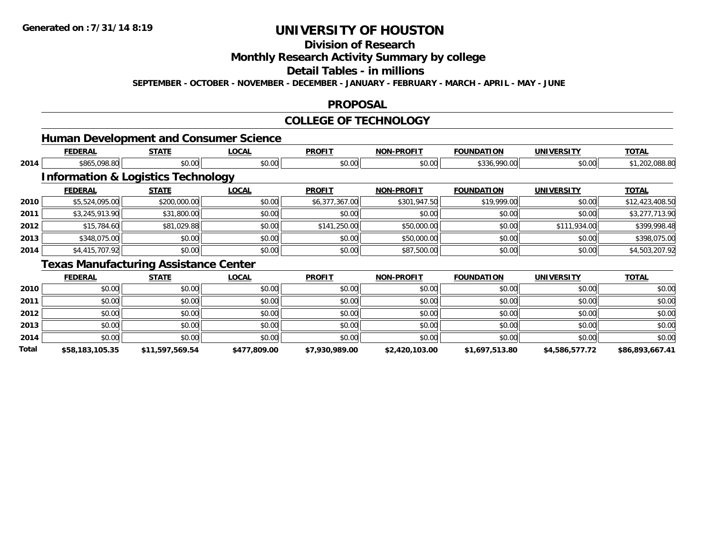## **Division of Research**

**Monthly Research Activity Summary by college**

#### **Detail Tables - in millions**

**SEPTEMBER - OCTOBER - NOVEMBER - DECEMBER - JANUARY - FEBRUARY - MARCH - APRIL - MAY - JUNE**

### **PROPOSAL**

### **COLLEGE OF TECHNOLOGY**

|--|

|      | <b>FEDERAL</b>                                | <b>STATE</b> | <b>LOCAL</b> | <b>PROFIT</b>  | <b>NON-PROFIT</b> | <b>FOUNDATION</b> | <b>UNIVERSITY</b> | <b>TOTAL</b>    |
|------|-----------------------------------------------|--------------|--------------|----------------|-------------------|-------------------|-------------------|-----------------|
| 2014 | \$865,098.80                                  | \$0.00       | \$0.00       | \$0.00         | \$0.00            | \$336,990.00      | \$0.00            | \$1,202,088.80  |
|      | <b>Information &amp; Logistics Technology</b> |              |              |                |                   |                   |                   |                 |
|      | <b>FEDERAL</b>                                | <b>STATE</b> | <b>LOCAL</b> | <b>PROFIT</b>  | <b>NON-PROFIT</b> | <b>FOUNDATION</b> | <b>UNIVERSITY</b> | <b>TOTAL</b>    |
| 2010 | \$5,524,095.00                                | \$200,000.00 | \$0.00       | \$6,377,367.00 | \$301,947.50      | \$19,999.00       | \$0.00            | \$12,423,408.50 |
| 2011 | \$3,245,913.90                                | \$31,800.00  | \$0.00       | \$0.00         | \$0.00            | \$0.00            | \$0.00            | \$3,277,713.90  |
| 2012 | \$15,784.60                                   | \$81,029.88  | \$0.00       | \$141,250.00   | \$50,000.00       | \$0.00            | \$111,934.00      | \$399,998.48    |
| 2013 | \$348,075.00                                  | \$0.00       | \$0.00       | \$0.00         | \$50,000.00       | \$0.00            | \$0.00            | \$398,075.00    |
| 2014 | \$4,415,707.92                                | \$0.00       | \$0.00       | \$0.00         | \$87,500.00       | \$0.00            | \$0.00            | \$4,503,207.92  |
|      | $\sim$                                        | .            |              |                |                   |                   |                   |                 |

#### **Texas Manufacturing Assistance Center**

|       | <b>FEDERAL</b>  | <b>STATE</b>    | <b>LOCAL</b> | <b>PROFIT</b>  | <b>NON-PROFIT</b> | <b>FOUNDATION</b> | <b>UNIVERSITY</b> | <b>TOTAL</b>    |
|-------|-----------------|-----------------|--------------|----------------|-------------------|-------------------|-------------------|-----------------|
| 2010  | \$0.00          | \$0.00          | \$0.00       | \$0.00         | \$0.00            | \$0.00            | \$0.00            | \$0.00          |
| 2011  | \$0.00          | \$0.00          | \$0.00       | \$0.00         | \$0.00            | \$0.00            | \$0.00            | \$0.00          |
| 2012  | \$0.00          | \$0.00          | \$0.00       | \$0.00         | \$0.00            | \$0.00            | \$0.00            | \$0.00          |
| 2013  | \$0.00          | \$0.00          | \$0.00       | \$0.00         | \$0.00            | \$0.00            | \$0.00            | \$0.00          |
| 2014  | \$0.00          | \$0.00          | \$0.00       | \$0.00         | \$0.00            | \$0.00            | \$0.00            | \$0.00          |
| Total | \$58,183,105.35 | \$11,597,569.54 | \$477,809.00 | \$7,930,989.00 | \$2,420,103.00    | \$1,697,513.80    | \$4,586,577.72    | \$86,893,667.41 |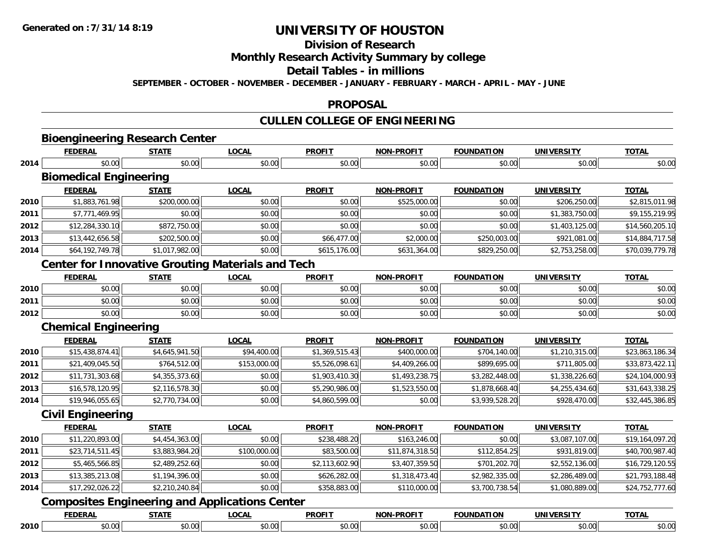## **Division of Research**

#### **Monthly Research Activity Summary by college**

#### **Detail Tables - in millions**

**SEPTEMBER - OCTOBER - NOVEMBER - DECEMBER - JANUARY - FEBRUARY - MARCH - APRIL - MAY - JUNE**

### **PROPOSAL**

#### **CULLEN COLLEGE OF ENGINEERING**

|      |                                                          |                |              | <b>CULLEN COLLEGE OF ENGINEERING</b> |                   |                   |                   |                 |
|------|----------------------------------------------------------|----------------|--------------|--------------------------------------|-------------------|-------------------|-------------------|-----------------|
|      | <b>Bioengineering Research Center</b>                    |                |              |                                      |                   |                   |                   |                 |
|      | <b>FEDERAL</b>                                           | <b>STATE</b>   | <b>LOCAL</b> | <b>PROFIT</b>                        | <b>NON-PROFIT</b> | <b>FOUNDATION</b> | <b>UNIVERSITY</b> | <b>TOTAL</b>    |
| 2014 | \$0.00                                                   | \$0.00         | \$0.00       | \$0.00                               | \$0.00            | \$0.00            | \$0.00            | \$0.00          |
|      | <b>Biomedical Engineering</b>                            |                |              |                                      |                   |                   |                   |                 |
|      | <b>FEDERAL</b>                                           | <b>STATE</b>   | <b>LOCAL</b> | <b>PROFIT</b>                        | <b>NON-PROFIT</b> | <b>FOUNDATION</b> | <b>UNIVERSITY</b> | <b>TOTAL</b>    |
| 2010 | \$1,883,761.98                                           | \$200,000.00   | \$0.00       | \$0.00                               | \$525,000.00      | \$0.00            | \$206,250.00      | \$2,815,011.98  |
| 2011 | \$7,771,469.95                                           | \$0.00         | \$0.00       | \$0.00                               | \$0.00            | \$0.00            | \$1,383,750.00    | \$9,155,219.95  |
| 2012 | \$12,284,330.10                                          | \$872,750.00   | \$0.00       | \$0.00                               | \$0.00            | \$0.00            | \$1,403,125.00    | \$14,560,205.10 |
| 2013 | \$13,442,656.58                                          | \$202,500.00   | \$0.00       | \$66,477.00                          | \$2,000.00        | \$250,003.00      | \$921,081.00      | \$14,884,717.58 |
| 2014 | \$64,192,749.78                                          | \$1,017,982.00 | \$0.00       | \$615,176.00                         | \$631,364.00      | \$829,250.00      | \$2,753,258.00    | \$70,039,779.78 |
|      | <b>Center for Innovative Grouting Materials and Tech</b> |                |              |                                      |                   |                   |                   |                 |
|      | <b>FEDERAL</b>                                           | <b>STATE</b>   | <b>LOCAL</b> | <b>PROFIT</b>                        | <b>NON-PROFIT</b> | <b>FOUNDATION</b> | <b>UNIVERSITY</b> | <b>TOTAL</b>    |
| 2010 | \$0.00                                                   | \$0.00         | \$0.00       | \$0.00                               | \$0.00            | \$0.00            | \$0.00            | \$0.00          |
| 2011 | \$0.00                                                   | \$0.00         | \$0.00       | \$0.00                               | \$0.00            | \$0.00            | \$0.00            | \$0.00          |
| 2012 | \$0.00                                                   | \$0.00         | \$0.00       | \$0.00                               | \$0.00            | \$0.00            | \$0.00            | \$0.00          |
|      | <b>Chemical Engineering</b>                              |                |              |                                      |                   |                   |                   |                 |
|      | <b>FEDERAL</b>                                           | <b>STATE</b>   | <b>LOCAL</b> | <b>PROFIT</b>                        | <b>NON-PROFIT</b> | <b>FOUNDATION</b> | <b>UNIVERSITY</b> | <b>TOTAL</b>    |
| 2010 | \$15,438,874.41                                          | \$4,645,941.50 | \$94,400.00  | \$1,369,515.43                       | \$400,000.00      | \$704,140.00      | \$1,210,315.00    | \$23,863,186.34 |
| 2011 | \$21,409,045.50                                          | \$764,512.00   | \$153,000.00 | \$5,526,098.61                       | \$4,409,266.00    | \$899,695.00      | \$711,805.00      | \$33,873,422.11 |
| 2012 | \$11,731,303.68                                          | \$4,355,373.60 | \$0.00       | \$1,903,410.30                       | \$1,493,238.75    | \$3,282,448.00    | \$1,338,226.60    | \$24,104,000.93 |
| 2013 | \$16,578,120.95                                          | \$2,116,578.30 | \$0.00       | \$5,290,986.00                       | \$1,523,550.00    | \$1,878,668.40    | \$4,255,434.60    | \$31,643,338.25 |
| 2014 | \$19,946,055.65                                          | \$2,770,734.00 | \$0.00       | \$4,860,599.00                       | \$0.00            | \$3,939,528.20    | \$928,470.00      | \$32,445,386.85 |
|      | <b>Civil Engineering</b>                                 |                |              |                                      |                   |                   |                   |                 |
|      | <b>FEDERAL</b>                                           | <b>STATE</b>   | <b>LOCAL</b> | <b>PROFIT</b>                        | NON-PROFIT        | <b>FOUNDATION</b> | <b>UNIVERSITY</b> | <b>TOTAL</b>    |
| 2010 | \$11,220,893.00                                          | \$4,454,363.00 | \$0.00       | \$238,488.20                         | \$163,246.00      | \$0.00            | \$3,087,107.00    | \$19,164,097.20 |
| 2011 | \$23,714,511.45                                          | \$3,883,984.20 | \$100,000.00 | \$83,500.00                          | \$11,874,318.50   | \$112,854.25      | \$931,819.00      | \$40,700,987.40 |
| 2012 | \$5,465,566.85                                           | \$2,489,252.60 | \$0.00       | \$2,113,602.90                       | \$3,407,359.50    | \$701,202.70      | \$2,552,136.00    | \$16,729,120.55 |
| 2013 | \$13.385.213.08                                          | \$1,194,396.00 | \$0.00       | \$626,282,00                         | \$1,318,473,40    | \$2,982,335.00    | \$2,286,489.00    | \$21,793,188.48 |

### **Composites Engineering and Applications Center**

**2014**

|      |        | ---           | <b>DDOEIT</b> | .<br>NO.  |        | JNI                             | ---                         |
|------|--------|---------------|---------------|-----------|--------|---------------------------------|-----------------------------|
| 2010 | $\sim$ | $\sim$<br>vv. |               | .<br>ט. ט | $\sim$ | $\sim$ 0.0 $\mu$<br>^^<br>,,,,, | $\cdot$ v $\cdot$ v $\cdot$ |

 $\textbf{3} \mid \textbf{3} \mid \textbf{3} \mid \textbf{4} \mid \textbf{5} \mid \textbf{5} \mid \textbf{6}, \textbf{7} \mid \textbf{6}, \textbf{8} \mid \textbf{7} \mid \textbf{8}, \textbf{9} \mid \textbf{7} \mid \textbf{8}, \textbf{9} \mid \textbf{8}, \textbf{9} \mid \textbf{9} \mid \textbf{1}, \textbf{10} \mid \textbf{1}, \textbf{10} \mid \textbf{1}, \textbf{10} \mid \textbf{1}, \textbf{10} \mid \textbf{1}, \textbf{10} \mid \textbf{$ 

\$17,292,026.22 \$2,210,240.84 \$0.00 \$358,883.00 \$110,000.00 \$3,700,738.54 \$1,080,889.00 \$24,752,777.60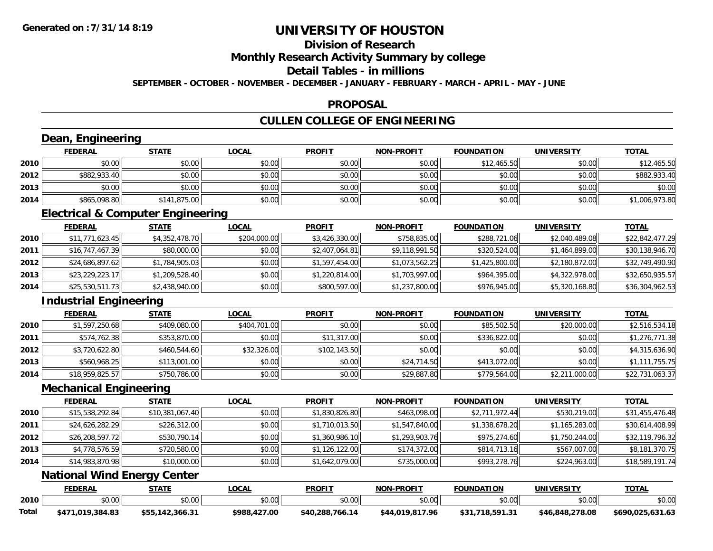# **Division of Research**

**Monthly Research Activity Summary by college**

#### **Detail Tables - in millions**

**SEPTEMBER - OCTOBER - NOVEMBER - DECEMBER - JANUARY - FEBRUARY - MARCH - APRIL - MAY - JUNE**

## **PROPOSAL**

# **CULLEN COLLEGE OF ENGINEERING**

|       | Dean, Engineering                            |                 |              |                 |                   |                   |                   |                  |
|-------|----------------------------------------------|-----------------|--------------|-----------------|-------------------|-------------------|-------------------|------------------|
|       | <b>FEDERAL</b>                               | <b>STATE</b>    | <b>LOCAL</b> | <b>PROFIT</b>   | <b>NON-PROFIT</b> | <b>FOUNDATION</b> | <b>UNIVERSITY</b> | <b>TOTAL</b>     |
| 2010  | \$0.00                                       | \$0.00          | \$0.00       | \$0.00          | \$0.00            | \$12,465.50       | \$0.00            | \$12,465.50      |
| 2012  | \$882,933.40                                 | \$0.00          | \$0.00       | \$0.00          | \$0.00            | \$0.00            | \$0.00            | \$882,933.40     |
| 2013  | \$0.00                                       | \$0.00          | \$0.00       | \$0.00          | \$0.00            | \$0.00            | \$0.00            | \$0.00           |
| 2014  | \$865,098.80                                 | \$141,875.00    | \$0.00       | \$0.00          | \$0.00            | \$0.00            | \$0.00            | \$1,006,973.80   |
|       | <b>Electrical &amp; Computer Engineering</b> |                 |              |                 |                   |                   |                   |                  |
|       | <b>FEDERAL</b>                               | <b>STATE</b>    | <b>LOCAL</b> | <b>PROFIT</b>   | <b>NON-PROFIT</b> | <b>FOUNDATION</b> | <b>UNIVERSITY</b> | <b>TOTAL</b>     |
| 2010  | \$11,771,623.45                              | \$4,352,478.70  | \$204,000.00 | \$3,426,330.00  | \$758,835.00      | \$288,721.06      | \$2,040,489.08    | \$22,842,477.29  |
| 2011  | \$16,747,467.39                              | \$80,000.00     | \$0.00       | \$2,407,064.81  | \$9,118,991.50    | \$320,524.00      | \$1,464,899.00    | \$30,138,946.70  |
| 2012  | \$24,686,897.62                              | \$1,784,905.03  | \$0.00       | \$1,597,454.00  | \$1,073,562.25    | \$1,425,800.00    | \$2,180,872.00    | \$32,749,490.90  |
| 2013  | \$23,229,223.17                              | \$1,209,528.40  | \$0.00       | \$1,220,814.00  | \$1,703,997.00    | \$964,395.00      | \$4,322,978.00    | \$32,650,935.57  |
| 2014  | \$25,530,511.73                              | \$2,438,940.00  | \$0.00       | \$800,597.00    | \$1,237,800.00    | \$976,945.00      | \$5,320,168.80    | \$36,304,962.53  |
|       | <b>Industrial Engineering</b>                |                 |              |                 |                   |                   |                   |                  |
|       | <b>FEDERAL</b>                               | <b>STATE</b>    | <b>LOCAL</b> | <b>PROFIT</b>   | <b>NON-PROFIT</b> | <b>FOUNDATION</b> | <b>UNIVERSITY</b> | <b>TOTAL</b>     |
| 2010  | \$1,597,250.68                               | \$409,080.00    | \$404,701.00 | \$0.00          | \$0.00            | \$85,502.50       | \$20,000.00       | \$2,516,534.18   |
| 2011  | \$574,762.38                                 | \$353,870.00    | \$0.00       | \$11,317.00     | \$0.00            | \$336,822.00      | \$0.00            | \$1,276,771.38   |
| 2012  | \$3,720,622.80                               | \$460,544.60    | \$32,326.00  | \$102,143.50    | \$0.00            | \$0.00            | \$0.00            | \$4,315,636.90   |
| 2013  | \$560,968.25                                 | \$113,001.00    | \$0.00       | \$0.00          | \$24,714.50       | \$413,072.00      | \$0.00            | \$1,111,755.75   |
| 2014  | \$18,959,825.57                              | \$750,786.00    | \$0.00       | \$0.00          | \$29,887.80       | \$779,564.00      | \$2,211,000.00    | \$22,731,063.37  |
|       | <b>Mechanical Engineering</b>                |                 |              |                 |                   |                   |                   |                  |
|       | <b>FEDERAL</b>                               | <b>STATE</b>    | <b>LOCAL</b> | <b>PROFIT</b>   | <b>NON-PROFIT</b> | <b>FOUNDATION</b> | <b>UNIVERSITY</b> | <b>TOTAL</b>     |
| 2010  | \$15,538,292.84                              | \$10,381,067.40 | \$0.00       | \$1,830,826.80  | \$463,098.00      | \$2,711,972.44    | \$530,219.00      | \$31,455,476.48  |
| 2011  | \$24,626,282.29                              | \$226,312.00    | \$0.00       | \$1,710,013.50  | \$1,547,840.00    | \$1,338,678.20    | \$1,165,283.00    | \$30,614,408.99  |
| 2012  | \$26,208,597.72                              | \$530,790.14    | \$0.00       | \$1,360,986.10  | \$1,293,903.76    | \$975,274.60      | \$1,750,244.00    | \$32,119,796.32  |
| 2013  | \$4,778,576.59                               | \$720,580.00    | \$0.00       | \$1,126,122.00  | \$174,372.00      | \$814,713.16      | \$567,007.00      | \$8,181,370.75   |
| 2014  | \$14,983,870.98                              | \$10,000.00     | \$0.00       | \$1,642,079.00  | \$735,000.00      | \$993,278.76      | \$224,963.00      | \$18,589,191.74  |
|       | <b>National Wind Energy Center</b>           |                 |              |                 |                   |                   |                   |                  |
|       | <b>FEDERAL</b>                               | <b>STATE</b>    | <b>LOCAL</b> | <b>PROFIT</b>   | <b>NON-PROFIT</b> | <b>FOUNDATION</b> | <b>UNIVERSITY</b> | <b>TOTAL</b>     |
| 2010  | \$0.00                                       | \$0.00          | \$0.00       | \$0.00          | \$0.00            | \$0.00            | \$0.00            | \$0.00           |
| Total | \$471,019,384.83                             | \$55,142,366.31 | \$988,427.00 | \$40,288,766.14 | \$44,019,817.96   | \$31,718,591.31   | \$46,848,278.08   | \$690,025,631.63 |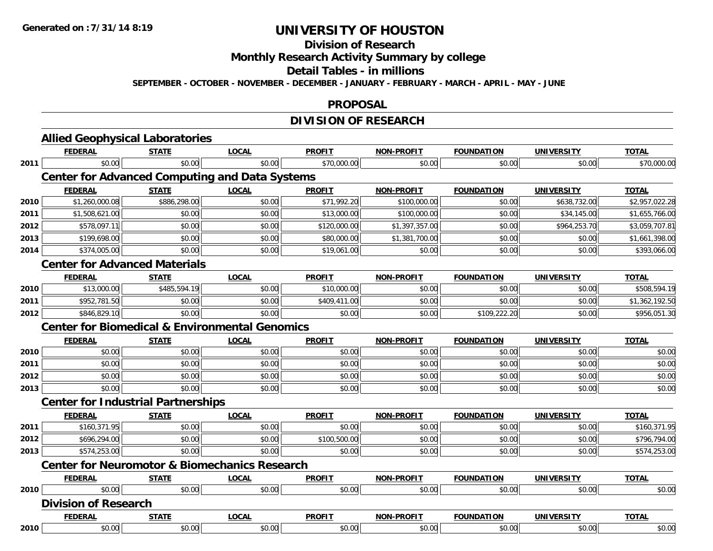#### **Division of Research**

**Monthly Research Activity Summary by college**

#### **Detail Tables - in millions**

**SEPTEMBER - OCTOBER - NOVEMBER - DECEMBER - JANUARY - FEBRUARY - MARCH - APRIL - MAY - JUNE**

#### **PROPOSAL**

## **DIVISION OF RESEARCH**

|                              | <b>FEDERAL</b>                                            | <b>STATE</b> | <b>LOCAL</b> | <b>PROFIT</b> | <b>NON-PROFIT</b> | <b>FOUNDATION</b> | <b>UNIVERSITY</b> | <b>TOTAL</b>                                                           |
|------------------------------|-----------------------------------------------------------|--------------|--------------|---------------|-------------------|-------------------|-------------------|------------------------------------------------------------------------|
| 2011                         | \$0.00                                                    | \$0.00       | \$0.00       | \$70,000.00   | \$0.00            | \$0.00            | \$0.00            | \$70,000.00                                                            |
|                              | <b>Center for Advanced Computing and Data Systems</b>     |              |              |               |                   |                   |                   |                                                                        |
|                              | <b>FEDERAL</b>                                            | <b>STATE</b> | <b>LOCAL</b> | <b>PROFIT</b> | <b>NON-PROFIT</b> | <b>FOUNDATION</b> | <b>UNIVERSITY</b> | <b>TOTAL</b>                                                           |
| 2010                         | \$1,260,000.08                                            | \$886,298.00 | \$0.00       | \$71,992.20   | \$100,000.00      | \$0.00            | \$638,732.00      | \$2,957,022.28                                                         |
| 2011                         | \$1,508,621.00                                            | \$0.00       | \$0.00       | \$13,000.00   | \$100,000.00      | \$0.00            | \$34,145.00       | \$1,655,766.00                                                         |
| 2012                         | \$578,097.11                                              | \$0.00       | \$0.00       | \$120,000.00  | \$1,397,357.00    | \$0.00            | \$964,253.70      | \$3,059,707.81                                                         |
| 2013                         | \$199,698.00                                              | \$0.00       | \$0.00       | \$80,000.00   | \$1,381,700.00    | \$0.00            | \$0.00            | \$1,661,398.00                                                         |
| 2014                         | \$374,005.00                                              | \$0.00       | \$0.00       | \$19,061.00   | \$0.00            | \$0.00            | \$0.00            | \$393,066.00                                                           |
|                              | <b>Center for Advanced Materials</b>                      |              |              |               |                   |                   |                   |                                                                        |
|                              | <b>FEDERAL</b>                                            | <b>STATE</b> | <b>LOCAL</b> | <b>PROFIT</b> | <b>NON-PROFIT</b> | <b>FOUNDATION</b> | <b>UNIVERSITY</b> | <b>TOTAL</b>                                                           |
| 2010                         | \$13,000.00                                               | \$485,594.19 | \$0.00       | \$10,000.00   | \$0.00            | \$0.00            | \$0.00            | \$508,594.19                                                           |
| 2011                         | \$952,781.50                                              | \$0.00       | \$0.00       | \$409,411.00  | \$0.00            | \$0.00            | \$0.00            | \$1,362,192.50                                                         |
| 2012                         | \$846,829.10                                              | \$0.00       | \$0.00       | \$0.00        | \$0.00            | \$109,222.20      | \$0.00            | \$956,051.30                                                           |
|                              | <b>Center for Biomedical &amp; Environmental Genomics</b> |              |              |               |                   |                   |                   |                                                                        |
|                              | <b>FEDERAL</b>                                            | <b>STATE</b> | <b>LOCAL</b> | <b>PROFIT</b> | NON-PROFIT        | <b>FOUNDATION</b> | <b>UNIVERSITY</b> | <b>TOTAL</b>                                                           |
| 2010                         | \$0.00                                                    | \$0.00       | \$0.00       | \$0.00        | \$0.00            | \$0.00            | \$0.00            | \$0.00                                                                 |
| 2011                         | \$0.00                                                    | \$0.00       | \$0.00       | \$0.00        | \$0.00            | \$0.00            | \$0.00            | \$0.00                                                                 |
| 2012                         | \$0.00                                                    | \$0.00       | \$0.00       | \$0.00        | \$0.00            | \$0.00            | \$0.00            | \$0.00                                                                 |
| 2013                         | \$0.00                                                    | \$0.00       | \$0.00       | \$0.00        | \$0.00            | \$0.00            | \$0.00            | \$0.00                                                                 |
|                              | <b>Center for Industrial Partnerships</b>                 |              |              |               |                   |                   |                   |                                                                        |
|                              |                                                           |              |              |               |                   |                   | <b>UNIVERSITY</b> | <b>TOTAL</b>                                                           |
|                              | <b>FEDERAL</b>                                            | <b>STATE</b> | <b>LOCAL</b> | <b>PROFIT</b> | <b>NON-PROFIT</b> | <b>FOUNDATION</b> |                   |                                                                        |
|                              | \$160,371.95                                              | \$0.00       | \$0.00       | \$0.00        | \$0.00            | \$0.00            | \$0.00            |                                                                        |
|                              | \$696,294.00                                              | \$0.00       | \$0.00       | \$100,500.00  | \$0.00            | \$0.00            | \$0.00            |                                                                        |
|                              | \$574,253.00                                              | \$0.00       | \$0.00       | \$0.00        | \$0.00            | \$0.00            | \$0.00            |                                                                        |
|                              | <b>Center for Neuromotor &amp; Biomechanics Research</b>  |              |              |               |                   |                   |                   |                                                                        |
|                              | <b>FEDERAL</b>                                            | <b>STATE</b> | <b>LOCAL</b> | <b>PROFIT</b> | <b>NON-PROFIT</b> | <b>FOUNDATION</b> | <b>UNIVERSITY</b> | <b>TOTAL</b>                                                           |
|                              | \$0.00                                                    | \$0.00       | \$0.00       | \$0.00        | \$0.00            | \$0.00            | \$0.00            |                                                                        |
|                              | <b>Division of Research</b>                               |              |              |               |                   |                   |                   |                                                                        |
| 2011<br>2012<br>2013<br>2010 | <b>FEDERAL</b>                                            | <b>STATE</b> | <b>LOCAL</b> | <b>PROFIT</b> | <b>NON-PROFIT</b> | <b>FOUNDATION</b> | <b>UNIVERSITY</b> | \$160,371.95<br>\$796,794.00<br>\$574,253.00<br>\$0.00<br><b>TOTAL</b> |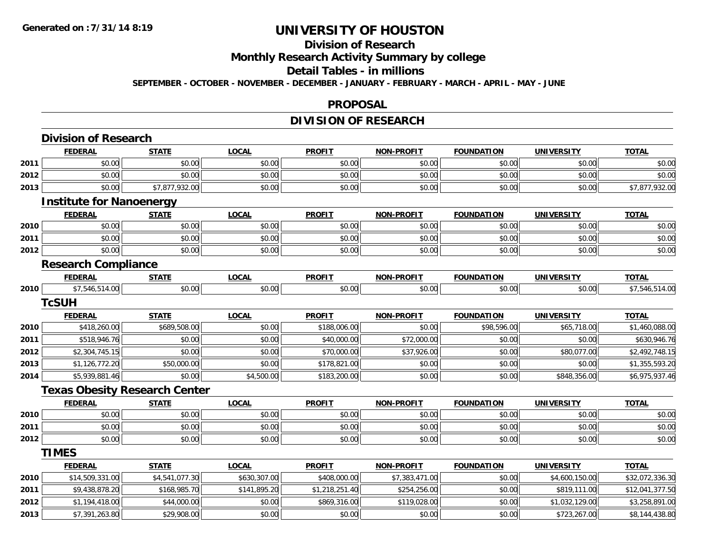# **Division of Research**

**Monthly Research Activity Summary by college**

#### **Detail Tables - in millions**

**SEPTEMBER - OCTOBER - NOVEMBER - DECEMBER - JANUARY - FEBRUARY - MARCH - APRIL - MAY - JUNE**

#### **PROPOSAL**

## **DIVISION OF RESEARCH**

|      | <b>Division of Research</b>          |                |              |                |                   |                   |                   |                 |
|------|--------------------------------------|----------------|--------------|----------------|-------------------|-------------------|-------------------|-----------------|
|      | <b>FEDERAL</b>                       | <b>STATE</b>   | <b>LOCAL</b> | <b>PROFIT</b>  | <b>NON-PROFIT</b> | <b>FOUNDATION</b> | <b>UNIVERSITY</b> | <b>TOTAL</b>    |
| 2011 | \$0.00                               | \$0.00         | \$0.00       | \$0.00         | \$0.00            | \$0.00            | \$0.00            | \$0.00          |
| 2012 | \$0.00                               | \$0.00         | \$0.00       | \$0.00         | \$0.00            | \$0.00            | \$0.00            | \$0.00          |
| 2013 | \$0.00                               | \$7,877,932.00 | \$0.00       | \$0.00         | \$0.00            | \$0.00            | \$0.00            | \$7,877,932.00  |
|      | <b>Institute for Nanoenergy</b>      |                |              |                |                   |                   |                   |                 |
|      | <b>FEDERAL</b>                       | <b>STATE</b>   | <b>LOCAL</b> | <b>PROFIT</b>  | <b>NON-PROFIT</b> | <b>FOUNDATION</b> | <b>UNIVERSITY</b> | <b>TOTAL</b>    |
| 2010 | \$0.00                               | \$0.00         | \$0.00       | \$0.00         | \$0.00            | \$0.00            | \$0.00            | \$0.00          |
| 2011 | \$0.00                               | \$0.00         | \$0.00       | \$0.00         | \$0.00            | \$0.00            | \$0.00            | \$0.00          |
| 2012 | \$0.00                               | \$0.00         | \$0.00       | \$0.00         | \$0.00            | \$0.00            | \$0.00            | \$0.00          |
|      | <b>Research Compliance</b>           |                |              |                |                   |                   |                   |                 |
|      | <b>FEDERAL</b>                       | <b>STATE</b>   | <b>LOCAL</b> | <b>PROFIT</b>  | <b>NON-PROFIT</b> | <b>FOUNDATION</b> | <b>UNIVERSITY</b> | <b>TOTAL</b>    |
| 2010 | \$7,546,514.00                       | \$0.00         | \$0.00       | \$0.00         | \$0.00            | \$0.00            | \$0.00            | \$7,546,514.00  |
|      | <b>TcSUH</b>                         |                |              |                |                   |                   |                   |                 |
|      | <b>FEDERAL</b>                       | <b>STATE</b>   | <b>LOCAL</b> | <b>PROFIT</b>  | <b>NON-PROFIT</b> | <b>FOUNDATION</b> | <b>UNIVERSITY</b> | <b>TOTAL</b>    |
| 2010 | \$418,260.00                         | \$689,508.00   | \$0.00       | \$188,006.00   | \$0.00            | \$98,596.00       | \$65,718.00       | \$1,460,088.00  |
| 2011 | \$518,946.76                         | \$0.00         | \$0.00       | \$40,000.00    | \$72,000.00       | \$0.00            | \$0.00            | \$630,946.76    |
| 2012 | \$2,304,745.15                       | \$0.00         | \$0.00       | \$70,000.00    | \$37,926.00       | \$0.00            | \$80,077.00       | \$2,492,748.15  |
| 2013 | \$1,126,772.20                       | \$50,000.00    | \$0.00       | \$178,821.00   | \$0.00            | \$0.00            | \$0.00            | \$1,355,593.20  |
| 2014 | \$5,939,881.46                       | \$0.00         | \$4,500.00   | \$183,200.00   | \$0.00            | \$0.00            | \$848,356.00      | \$6,975,937.46  |
|      | <b>Texas Obesity Research Center</b> |                |              |                |                   |                   |                   |                 |
|      | <b>FEDERAL</b>                       | <b>STATE</b>   | <b>LOCAL</b> | <b>PROFIT</b>  | <b>NON-PROFIT</b> | <b>FOUNDATION</b> | <b>UNIVERSITY</b> | <b>TOTAL</b>    |
| 2010 | \$0.00                               | \$0.00         | \$0.00       | \$0.00         | \$0.00            | \$0.00            | \$0.00            | \$0.00          |
| 2011 | \$0.00                               | \$0.00         | \$0.00       | \$0.00         | \$0.00            | \$0.00            | \$0.00            | \$0.00          |
| 2012 | \$0.00                               | \$0.00         | \$0.00       | \$0.00         | \$0.00            | \$0.00            | \$0.00            | \$0.00          |
|      | <b>TIMES</b>                         |                |              |                |                   |                   |                   |                 |
|      | <b>FEDERAL</b>                       | <b>STATE</b>   | <b>LOCAL</b> | <b>PROFIT</b>  | <b>NON-PROFIT</b> | <b>FOUNDATION</b> | <b>UNIVERSITY</b> | <b>TOTAL</b>    |
| 2010 | \$14,509,331.00                      | \$4,541,077.30 | \$630,307.00 | \$408,000.00   | \$7,383,471.00    | \$0.00            | \$4,600,150.00    | \$32,072,336.30 |
| 2011 | \$9,438,878.20                       | \$168,985.70   | \$141,895.20 | \$1,218,251.40 | \$254,256.00      | \$0.00            | \$819,111.00      | \$12,041,377.50 |
| 2012 | \$1,194,418.00                       | \$44,000.00    | \$0.00       | \$869,316.00   | \$119,028.00      | \$0.00            | \$1,032,129.00    | \$3,258,891.00  |
| 2013 | \$7,391,263.80                       | \$29,908.00    | \$0.00       | \$0.00         | \$0.00            | \$0.00            | \$723,267.00      | \$8,144,438.80  |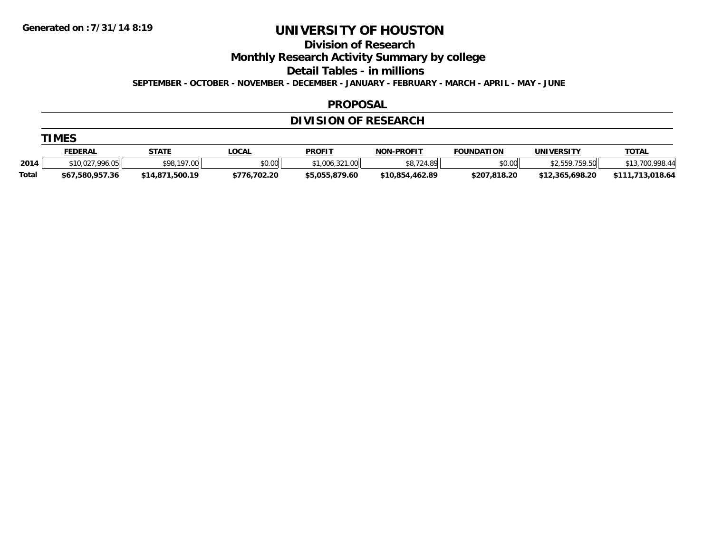**Division of Research**

**Monthly Research Activity Summary by college**

**Detail Tables - in millions**

**SEPTEMBER - OCTOBER - NOVEMBER - DECEMBER - JANUARY - FEBRUARY - MARCH - APRIL - MAY - JUNE**

#### **PROPOSAL**

## **DIVISION OF RESEARCH**

|  | M |
|--|---|
|--|---|

|       | <u>FEDERAL</u>  | <b>STATE</b>        | LOCAL        | <b>PROFIT</b>  | <b>NON-PROFIT</b> | <b>FOUNDATION</b> | <b>UNIVERSITY</b>     | <u>TOTAL</u>   |
|-------|-----------------|---------------------|--------------|----------------|-------------------|-------------------|-----------------------|----------------|
| 2014  | \$10,027,996.05 | \$98.197<br>.00     | \$0.00       | .006.321.00    | ΨΟ.<br>24.89L     | \$0.00            | \$2.559.759.50<br>ں ، | 13,700,998.4'' |
| Total | \$67,580,957.36 | .500.19<br>\$14,871 | \$776,702.20 | \$5,055,879.60 | \$10.854.462.89   | \$207,818.20      | \$12,365,698.20       | 018.64 ا       |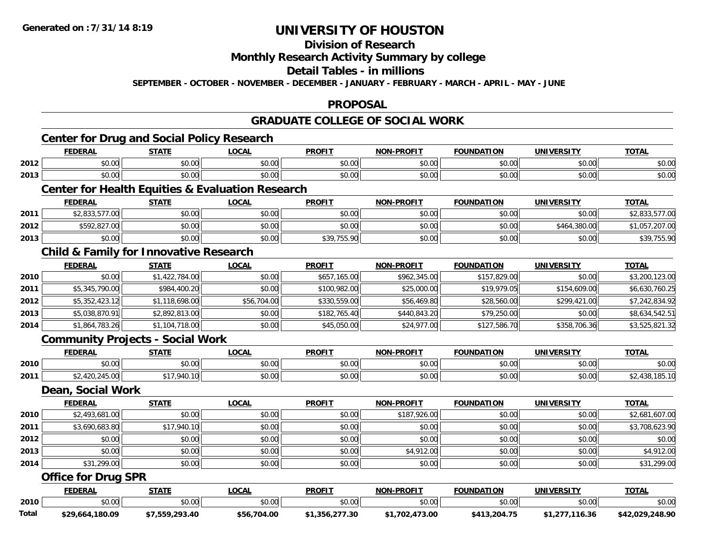## **Division of Research**

### **Monthly Research Activity Summary by college**

### **Detail Tables - in millions**

**SEPTEMBER - OCTOBER - NOVEMBER - DECEMBER - JANUARY - FEBRUARY - MARCH - APRIL - MAY - JUNE**

## **PROPOSAL**

### **GRADUATE COLLEGE OF SOCIAL WORK**

## **Center for Drug and Social Policy Research**

| <b>FEDERAL</b> |               |                              | .OCAL         | <b>PROFIT</b>                  | -PROFIT<br>NON                                              | <b>FOUNDATION</b>                                  | <b>UNIVERSITY</b> | <b>TOTAI</b> |
|----------------|---------------|------------------------------|---------------|--------------------------------|-------------------------------------------------------------|----------------------------------------------------|-------------------|--------------|
| 2012           | 0000<br>pu.uu | <b>ተገ</b><br>$\sim$<br>vu.vu | 0.00<br>pu.uu | 0000<br>vu.u                   | $\mathfrak{g} \cap \mathfrak{g} \cap \mathfrak{g}$<br>pu.uu | 0000<br>טט.                                        | \$0.00            | \$0.00       |
| 2013           | 0000<br>,u.uu | ሖ へ<br>$\sim$<br>JU.UU       | 0.00<br>DU.UU | 0 <sup>0</sup><br><b>SU.UC</b> | \$0.00                                                      | $\uparrow$ $\uparrow$ $\uparrow$ $\uparrow$<br>טט. | \$0.00            | \$0.00       |

### **Center for Health Equities & Evaluation Research**

|      | <b>FEDERAL</b> | STATE  | <b>LOCAL</b> | <b>PROFIT</b> | <b>NON-PROFIT</b> | <b>FOUNDATION</b> | <b>UNIVERSITY</b> | <u>TOTAL</u> |
|------|----------------|--------|--------------|---------------|-------------------|-------------------|-------------------|--------------|
| 2011 | 2.833.577.00   | \$0.00 | \$0.00       | \$0.00        | \$0.00            | \$0.00            | \$0.00            | 577.00       |
| 2012 | \$592,827.00   | \$0.00 | PO.OO        | \$0.00        | \$0.00            | \$0.00            | 380.00<br>\$464   | .207.00      |
| 2013 | \$0.00         | \$0.00 | \$0.00       | \$39,755.90   | \$0.00            | \$0.00            | \$0.00            | \$39,755.90  |

## **Child & Family for Innovative Research**

|      | <b>FEDERAL</b> | <b>STATE</b>   | <u>LOCAL</u> | <b>PROFIT</b> | <b>NON-PROFIT</b> | <b>FOUNDATION</b> | <b>UNIVERSITY</b> | <b>TOTAL</b>   |
|------|----------------|----------------|--------------|---------------|-------------------|-------------------|-------------------|----------------|
| 2010 | \$0.00         | \$1,422,784.00 | \$0.00       | \$657,165.00  | \$962,345.00      | \$157,829.00      | \$0.00            | \$3,200,123.00 |
| 2011 | \$5,345,790.00 | \$984,400.20   | \$0.00       | \$100,982.00  | \$25,000.00       | \$19,979.05       | \$154,609.00      | \$6,630,760.25 |
| 2012 | \$5,352,423.12 | \$1,118,698.00 | \$56,704.00  | \$330,559,00  | \$56,469.80       | \$28,560.00       | \$299,421.00      | \$7,242,834.92 |
| 2013 | \$5,038,870.91 | \$2,892,813.00 | \$0.00       | \$182,765,40  | \$440,843.20      | \$79,250.00       | \$0.00            | \$8,634,542.51 |
| 2014 | \$1,864,783.26 | \$1,104,718.00 | \$0.00       | \$45,050.00   | \$24,977.00       | \$127,586.70      | \$358,706.36      | \$3,525,821.32 |

### **Community Projects - Social Work**

|      | <b>FEDERAL</b>       | <u>STATE</u>     | LOCAI              | <b>PROFIT</b> | <b>N-PROFIT</b><br><b>NON</b>                     | <b>FOUNDATION</b> | <b>UNIVERSITY</b> | <b>TOTAL</b> |
|------|----------------------|------------------|--------------------|---------------|---------------------------------------------------|-------------------|-------------------|--------------|
| 2010 | \$0.00               | ልስ ለሰ<br>JU.UU   | 0000<br>DU.UG      | \$0.00        | $\mathsf{A} \cap \mathsf{A} \cap$<br><b>JU.UU</b> | \$0.00            | \$0.00            | \$0.00       |
| 2011 | 21500<br>420.245.00L | .940.10<br>- - - | $\sim$ 00<br>JU.UU | \$0.00        | $\mathsf{A} \cap \mathsf{A} \cap$<br><b>JU.UU</b> | \$0.00            | \$0.00            | 1 UJ.I       |

#### **Dean, Social Work**

|      | <b>FEDERAL</b> | <b>STATE</b> | <u>LOCAL</u> | <b>PROFIT</b> | <b>NON-PROFIT</b> | <b>FOUNDATION</b> | <b>UNIVERSITY</b> | <b>TOTAL</b>   |
|------|----------------|--------------|--------------|---------------|-------------------|-------------------|-------------------|----------------|
| 2010 | \$2,493,681.00 | \$0.00       | \$0.00       | \$0.00        | \$187,926.00      | \$0.00            | \$0.00            | \$2,681,607.00 |
| 2011 | \$3,690,683.80 | \$17,940.10  | \$0.00       | \$0.00        | \$0.00            | \$0.00            | \$0.00            | \$3,708,623.90 |
| 2012 | \$0.00         | \$0.00       | \$0.00       | \$0.00        | \$0.00            | \$0.00            | \$0.00            | \$0.00         |
| 2013 | \$0.00         | \$0.00       | \$0.00       | \$0.00        | \$4,912.00        | \$0.00            | \$0.00            | \$4,912.00     |
| 2014 | \$31,299.00    | \$0.00       | \$0.00       | \$0.00        | \$0.00            | \$0.00            | \$0.00            | \$31,299.00    |

### **Office for Drug SPR**

|       | <b>DERAL</b>    | <b>STATE</b> | <b>OCAL</b>     | <b>PROFIT</b> | <b>J-PROFIT</b>   | <b>FOUNDATION</b> | UNIVERSITY | <b>TOTA</b>            |
|-------|-----------------|--------------|-----------------|---------------|-------------------|-------------------|------------|------------------------|
| 2010  | \$0.00          | \$0.00       | \$0.00          | \$0.00        | \$0.00            | 0000<br>vv.vv     | \$0.00     | \$0.00                 |
| Total | \$29,664,180.09 | 7,559,293.40 | \$56<br>704.00, | 277.30<br>25. | 473.00<br>\$1.702 | 3.204.7F          | 116.36     | 90.848.90.<br>\$42.029 |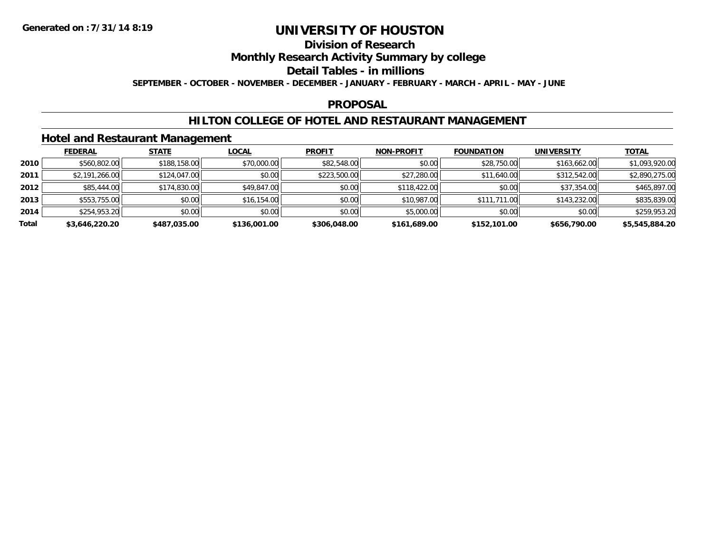## **Division of Research**

## **Monthly Research Activity Summary by college**

#### **Detail Tables - in millions**

**SEPTEMBER - OCTOBER - NOVEMBER - DECEMBER - JANUARY - FEBRUARY - MARCH - APRIL - MAY - JUNE**

### **PROPOSAL**

### **HILTON COLLEGE OF HOTEL AND RESTAURANT MANAGEMENT**

### **Hotel and Restaurant Management**

|       | <b>FEDERAL</b> | <b>STATE</b> | <u>LOCAL</u> | <b>PROFIT</b> | <b>NON-PROFIT</b> | <b>FOUNDATION</b> | <b>UNIVERSITY</b> | <b>TOTAL</b>   |
|-------|----------------|--------------|--------------|---------------|-------------------|-------------------|-------------------|----------------|
| 2010  | \$560,802.00   | \$188,158.00 | \$70,000.00  | \$82,548.00   | \$0.00            | \$28,750.00       | \$163,662.00      | \$1,093,920.00 |
| 2011  | \$2,191,266.00 | \$124,047.00 | \$0.00       | \$223,500.00  | \$27,280.00       | \$11,640.00       | \$312,542.00      | \$2,890,275.00 |
| 2012  | \$85,444.00    | \$174,830.00 | \$49,847.00  | \$0.00        | \$118,422.00      | \$0.00            | \$37,354.00       | \$465,897.00   |
| 2013  | \$553,755.00   | \$0.00       | \$16,154.00  | \$0.00        | \$10,987.00       | \$111,711.00      | \$143,232.00      | \$835,839.00   |
| 2014  | \$254,953.20   | \$0.00       | \$0.00       | \$0.00        | \$5,000.00        | \$0.00            | \$0.00            | \$259,953.20   |
| Total | \$3,646,220.20 | \$487,035.00 | \$136,001.00 | \$306,048.00  | \$161,689.00      | \$152,101.00      | \$656,790.00      | \$5,545,884.20 |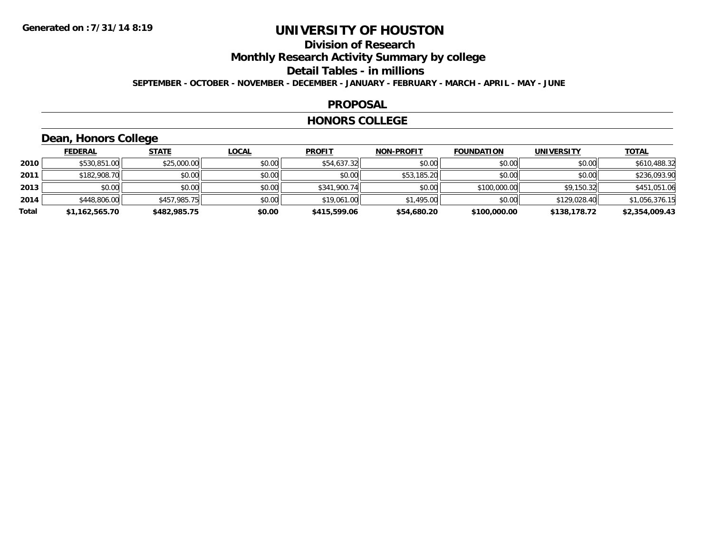# **Division of Research**

**Monthly Research Activity Summary by college**

#### **Detail Tables - in millions**

**SEPTEMBER - OCTOBER - NOVEMBER - DECEMBER - JANUARY - FEBRUARY - MARCH - APRIL - MAY - JUNE**

#### **PROPOSAL**

#### **HONORS COLLEGE**

## **Dean, Honors College**

|       | <b>FEDERAL</b> | <b>STATE</b> | <b>LOCAL</b> | <b>PROFIT</b> | <b>NON-PROFIT</b> | <b>FOUNDATION</b> | <b>UNIVERSITY</b> | <b>TOTAL</b>   |
|-------|----------------|--------------|--------------|---------------|-------------------|-------------------|-------------------|----------------|
| 2010  | \$530,851.00   | \$25,000.00  | \$0.00       | \$54,637.32   | \$0.00            | \$0.00            | \$0.00            | \$610,488.32   |
| 2011  | \$182,908.70   | \$0.00       | \$0.00       | \$0.00        | \$53,185.20       | \$0.00            | \$0.00            | \$236,093.90   |
| 2013  | \$0.00         | \$0.00       | \$0.00       | \$341,900.74  | \$0.00            | \$100,000.00      | \$9,150.32        | \$451,051.06   |
| 2014  | \$448,806.00   | \$457,985.75 | \$0.00       | \$19,061.00   | \$1,495.00        | \$0.00            | \$129,028.40      | \$1,056,376.15 |
| Total | \$1,162,565.70 | \$482,985.75 | \$0.00       | \$415,599.06  | \$54,680.20       | \$100,000.00      | \$138,178.72      | \$2,354,009.43 |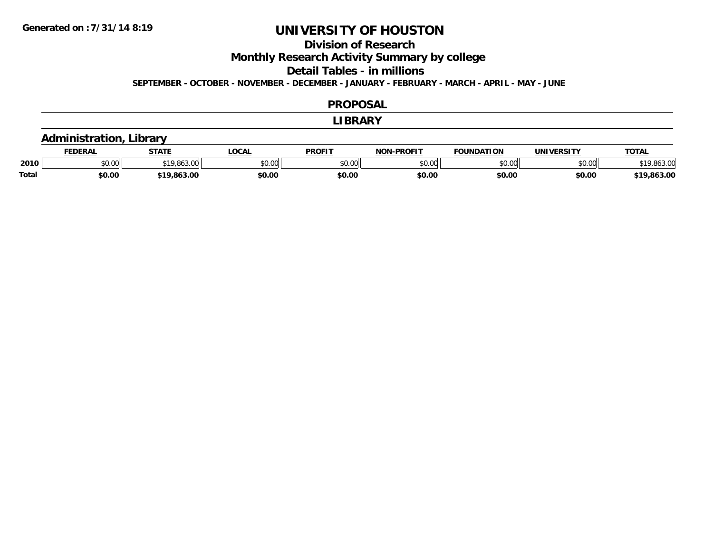## **Division of Research**

**Monthly Research Activity Summary by college**

**Detail Tables - in millions**

**SEPTEMBER - OCTOBER - NOVEMBER - DECEMBER - JANUARY - FEBRUARY - MARCH - APRIL - MAY - JUNE**

#### **PROPOSAL**

#### **LIBRARY**

## **Administration, Library**

|              | EDERAI          | <b>CTATE</b>     | <b>OCAL</b>    | <b>PROFIT</b> | <b>DDAFIT</b><br>NON<br>ונ ואי | <b>FOUNDATION</b> | <b>UNIVERSITY</b> | TOTA.    |
|--------------|-----------------|------------------|----------------|---------------|--------------------------------|-------------------|-------------------|----------|
| 2010         | $\sim$<br>JU.UU | 9.863.00         | ሶስ ሰሰ<br>JU.UU | 0000<br>JU.UU | $\sim$ 00<br>JU.UU             | \$0.00            | nn nn<br>DU.UUI   | ouj.uu   |
| <b>Total</b> | \$0.00          | 0.000<br>,803.Ul | \$0.00         | \$0.00        | \$0.00                         | \$0.00            | \$0.00            | 1.863.0C |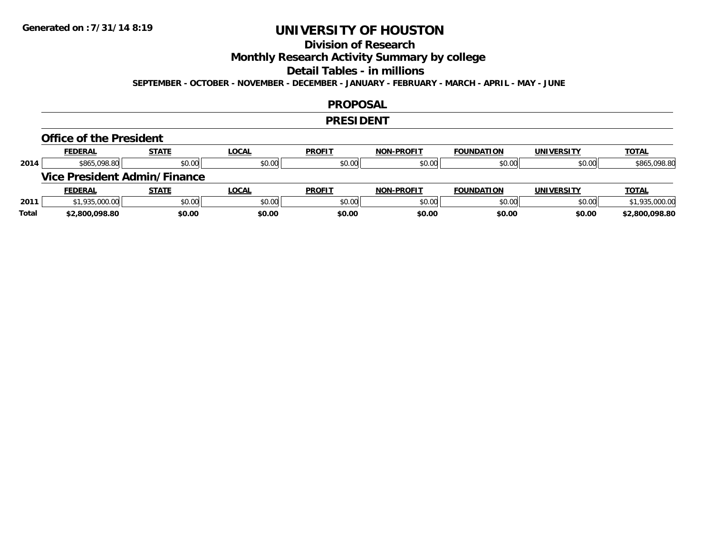## **Division of Research**

**Monthly Research Activity Summary by college**

#### **Detail Tables - in millions**

**SEPTEMBER - OCTOBER - NOVEMBER - DECEMBER - JANUARY - FEBRUARY - MARCH - APRIL - MAY - JUNE**

### **PROPOSAL**

#### **PRESIDENT**

#### **Office of the President**

|      | <b>FEDERAL</b> | <b>STATE</b>                 | LOCAL        | <b>PROFIT</b> | <b>NON-PROFIT</b> | <b>FOUNDATION</b> | <b>UNIVERSITY</b> | <b>TOTAL</b>   |
|------|----------------|------------------------------|--------------|---------------|-------------------|-------------------|-------------------|----------------|
| 2014 | \$865,098.80   | \$0.00                       | \$0.00       | \$0.00        | \$0.00            | \$0.00            | \$0.00            | \$865,098.80   |
|      |                | Vice President Admin/Finance |              |               |                   |                   |                   |                |
|      |                |                              |              |               |                   |                   |                   |                |
|      | <b>FEDERAL</b> | <b>STATE</b>                 | <u>LOCAL</u> | <b>PROFIT</b> | <b>NON-PROFIT</b> | <b>FOUNDATION</b> | <b>UNIVERSITY</b> | <b>TOTAL</b>   |
| 2011 | \$1,935,000.00 | \$0.00                       | \$0.00       | \$0.00        | \$0.00            | \$0.00            | \$0.00            | \$1,935,000.00 |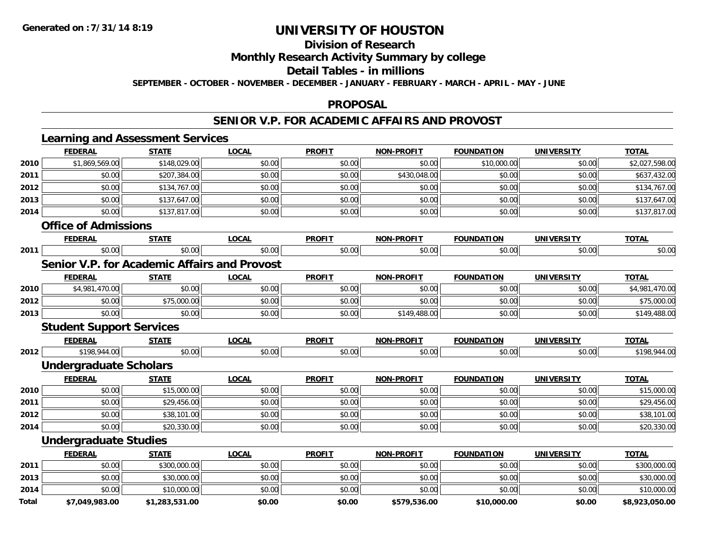## **Division of Research**

## **Monthly Research Activity Summary by college**

#### **Detail Tables - in millions**

**SEPTEMBER - OCTOBER - NOVEMBER - DECEMBER - JANUARY - FEBRUARY - MARCH - APRIL - MAY - JUNE**

#### **PROPOSAL**

### **SENIOR V.P. FOR ACADEMIC AFFAIRS AND PROVOST**

|              | <b>Learning and Assessment Services</b>             |                |              |               |                   |                   |                   |                |
|--------------|-----------------------------------------------------|----------------|--------------|---------------|-------------------|-------------------|-------------------|----------------|
|              | <b>FEDERAL</b>                                      | <b>STATE</b>   | <b>LOCAL</b> | <b>PROFIT</b> | <b>NON-PROFIT</b> | <b>FOUNDATION</b> | <b>UNIVERSITY</b> | <b>TOTAL</b>   |
| 2010         | \$1,869,569.00                                      | \$148,029.00   | \$0.00       | \$0.00        | \$0.00            | \$10,000.00       | \$0.00            | \$2,027,598.00 |
| 2011         | \$0.00                                              | \$207,384.00   | \$0.00       | \$0.00        | \$430,048.00      | \$0.00            | \$0.00            | \$637,432.00   |
| 2012         | \$0.00                                              | \$134,767.00   | \$0.00       | \$0.00        | \$0.00            | \$0.00            | \$0.00            | \$134,767.00   |
| 2013         | \$0.00                                              | \$137,647.00   | \$0.00       | \$0.00        | \$0.00            | \$0.00            | \$0.00            | \$137,647.00   |
| 2014         | \$0.00                                              | \$137,817.00   | \$0.00       | \$0.00        | \$0.00            | \$0.00            | \$0.00            | \$137,817.00   |
|              | <b>Office of Admissions</b>                         |                |              |               |                   |                   |                   |                |
|              | <b>FEDERAL</b>                                      | <b>STATE</b>   | <b>LOCAL</b> | <b>PROFIT</b> | <b>NON-PROFIT</b> | <b>FOUNDATION</b> | <b>UNIVERSITY</b> | <b>TOTAL</b>   |
| 2011         | \$0.00                                              | \$0.00         | \$0.00       | \$0.00        | \$0.00            | \$0.00            | \$0.00            | \$0.00         |
|              | <b>Senior V.P. for Academic Affairs and Provost</b> |                |              |               |                   |                   |                   |                |
|              | <b>FEDERAL</b>                                      | <b>STATE</b>   | <b>LOCAL</b> | <b>PROFIT</b> | <b>NON-PROFIT</b> | <b>FOUNDATION</b> | <b>UNIVERSITY</b> | <b>TOTAL</b>   |
| 2010         | \$4,981,470.00                                      | \$0.00         | \$0.00       | \$0.00        | \$0.00            | \$0.00            | \$0.00            | \$4,981,470.00 |
| 2012         | \$0.00                                              | \$75,000.00    | \$0.00       | \$0.00        | \$0.00            | \$0.00            | \$0.00            | \$75,000.00    |
| 2013         | \$0.00                                              | \$0.00         | \$0.00       | \$0.00        | \$149,488.00      | \$0.00            | \$0.00            | \$149,488.00   |
|              | <b>Student Support Services</b>                     |                |              |               |                   |                   |                   |                |
|              | <b>FEDERAL</b>                                      | <b>STATE</b>   | <b>LOCAL</b> | <b>PROFIT</b> | <b>NON-PROFIT</b> | <b>FOUNDATION</b> | <b>UNIVERSITY</b> | <b>TOTAL</b>   |
| 2012         | \$198,944.00                                        | \$0.00         | \$0.00       | \$0.00        | \$0.00            | \$0.00            | \$0.00            | \$198,944.00   |
|              | <b>Undergraduate Scholars</b>                       |                |              |               |                   |                   |                   |                |
|              | <b>FEDERAL</b>                                      | <b>STATE</b>   | <b>LOCAL</b> | <b>PROFIT</b> | <b>NON-PROFIT</b> | <b>FOUNDATION</b> | <b>UNIVERSITY</b> | <b>TOTAL</b>   |
| 2010         | \$0.00                                              | \$15,000.00    | \$0.00       | \$0.00        | \$0.00            | \$0.00            | \$0.00            | \$15,000.00    |
| 2011         | \$0.00                                              | \$29,456.00    | \$0.00       | \$0.00        | \$0.00            | \$0.00            | \$0.00            | \$29,456.00    |
| 2012         | \$0.00                                              | \$38,101.00    | \$0.00       | \$0.00        | \$0.00            | \$0.00            | \$0.00            | \$38,101.00    |
| 2014         | \$0.00                                              | \$20,330.00    | \$0.00       | \$0.00        | \$0.00            | \$0.00            | \$0.00            | \$20,330.00    |
|              | <b>Undergraduate Studies</b>                        |                |              |               |                   |                   |                   |                |
|              | <b>FEDERAL</b>                                      | <b>STATE</b>   | <b>LOCAL</b> | <b>PROFIT</b> | <b>NON-PROFIT</b> | <b>FOUNDATION</b> | <b>UNIVERSITY</b> | <b>TOTAL</b>   |
| 2011         | \$0.00                                              | \$300,000.00   | \$0.00       | \$0.00        | \$0.00            | \$0.00            | \$0.00            | \$300,000.00   |
| 2013         | \$0.00                                              | \$30,000.00    | \$0.00       | \$0.00        | \$0.00            | \$0.00            | \$0.00            | \$30,000.00    |
| 2014         | \$0.00                                              | \$10,000.00    | \$0.00       | \$0.00        | \$0.00            | \$0.00            | \$0.00            | \$10,000.00    |
| <b>Total</b> | \$7,049,983.00                                      | \$1,283,531.00 | \$0.00       | \$0.00        | \$579,536.00      | \$10,000.00       | \$0.00            | \$8,923,050.00 |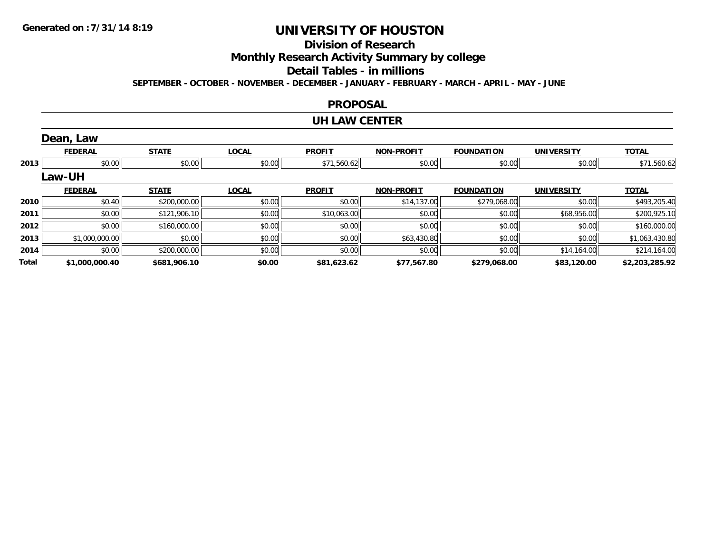## **Division of Research**

**Monthly Research Activity Summary by college**

#### **Detail Tables - in millions**

**SEPTEMBER - OCTOBER - NOVEMBER - DECEMBER - JANUARY - FEBRUARY - MARCH - APRIL - MAY - JUNE**

#### **PROPOSAL**

#### **UH LAW CENTER**

|       | Dean, Law      |              |              |               |                   |                   |                   |                |
|-------|----------------|--------------|--------------|---------------|-------------------|-------------------|-------------------|----------------|
|       | <b>FEDERAL</b> | <b>STATE</b> | <b>LOCAL</b> | <b>PROFIT</b> | <b>NON-PROFIT</b> | <b>FOUNDATION</b> | <b>UNIVERSITY</b> | <b>TOTAL</b>   |
| 2013  | \$0.00         | \$0.00       | \$0.00       | \$71,560.62   | \$0.00            | \$0.00            | \$0.00            | \$71,560.62    |
|       | Law-UH         |              |              |               |                   |                   |                   |                |
|       | <b>FEDERAL</b> | <b>STATE</b> | <b>LOCAL</b> | <b>PROFIT</b> | <b>NON-PROFIT</b> | <b>FOUNDATION</b> | <b>UNIVERSITY</b> | <b>TOTAL</b>   |
| 2010  | \$0.40         | \$200,000.00 | \$0.00       | \$0.00        | \$14,137.00       | \$279,068.00      | \$0.00            | \$493,205.40   |
| 2011  | \$0.00         | \$121,906.10 | \$0.00       | \$10,063.00   | \$0.00            | \$0.00            | \$68,956.00       | \$200,925.10   |
| 2012  | \$0.00         | \$160,000.00 | \$0.00       | \$0.00        | \$0.00            | \$0.00            | \$0.00            | \$160,000.00   |
| 2013  | \$1,000,000.00 | \$0.00       | \$0.00       | \$0.00        | \$63,430.80       | \$0.00            | \$0.00            | \$1,063,430.80 |
| 2014  | \$0.00         | \$200,000.00 | \$0.00       | \$0.00        | \$0.00            | \$0.00            | \$14,164.00       | \$214,164.00   |
| Total | \$1,000,000.40 | \$681,906.10 | \$0.00       | \$81,623.62   | \$77,567.80       | \$279,068.00      | \$83,120.00       | \$2,203,285.92 |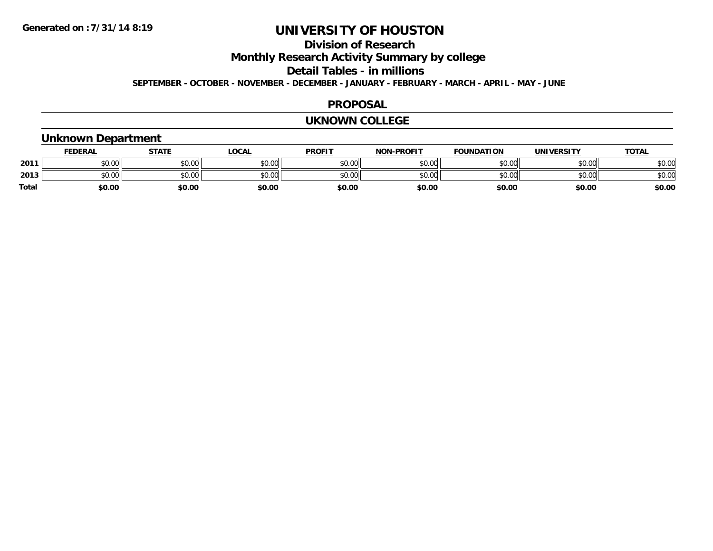## **Division of Research**

**Monthly Research Activity Summary by college**

**Detail Tables - in millions**

**SEPTEMBER - OCTOBER - NOVEMBER - DECEMBER - JANUARY - FEBRUARY - MARCH - APRIL - MAY - JUNE**

#### **PROPOSAL**

#### **UKNOWN COLLEGE**

## **Unknown Department**

|       | <b>FEDERAL</b> | <u>STATE</u> | LOCAL  | <b>PROFIT</b> | <b>NON-PROFIT</b> | <b>FOUNDATION</b> | UNIVERSITY | <b>TOTAL</b> |
|-------|----------------|--------------|--------|---------------|-------------------|-------------------|------------|--------------|
| 2011  | \$0.00         | \$0.00       | \$0.00 | \$0.00        | \$0.00            | \$0.00            | \$0.00     | \$0.00       |
| 2013  | ልስ ሀሀ<br>DU.UU | \$0.00       | \$0.00 | \$0.00        | \$0.00            | \$0.00            | \$0.00     | \$0.00       |
| Total | \$0.00         | \$0.00       | \$0.00 | \$0.00        | \$0.00            | \$0.00            | \$0.00     | \$0.00       |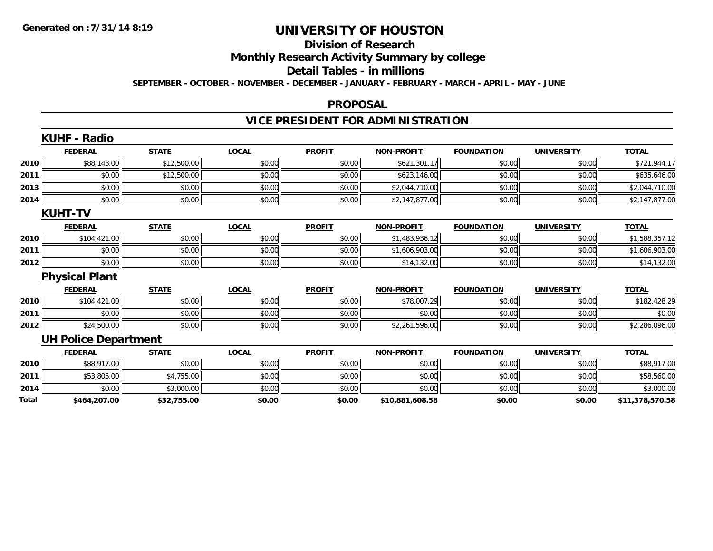# **Division of Research**

**Monthly Research Activity Summary by college**

#### **Detail Tables - in millions**

**SEPTEMBER - OCTOBER - NOVEMBER - DECEMBER - JANUARY - FEBRUARY - MARCH - APRIL - MAY - JUNE**

#### **PROPOSAL**

## **VICE PRESIDENT FOR ADMINISTRATION**

|       | <b>KUHF - Radio</b>         |              |              |               |                   |                   |                   |                 |
|-------|-----------------------------|--------------|--------------|---------------|-------------------|-------------------|-------------------|-----------------|
|       | <b>FEDERAL</b>              | <b>STATE</b> | <b>LOCAL</b> | <b>PROFIT</b> | <b>NON-PROFIT</b> | <b>FOUNDATION</b> | <b>UNIVERSITY</b> | <b>TOTAL</b>    |
| 2010  | \$88,143.00                 | \$12,500.00  | \$0.00       | \$0.00        | \$621,301.17      | \$0.00            | \$0.00            | \$721,944.17    |
| 2011  | \$0.00                      | \$12,500.00  | \$0.00       | \$0.00        | \$623,146.00      | \$0.00            | \$0.00            | \$635,646.00    |
| 2013  | \$0.00                      | \$0.00       | \$0.00       | \$0.00        | \$2,044,710.00    | \$0.00            | \$0.00            | \$2,044,710.00  |
| 2014  | \$0.00                      | \$0.00       | \$0.00       | \$0.00        | \$2,147,877.00    | \$0.00            | \$0.00            | \$2,147,877.00  |
|       | <b>KUHT-TV</b>              |              |              |               |                   |                   |                   |                 |
|       | <b>FEDERAL</b>              | <b>STATE</b> | <b>LOCAL</b> | <b>PROFIT</b> | <b>NON-PROFIT</b> | <b>FOUNDATION</b> | <b>UNIVERSITY</b> | <b>TOTAL</b>    |
| 2010  | \$104,421.00                | \$0.00       | \$0.00       | \$0.00        | \$1,483,936.12    | \$0.00            | \$0.00            | \$1,588,357.12  |
| 2011  | \$0.00                      | \$0.00       | \$0.00       | \$0.00        | \$1,606,903.00    | \$0.00            | \$0.00            | \$1,606,903.00  |
| 2012  | \$0.00                      | \$0.00       | \$0.00       | \$0.00        | \$14,132.00       | \$0.00            | \$0.00            | \$14,132.00     |
|       | <b>Physical Plant</b>       |              |              |               |                   |                   |                   |                 |
|       | <b>FEDERAL</b>              | <b>STATE</b> | <b>LOCAL</b> | <b>PROFIT</b> | <b>NON-PROFIT</b> | <b>FOUNDATION</b> | <b>UNIVERSITY</b> | <b>TOTAL</b>    |
| 2010  | \$104,421.00                | \$0.00       | \$0.00       | \$0.00        | \$78,007.29       | \$0.00            | \$0.00            | \$182,428.29    |
| 2011  | \$0.00                      | \$0.00       | \$0.00       | \$0.00        | \$0.00            | \$0.00            | \$0.00            | \$0.00          |
| 2012  | \$24,500.00                 | \$0.00       | \$0.00       | \$0.00        | \$2,261,596.00    | \$0.00            | \$0.00            | \$2,286,096.00  |
|       | <b>UH Police Department</b> |              |              |               |                   |                   |                   |                 |
|       | <b>FEDERAL</b>              | <b>STATE</b> | <b>LOCAL</b> | <b>PROFIT</b> | <b>NON-PROFIT</b> | <b>FOUNDATION</b> | <b>UNIVERSITY</b> | <b>TOTAL</b>    |
| 2010  | \$88,917.00                 | \$0.00       | \$0.00       | \$0.00        | \$0.00            | \$0.00            | \$0.00            | \$88,917.00     |
| 2011  | \$53,805.00                 | \$4,755.00   | \$0.00       | \$0.00        | \$0.00            | \$0.00            | \$0.00            | \$58,560.00     |
| 2014  | \$0.00                      | \$3,000.00   | \$0.00       | \$0.00        | \$0.00            | \$0.00            | \$0.00            | \$3,000.00      |
| Total | \$464,207.00                | \$32,755.00  | \$0.00       | \$0.00        | \$10,881,608.58   | \$0.00            | \$0.00            | \$11,378,570.58 |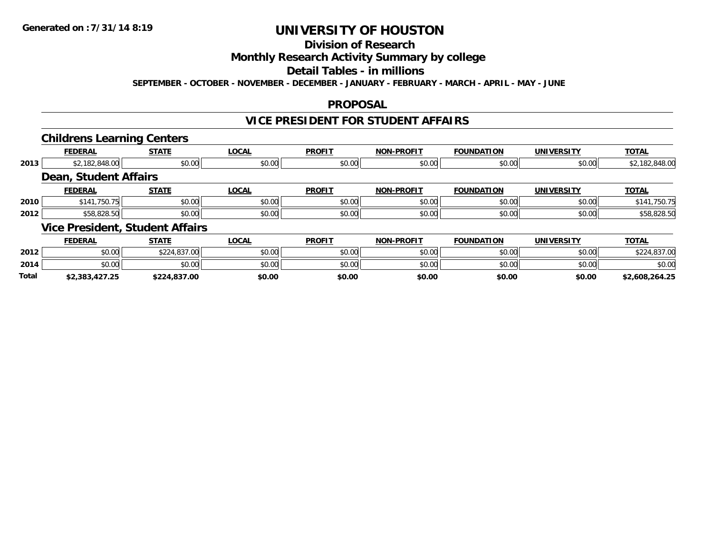## **Division of Research**

## **Monthly Research Activity Summary by college**

#### **Detail Tables - in millions**

**SEPTEMBER - OCTOBER - NOVEMBER - DECEMBER - JANUARY - FEBRUARY - MARCH - APRIL - MAY - JUNE**

### **PROPOSAL**

### **VICE PRESIDENT FOR STUDENT AFFAIRS**

### **Childrens Learning Centers**

|      |                              | --                                     |              |               |                   |                   |                   |                |
|------|------------------------------|----------------------------------------|--------------|---------------|-------------------|-------------------|-------------------|----------------|
|      | <b>FEDERAL</b>               | <b>STATE</b>                           | <b>LOCAL</b> | <b>PROFIT</b> | <b>NON-PROFIT</b> | <b>FOUNDATION</b> | <b>UNIVERSITY</b> | <b>TOTAL</b>   |
| 2013 | \$2,182,848.00               | \$0.00                                 | \$0.00       | \$0.00        | \$0.00            | \$0.00            | \$0.00            | \$2,182,848.00 |
|      | <b>Dean, Student Affairs</b> |                                        |              |               |                   |                   |                   |                |
|      | <b>FEDERAL</b>               | <b>STATE</b>                           | <b>LOCAL</b> | <b>PROFIT</b> | <b>NON-PROFIT</b> | <b>FOUNDATION</b> | <b>UNIVERSITY</b> | <b>TOTAL</b>   |
| 2010 | \$141,750.75                 | \$0.00                                 | \$0.00       | \$0.00        | \$0.00            | \$0.00            | \$0.00            | \$141,750.75   |
| 2012 | \$58,828.50                  | \$0.00                                 | \$0.00       | \$0.00        | \$0.00            | \$0.00            | \$0.00            | \$58,828.50    |
|      |                              | <b>Vice President, Student Affairs</b> |              |               |                   |                   |                   |                |
|      | <b>FEDERAL</b>               | <b>STATE</b>                           | <b>LOCAL</b> | <b>PROFIT</b> | <b>NON-PROFIT</b> | <b>FOUNDATION</b> | <b>UNIVERSITY</b> | <b>TOTAL</b>   |

|              | 1 LDLNAL       | <u>JIMIL</u>             | ᄔᇰᇅᄔ   | <b>FNVIII</b> | IVUIVERUITT | ורטוועטעו | <u>UNIVERJIII</u> |                |
|--------------|----------------|--------------------------|--------|---------------|-------------|-----------|-------------------|----------------|
| 2012         | \$0.00         | 0.2102700<br>DZZ4.837.UU | \$0.00 | \$0.00        | \$0.00      | \$0.00    | \$0.00            | 4,837.00       |
| 2014         | \$0.00         | \$0.00                   | \$0.00 | \$0.00        | \$0.00      | \$0.00    | \$0.00            | \$0.00         |
| <b>Total</b> | \$2,383,427.25 | \$224,837.00             | \$0.00 | \$0.00        | \$0.00      | \$0.00    | \$0.00            | \$2,608,264.25 |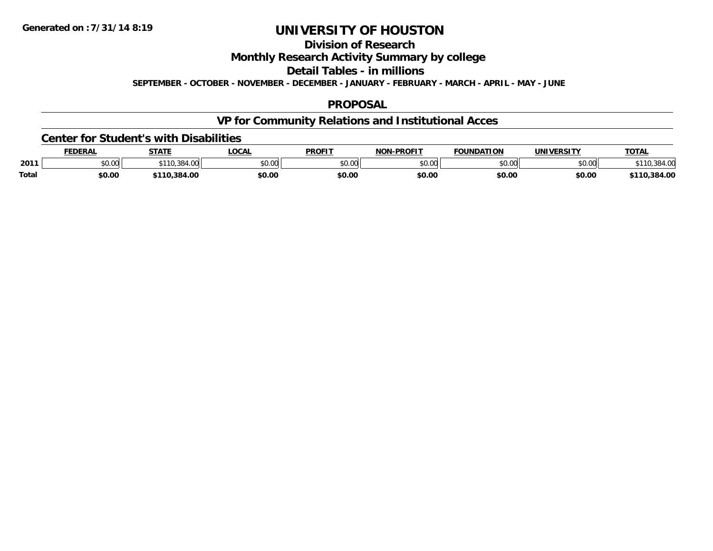## **Division of Research**

**Monthly Research Activity Summary by college**

**Detail Tables - in millions**

**SEPTEMBER - OCTOBER - NOVEMBER - DECEMBER - JANUARY - FEBRUARY - MARCH - APRIL - MAY - JUNE**

### **PROPOSAL**

## **VP for Community Relations and Institutional Acces**

#### **Center for Student's with Disabilities**

|       | FEDERAI                  | <b>STATE</b>   | .OCAL  | <b>PROFIT</b> | <b>DDOEIT</b><br>.<br>кw | <b>FOUNDATION</b> | <b>UNIVERSIT\</b> | <b>TOTAL</b>      |
|-------|--------------------------|----------------|--------|---------------|--------------------------|-------------------|-------------------|-------------------|
| 2011  | $n \cap \Omega$<br>งบ.บบ | $\sim$<br>. UU | \$0.00 | \$0.00        | $\sim$ 00<br>DU.UU       | ሐሴ ሰሰ<br>JU.UU    | en uu<br>pu.uu    |                   |
| Total | \$0.00                   | \$110.384.00   | \$0.00 | \$0.00        | \$0.00                   | \$0.00            | \$0.00            | .384.00<br>\$110. |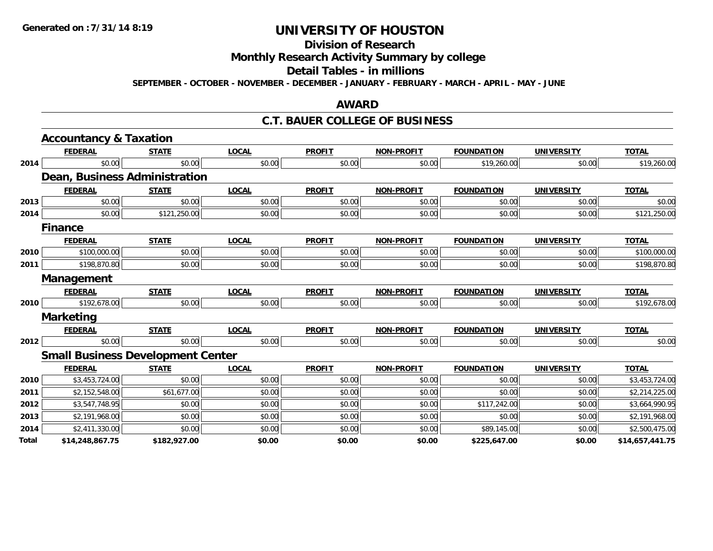## **Division of Research**

**Monthly Research Activity Summary by college**

#### **Detail Tables - in millions**

**SEPTEMBER - OCTOBER - NOVEMBER - DECEMBER - JANUARY - FEBRUARY - MARCH - APRIL - MAY - JUNE**

### **AWARD**

### **C.T. BAUER COLLEGE OF BUSINESS**

|       | <b>Accountancy &amp; Taxation</b>        |              |              |               |                   |                   |                   |                 |
|-------|------------------------------------------|--------------|--------------|---------------|-------------------|-------------------|-------------------|-----------------|
|       | <b>FEDERAL</b>                           | <b>STATE</b> | <b>LOCAL</b> | <b>PROFIT</b> | <b>NON-PROFIT</b> | <b>FOUNDATION</b> | <b>UNIVERSITY</b> | <b>TOTAL</b>    |
| 2014  | \$0.00                                   | \$0.00       | \$0.00       | \$0.00        | \$0.00            | \$19,260.00       | \$0.00            | \$19,260.00     |
|       | Dean, Business Administration            |              |              |               |                   |                   |                   |                 |
|       | <b>FEDERAL</b>                           | <b>STATE</b> | <b>LOCAL</b> | <b>PROFIT</b> | <b>NON-PROFIT</b> | <b>FOUNDATION</b> | <b>UNIVERSITY</b> | <b>TOTAL</b>    |
| 2013  | \$0.00                                   | \$0.00       | \$0.00       | \$0.00        | \$0.00            | \$0.00            | \$0.00            | \$0.00          |
| 2014  | \$0.00                                   | \$121,250.00 | \$0.00       | \$0.00        | \$0.00            | \$0.00            | \$0.00            | \$121,250.00    |
|       | <b>Finance</b>                           |              |              |               |                   |                   |                   |                 |
|       | <b>FEDERAL</b>                           | <b>STATE</b> | <b>LOCAL</b> | <b>PROFIT</b> | <b>NON-PROFIT</b> | <b>FOUNDATION</b> | <b>UNIVERSITY</b> | <b>TOTAL</b>    |
| 2010  | \$100,000.00                             | \$0.00       | \$0.00       | \$0.00        | \$0.00            | \$0.00            | \$0.00            | \$100,000.00    |
| 2011  | \$198,870.80                             | \$0.00       | \$0.00       | \$0.00        | \$0.00            | \$0.00            | \$0.00            | \$198,870.80    |
|       | Management                               |              |              |               |                   |                   |                   |                 |
|       | <b>FEDERAL</b>                           | <b>STATE</b> | <b>LOCAL</b> | <b>PROFIT</b> | <b>NON-PROFIT</b> | <b>FOUNDATION</b> | <b>UNIVERSITY</b> | <b>TOTAL</b>    |
| 2010  | \$192,678.00                             | \$0.00       | \$0.00       | \$0.00        | \$0.00            | \$0.00            | \$0.00            | \$192,678.00    |
|       | <b>Marketing</b>                         |              |              |               |                   |                   |                   |                 |
|       | <b>FEDERAL</b>                           | <b>STATE</b> | <b>LOCAL</b> | <b>PROFIT</b> | <b>NON-PROFIT</b> | <b>FOUNDATION</b> | <b>UNIVERSITY</b> | <b>TOTAL</b>    |
| 2012  | \$0.00                                   | \$0.00       | \$0.00       | \$0.00        | \$0.00            | \$0.00            | \$0.00            | \$0.00          |
|       | <b>Small Business Development Center</b> |              |              |               |                   |                   |                   |                 |
|       | <b>FEDERAL</b>                           | <b>STATE</b> | <b>LOCAL</b> | <b>PROFIT</b> | <b>NON-PROFIT</b> | <b>FOUNDATION</b> | <b>UNIVERSITY</b> | <b>TOTAL</b>    |
| 2010  | \$3,453,724.00                           | \$0.00       | \$0.00       | \$0.00        | \$0.00            | \$0.00            | \$0.00            | \$3,453,724.00  |
| 2011  | \$2,152,548.00                           | \$61,677.00  | \$0.00       | \$0.00        | \$0.00            | \$0.00            | \$0.00            | \$2,214,225.00  |
| 2012  | \$3,547,748.95                           | \$0.00       | \$0.00       | \$0.00        | \$0.00            | \$117,242.00      | \$0.00            | \$3,664,990.95  |
| 2013  | \$2,191,968.00                           | \$0.00       | \$0.00       | \$0.00        | \$0.00            | \$0.00            | \$0.00            | \$2,191,968.00  |
| 2014  | \$2,411,330.00                           | \$0.00       | \$0.00       | \$0.00        | \$0.00            | \$89,145.00       | \$0.00            | \$2,500,475.00  |
| Total | \$14,248,867.75                          | \$182,927.00 | \$0.00       | \$0.00        | \$0.00            | \$225,647.00      | \$0.00            | \$14,657,441.75 |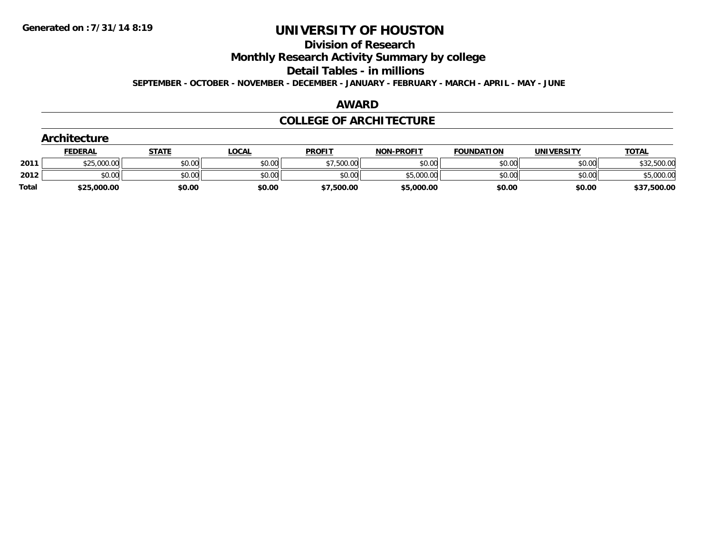#### **Division of Research**

**Monthly Research Activity Summary by college**

**Detail Tables - in millions**

**SEPTEMBER - OCTOBER - NOVEMBER - DECEMBER - JANUARY - FEBRUARY - MARCH - APRIL - MAY - JUNE**

## **AWARD**

### **COLLEGE OF ARCHITECTURE**

|       | <b>Architecture</b> |              |              |               |                   |                   |                   |              |
|-------|---------------------|--------------|--------------|---------------|-------------------|-------------------|-------------------|--------------|
|       | <b>FEDERAL</b>      | <u>STATE</u> | <u>LOCAL</u> | <b>PROFIT</b> | <b>NON-PROFIT</b> | <b>FOUNDATION</b> | <b>UNIVERSITY</b> | <b>TOTAL</b> |
| 2011  | \$25,000.00         | \$0.00       | \$0.00       | \$7,500.00    | \$0.00            | \$0.00            | \$0.00            | \$32,500.00  |
| 2012  | \$0.00              | \$0.00       | \$0.00       | \$0.00        | \$5,000.00        | \$0.00            | \$0.00            | \$5,000.00   |
| Total | \$25,000.00         | \$0.00       | \$0.00       | \$7,500.00    | \$5,000.00        | \$0.00            | \$0.00            | \$37,500.00  |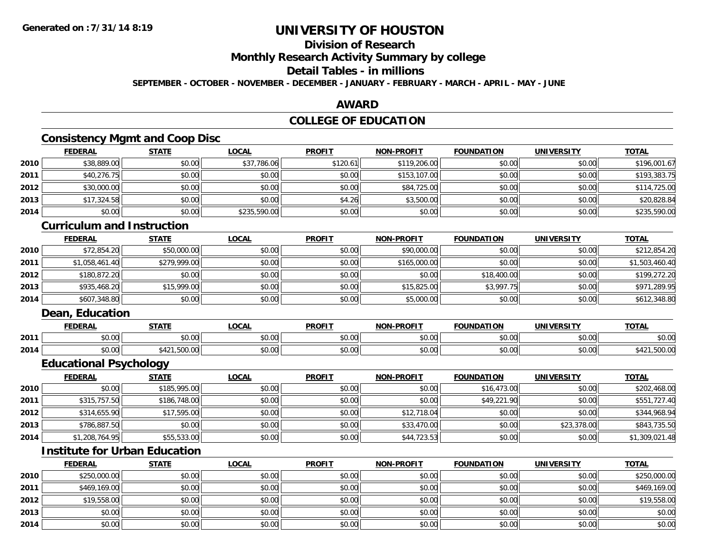## **Division of Research**

**Monthly Research Activity Summary by college**

#### **Detail Tables - in millions**

**SEPTEMBER - OCTOBER - NOVEMBER - DECEMBER - JANUARY - FEBRUARY - MARCH - APRIL - MAY - JUNE**

### **AWARD**

## **COLLEGE OF EDUCATION**

## **Consistency Mgmt and Coop Disc**

|      | <b>FEDERAL</b> | <b>STATE</b> | <u>LOCAL</u> | <b>PROFIT</b> | <b>NON-PROFIT</b> | <b>FOUNDATION</b> | <b>UNIVERSITY</b> | <b>TOTAL</b> |
|------|----------------|--------------|--------------|---------------|-------------------|-------------------|-------------------|--------------|
| 2010 | \$38,889.00    | \$0.00       | \$37,786.06  | \$120.61      | \$119,206.00      | \$0.00            | \$0.00            | \$196,001.67 |
| 2011 | \$40,276.75    | \$0.00       | \$0.00       | \$0.00        | \$153,107.00      | \$0.00            | \$0.00            | \$193,383.75 |
| 2012 | \$30,000.00    | \$0.00       | \$0.00       | \$0.00        | \$84,725.00       | \$0.00            | \$0.00            | \$114,725.00 |
| 2013 | \$17,324.58    | \$0.00       | \$0.00       | \$4.26        | \$3,500.00        | \$0.00            | \$0.00            | \$20,828.84  |
| 2014 | \$0.00         | \$0.00       | \$235,590.00 | \$0.00        | \$0.00            | \$0.00            | \$0.00            | \$235,590.00 |

### **Curriculum and Instruction**

|      | <b>FEDERAL</b> | <u>STATE</u> | <u>LOCAL</u> | <b>PROFIT</b> | <b>NON-PROFIT</b> | <b>FOUNDATION</b> | <b>UNIVERSITY</b> | <b>TOTAL</b>   |
|------|----------------|--------------|--------------|---------------|-------------------|-------------------|-------------------|----------------|
| 2010 | \$72,854.20    | \$50,000.00  | \$0.00       | \$0.00        | \$90,000.00       | \$0.00            | \$0.00            | \$212,854.20   |
| 2011 | \$1,058,461.40 | \$279,999.00 | \$0.00       | \$0.00        | \$165,000.00      | \$0.00            | \$0.00            | \$1,503,460.40 |
| 2012 | \$180.872.20   | \$0.00       | \$0.00       | \$0.00        | \$0.00            | \$18,400.00       | \$0.00            | \$199,272.20   |
| 2013 | \$935,468.20   | \$15,999.00  | \$0.00       | \$0.00        | \$15,825.00       | \$3,997.75        | \$0.00            | \$971,289.95   |
| 2014 | \$607,348.80   | \$0.00       | \$0.00       | \$0.00        | \$5,000.00        | \$0.00            | \$0.00            | \$612,348.80   |

### **Dean, Education**

|      | <b>FEDERAL</b> | CTATI                         | .OCAI                                      | <b>PROFIT</b>        | <b>DDAFIT</b><br><b>AIAB</b> | <b>FOUNDATION</b> | ידוסמ־<br><b>INIVE</b> | <b>TOT</b><br>. . |
|------|----------------|-------------------------------|--------------------------------------------|----------------------|------------------------------|-------------------|------------------------|-------------------|
| 2011 | 0000<br>v.vu   | 0000<br>JU.UU                 | $\mathsf{A} \cap \mathsf{A} \cap$<br>PU.UU | 0000<br><b>DU.UU</b> | 0000<br>vv.vv                | 0000<br>JU.UU     | 0.00<br>vu.vu          | 0000<br>DU.UU     |
| 2014 | 0000<br>pu.uu  | <b>FOO</b><br>_ , , JUU. UU . | $\sim$ 00<br>PO.OO                         | \$0.00               | 0000<br>vv.vv                | 0000<br>JU.UU     | \$0.00                 | .,JUU.uv          |

<u> 1989 - Andrea Station Barbara, amerikan personal di sebagai personal di sebagai personal di sebagai personal</u>

## **Educational Psychology**

|      | <u>FEDERAL</u> | <b>STATE</b> | <u>LOCAL</u> | <b>PROFIT</b> | <b>NON-PROFIT</b> | <b>FOUNDATION</b> | <b>UNIVERSITY</b> | <b>TOTAL</b>   |
|------|----------------|--------------|--------------|---------------|-------------------|-------------------|-------------------|----------------|
| 2010 | \$0.001        | \$185,995.00 | \$0.00       | \$0.00        | \$0.00            | \$16,473.00       | \$0.00            | \$202,468.00   |
| 2011 | \$315,757.50   | \$186,748.00 | \$0.00       | \$0.00        | \$0.00            | \$49,221.90       | \$0.00            | \$551,727.40   |
| 2012 | \$314,655.90   | \$17,595.00  | \$0.00       | \$0.00        | \$12,718.04       | \$0.00            | \$0.00            | \$344,968.94   |
| 2013 | \$786,887.50   | \$0.00       | \$0.00       | \$0.00        | \$33,470.00       | \$0.00            | \$23,378.00       | \$843,735.50   |
| 2014 | \$1,208,764.95 | \$55,533.00  | \$0.00       | \$0.00        | \$44,723.53       | \$0.00            | \$0.00            | \$1,309,021.48 |

## **Institute for Urban Education**

|      | <b>FEDERAL</b> | <b>STATE</b> | <u>LOCAL</u> | <b>PROFIT</b> | <b>NON-PROFIT</b> | <b>FOUNDATION</b> | <b>UNIVERSITY</b> | <b>TOTAL</b> |
|------|----------------|--------------|--------------|---------------|-------------------|-------------------|-------------------|--------------|
| 2010 | \$250,000.00   | \$0.00       | \$0.00       | \$0.00        | \$0.00            | \$0.00            | \$0.00            | \$250,000.00 |
| 2011 | \$469,169.00   | \$0.00       | \$0.00       | \$0.00        | \$0.00            | \$0.00            | \$0.00            | \$469,169.00 |
| 2012 | \$19,558.00    | \$0.00       | \$0.00       | \$0.00        | \$0.00            | \$0.00            | \$0.00            | \$19,558.00  |
| 2013 | \$0.00         | \$0.00       | \$0.00       | \$0.00        | \$0.00            | \$0.00            | \$0.00            | \$0.00       |
| 2014 | \$0.00         | \$0.00       | \$0.00       | \$0.00        | \$0.00            | \$0.00            | \$0.00            | \$0.00       |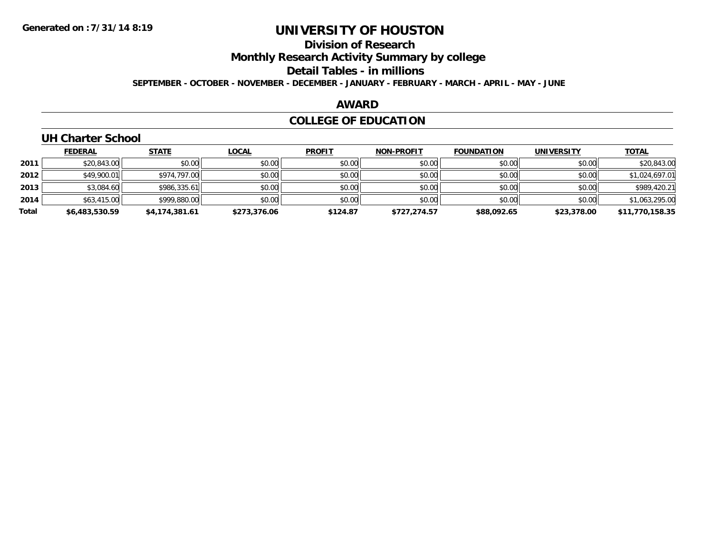## **Division of Research**

**Monthly Research Activity Summary by college**

#### **Detail Tables - in millions**

**SEPTEMBER - OCTOBER - NOVEMBER - DECEMBER - JANUARY - FEBRUARY - MARCH - APRIL - MAY - JUNE**

### **AWARD**

## **COLLEGE OF EDUCATION**

### **UH Charter School**

|       | <b>FEDERAL</b> | <b>STATE</b>   | <b>LOCAL</b> | <b>PROFIT</b> | <b>NON-PROFIT</b> | <b>FOUNDATION</b> | <b>UNIVERSITY</b> | <b>TOTAL</b>    |
|-------|----------------|----------------|--------------|---------------|-------------------|-------------------|-------------------|-----------------|
| 2011  | \$20,843.00    | \$0.00         | \$0.00       | \$0.00        | \$0.00            | \$0.00            | \$0.00            | \$20,843.00     |
| 2012  | \$49,900.01    | \$974.797.00   | \$0.00       | \$0.00        | \$0.00            | \$0.00            | \$0.00            | \$1,024,697.01  |
| 2013  | \$3,084.60     | \$986,335.61   | \$0.00       | \$0.00        | \$0.00            | \$0.00            | \$0.00            | \$989,420.21    |
| 2014  | \$63,415.00    | \$999,880.00   | \$0.00       | \$0.00        | \$0.00            | \$0.00            | \$0.00            | \$1,063,295.00  |
| Total | \$6,483,530.59 | \$4,174,381.61 | \$273,376.06 | \$124.87      | \$727.274.57      | \$88,092.65       | \$23,378.00       | \$11,770,158.35 |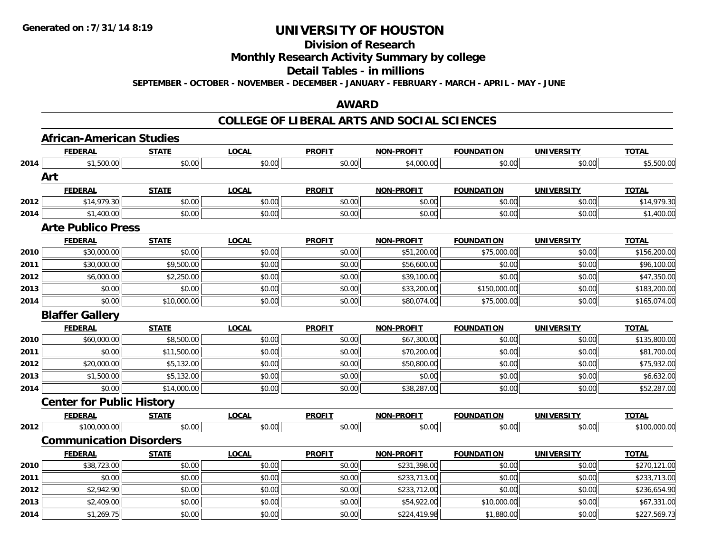## **Division of Research**

### **Monthly Research Activity Summary by college**

#### **Detail Tables - in millions**

**SEPTEMBER - OCTOBER - NOVEMBER - DECEMBER - JANUARY - FEBRUARY - MARCH - APRIL - MAY - JUNE**

### **AWARD**

### **COLLEGE OF LIBERAL ARTS AND SOCIAL SCIENCES**

|      | <b>African-American Studies</b>  |              |              |               |                   |                   |                   |              |
|------|----------------------------------|--------------|--------------|---------------|-------------------|-------------------|-------------------|--------------|
|      | <b>FEDERAL</b>                   | <b>STATE</b> | <b>LOCAL</b> | <b>PROFIT</b> | <b>NON-PROFIT</b> | <b>FOUNDATION</b> | <b>UNIVERSITY</b> | <b>TOTAL</b> |
| 2014 | \$1,500.00                       | \$0.00       | \$0.00       | \$0.00        | \$4,000.00        | \$0.00            | \$0.00            | \$5,500.00   |
|      | Art                              |              |              |               |                   |                   |                   |              |
|      | <b>FEDERAL</b>                   | <b>STATE</b> | <b>LOCAL</b> | <b>PROFIT</b> | <b>NON-PROFIT</b> | <b>FOUNDATION</b> | <b>UNIVERSITY</b> | <b>TOTAL</b> |
| 2012 | \$14,979.30                      | \$0.00       | \$0.00       | \$0.00        | \$0.00            | \$0.00            | \$0.00            | \$14,979.30  |
| 2014 | \$1,400.00                       | \$0.00       | \$0.00       | \$0.00        | \$0.00            | \$0.00            | \$0.00            | \$1,400.00   |
|      | <b>Arte Publico Press</b>        |              |              |               |                   |                   |                   |              |
|      | <b>FEDERAL</b>                   | <b>STATE</b> | <b>LOCAL</b> | <b>PROFIT</b> | <b>NON-PROFIT</b> | <b>FOUNDATION</b> | <b>UNIVERSITY</b> | <b>TOTAL</b> |
| 2010 | \$30,000.00                      | \$0.00       | \$0.00       | \$0.00        | \$51,200.00       | \$75,000.00       | \$0.00            | \$156,200.00 |
| 2011 | \$30,000.00                      | \$9,500.00   | \$0.00       | \$0.00        | \$56,600.00       | \$0.00            | \$0.00            | \$96,100.00  |
| 2012 | \$6,000.00                       | \$2,250.00   | \$0.00       | \$0.00        | \$39,100.00       | \$0.00            | \$0.00            | \$47,350.00  |
| 2013 | \$0.00                           | \$0.00       | \$0.00       | \$0.00        | \$33,200.00       | \$150,000.00      | \$0.00            | \$183,200.00 |
| 2014 | \$0.00                           | \$10,000.00  | \$0.00       | \$0.00        | \$80,074.00       | \$75,000.00       | \$0.00            | \$165,074.00 |
|      | <b>Blaffer Gallery</b>           |              |              |               |                   |                   |                   |              |
|      | <b>FEDERAL</b>                   | <b>STATE</b> | <b>LOCAL</b> | <b>PROFIT</b> | <b>NON-PROFIT</b> | <b>FOUNDATION</b> | <b>UNIVERSITY</b> | <b>TOTAL</b> |
| 2010 | \$60,000.00                      | \$8,500.00   | \$0.00       | \$0.00        | \$67,300.00       | \$0.00            | \$0.00            | \$135,800.00 |
| 2011 | \$0.00                           | \$11,500.00  | \$0.00       | \$0.00        | \$70,200.00       | \$0.00            | \$0.00            | \$81,700.00  |
| 2012 | \$20,000.00                      | \$5,132.00   | \$0.00       | \$0.00        | \$50,800.00       | \$0.00            | \$0.00            | \$75,932.00  |
| 2013 | \$1,500.00                       | \$5,132.00   | \$0.00       | \$0.00        | \$0.00            | \$0.00            | \$0.00            | \$6,632.00   |
| 2014 | \$0.00                           | \$14,000.00  | \$0.00       | \$0.00        | \$38,287.00       | \$0.00            | \$0.00            | \$52,287.00  |
|      | <b>Center for Public History</b> |              |              |               |                   |                   |                   |              |
|      | <b>FEDERAL</b>                   | <b>STATE</b> | <b>LOCAL</b> | <b>PROFIT</b> | <b>NON-PROFIT</b> | <b>FOUNDATION</b> | <b>UNIVERSITY</b> | <b>TOTAL</b> |
| 2012 | \$100,000.00                     | \$0.00       | \$0.00       | \$0.00        | \$0.00            | \$0.00            | \$0.00            | \$100,000.00 |
|      | <b>Communication Disorders</b>   |              |              |               |                   |                   |                   |              |
|      | <b>FEDERAL</b>                   | <b>STATE</b> | <b>LOCAL</b> | <b>PROFIT</b> | <b>NON-PROFIT</b> | <b>FOUNDATION</b> | <b>UNIVERSITY</b> | <b>TOTAL</b> |
| 2010 | \$38,723.00                      | \$0.00       | \$0.00       | \$0.00        | \$231,398.00      | \$0.00            | \$0.00            | \$270,121.00 |
| 2011 | \$0.00                           | \$0.00       | \$0.00       | \$0.00        | \$233,713.00      | \$0.00            | \$0.00            | \$233,713.00 |
| 2012 | \$2,942.90                       | \$0.00       | \$0.00       | \$0.00        | \$233,712.00      | \$0.00            | \$0.00            | \$236,654.90 |
| 2013 | \$2,409.00                       | \$0.00       | \$0.00       | \$0.00        | \$54,922.00       | \$10,000.00       | \$0.00            | \$67,331.00  |
| 2014 | \$1,269.75                       | \$0.00       | \$0.00       | \$0.00        | \$224,419.98      | \$1,880.00        | \$0.00            | \$227,569.73 |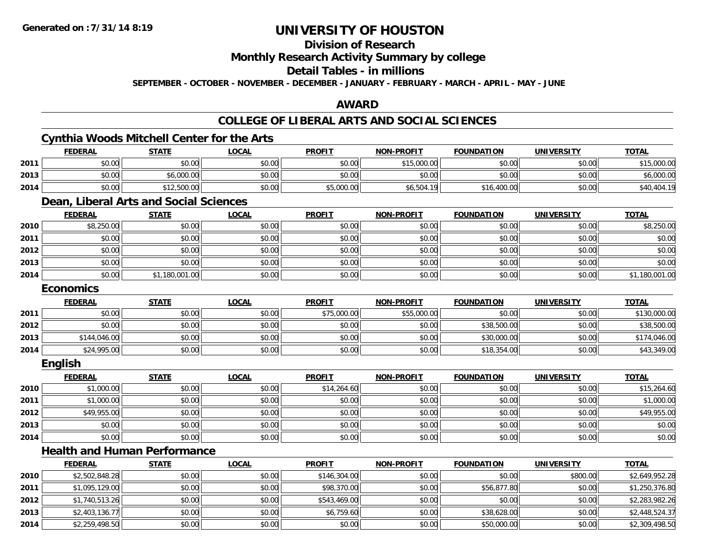#### **Division of Research**

**Monthly Research Activity Summary by college**

#### **Detail Tables - in millions**

**SEPTEMBER - OCTOBER - NOVEMBER - DECEMBER - JANUARY - FEBRUARY - MARCH - APRIL - MAY - JUNE**

#### **AWARD**

#### **COLLEGE OF LIBERAL ARTS AND SOCIAL SCIENCES**

#### **Cynthia Woods Mitchell Center for the Arts FEDERAL STATE LOCAL PROFIT NON-PROFIT FOUNDATION UNIVERSITY TOTALTOTAL 2011** \$0.00 \$0.00 \$0.00 \$0.00 \$15,000.00 \$0.00 \$0.00 \$15,000.00 **2013** \$0.00 \$6,000.00 \$0.00 \$0.00 \$0.00 \$0.00 \$0.00 \$6,000.00 **2014**4 \$0.00 \$0.00 \$0.00 \$12,500.00 \$0.00 \$0.00 \$0.00 \$5,000.00 \$5,000.00 \$6,504.19 \$16,400.00 \$16,400.00 \$0.00 \$40,404.19 **Dean, Liberal Arts and Social Sciences FEDERAL STATE LOCAL PROFIT NON-PROFIT FOUNDATION UNIVERSITY TOTALTOTAL 2010** \$8,250.00 \$0.00 \$0.00 \$0.00 \$0.00 \$0.00 \$0.00 \$8,250.00 **2011** \$0.00 \$0.00 \$0.00 \$0.00 \$0.00 \$0.00 \$0.00 \$0.00 **2012**2 | \$0.00 \$0.00 \$0.00 \$0.00 \$0.00 \$0.00 \$0.00 \$0.00 \$0.00 \$0.00 \$0.00 \$0.00 \$0.00 \$0.00 \$0.00 \$0.00 \$0.00 \$0.0 **2013** \$0.00 \$0.00 \$0.00 \$0.00 \$0.00 \$0.00 \$0.00 \$0.00 **2014**4 \$0.00 \$0.00 \$1,180,001.00 \$0.00 \$0.00 \$0.00 \$0.00 \$0.00 \$0.00 \$0.00 \$0.00 \$0.00 \$0.00 \$1,180,001.00 **Economics FEDERAL STATE LOCAL PROFIT NON-PROFIT FOUNDATION UNIVERSITY TOTAL2011**1 \$0.00 \$0.00 \$0.00 \$75,000.00 \$5,000.00 \$0.00 \$0.00 \$130,000.00 **2012** $\bm{2} \parallel 30.00 \parallel 40.00 \parallel 50.00 \parallel 50.00 \parallel 50.00 \parallel 50.00 \parallel 50.00 \parallel 50.00 \parallel 50.00 \parallel 50.00 \parallel 50.00 \parallel 50.00 \parallel 50.00 \parallel 50.00 \parallel 50.00 \parallel 50.00 \parallel 50.00 \parallel 50.00 \parallel 50.00 \parallel 50.00 \parallel 50.00 \parallel 50.00 \parallel 50.00 \parallel 50.00 \parallel 50.00 \parallel 50.00 \parallel 50.0$ **2013** \$144,046.00 \$0.00 \$0.00 \$0.00 \$0.00 \$30,000.00 \$0.00 \$174,046.00 **2014**4 \$24,995.00 \$0.00 \$0.00 \$0.00 \$0.00 \$0.00 \$0.00 \$0.00 \$0.00 \$18,354.00 \$18,354.00 \$0.00 \$43,349.00 **English FEDERAL STATE LOCAL PROFIT NON-PROFIT FOUNDATION UNIVERSITY TOTALTOTAL 2010**0 \$1,000.00|| \$0.00| \$0.00| \$14,264.60|| \$0.00| \$0.00| \$0.00| \$15,264.60 **2011**1 \$1,000.00 \$0.00 \$0.00 \$0.00 \$0.00 \$0.00 \$1,000.00 **2012**2 \$49,955.00 \$0.00 \$0.00 \$0.00 \$0.00 \$0.00 \$0.00 \$0.00 \$0.00 \$0.00 \$0.00 \$0.00 \$0.00 \$19,955.00 **2013** $\textbf{3} \quad \textbf{\textcolor{blue}{\textbf{50.00}}} \quad \textbf{\textcolor{blue}{\textbf{50.00}}} \quad \textbf{\textcolor{blue}{\textbf{50.00}}} \quad \textbf{\textcolor{blue}{\textbf{50.00}}} \quad \textbf{\textcolor{blue}{\textbf{50.00}}} \quad \textbf{\textcolor{blue}{\textbf{50.00}}} \quad \textbf{\textcolor{blue}{\textbf{50.00}}} \quad \textbf{\textcolor{blue}{\textbf{50.00}}} \quad \textbf{\textcolor{blue}{\textbf{50.00}}} \quad \textbf{\textcolor{blue}{\textbf{50.00}}} \quad \text$ **2014**4 \$0.00 \$0.00 \$0.00 \$0.00 \$0.00 \$0.00 \$0.00 \$0.00 \$0.00 \$0.00 \$0.00 \$0.00 \$0.00 \$0.00 \$0.00 \$0.00 \$0.00 **Health and Human PerformanceFEDERAL STATE LOCAL PROFIT NON-PROFIT FOUNDATION UNIVERSITY TOTAL**

|      | <u>ILDLIVAL</u> | <u>JIMIL</u> | L      | <u>.</u>     | <u><b>IVOIVELINOI LE</b></u> | ייטיייטייש  | <u>UNIVERUITI</u> | 1017           |
|------|-----------------|--------------|--------|--------------|------------------------------|-------------|-------------------|----------------|
| 2010 | \$2,502,848.28  | \$0.00       | \$0.00 | \$146,304.00 | \$0.00                       | \$0.00      | \$800.00          | \$2,649,952.28 |
| 2011 | \$1,095,129.00  | \$0.00       | \$0.00 | \$98,370.00  | \$0.00                       | \$56,877.80 | \$0.00            | \$1,250,376.80 |
| 2012 | \$1,740,513.26  | \$0.00       | \$0.00 | \$543,469.00 | \$0.00                       | \$0.00      | \$0.00            | \$2,283,982.26 |
| 2013 | \$2,403,136.77  | \$0.00       | \$0.00 | \$6,759.60   | \$0.00                       | \$38,628.00 | \$0.00            | \$2,448,524.37 |
| 2014 | \$2,259,498.50  | \$0.00       | \$0.00 | \$0.00       | \$0.00                       | \$50,000.00 | \$0.00            | \$2,309,498.50 |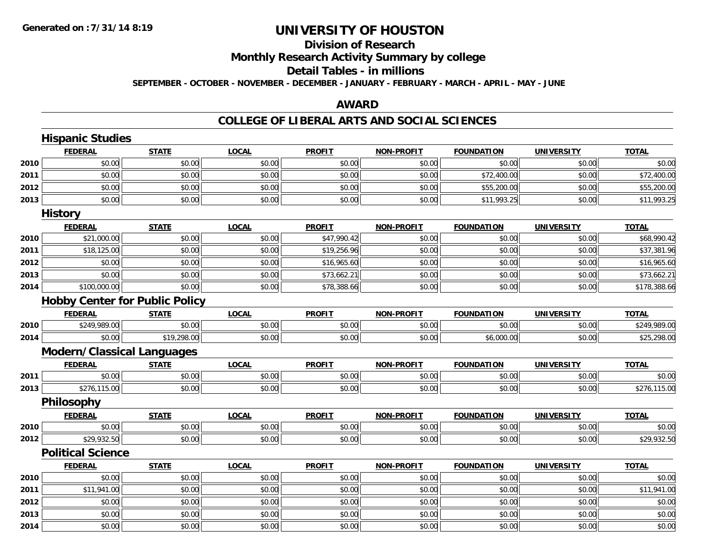# **Division of Research**

**Monthly Research Activity Summary by college**

#### **Detail Tables - in millions**

**SEPTEMBER - OCTOBER - NOVEMBER - DECEMBER - JANUARY - FEBRUARY - MARCH - APRIL - MAY - JUNE**

### **AWARD**

|      | <b>Hispanic Studies</b>               |              |              |               |                   |                   |                   |              |
|------|---------------------------------------|--------------|--------------|---------------|-------------------|-------------------|-------------------|--------------|
|      | <b>FEDERAL</b>                        | <b>STATE</b> | <b>LOCAL</b> | <b>PROFIT</b> | <b>NON-PROFIT</b> | <b>FOUNDATION</b> | <b>UNIVERSITY</b> | <b>TOTAL</b> |
| 2010 | \$0.00                                | \$0.00       | \$0.00       | \$0.00        | \$0.00            | \$0.00            | \$0.00            | \$0.00       |
| 2011 | \$0.00                                | \$0.00       | \$0.00       | \$0.00        | \$0.00            | \$72,400.00       | \$0.00            | \$72,400.00  |
| 2012 | \$0.00                                | \$0.00       | \$0.00       | \$0.00        | \$0.00            | \$55,200.00       | \$0.00            | \$55,200.00  |
| 2013 | \$0.00                                | \$0.00       | \$0.00       | \$0.00        | \$0.00            | \$11,993.25       | \$0.00            | \$11,993.25  |
|      | <b>History</b>                        |              |              |               |                   |                   |                   |              |
|      | <b>FEDERAL</b>                        | <b>STATE</b> | <b>LOCAL</b> | <b>PROFIT</b> | <b>NON-PROFIT</b> | <b>FOUNDATION</b> | <b>UNIVERSITY</b> | <b>TOTAL</b> |
| 2010 | \$21,000.00                           | \$0.00       | \$0.00       | \$47,990.42   | \$0.00            | \$0.00            | \$0.00            | \$68,990.42  |
| 2011 | \$18,125.00                           | \$0.00       | \$0.00       | \$19,256.96   | \$0.00            | \$0.00            | \$0.00            | \$37,381.96  |
| 2012 | \$0.00                                | \$0.00       | \$0.00       | \$16,965.60   | \$0.00            | \$0.00            | \$0.00            | \$16,965.60  |
| 2013 | \$0.00                                | \$0.00       | \$0.00       | \$73,662.21   | \$0.00            | \$0.00            | \$0.00            | \$73,662.21  |
| 2014 | \$100,000.00                          | \$0.00       | \$0.00       | \$78,388.66   | \$0.00            | \$0.00            | \$0.00            | \$178,388.66 |
|      | <b>Hobby Center for Public Policy</b> |              |              |               |                   |                   |                   |              |
|      | <b>FEDERAL</b>                        | <b>STATE</b> | <b>LOCAL</b> | <b>PROFIT</b> | <b>NON-PROFIT</b> | <b>FOUNDATION</b> | <b>UNIVERSITY</b> | <b>TOTAL</b> |
| 2010 | \$249,989.00                          | \$0.00       | \$0.00       | \$0.00        | \$0.00            | \$0.00            | \$0.00            | \$249,989.00 |
| 2014 | \$0.00                                | \$19,298.00  | \$0.00       | \$0.00        | \$0.00            | \$6,000.00        | \$0.00            | \$25,298.00  |
|      | <b>Modern/Classical Languages</b>     |              |              |               |                   |                   |                   |              |
|      | <b>FEDERAL</b>                        | <b>STATE</b> | <b>LOCAL</b> | <b>PROFIT</b> | <b>NON-PROFIT</b> | <b>FOUNDATION</b> | <b>UNIVERSITY</b> | <b>TOTAL</b> |
| 2011 | \$0.00                                | \$0.00       | \$0.00       | \$0.00        | \$0.00            | \$0.00            | \$0.00            | \$0.00       |
| 2013 | \$276,115.00                          | \$0.00       | \$0.00       | \$0.00        | \$0.00            | \$0.00            | \$0.00            | \$276,115.00 |
|      | Philosophy                            |              |              |               |                   |                   |                   |              |
|      | <b>FEDERAL</b>                        | <b>STATE</b> | <b>LOCAL</b> | <b>PROFIT</b> | <b>NON-PROFIT</b> | <b>FOUNDATION</b> | <b>UNIVERSITY</b> | <b>TOTAL</b> |
| 2010 | \$0.00                                | \$0.00       | \$0.00       | \$0.00        | \$0.00            | \$0.00            | \$0.00            | \$0.00       |
| 2012 | \$29,932.50                           | \$0.00       | \$0.00       | \$0.00        | \$0.00            | \$0.00            | \$0.00            | \$29,932.50  |
|      | <b>Political Science</b>              |              |              |               |                   |                   |                   |              |
|      | <b>FEDERAL</b>                        | <b>STATE</b> | <b>LOCAL</b> | <b>PROFIT</b> | <b>NON-PROFIT</b> | <b>FOUNDATION</b> | <b>UNIVERSITY</b> | <b>TOTAL</b> |
| 2010 | \$0.00                                | \$0.00       | \$0.00       | \$0.00        | \$0.00            | \$0.00            | \$0.00            | \$0.00       |
| 2011 | \$11,941.00                           | \$0.00       | \$0.00       | \$0.00        | \$0.00            | \$0.00            | \$0.00            | \$11,941.00  |
| 2012 | \$0.00                                | \$0.00       | \$0.00       | \$0.00        | \$0.00            | \$0.00            | \$0.00            | \$0.00       |
| 2013 | \$0.00                                | \$0.00       | \$0.00       | \$0.00        | \$0.00            | \$0.00            | \$0.00            | \$0.00       |
| 2014 | \$0.00                                | \$0.00       | \$0.00       | \$0.00        | \$0.00            | \$0.00            | \$0.00            | \$0.00       |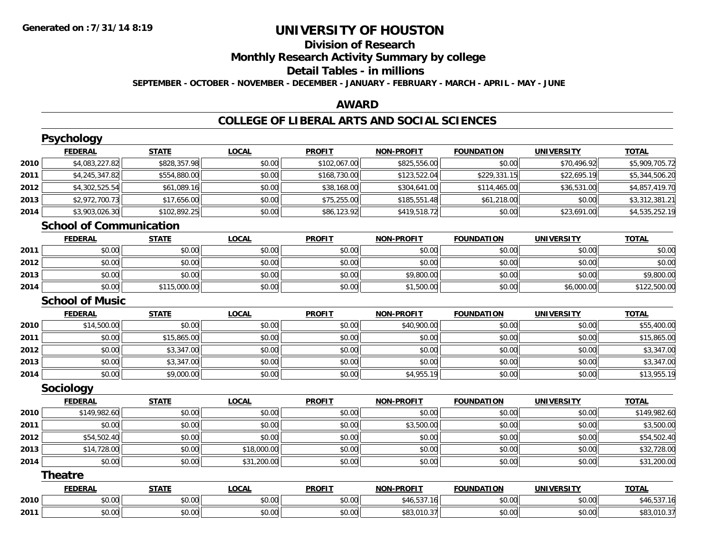# **Division of Research**

**Monthly Research Activity Summary by college**

#### **Detail Tables - in millions**

**SEPTEMBER - OCTOBER - NOVEMBER - DECEMBER - JANUARY - FEBRUARY - MARCH - APRIL - MAY - JUNE**

### **AWARD**

|      | <b>Psychology</b>              |              |              |               |                   |                   |                   |                |
|------|--------------------------------|--------------|--------------|---------------|-------------------|-------------------|-------------------|----------------|
|      | <b>FEDERAL</b>                 | <b>STATE</b> | <b>LOCAL</b> | <b>PROFIT</b> | <b>NON-PROFIT</b> | <b>FOUNDATION</b> | <b>UNIVERSITY</b> | <b>TOTAL</b>   |
| 2010 | \$4,083,227.82                 | \$828,357.98 | \$0.00       | \$102,067.00  | \$825,556.00      | \$0.00            | \$70,496.92       | \$5,909,705.72 |
| 2011 | \$4,245,347.82                 | \$554,880.00 | \$0.00       | \$168,730.00  | \$123,522.04      | \$229,331.15      | \$22,695.19       | \$5,344,506.20 |
| 2012 | \$4,302,525.54                 | \$61,089.16  | \$0.00       | \$38,168.00   | \$304,641.00      | \$114,465.00      | \$36,531.00       | \$4,857,419.70 |
| 2013 | \$2,972,700.73                 | \$17,656.00  | \$0.00       | \$75,255.00   | \$185,551.48      | \$61,218.00       | \$0.00            | \$3,312,381.21 |
| 2014 | \$3,903,026.30                 | \$102,892.25 | \$0.00       | \$86,123.92   | \$419,518.72      | \$0.00            | \$23,691.00       | \$4,535,252.19 |
|      | <b>School of Communication</b> |              |              |               |                   |                   |                   |                |
|      | <b>FEDERAL</b>                 | <b>STATE</b> | <b>LOCAL</b> | <b>PROFIT</b> | <b>NON-PROFIT</b> | <b>FOUNDATION</b> | <b>UNIVERSITY</b> | <b>TOTAL</b>   |
| 2011 | \$0.00                         | \$0.00       | \$0.00       | \$0.00        | \$0.00            | \$0.00            | \$0.00            | \$0.00         |
| 2012 | \$0.00                         | \$0.00       | \$0.00       | \$0.00        | \$0.00            | \$0.00            | \$0.00            | \$0.00         |
| 2013 | \$0.00                         | \$0.00       | \$0.00       | \$0.00        | \$9,800.00        | \$0.00            | \$0.00            | \$9,800.00     |
| 2014 | \$0.00                         | \$115,000.00 | \$0.00       | \$0.00        | \$1,500.00        | \$0.00            | \$6,000.00        | \$122,500.00   |
|      | <b>School of Music</b>         |              |              |               |                   |                   |                   |                |
|      | <b>FEDERAL</b>                 | <b>STATE</b> | <b>LOCAL</b> | <b>PROFIT</b> | <b>NON-PROFIT</b> | <b>FOUNDATION</b> | <b>UNIVERSITY</b> | <b>TOTAL</b>   |
| 2010 | \$14,500.00                    | \$0.00       | \$0.00       | \$0.00        | \$40,900.00       | \$0.00            | \$0.00            | \$55,400.00    |
| 2011 | \$0.00                         | \$15,865.00  | \$0.00       | \$0.00        | \$0.00            | \$0.00            | \$0.00            | \$15,865.00    |
| 2012 | \$0.00                         | \$3,347.00   | \$0.00       | \$0.00        | \$0.00            | \$0.00            | \$0.00            | \$3,347.00     |
| 2013 | \$0.00                         | \$3,347.00   | \$0.00       | \$0.00        | \$0.00            | \$0.00            | \$0.00            | \$3,347.00     |
| 2014 | \$0.00                         | \$9,000.00   | \$0.00       | \$0.00        | \$4,955.19        | \$0.00            | \$0.00            | \$13,955.19    |
|      | Sociology                      |              |              |               |                   |                   |                   |                |
|      | <b>FEDERAL</b>                 | <b>STATE</b> | <b>LOCAL</b> | <b>PROFIT</b> | <b>NON-PROFIT</b> | <b>FOUNDATION</b> | <b>UNIVERSITY</b> | <b>TOTAL</b>   |
| 2010 | \$149,982.60                   | \$0.00       | \$0.00       | \$0.00        | \$0.00            | \$0.00            | \$0.00            | \$149,982.60   |
| 2011 | \$0.00                         | \$0.00       | \$0.00       | \$0.00        | \$3,500.00        | \$0.00            | \$0.00            | \$3,500.00     |
| 2012 | \$54,502.40                    | \$0.00       | \$0.00       | \$0.00        | \$0.00            | \$0.00            | \$0.00            | \$54,502.40    |
| 2013 | \$14,728.00                    | \$0.00       | \$18,000.00  | \$0.00        | \$0.00            | \$0.00            | \$0.00            | \$32,728.00    |
| 2014 | \$0.00                         | \$0.00       | \$31,200.00  | \$0.00        | \$0.00            | \$0.00            | \$0.00            | \$31,200.00    |
|      | <b>Theatre</b>                 |              |              |               |                   |                   |                   |                |
|      | <b>FEDERAL</b>                 | <b>STATE</b> | <b>LOCAL</b> | <b>PROFIT</b> | <b>NON-PROFIT</b> | <b>FOUNDATION</b> | <b>UNIVERSITY</b> | <b>TOTAL</b>   |
| 2010 | \$0.00                         | \$0.00       | \$0.00       | \$0.00        | \$46,537.16       | \$0.00            | \$0.00            | \$46,537.16    |
| 2011 | \$0.00                         | \$0.00       | \$0.00       | \$0.00        | \$83,010.37       | \$0.00            | \$0.00            | \$83,010.37    |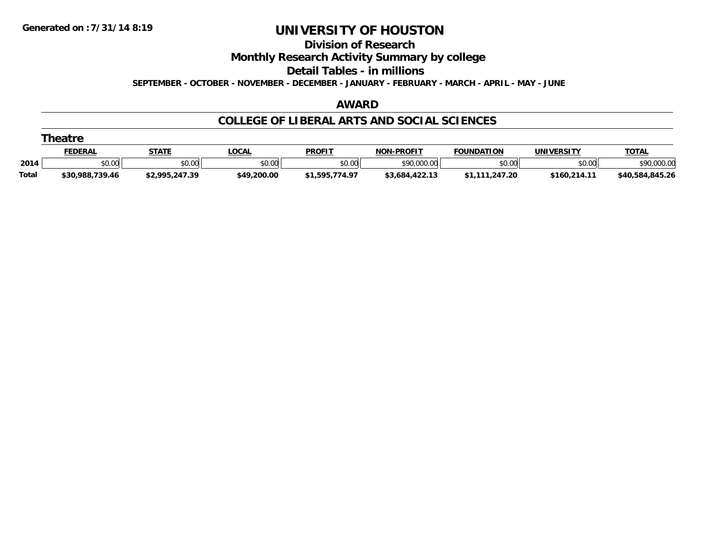#### **Division of Research**

**Monthly Research Activity Summary by college**

**Detail Tables - in millions**

**SEPTEMBER - OCTOBER - NOVEMBER - DECEMBER - JANUARY - FEBRUARY - MARCH - APRIL - MAY - JUNE**

#### **AWARD**

|       | <b>Theatre</b>  |                |             |                |                |                   |              |                 |  |  |  |  |
|-------|-----------------|----------------|-------------|----------------|----------------|-------------------|--------------|-----------------|--|--|--|--|
|       | <b>FEDERAL</b>  | <b>STATE</b>   | LOCAL       | <b>PROFIT</b>  | NON-PROFIT     | <b>FOUNDATION</b> | UNIVERSITY   | <b>TOTAL</b>    |  |  |  |  |
| 2014  | \$0.00          | \$0.00         | \$0.00      | \$0.00         | \$90,000.00    | \$0.00            | \$0.00       | \$90,000.00     |  |  |  |  |
| Total | \$30,988,739.46 | \$2,995,247.39 | \$49,200.00 | \$1,595,774.97 | \$3,684,422.13 | \$1.111.247.20    | \$160,214.11 | \$40.584.845.26 |  |  |  |  |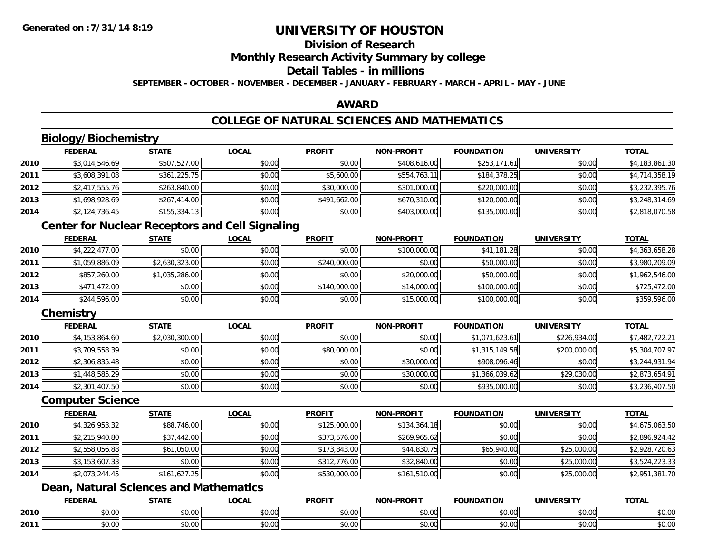### **Division of Research**

**Monthly Research Activity Summary by college**

#### **Detail Tables - in millions**

**SEPTEMBER - OCTOBER - NOVEMBER - DECEMBER - JANUARY - FEBRUARY - MARCH - APRIL - MAY - JUNE**

#### **AWARD**

### **COLLEGE OF NATURAL SCIENCES AND MATHEMATICS**

### **Biology/Biochemistry**

|      | <b>FEDERAL</b> | <u>STATE</u> | <b>LOCAL</b> | <b>PROFIT</b> | <b>NON-PROFIT</b> | <b>FOUNDATION</b> | <b>UNIVERSITY</b> | <b>TOTAL</b>   |
|------|----------------|--------------|--------------|---------------|-------------------|-------------------|-------------------|----------------|
| 2010 | \$3,014,546.69 | \$507,527.00 | \$0.00       | \$0.00        | \$408,616.00      | \$253,171.61      | \$0.00            | \$4,183,861.30 |
| 2011 | \$3,608,391.08 | \$361,225.75 | \$0.00       | \$5,600.00    | \$554,763.11      | \$184,378.25      | \$0.00            | \$4,714,358.19 |
| 2012 | \$2,417,555.76 | \$263,840.00 | \$0.00       | \$30,000.00   | \$301,000.00      | \$220,000.00      | \$0.00            | \$3,232,395.76 |
| 2013 | \$1,698,928.69 | \$267,414.00 | \$0.00       | \$491,662.00  | \$670,310.00      | \$120,000.00      | \$0.00            | \$3,248,314.69 |
| 2014 | \$2,124,736.45 | \$155,334.13 | \$0.00       | \$0.00        | \$403,000.00      | \$135,000.00      | \$0.00            | \$2,818,070.58 |

### **Center for Nuclear Receptors and Cell Signaling**

|      | <b>FEDERAL</b> | <u>STATE</u>   | <b>LOCAL</b> | <b>PROFIT</b> | <b>NON-PROFIT</b> | <b>FOUNDATION</b> | <b>UNIVERSITY</b> | <b>TOTAL</b>   |
|------|----------------|----------------|--------------|---------------|-------------------|-------------------|-------------------|----------------|
| 2010 | \$4,222,477.00 | \$0.00         | \$0.00       | \$0.00        | \$100,000.00      | \$41,181.28       | \$0.00            | \$4,363,658.28 |
| 2011 | \$1,059,886.09 | \$2,630,323.00 | \$0.00       | \$240,000.00  | \$0.00            | \$50,000.00       | \$0.00            | \$3,980,209.09 |
| 2012 | \$857,260.00   | \$1,035,286.00 | \$0.00       | \$0.00        | \$20,000.00       | \$50,000.00       | \$0.00            | \$1,962,546.00 |
| 2013 | \$471,472.00   | \$0.00         | \$0.00       | \$140,000.00  | \$14,000.00       | \$100,000.00      | \$0.00            | \$725,472.00   |
| 2014 | \$244,596.00   | \$0.00         | \$0.00       | \$0.00        | \$15,000.00       | \$100,000.00      | \$0.00            | \$359,596.00   |

### **Chemistry**

|      | <b>FEDERAL</b> | <b>STATE</b>   | <b>LOCAL</b> | <b>PROFIT</b> | <b>NON-PROFIT</b> | <b>FOUNDATION</b> | <b>UNIVERSITY</b> | <b>TOTAL</b>   |
|------|----------------|----------------|--------------|---------------|-------------------|-------------------|-------------------|----------------|
| 2010 | \$4,153,864.60 | \$2,030,300.00 | \$0.00       | \$0.00        | \$0.00            | \$1,071,623.61    | \$226,934,00      | \$7,482,722.21 |
| 2011 | \$3,709,558.39 | \$0.00         | \$0.00       | \$80,000.00   | \$0.00            | \$1,315,149.58    | \$200,000.00      | \$5,304,707.97 |
| 2012 | \$2,306,835.48 | \$0.00         | \$0.00       | \$0.00        | \$30,000.00       | \$908.096.46      | \$0.00            | \$3,244,931.94 |
| 2013 | \$1,448,585.29 | \$0.00         | \$0.00       | \$0.00        | \$30,000.00       | \$1,366,039.62    | \$29,030.00       | \$2,873,654.91 |
| 2014 | \$2,301,407.50 | \$0.00         | \$0.00       | \$0.00        | \$0.00            | \$935,000.00      | \$0.00            | \$3,236,407.50 |

#### **Computer Science**

|      | <b>FEDERAL</b> | <b>STATE</b> | <u>LOCAL</u> | <b>PROFIT</b> | <b>NON-PROFIT</b> | <b>FOUNDATION</b> | <b>UNIVERSITY</b> | <b>TOTAL</b>   |
|------|----------------|--------------|--------------|---------------|-------------------|-------------------|-------------------|----------------|
| 2010 | \$4,326,953.32 | \$88,746.00  | \$0.00       | \$125,000.00  | \$134,364.18      | \$0.00            | \$0.00            | \$4,675,063.50 |
| 2011 | \$2,215,940.80 | \$37,442.00  | \$0.00       | \$373,576.00  | \$269,965.62      | \$0.00            | \$0.00            | \$2,896,924.42 |
| 2012 | \$2,558,056.88 | \$61,050.00  | \$0.00       | \$173,843.00  | \$44,830.75       | \$65,940.00       | \$25,000.00       | \$2,928,720.63 |
| 2013 | \$3,153,607.33 | \$0.00       | \$0.00       | \$312,776.00  | \$32,840.00       | \$0.00            | \$25,000.00       | \$3,524,223.33 |
| 2014 | \$2,073,244.45 | \$161,627.25 | \$0.00       | \$530,000.00  | \$161,510.00      | \$0.00            | \$25,000.00       | \$2,951,381.70 |

### **Dean, Natural Sciences and Mathematics**

|      | <b>FEBER!</b><br>LI\ <i>r</i> | $C = 1$                                                                  | $\bigcap_{n=1}^{\infty}$<br>.OCAI   | <b>PROFIT</b>                   | יוחמחח<br><b>BIOB</b>         | ាកា<br>I ) Д                                   | . <i></i><br>.JIV∶   | <b>TOTAL</b>           |
|------|-------------------------------|--------------------------------------------------------------------------|-------------------------------------|---------------------------------|-------------------------------|------------------------------------------------|----------------------|------------------------|
| 2010 | 0.00<br>שט.טע                 | $\uparrow$ $\uparrow$ $\uparrow$ $\uparrow$ $\uparrow$ $\uparrow$<br>ט.ט | $\sim$ 00<br>וטטוע                  | $\sim$ $\sim$<br>וטטוע          | $\sim$ $\sim$ $\sim$<br>vv.vv | $\triangle$ $\triangle$ $\triangle$<br>— JU.U∪ | 0.00<br>PU.UU        | $\sim$ $\sim$<br>JU.UU |
| 2011 | 0000<br>JU.UU                 | <b>↑∩</b><br>JU.U                                                        | $\uparrow$ $\land$ $\land$<br>PU.UU | $\sim$ 00<br>$\vee$ . Ut $\vee$ | $\sim$<br>$\sim$<br>vv.vv     | $\sim$<br>JU.UU                                | 0000<br><b>JU.UU</b> | <b>JU.UU</b>           |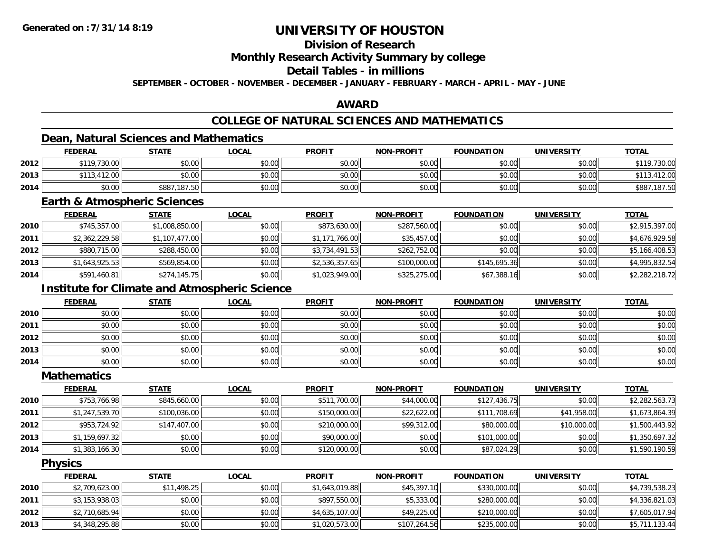### **Division of Research**

**Monthly Research Activity Summary by college**

### **Detail Tables - in millions**

**SEPTEMBER - OCTOBER - NOVEMBER - DECEMBER - JANUARY - FEBRUARY - MARCH - APRIL - MAY - JUNE**

#### **AWARD**

### **COLLEGE OF NATURAL SCIENCES AND MATHEMATICS**

### **Dean, Natural Sciences and Mathematics**

|      | <b>FEDERAL</b> | <u>STATE</u> | <u>LOCAL</u> | <b>PROFIT</b> | <b>NON-PROFIT</b> | <b>FOUNDATION</b> | <b>UNIVERSITY</b> | <b>TOTAL</b> |
|------|----------------|--------------|--------------|---------------|-------------------|-------------------|-------------------|--------------|
| 2012 | \$119,730.00   | \$0.00       | \$0.00       | \$0.00        | \$0.00            | \$0.00            | \$0.00            | \$119,730.00 |
| 2013 | \$113,412.00   | \$0.00       | \$0.00       | \$0.00        | \$0.00            | \$0.00            | \$0.00            | 412.00       |
| 2014 | \$0.00         | \$887,187.50 | \$0.00       | \$0.00        | \$0.00            | \$0.00            | \$0.00            | \$887,187.50 |

#### **Earth & Atmospheric Sciences**

|      | <b>FEDERAL</b> | <b>STATE</b>   | <b>LOCAL</b> | <b>PROFIT</b>  | <b>NON-PROFIT</b> | <b>FOUNDATION</b> | <b>UNIVERSITY</b> | <b>TOTAL</b>   |
|------|----------------|----------------|--------------|----------------|-------------------|-------------------|-------------------|----------------|
| 2010 | \$745,357.00   | \$1,008,850.00 | \$0.00       | \$873,630.00   | \$287,560.00      | \$0.00            | \$0.00            | \$2,915,397.00 |
| 2011 | \$2,362,229.58 | \$1,107,477.00 | \$0.00       | \$1,171,766.00 | \$35,457.00       | \$0.00            | \$0.00            | \$4,676,929.58 |
| 2012 | \$880,715.00   | \$288,450.00   | \$0.00       | \$3,734,491.53 | \$262,752.00      | \$0.00            | \$0.00            | \$5,166,408.53 |
| 2013 | \$1,643,925.53 | \$569,854.00   | \$0.00       | \$2,536,357.65 | \$100,000.00      | \$145,695.36      | \$0.00            | \$4,995,832.54 |
| 2014 | \$591,460.81   | \$274,145.75   | \$0.00       | \$1,023,949.00 | \$325,275.00      | \$67,388.16       | \$0.00            | \$2,282,218.72 |

### **Institute for Climate and Atmospheric Science**

|      | <u>FEDERAL</u> | <b>STATE</b> | <u>LOCAL</u> | <b>PROFIT</b> | <b>NON-PROFIT</b> | <b>FOUNDATION</b> | <b>UNIVERSITY</b> | <b>TOTAL</b> |
|------|----------------|--------------|--------------|---------------|-------------------|-------------------|-------------------|--------------|
| 2010 | \$0.00         | \$0.00       | \$0.00       | \$0.00        | \$0.00            | \$0.00            | \$0.00            | \$0.00       |
| 2011 | \$0.00         | \$0.00       | \$0.00       | \$0.00        | \$0.00            | \$0.00            | \$0.00            | \$0.00       |
| 2012 | \$0.00         | \$0.00       | \$0.00       | \$0.00        | \$0.00            | \$0.00            | \$0.00            | \$0.00       |
| 2013 | \$0.00         | \$0.00       | \$0.00       | \$0.00        | \$0.00            | \$0.00            | \$0.00            | \$0.00       |
| 2014 | \$0.00         | \$0.00       | \$0.00       | \$0.00        | \$0.00            | \$0.00            | \$0.00            | \$0.00       |

#### **Mathematics**

|      | <b>FEDERAL</b> | <b>STATE</b> | <b>LOCAL</b> | <b>PROFIT</b> | <b>NON-PROFIT</b> | <b>FOUNDATION</b> | <b>UNIVERSITY</b> | <b>TOTAL</b>   |
|------|----------------|--------------|--------------|---------------|-------------------|-------------------|-------------------|----------------|
| 2010 | \$753,766.98   | \$845,660.00 | \$0.00       | \$511,700.00  | \$44,000.00       | \$127,436.75      | \$0.00            | \$2,282,563.73 |
| 2011 | \$1,247,539.70 | \$100,036.00 | \$0.00       | \$150,000.00  | \$22,622.00       | \$111,708.69      | \$41,958.00       | \$1,673,864.39 |
| 2012 | \$953,724.92   | \$147,407.00 | \$0.00       | \$210,000.00  | \$99,312.00       | \$80,000.00       | \$10,000.00       | \$1,500,443.92 |
| 2013 | \$1,159,697.32 | \$0.00       | \$0.00       | \$90,000.00   | \$0.00            | \$101,000.00      | \$0.00            | \$1,350,697.32 |
| 2014 | \$1,383,166.30 | \$0.00       | \$0.00       | \$120,000.00  | \$0.00            | \$87,024.29       | \$0.00            | \$1,590,190.59 |

#### **Physics**

|      | <b>FEDERAL</b> | <u>STATE</u> | <u>LOCAL</u> | <b>PROFIT</b>  | <b>NON-PROFIT</b> | <b>FOUNDATION</b> | <b>UNIVERSITY</b> | <b>TOTAL</b>   |
|------|----------------|--------------|--------------|----------------|-------------------|-------------------|-------------------|----------------|
| 2010 | \$2,709,623.00 | \$11,498.25  | \$0.00       | \$1,643,019.88 | \$45,397.10       | \$330,000.00      | \$0.00            | \$4,739,538.23 |
| 2011 | \$3,153,938.03 | \$0.00       | \$0.00       | \$897,550.00   | \$5,333,00        | \$280,000.00      | \$0.00            | \$4,336,821.03 |
| 2012 | \$2,710,685.94 | \$0.00       | \$0.00       | \$4,635,107.00 | \$49,225.00       | \$210,000.00      | \$0.00            | \$7,605,017.94 |
| 2013 | \$4,348,295.88 | \$0.00       | \$0.00       | \$1,020,573.00 | \$107,264.56      | \$235,000.00      | \$0.00            | \$5,711,133.44 |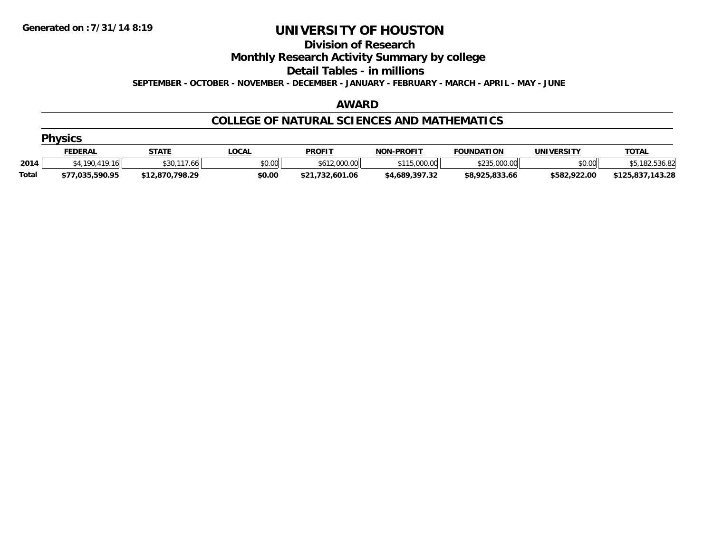#### **Division of Research**

**Monthly Research Activity Summary by college**

**Detail Tables - in millions**

**SEPTEMBER - OCTOBER - NOVEMBER - DECEMBER - JANUARY - FEBRUARY - MARCH - APRIL - MAY - JUNE**

#### **AWARD**

#### **COLLEGE OF NATURAL SCIENCES AND MATHEMATICS**

|              | <b>Physics</b>  |                 |              |                 |                   |                   |              |                  |  |  |  |  |
|--------------|-----------------|-----------------|--------------|-----------------|-------------------|-------------------|--------------|------------------|--|--|--|--|
|              | <u>FEDERAL</u>  | STATE           | <u>LOCAL</u> | <b>PROFIT</b>   | <b>NON-PROFIT</b> | <b>FOUNDATION</b> | UNIVERSITY   | <b>TOTAL</b>     |  |  |  |  |
| 2014         | \$4,190,419.16  | \$30.<br>. 66   | \$0.00       | \$612,000.00    | \$115,000.00      | \$235,000.00      | \$0.00       | .536.82          |  |  |  |  |
| <b>Total</b> | \$77,035,590.95 | \$12,870,798.29 | \$0.00       | \$21,732,601.06 | \$4,689,397.32    | \$8,925,833.66    | \$582,922.00 | \$125,837,143.28 |  |  |  |  |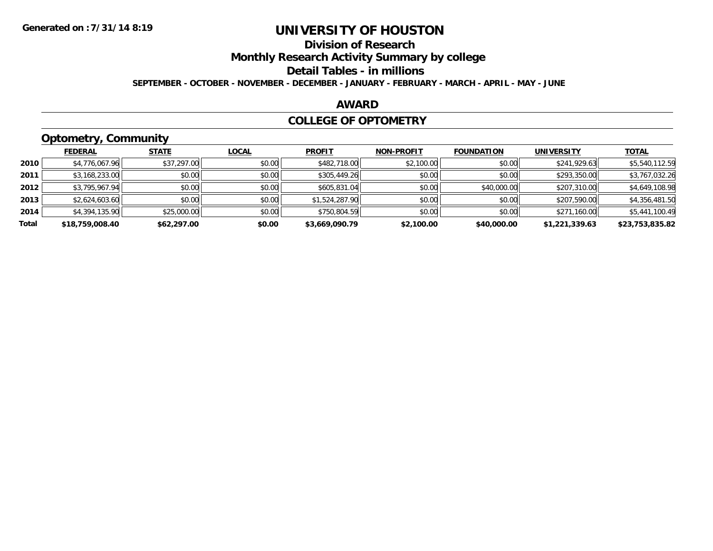### **Division of Research**

**Monthly Research Activity Summary by college**

#### **Detail Tables - in millions**

**SEPTEMBER - OCTOBER - NOVEMBER - DECEMBER - JANUARY - FEBRUARY - MARCH - APRIL - MAY - JUNE**

#### **AWARD**

#### **COLLEGE OF OPTOMETRY**

### **Optometry, Community**

|       | .               |              |              |                |                   |                   |                   |                 |
|-------|-----------------|--------------|--------------|----------------|-------------------|-------------------|-------------------|-----------------|
|       | <b>FEDERAL</b>  | <b>STATE</b> | <b>LOCAL</b> | <b>PROFIT</b>  | <b>NON-PROFIT</b> | <b>FOUNDATION</b> | <b>UNIVERSITY</b> | <b>TOTAL</b>    |
| 2010  | \$4,776,067.96  | \$37,297.00  | \$0.00       | \$482,718.00   | \$2,100.00        | \$0.00            | \$241,929.63      | \$5,540,112.59  |
| 2011  | \$3,168,233.00  | \$0.00       | \$0.00       | \$305,449.26   | \$0.00            | \$0.00            | \$293,350.00      | \$3,767,032.26  |
| 2012  | \$3,795,967.94  | \$0.00       | \$0.00       | \$605,831.04   | \$0.00            | \$40,000.00       | \$207,310.00      | \$4,649,108.98  |
| 2013  | \$2,624,603.60  | \$0.00       | \$0.00       | \$1,524,287.90 | \$0.00            | \$0.00            | \$207,590.00      | \$4,356,481.50  |
| 2014  | \$4,394,135.90  | \$25,000.00  | \$0.00       | \$750,804.59   | \$0.00            | \$0.00            | \$271,160.00      | \$5,441,100.49  |
| Total | \$18,759,008.40 | \$62,297.00  | \$0.00       | \$3,669,090.79 | \$2,100.00        | \$40,000.00       | \$1,221,339.63    | \$23,753,835.82 |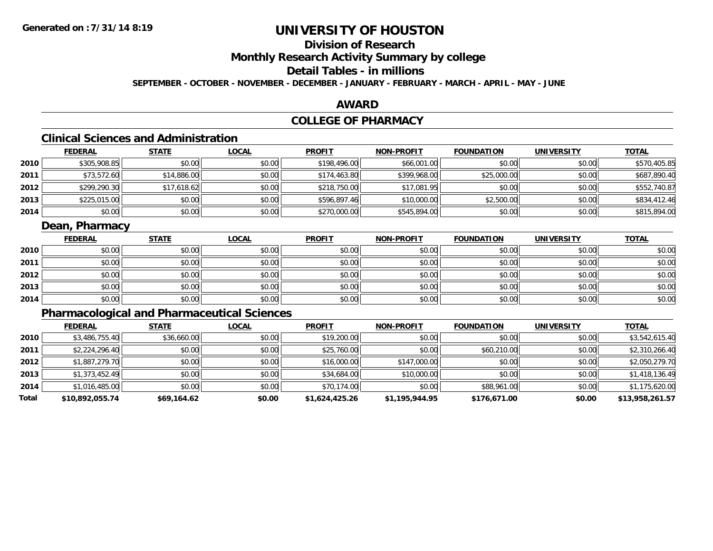### **Division of Research**

**Monthly Research Activity Summary by college**

### **Detail Tables - in millions**

**SEPTEMBER - OCTOBER - NOVEMBER - DECEMBER - JANUARY - FEBRUARY - MARCH - APRIL - MAY - JUNE**

#### **AWARD**

### **COLLEGE OF PHARMACY**

### **Clinical Sciences and Administration**

|      | <b>FEDERAL</b> | <b>STATE</b> | <u>LOCAL</u> | <b>PROFIT</b> | <b>NON-PROFIT</b> | <b>FOUNDATION</b> | <b>UNIVERSITY</b> | <u>TOTAL</u> |
|------|----------------|--------------|--------------|---------------|-------------------|-------------------|-------------------|--------------|
| 2010 | \$305,908.85   | \$0.00       | \$0.00       | \$198,496.00  | \$66,001.00       | \$0.00            | \$0.00            | \$570,405.85 |
| 2011 | \$73,572.60    | \$14,886.00  | \$0.00       | \$174,463.80  | \$399,968.00      | \$25,000.00       | \$0.00            | \$687,890.40 |
| 2012 | \$299,290.30   | \$17,618.62  | \$0.00       | \$218,750.00  | \$17,081.95       | \$0.00            | \$0.00            | \$552,740.87 |
| 2013 | \$225,015.00   | \$0.00       | \$0.00       | \$596,897.46  | \$10,000.00       | \$2,500.00        | \$0.00            | \$834,412.46 |
| 2014 | \$0.00         | \$0.00       | \$0.00       | \$270,000.00  | \$545,894.00      | \$0.00            | \$0.00            | \$815,894.00 |

#### **Dean, Pharmacy**

|      | <b>FEDERAL</b> | <b>STATE</b> | <u>LOCAL</u> | <b>PROFIT</b> | <b>NON-PROFIT</b> | <b>FOUNDATION</b> | <b>UNIVERSITY</b> | <b>TOTAL</b> |
|------|----------------|--------------|--------------|---------------|-------------------|-------------------|-------------------|--------------|
| 2010 | \$0.00         | \$0.00       | \$0.00       | \$0.00        | \$0.00            | \$0.00            | \$0.00            | \$0.00       |
| 2011 | \$0.00         | \$0.00       | \$0.00       | \$0.00        | \$0.00            | \$0.00            | \$0.00            | \$0.00       |
| 2012 | \$0.00         | \$0.00       | \$0.00       | \$0.00        | \$0.00            | \$0.00            | \$0.00            | \$0.00       |
| 2013 | \$0.00         | \$0.00       | \$0.00       | \$0.00        | \$0.00            | \$0.00            | \$0.00            | \$0.00       |
| 2014 | \$0.00         | \$0.00       | \$0.00       | \$0.00        | \$0.00            | \$0.00            | \$0.00            | \$0.00       |

### **Pharmacological and Pharmaceutical Sciences**

|       | <b>FEDERAL</b>  | <b>STATE</b> | <b>LOCAL</b> | <b>PROFIT</b>  | <b>NON-PROFIT</b> | <b>FOUNDATION</b> | <b>UNIVERSITY</b> | <u>TOTAL</u>    |
|-------|-----------------|--------------|--------------|----------------|-------------------|-------------------|-------------------|-----------------|
| 2010  | \$3,486,755.40  | \$36,660.00  | \$0.00       | \$19,200.00    | \$0.00            | \$0.00            | \$0.00            | \$3,542,615.40  |
| 2011  | \$2,224,296.40  | \$0.00       | \$0.00       | \$25,760.00    | \$0.00            | \$60,210.00       | \$0.00            | \$2,310,266.40  |
| 2012  | \$1,887,279.70  | \$0.00       | \$0.00       | \$16,000.00    | \$147,000.00      | \$0.00            | \$0.00            | \$2,050,279.70  |
| 2013  | \$1,373,452.49  | \$0.00       | \$0.00       | \$34,684.00    | \$10,000.00       | \$0.00            | \$0.00            | \$1,418,136.49  |
| 2014  | \$1,016,485.00  | \$0.00       | \$0.00       | \$70,174.00    | \$0.00            | \$88,961.00       | \$0.00            | \$1,175,620.00  |
| Total | \$10,892,055.74 | \$69,164.62  | \$0.00       | \$1,624,425.26 | \$1,195,944.95    | \$176,671.00      | \$0.00            | \$13,958,261.57 |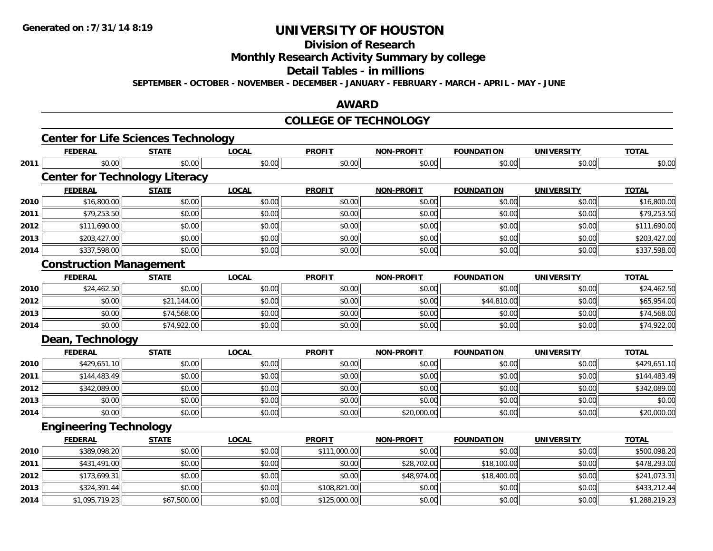### **Division of Research**

**Monthly Research Activity Summary by college**

#### **Detail Tables - in millions**

**SEPTEMBER - OCTOBER - NOVEMBER - DECEMBER - JANUARY - FEBRUARY - MARCH - APRIL - MAY - JUNE**

#### **AWARD**

#### **COLLEGE OF TECHNOLOGY**

|      | <b>Center for Life Sciences Technology</b> |              |              |               |                   |                   |                   |                |
|------|--------------------------------------------|--------------|--------------|---------------|-------------------|-------------------|-------------------|----------------|
|      | <b>FEDERAL</b>                             | <b>STATE</b> | <b>LOCAL</b> | <b>PROFIT</b> | <b>NON-PROFIT</b> | <b>FOUNDATION</b> | <b>UNIVERSITY</b> | <b>TOTAL</b>   |
| 2011 | \$0.00                                     | \$0.00       | \$0.00       | \$0.00        | \$0.00            | \$0.00            | \$0.00            | \$0.00         |
|      | <b>Center for Technology Literacy</b>      |              |              |               |                   |                   |                   |                |
|      | <b>FEDERAL</b>                             | <b>STATE</b> | <b>LOCAL</b> | <b>PROFIT</b> | <b>NON-PROFIT</b> | <b>FOUNDATION</b> | <b>UNIVERSITY</b> | <b>TOTAL</b>   |
| 2010 | \$16,800.00                                | \$0.00       | \$0.00       | \$0.00        | \$0.00            | \$0.00            | \$0.00            | \$16,800.00    |
| 2011 | \$79,253.50                                | \$0.00       | \$0.00       | \$0.00        | \$0.00            | \$0.00            | \$0.00            | \$79,253.50    |
| 2012 | \$111,690.00                               | \$0.00       | \$0.00       | \$0.00        | \$0.00            | \$0.00            | \$0.00            | \$111,690.00   |
| 2013 | \$203,427.00                               | \$0.00       | \$0.00       | \$0.00        | \$0.00            | \$0.00            | \$0.00            | \$203,427.00   |
| 2014 | \$337,598.00                               | \$0.00       | \$0.00       | \$0.00        | \$0.00            | \$0.00            | \$0.00            | \$337,598.00   |
|      | <b>Construction Management</b>             |              |              |               |                   |                   |                   |                |
|      | <b>FEDERAL</b>                             | <b>STATE</b> | <b>LOCAL</b> | <b>PROFIT</b> | <b>NON-PROFIT</b> | <b>FOUNDATION</b> | <b>UNIVERSITY</b> | <b>TOTAL</b>   |
| 2010 | \$24,462.50                                | \$0.00       | \$0.00       | \$0.00        | \$0.00            | \$0.00            | \$0.00            | \$24,462.50    |
| 2012 | \$0.00                                     | \$21,144.00  | \$0.00       | \$0.00        | \$0.00            | \$44,810.00       | \$0.00            | \$65,954.00    |
| 2013 | \$0.00                                     | \$74,568.00  | \$0.00       | \$0.00        | \$0.00            | \$0.00            | \$0.00            | \$74,568.00    |
| 2014 | \$0.00                                     | \$74,922.00  | \$0.00       | \$0.00        | \$0.00            | \$0.00            | \$0.00            | \$74,922.00    |
|      | Dean, Technology                           |              |              |               |                   |                   |                   |                |
|      | <b>FEDERAL</b>                             | <b>STATE</b> | <b>LOCAL</b> | <b>PROFIT</b> | <b>NON-PROFIT</b> | <b>FOUNDATION</b> | <b>UNIVERSITY</b> | <b>TOTAL</b>   |
| 2010 | \$429,651.10                               | \$0.00       | \$0.00       | \$0.00        | \$0.00            | \$0.00            | \$0.00            | \$429,651.10   |
| 2011 | \$144,483.49                               | \$0.00       | \$0.00       | \$0.00        | \$0.00            | \$0.00            | \$0.00            | \$144,483.49   |
| 2012 | \$342,089.00                               | \$0.00       | \$0.00       | \$0.00        | \$0.00            | \$0.00            | \$0.00            | \$342,089.00   |
| 2013 | \$0.00                                     | \$0.00       | \$0.00       | \$0.00        | \$0.00            | \$0.00            | \$0.00            | \$0.00         |
| 2014 | \$0.00                                     | \$0.00       | \$0.00       | \$0.00        | \$20,000.00       | \$0.00            | \$0.00            | \$20,000.00    |
|      | <b>Engineering Technology</b>              |              |              |               |                   |                   |                   |                |
|      | <b>FEDERAL</b>                             | <b>STATE</b> | <b>LOCAL</b> | <b>PROFIT</b> | <b>NON-PROFIT</b> | <b>FOUNDATION</b> | <b>UNIVERSITY</b> | <b>TOTAL</b>   |
| 2010 | \$389,098.20                               | \$0.00       | \$0.00       | \$111,000.00  | \$0.00            | \$0.00            | \$0.00            | \$500,098.20   |
| 2011 | \$431,491.00                               | \$0.00       | \$0.00       | \$0.00        | \$28,702.00       | \$18,100.00       | \$0.00            | \$478,293.00   |
| 2012 | \$173,699.31                               | \$0.00       | \$0.00       | \$0.00        | \$48,974.00       | \$18,400.00       | \$0.00            | \$241,073.31   |
| 2013 | \$324,391.44                               | \$0.00       | \$0.00       | \$108,821.00  | \$0.00            | \$0.00            | \$0.00            | \$433,212.44   |
| 2014 | \$1,095,719.23                             | \$67,500.00  | \$0.00       | \$125,000.00  | \$0.00            | \$0.00            | \$0.00            | \$1,288,219.23 |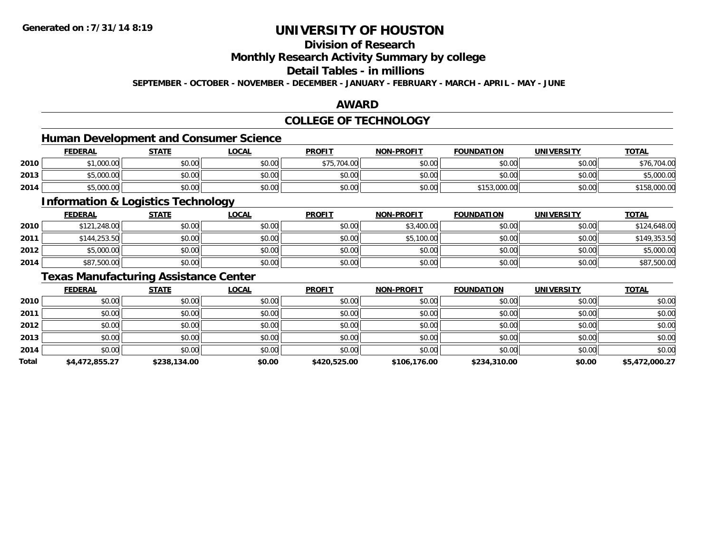### **Division of Research**

**Monthly Research Activity Summary by college**

### **Detail Tables - in millions**

**SEPTEMBER - OCTOBER - NOVEMBER - DECEMBER - JANUARY - FEBRUARY - MARCH - APRIL - MAY - JUNE**

#### **AWARD**

### **COLLEGE OF TECHNOLOGY**

### **Human Development and Consumer Science**

|      | <b>FEDERAL</b>                  | <b>STATE</b>   | <u>LOCAL</u>   | <b>PROFIT</b>                                      | <b>NON-PROFIT</b> | <b>FOUNDATION</b> | UNIVERSITY | <b>TOTAL</b>         |
|------|---------------------------------|----------------|----------------|----------------------------------------------------|-------------------|-------------------|------------|----------------------|
| 2010 | 1.000.00<br>L.UUU.UU            | ≮N UU<br>JU.UU | \$0.00         | \$75,704.00                                        | \$0.00            | \$0.00            | \$0.00     | <u>ດ 』 ດເ</u><br>-16 |
| 2013 | \$5,000.00                      | \$0.00         | ልስ ሰሰ<br>JU.UU | ≮N UU<br>JU.UU                                     | \$0.00            | \$0.00            | \$0.00     | 5,000.00             |
| 2014 | $E$ $0000$<br><b>DU.OUU, C¢</b> | \$0.00         | \$0.00         | $\mathsf{A}\cap\mathsf{A}\cap\mathsf{A}$<br>\$U.UU | \$0.00            | \$153,000.00      | \$0.00     | 158,000.00           |

<u> 1980 - Johann Stoff, deutscher Stoffen und der Stoffen und der Stoffen und der Stoffen und der Stoffen und der</u>

### **Information & Logistics Technology**

|      | <u>FEDERAL</u> | <b>STATE</b> | <u>LOCAL</u> | <b>PROFIT</b> | <b>NON-PROFIT</b> | <b>FOUNDATION</b> | <b>UNIVERSITY</b> | <b>TOTAL</b> |
|------|----------------|--------------|--------------|---------------|-------------------|-------------------|-------------------|--------------|
| 2010 | \$121,248.00   | \$0.00       | \$0.00       | \$0.00        | \$3,400.00        | \$0.00            | \$0.00            | \$124,648.00 |
| 2011 | \$144,253.50   | \$0.00       | \$0.00       | \$0.00        | \$5,100.00        | \$0.00            | \$0.00            | \$149,353.50 |
| 2012 | \$5,000.00     | \$0.00       | \$0.00       | \$0.00        | \$0.00            | \$0.00            | \$0.00            | \$5,000.00   |
| 2014 | \$87,500.00    | \$0.00       | \$0.00       | \$0.00        | \$0.00            | \$0.00            | \$0.00            | \$87,500.00  |

#### **Texas Manufacturing Assistance Center**

|       | <b>FEDERAL</b> | <b>STATE</b> | <b>LOCAL</b> | <b>PROFIT</b> | <b>NON-PROFIT</b> | <b>FOUNDATION</b> | <b>UNIVERSITY</b> | <b>TOTAL</b>   |
|-------|----------------|--------------|--------------|---------------|-------------------|-------------------|-------------------|----------------|
| 2010  | \$0.00         | \$0.00       | \$0.00       | \$0.00        | \$0.00            | \$0.00            | \$0.00            | \$0.00         |
| 2011  | \$0.00         | \$0.00       | \$0.00       | \$0.00        | \$0.00            | \$0.00            | \$0.00            | \$0.00         |
| 2012  | \$0.00         | \$0.00       | \$0.00       | \$0.00        | \$0.00            | \$0.00            | \$0.00            | \$0.00         |
| 2013  | \$0.00         | \$0.00       | \$0.00       | \$0.00        | \$0.00            | \$0.00            | \$0.00            | \$0.00         |
| 2014  | \$0.00         | \$0.00       | \$0.00       | \$0.00        | \$0.00            | \$0.00            | \$0.00            | \$0.00         |
| Total | \$4,472,855.27 | \$238,134.00 | \$0.00       | \$420,525.00  | \$106,176.00      | \$234,310.00      | \$0.00            | \$5,472,000.27 |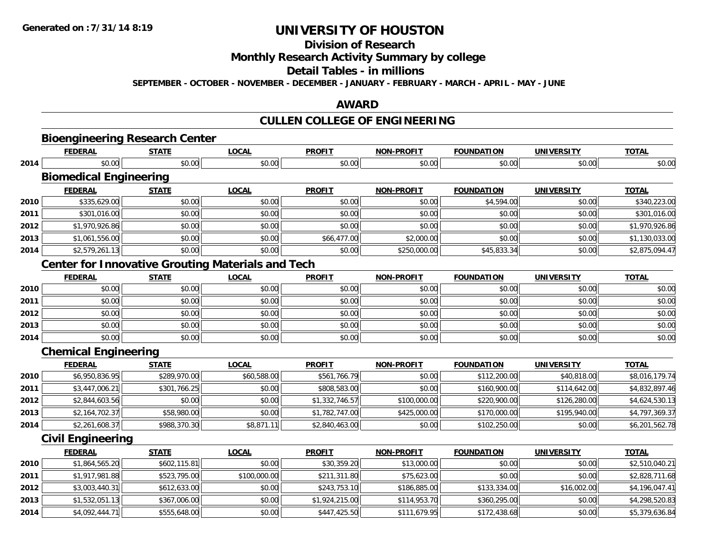**2014**

# **UNIVERSITY OF HOUSTON**

### **Division of Research**

**Monthly Research Activity Summary by college**

#### **Detail Tables - in millions**

**SEPTEMBER - OCTOBER - NOVEMBER - DECEMBER - JANUARY - FEBRUARY - MARCH - APRIL - MAY - JUNE**

#### **AWARD**

### **CULLEN COLLEGE OF ENGINEERING**

|      |                               | <b>Bioengineering Research Center</b> |                                                          |                |                   |                   |                   |                |
|------|-------------------------------|---------------------------------------|----------------------------------------------------------|----------------|-------------------|-------------------|-------------------|----------------|
|      | <b>FEDERAL</b>                | <b>STATE</b>                          | <b>LOCAL</b>                                             | <b>PROFIT</b>  | <b>NON-PROFIT</b> | <b>FOUNDATION</b> | <b>UNIVERSITY</b> | <b>TOTAL</b>   |
| 2014 | \$0.00                        | \$0.00                                | \$0.00                                                   | \$0.00         | \$0.00            | \$0.00            | \$0.00            | \$0.00         |
|      | <b>Biomedical Engineering</b> |                                       |                                                          |                |                   |                   |                   |                |
|      | <b>FEDERAL</b>                | <b>STATE</b>                          | <b>LOCAL</b>                                             | <b>PROFIT</b>  | <b>NON-PROFIT</b> | <b>FOUNDATION</b> | <b>UNIVERSITY</b> | <b>TOTAL</b>   |
| 2010 | \$335,629.00                  | \$0.00                                | \$0.00                                                   | \$0.00         | \$0.00            | \$4,594.00        | \$0.00            | \$340,223.00   |
| 2011 | \$301,016.00                  | \$0.00                                | \$0.00                                                   | \$0.00         | \$0.00            | \$0.00            | \$0.00            | \$301,016.00   |
| 2012 | \$1,970,926.86                | \$0.00                                | \$0.00                                                   | \$0.00         | \$0.00            | \$0.00            | \$0.00            | \$1,970,926.86 |
| 2013 | \$1,061,556.00                | \$0.00                                | \$0.00                                                   | \$66,477.00    | \$2,000.00        | \$0.00            | \$0.00            | \$1,130,033.00 |
| 2014 | \$2,579,261.13                | \$0.00                                | \$0.00                                                   | \$0.00         | \$250,000.00      | \$45,833.34       | \$0.00            | \$2,875,094.47 |
|      |                               |                                       | <b>Center for Innovative Grouting Materials and Tech</b> |                |                   |                   |                   |                |
|      | <b>FEDERAL</b>                | <b>STATE</b>                          | <b>LOCAL</b>                                             | <b>PROFIT</b>  | <b>NON-PROFIT</b> | <b>FOUNDATION</b> | <b>UNIVERSITY</b> | <b>TOTAL</b>   |
| 2010 | \$0.00                        | \$0.00                                | \$0.00                                                   | \$0.00         | \$0.00            | \$0.00            | \$0.00            | \$0.00         |
| 2011 | \$0.00                        | \$0.00                                | \$0.00                                                   | \$0.00         | \$0.00            | \$0.00            | \$0.00            | \$0.00         |
| 2012 | \$0.00                        | \$0.00                                | \$0.00                                                   | \$0.00         | \$0.00            | \$0.00            | \$0.00            | \$0.00         |
| 2013 | \$0.00                        | \$0.00                                | \$0.00                                                   | \$0.00         | \$0.00            | \$0.00            | \$0.00            | \$0.00         |
| 2014 | \$0.00                        | \$0.00                                | \$0.00                                                   | \$0.00         | \$0.00            | \$0.00            | \$0.00            | \$0.00         |
|      | <b>Chemical Engineering</b>   |                                       |                                                          |                |                   |                   |                   |                |
|      | <b>FEDERAL</b>                | <b>STATE</b>                          | <b>LOCAL</b>                                             | <b>PROFIT</b>  | <b>NON-PROFIT</b> | <b>FOUNDATION</b> | <b>UNIVERSITY</b> | <b>TOTAL</b>   |
| 2010 | \$6,950,836.95                | \$289,970.00                          | \$60,588.00                                              | \$561,766.79   | \$0.00            | \$112,200.00      | \$40,818.00       | \$8,016,179.74 |
| 2011 | \$3,447,006.21                | \$301,766.25                          | \$0.00                                                   | \$808,583.00   | \$0.00            | \$160,900.00      | \$114,642.00      | \$4,832,897.46 |
| 2012 | \$2,844,603.56                | \$0.00                                | \$0.00                                                   | \$1,332,746.57 | \$100,000.00      | \$220,900.00      | \$126,280.00      | \$4,624,530.13 |
| 2013 | \$2,164,702.37                | \$58,980.00                           | \$0.00                                                   | \$1,782,747.00 | \$425,000.00      | \$170,000.00      | \$195,940.00      | \$4,797,369.37 |
| 2014 | \$2,261,608.37                | \$988,370.30                          | \$8,871.11                                               | \$2,840,463.00 | \$0.00            | \$102,250.00      | \$0.00            | \$6,201,562.78 |
|      | <b>Civil Engineering</b>      |                                       |                                                          |                |                   |                   |                   |                |
|      | <b>FEDERAL</b>                | <b>STATE</b>                          | <b>LOCAL</b>                                             | <b>PROFIT</b>  | <b>NON-PROFIT</b> | <b>FOUNDATION</b> | <b>UNIVERSITY</b> | <b>TOTAL</b>   |
| 2010 | \$1,864,565.20                | \$602,115.81                          | \$0.00                                                   | \$30,359.20    | \$13,000.00       | \$0.00            | \$0.00            | \$2,510,040.21 |
| 2011 | \$1,917,981.88                | \$523,795.00                          | \$100,000.00                                             | \$211,311.80   | \$75,623.00       | \$0.00            | \$0.00            | \$2,828,711.68 |
| 2012 | \$3,003,440.31                | \$612,633.00                          | \$0.00                                                   | \$243,753.10   | \$186,885.00      | \$133,334.00      | \$16,002.00       | \$4,196,047.41 |
| 2013 | \$1,532,051.13                | \$367,006.00                          | \$0.00                                                   | \$1,924,215.00 | \$114,953.70      | \$360,295.00      | \$0.00            | \$4,298,520.83 |

4 \$4,092,444.71|| \$555,648.00|| \$0.00|| \$447,425.50|| \$111,679.95|| \$172,438.68|| \$0.00|| \$5,379,636.84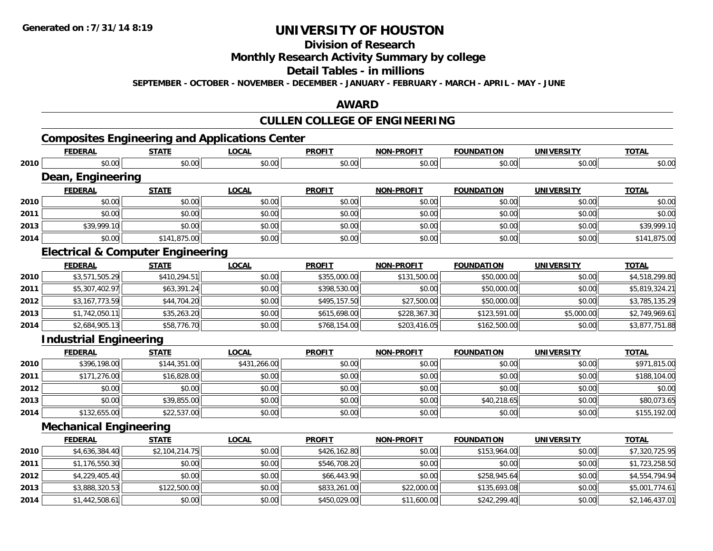### **Division of Research**

### **Monthly Research Activity Summary by college**

### **Detail Tables - in millions**

**SEPTEMBER - OCTOBER - NOVEMBER - DECEMBER - JANUARY - FEBRUARY - MARCH - APRIL - MAY - JUNE**

#### **AWARD**

### **CULLEN COLLEGE OF ENGINEERING**

### **Composites Engineering and Applications Center**

|      | <b>FEDERAL</b>                               | <b>STATE</b>   | <b>LOCAL</b> | <b>PROFIT</b> | <b>NON-PROFIT</b> | <b>FOUNDATION</b> | <b>UNIVERSITY</b> | <b>TOTAL</b>   |
|------|----------------------------------------------|----------------|--------------|---------------|-------------------|-------------------|-------------------|----------------|
| 2010 | \$0.00                                       | \$0.00         | \$0.00       | \$0.00        | \$0.00            | \$0.00            | \$0.00            | \$0.00         |
|      | Dean, Engineering                            |                |              |               |                   |                   |                   |                |
|      | <b>FEDERAL</b>                               | <b>STATE</b>   | <b>LOCAL</b> | <b>PROFIT</b> | <b>NON-PROFIT</b> | <b>FOUNDATION</b> | <b>UNIVERSITY</b> | <b>TOTAL</b>   |
| 2010 | \$0.00                                       | \$0.00         | \$0.00       | \$0.00        | \$0.00            | \$0.00            | \$0.00            | \$0.00         |
| 2011 | \$0.00                                       | \$0.00         | \$0.00       | \$0.00        | \$0.00            | \$0.00            | \$0.00            | \$0.00         |
| 2013 | \$39,999.10                                  | \$0.00         | \$0.00       | \$0.00        | \$0.00            | \$0.00            | \$0.00            | \$39,999.10    |
| 2014 | \$0.00                                       | \$141,875.00   | \$0.00       | \$0.00        | \$0.00            | \$0.00            | \$0.00            | \$141,875.00   |
|      | <b>Electrical &amp; Computer Engineering</b> |                |              |               |                   |                   |                   |                |
|      | <b>FEDERAL</b>                               | <b>STATE</b>   | <b>LOCAL</b> | <b>PROFIT</b> | <b>NON-PROFIT</b> | <b>FOUNDATION</b> | <b>UNIVERSITY</b> | <b>TOTAL</b>   |
| 2010 | \$3,571,505.29                               | \$410,294.51   | \$0.00       | \$355,000.00  | \$131,500.00      | \$50,000.00       | \$0.00            | \$4,518,299.80 |
| 2011 | \$5,307,402.97                               | \$63,391.24    | \$0.00       | \$398,530.00  | \$0.00            | \$50,000.00       | \$0.00            | \$5,819,324.21 |
| 2012 | \$3,167,773.59                               | \$44,704.20    | \$0.00       | \$495,157.50  | \$27,500.00       | \$50,000.00       | \$0.00            | \$3,785,135.29 |
| 2013 | \$1,742,050.11                               | \$35,263.20    | \$0.00       | \$615,698.00  | \$228,367.30      | \$123,591.00      | \$5,000.00        | \$2,749,969.61 |
| 2014 | \$2,684,905.13                               | \$58,776.70    | \$0.00       | \$768,154.00  | \$203,416.05      | \$162,500.00      | \$0.00            | \$3,877,751.88 |
|      | <b>Industrial Engineering</b>                |                |              |               |                   |                   |                   |                |
|      | <b>FEDERAL</b>                               | <b>STATE</b>   | <b>LOCAL</b> | <b>PROFIT</b> | <b>NON-PROFIT</b> | <b>FOUNDATION</b> | <b>UNIVERSITY</b> | <b>TOTAL</b>   |
| 2010 | \$396,198.00                                 | \$144,351.00   | \$431,266.00 | \$0.00        | \$0.00            | \$0.00            | \$0.00            | \$971,815.00   |
| 2011 | \$171,276.00                                 | \$16,828.00    | \$0.00       | \$0.00        | \$0.00            | \$0.00            | \$0.00            | \$188,104.00   |
| 2012 | \$0.00                                       | \$0.00         | \$0.00       | \$0.00        | \$0.00            | \$0.00            | \$0.00            | \$0.00         |
| 2013 | \$0.00                                       | \$39,855.00    | \$0.00       | \$0.00        | \$0.00            | \$40,218.65       | \$0.00            | \$80,073.65    |
| 2014 | \$132,655.00                                 | \$22,537.00    | \$0.00       | \$0.00        | \$0.00            | \$0.00            | \$0.00            | \$155,192.00   |
|      | <b>Mechanical Engineering</b>                |                |              |               |                   |                   |                   |                |
|      | <b>FEDERAL</b>                               | <b>STATE</b>   | <b>LOCAL</b> | <b>PROFIT</b> | <b>NON-PROFIT</b> | <b>FOUNDATION</b> | <b>UNIVERSITY</b> | <b>TOTAL</b>   |
| 2010 | \$4,636,384.40                               | \$2,104,214.75 | \$0.00       | \$426,162.80  | \$0.00            | \$153,964.00      | \$0.00            | \$7,320,725.95 |
| 2011 | \$1,176,550.30                               | \$0.00         | \$0.00       | \$546,708.20  | \$0.00            | \$0.00            | \$0.00            | \$1,723,258.50 |
| 2012 | \$4,229,405.40                               | \$0.00         | \$0.00       | \$66,443.90   | \$0.00            | \$258,945.64      | \$0.00            | \$4,554,794.94 |
| 2013 | \$3,888,320.53                               | \$122,500.00   | \$0.00       | \$833,261.00  | \$22,000.00       | \$135,693.08      | \$0.00            | \$5,001,774.61 |
| 2014 | \$1,442,508.61                               | \$0.00         | \$0.00       | \$450,029.00  | \$11,600.00       | \$242,299.40      | \$0.00            | \$2,146,437.01 |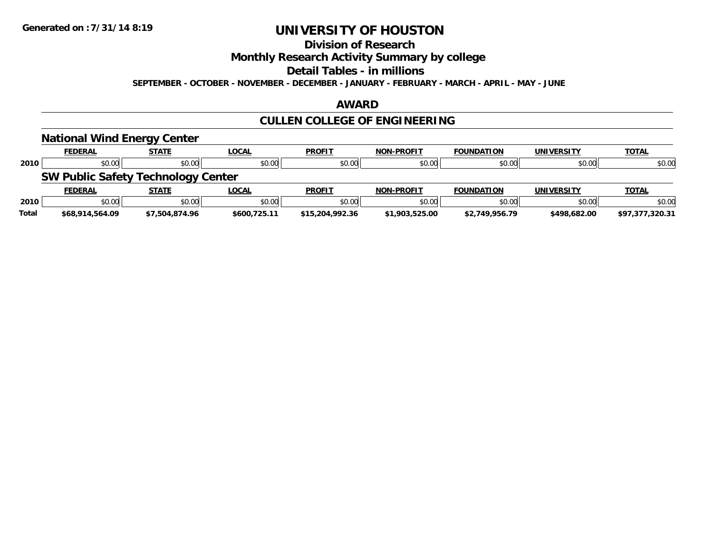### **Division of Research**

**Monthly Research Activity Summary by college**

**Detail Tables - in millions**

**SEPTEMBER - OCTOBER - NOVEMBER - DECEMBER - JANUARY - FEBRUARY - MARCH - APRIL - MAY - JUNE**

#### **AWARD**

### **CULLEN COLLEGE OF ENGINEERING**

#### **National Wind Energy Center FEDERAL STATE LOCAL PROFIT NON-PROFIT FOUNDATION UNIVERSITY TOTALTOTAL 2010** $\, \mathsf{D} \, | \,$   $\qquad \qquad \mathsf{80.00} | \,$   $\qquad \qquad \mathsf{80.00} | \,$   $\qquad \qquad \mathsf{80.00} | \,$   $\qquad \qquad \mathsf{80.00} | \,$   $\qquad \qquad \mathsf{80.00} | \,$   $\qquad \qquad \mathsf{80.00} | \,$   $\qquad \qquad \mathsf{80.00} |$ **SW Public Safety Technology Center FEDERAL STATE LOCAL PROFIT NON-PROFIT FOUNDATION UNIVERSITY TOTALTOTAL 2010** $\, \mathsf{D} \, | \,$   $\qquad \qquad \mathsf{80.00} | \,$   $\qquad \qquad \mathsf{80.00} | \,$   $\qquad \qquad \mathsf{80.00} | \,$   $\qquad \qquad \mathsf{80.00} | \,$   $\qquad \qquad \mathsf{80.00} | \,$   $\qquad \qquad \mathsf{80.00} | \,$   $\qquad \qquad \mathsf{80.00} |$ **Total\$68,914,564.09 \$7,504,874.96 \$600,725.11 \$15,204,992.36 \$1,903,525.00 \$2,749,956.79 \$498,682.00 \$97,377,320.31**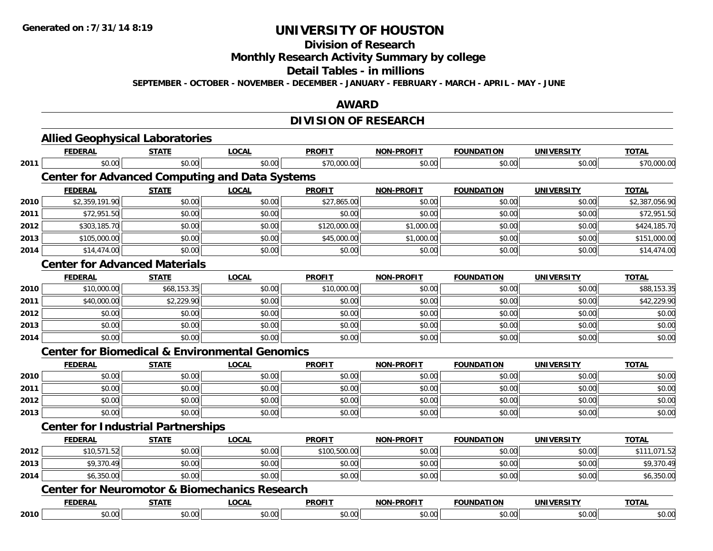#### **Division of Research**

**Monthly Research Activity Summary by college**

#### **Detail Tables - in millions**

**SEPTEMBER - OCTOBER - NOVEMBER - DECEMBER - JANUARY - FEBRUARY - MARCH - APRIL - MAY - JUNE**

#### **AWARD**

### **DIVISION OF RESEARCH**

|      | <b>Allied Geophysical Laboratories</b>                    |              |              |               |                   |                   |                   |                |  |  |
|------|-----------------------------------------------------------|--------------|--------------|---------------|-------------------|-------------------|-------------------|----------------|--|--|
|      | <b>FEDERAL</b>                                            | <b>STATE</b> | <b>LOCAL</b> | <b>PROFIT</b> | <b>NON-PROFIT</b> | <b>FOUNDATION</b> | <b>UNIVERSITY</b> | <b>TOTAL</b>   |  |  |
| 2011 | \$0.00                                                    | \$0.00       | \$0.00       | \$70,000.00   | \$0.00            | \$0.00            | \$0.00            | \$70,000.00    |  |  |
|      | <b>Center for Advanced Computing and Data Systems</b>     |              |              |               |                   |                   |                   |                |  |  |
|      | <b>FEDERAL</b>                                            | <b>STATE</b> | <b>LOCAL</b> | <b>PROFIT</b> | <b>NON-PROFIT</b> | <b>FOUNDATION</b> | <b>UNIVERSITY</b> | <b>TOTAL</b>   |  |  |
| 2010 | \$2,359,191.90                                            | \$0.00       | \$0.00       | \$27,865.00   | \$0.00            | \$0.00            | \$0.00            | \$2,387,056.90 |  |  |
| 2011 | \$72,951.50                                               | \$0.00       | \$0.00       | \$0.00        | \$0.00            | \$0.00            | \$0.00            | \$72,951.50    |  |  |
| 2012 | \$303,185.70                                              | \$0.00       | \$0.00       | \$120,000.00  | \$1,000.00        | \$0.00            | \$0.00            | \$424,185.70   |  |  |
| 2013 | \$105,000.00                                              | \$0.00       | \$0.00       | \$45,000.00   | \$1,000.00        | \$0.00            | \$0.00            | \$151,000.00   |  |  |
| 2014 | \$14,474.00                                               | \$0.00       | \$0.00       | \$0.00        | \$0.00            | \$0.00            | \$0.00            | \$14,474.00    |  |  |
|      | <b>Center for Advanced Materials</b>                      |              |              |               |                   |                   |                   |                |  |  |
|      | <b>FEDERAL</b>                                            | <b>STATE</b> | <b>LOCAL</b> | <b>PROFIT</b> | <b>NON-PROFIT</b> | <b>FOUNDATION</b> | <b>UNIVERSITY</b> | <b>TOTAL</b>   |  |  |
| 2010 | \$10,000.00                                               | \$68,153.35  | \$0.00       | \$10,000.00   | \$0.00            | \$0.00            | \$0.00            | \$88,153.35    |  |  |
| 2011 | \$40,000.00                                               | \$2,229.90   | \$0.00       | \$0.00        | \$0.00            | \$0.00            | \$0.00            | \$42,229.90    |  |  |
| 2012 | \$0.00                                                    | \$0.00       | \$0.00       | \$0.00        | \$0.00            | \$0.00            | \$0.00            | \$0.00         |  |  |
| 2013 | \$0.00                                                    | \$0.00       | \$0.00       | \$0.00        | \$0.00            | \$0.00            | \$0.00            | \$0.00         |  |  |
| 2014 | \$0.00                                                    | \$0.00       | \$0.00       | \$0.00        | \$0.00            | \$0.00            | \$0.00            | \$0.00         |  |  |
|      | <b>Center for Biomedical &amp; Environmental Genomics</b> |              |              |               |                   |                   |                   |                |  |  |
|      | <b>FEDERAL</b>                                            | <b>STATE</b> | <b>LOCAL</b> | <b>PROFIT</b> | <b>NON-PROFIT</b> | <b>FOUNDATION</b> | <b>UNIVERSITY</b> | <b>TOTAL</b>   |  |  |
| 2010 | \$0.00                                                    | \$0.00       | \$0.00       | \$0.00        | \$0.00            | \$0.00            | \$0.00            | \$0.00         |  |  |
| 2011 | \$0.00                                                    | \$0.00       | \$0.00       | \$0.00        | \$0.00            | \$0.00            | \$0.00            | \$0.00         |  |  |
| 2012 | \$0.00                                                    | \$0.00       | \$0.00       | \$0.00        | \$0.00            | \$0.00            | \$0.00            | \$0.00         |  |  |
| 2013 | \$0.00                                                    | \$0.00       | \$0.00       | \$0.00        | \$0.00            | \$0.00            | \$0.00            | \$0.00         |  |  |
|      | <b>Center for Industrial Partnerships</b>                 |              |              |               |                   |                   |                   |                |  |  |
|      | <b>FEDERAL</b>                                            | <b>STATE</b> | <b>LOCAL</b> | <b>PROFIT</b> | <b>NON-PROFIT</b> | <b>FOUNDATION</b> | <b>UNIVERSITY</b> | <b>TOTAL</b>   |  |  |
| 2012 | \$10,571.52                                               | \$0.00       | \$0.00       | \$100,500.00  | \$0.00            | \$0.00            | \$0.00            | \$111,071.52   |  |  |
| 2013 | \$9,370.49                                                | \$0.00       | \$0.00       | \$0.00        | \$0.00            | \$0.00            | \$0.00            | \$9,370.49     |  |  |
| 2014 | \$6,350.00                                                | \$0.00       | \$0.00       | \$0.00        | \$0.00            | \$0.00            | \$0.00            | \$6,350.00     |  |  |
|      | <b>Center for Neuromotor &amp; Biomechanics Research</b>  |              |              |               |                   |                   |                   |                |  |  |
|      | <b>FEDERAL</b>                                            | <b>STATE</b> | <b>LOCAL</b> | <b>PROFIT</b> | <b>NON-PROFIT</b> | <b>FOUNDATION</b> | <b>UNIVERSITY</b> | <b>TOTAL</b>   |  |  |
| 2010 | \$0.00                                                    | \$0.00       | \$0.00       | \$0.00        | \$0.00            | \$0.00            | \$0.00            | \$0.00         |  |  |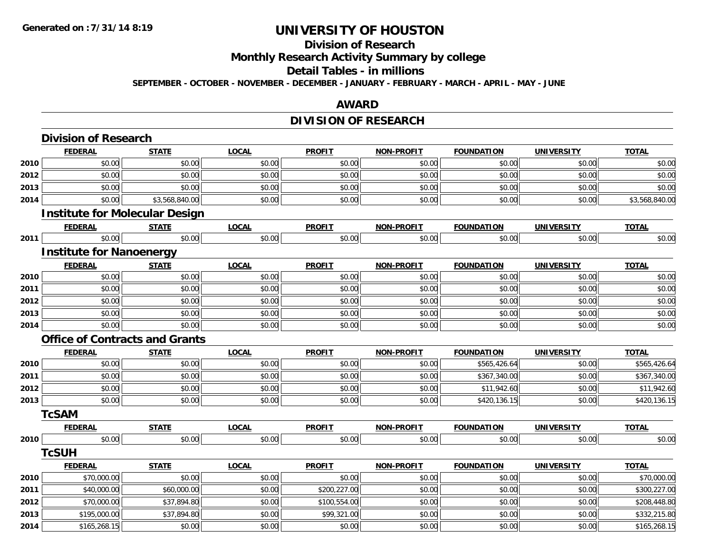### **Division of Research**

**Monthly Research Activity Summary by college**

#### **Detail Tables - in millions**

**SEPTEMBER - OCTOBER - NOVEMBER - DECEMBER - JANUARY - FEBRUARY - MARCH - APRIL - MAY - JUNE**

#### **AWARD**

### **DIVISION OF RESEARCH**

|      | <b>Division of Research</b>           |                |              |               |                   |                   |                   |                |
|------|---------------------------------------|----------------|--------------|---------------|-------------------|-------------------|-------------------|----------------|
|      | <b>FEDERAL</b>                        | <b>STATE</b>   | <b>LOCAL</b> | <b>PROFIT</b> | <b>NON-PROFIT</b> | <b>FOUNDATION</b> | <b>UNIVERSITY</b> | <b>TOTAL</b>   |
| 2010 | \$0.00                                | \$0.00         | \$0.00       | \$0.00        | \$0.00            | \$0.00            | \$0.00            | \$0.00         |
| 2012 | \$0.00                                | \$0.00         | \$0.00       | \$0.00        | \$0.00            | \$0.00            | \$0.00            | \$0.00         |
| 2013 | \$0.00                                | \$0.00         | \$0.00       | \$0.00        | \$0.00            | \$0.00            | \$0.00            | \$0.00         |
| 2014 | \$0.00                                | \$3,568,840.00 | \$0.00       | \$0.00        | \$0.00            | \$0.00            | \$0.00            | \$3,568,840.00 |
|      | <b>Institute for Molecular Design</b> |                |              |               |                   |                   |                   |                |
|      | <b>FEDERAL</b>                        | <b>STATE</b>   | <b>LOCAL</b> | <b>PROFIT</b> | <b>NON-PROFIT</b> | <b>FOUNDATION</b> | <b>UNIVERSITY</b> | <b>TOTAL</b>   |
| 2011 | \$0.00                                | \$0.00         | \$0.00       | \$0.00        | \$0.00            | \$0.00            | \$0.00            | \$0.00         |
|      | <b>Institute for Nanoenergy</b>       |                |              |               |                   |                   |                   |                |
|      | <b>FEDERAL</b>                        | <b>STATE</b>   | <b>LOCAL</b> | <b>PROFIT</b> | NON-PROFIT        | <b>FOUNDATION</b> | <b>UNIVERSITY</b> | <b>TOTAL</b>   |
| 2010 | \$0.00                                | \$0.00         | \$0.00       | \$0.00        | \$0.00            | \$0.00            | \$0.00            | \$0.00         |
| 2011 | \$0.00                                | \$0.00         | \$0.00       | \$0.00        | \$0.00            | \$0.00            | \$0.00            | \$0.00         |
| 2012 | \$0.00                                | \$0.00         | \$0.00       | \$0.00        | \$0.00            | \$0.00            | \$0.00            | \$0.00         |
| 2013 | \$0.00                                | \$0.00         | \$0.00       | \$0.00        | \$0.00            | \$0.00            | \$0.00            | \$0.00         |
| 2014 | \$0.00                                | \$0.00         | \$0.00       | \$0.00        | \$0.00            | \$0.00            | \$0.00            | \$0.00         |
|      | <b>Office of Contracts and Grants</b> |                |              |               |                   |                   |                   |                |
|      | <b>FEDERAL</b>                        | <b>STATE</b>   | <b>LOCAL</b> | <b>PROFIT</b> | NON-PROFIT        | <b>FOUNDATION</b> | <b>UNIVERSITY</b> | <b>TOTAL</b>   |
| 2010 | \$0.00                                | \$0.00         | \$0.00       | \$0.00        | \$0.00            | \$565,426.64      | \$0.00            | \$565,426.64   |
| 2011 | \$0.00                                | \$0.00         | \$0.00       | \$0.00        | \$0.00            | \$367,340.00      | \$0.00            | \$367,340.00   |
| 2012 | \$0.00                                | \$0.00         | \$0.00       | \$0.00        | \$0.00            | \$11,942.60       | \$0.00            | \$11,942.60    |
| 2013 | \$0.00                                | \$0.00         | \$0.00       | \$0.00        | \$0.00            | \$420,136.15      | \$0.00            | \$420,136.15   |
|      | <b>TcSAM</b>                          |                |              |               |                   |                   |                   |                |
|      | <b>FEDERAL</b>                        | <b>STATE</b>   | <b>LOCAL</b> | <b>PROFIT</b> | <b>NON-PROFIT</b> | <b>FOUNDATION</b> | <b>UNIVERSITY</b> | <b>TOTAL</b>   |
| 2010 | \$0.00                                | \$0.00         | \$0.00       | \$0.00        | \$0.00            | \$0.00            | \$0.00            | \$0.00         |
|      | <b>TcSUH</b>                          |                |              |               |                   |                   |                   |                |
|      | <b>FEDERAL</b>                        | <b>STATE</b>   | <b>LOCAL</b> | <b>PROFIT</b> | NON-PROFIT        | <b>FOUNDATION</b> | <b>UNIVERSITY</b> | <b>TOTAL</b>   |
| 2010 | \$70,000.00                           | \$0.00         | \$0.00       | \$0.00        | \$0.00            | \$0.00            | \$0.00            | \$70,000.00    |
| 2011 | \$40,000.00                           | \$60,000.00    | \$0.00       | \$200,227.00  | \$0.00            | \$0.00            | \$0.00            | \$300,227.00   |
| 2012 | \$70,000.00                           | \$37,894.80    | \$0.00       | \$100,554.00  | \$0.00            | \$0.00            | \$0.00            | \$208,448.80   |
| 2013 | \$195,000.00                          | \$37,894.80    | \$0.00       | \$99,321.00   | \$0.00            | \$0.00            | \$0.00            | \$332,215.80   |
| 2014 | \$165,268.15                          | \$0.00         | \$0.00       | \$0.00        | \$0.00            | \$0.00            | \$0.00            | \$165,268.15   |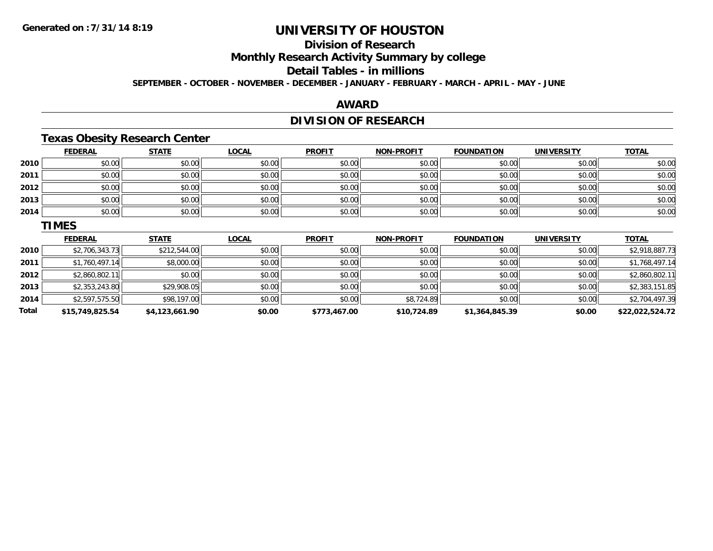### **Division of Research**

**Monthly Research Activity Summary by college**

#### **Detail Tables - in millions**

**SEPTEMBER - OCTOBER - NOVEMBER - DECEMBER - JANUARY - FEBRUARY - MARCH - APRIL - MAY - JUNE**

#### **AWARD**

### **DIVISION OF RESEARCH**

### **Texas Obesity Research Center**

|      | <b>FEDERAL</b> | <b>STATE</b> | <b>LOCAL</b> | <b>PROFIT</b> | <b>NON-PROFIT</b> | <b>FOUNDATION</b> | <b>UNIVERSITY</b> | <b>TOTAL</b>   |
|------|----------------|--------------|--------------|---------------|-------------------|-------------------|-------------------|----------------|
| 2010 | \$0.00         | \$0.00       | \$0.00       | \$0.00        | \$0.00            | \$0.00            | \$0.00            | \$0.00         |
| 2011 | \$0.00         | \$0.00       | \$0.00       | \$0.00        | \$0.00            | \$0.00            | \$0.00            | \$0.00         |
| 2012 | \$0.00         | \$0.00       | \$0.00       | \$0.00        | \$0.00            | \$0.00            | \$0.00            | \$0.00         |
| 2013 | \$0.00         | \$0.00       | \$0.00       | \$0.00        | \$0.00            | \$0.00            | \$0.00            | \$0.00         |
| 2014 | \$0.00         | \$0.00       | \$0.00       | \$0.00        | \$0.00            | \$0.00            | \$0.00            | \$0.00         |
|      | <b>TIMES</b>   |              |              |               |                   |                   |                   |                |
|      | <b>FEDERAL</b> | <b>STATE</b> | <b>LOCAL</b> | <b>PROFIT</b> | <b>NON-PROFIT</b> | <b>FOUNDATION</b> | <b>UNIVERSITY</b> | <b>TOTAL</b>   |
| 2010 | \$2,706,343.73 | \$212,544.00 | \$0.00       | \$0.00        | \$0.00            | \$0.00            | \$0.00            | \$2,918,887.73 |
|      |                |              |              |               |                   |                   |                   |                |

| <b>Total</b> | \$15,749,825.54                 | \$4,123,661.90            | \$0.00       | \$773,467.00 | \$10,724.89  | \$1,364,845.39 | \$0.00        | \$22,022,524.72                   |
|--------------|---------------------------------|---------------------------|--------------|--------------|--------------|----------------|---------------|-----------------------------------|
| 2014         | \$2,597,575.50                  | \$98,197.00               | \$0.00       | \$0.00       | \$8,724.89   | \$0.00         | \$0.00        | \$2,704,497.39                    |
| 2013         | \$2,353,243.80                  | \$29,908.05               | \$0.00       | \$0.00       | \$0.00       | \$0.00         | \$0.00        | \$2,383,151.85                    |
| 2012         | \$2,860,802.11                  | \$0.00                    | \$0.00       | \$0.00       | \$0.00       | \$0.00         | \$0.00        | \$2,860,802.11                    |
| 2011         | \$1,760,497.14                  | \$8,000.00                | \$0.00       | \$0.00       | \$0.00       | \$0.00         | \$0.00        | \$1,768,497.14                    |
| ----         | $V = 1.7$ $V = 10.7$ $V = 10.7$ | $V = I - I V I I V V I I$ | <b>vv.vv</b> | <b>vv.vv</b> | <b>vv.vv</b> | <b>vv.vv</b>   | <b>vv.vv.</b> | $V = 1$ , $V = 1000$ , $V = 1000$ |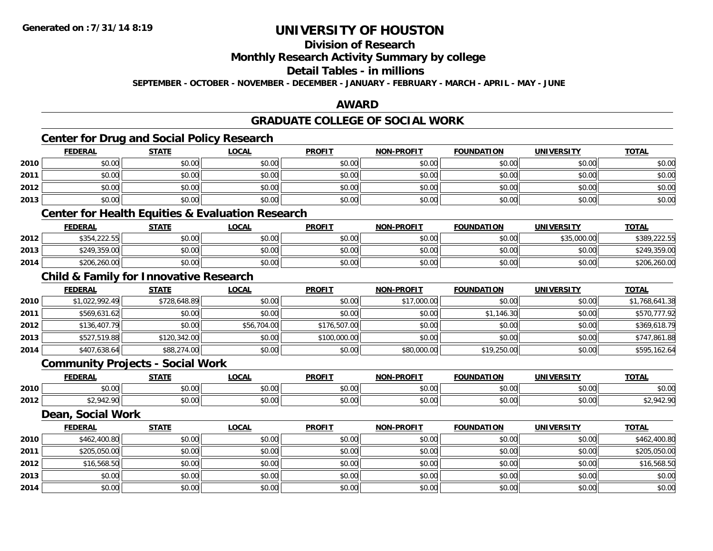### **Division of Research**

#### **Monthly Research Activity Summary by college**

#### **Detail Tables - in millions**

**SEPTEMBER - OCTOBER - NOVEMBER - DECEMBER - JANUARY - FEBRUARY - MARCH - APRIL - MAY - JUNE**

#### **AWARD**

### **GRADUATE COLLEGE OF SOCIAL WORK**

### **Center for Drug and Social Policy Research**

|      | <b>FEDERAL</b> | <b>STATE</b> | <b>LOCAL</b>                                                | <b>PROFIT</b> | <b>NON-PROFIT</b> | <b>FOUNDATION</b> | <b>UNIVERSITY</b> | <b>TOTAL</b> |
|------|----------------|--------------|-------------------------------------------------------------|---------------|-------------------|-------------------|-------------------|--------------|
| 2010 | \$0.00         | \$0.00       | \$0.00                                                      | \$0.00        | \$0.00            | \$0.00            | \$0.00            | \$0.00       |
| 2011 | \$0.00         | \$0.00       | \$0.00                                                      | \$0.00        | \$0.00            | \$0.00            | \$0.00            | \$0.00       |
| 2012 | \$0.00         | \$0.00       | \$0.00                                                      | \$0.00        | \$0.00            | \$0.00            | \$0.00            | \$0.00       |
| 2013 | \$0.00         | \$0.00       | \$0.00                                                      | \$0.00        | \$0.00            | \$0.00            | \$0.00            | \$0.00       |
|      |                |              | <b>Center for Health Equities &amp; Evaluation Research</b> |               |                   |                   |                   |              |
|      | <b>FEDERAL</b> | <b>STATE</b> | <b>LOCAL</b>                                                | <b>PROFIT</b> | <b>NON-PROFIT</b> | <b>FOUNDATION</b> | <b>UNIVERSITY</b> | <b>TOTAL</b> |
| 2012 | \$354,222.55   | \$0.00       | \$0.00                                                      | \$0.00        | \$0.00            | \$0.00            | \$35,000,00       | \$389,222.55 |

| 2012 | 42542225<br>\$354,222.55 | \$0.00 | \$0.00 | \$0.00 | 0000<br>DU.UU | \$0.00 | \$35,000.00 | \$389,222.55     |
|------|--------------------------|--------|--------|--------|---------------|--------|-------------|------------------|
| 2013 | \$249,359.00             | \$0.00 | \$0.00 | \$0.00 | 0000<br>DU.UG | \$0.00 | \$0.00      | .359.00<br>\$249 |
| 2014 | \$206,260.00             | \$0.00 | \$0.00 | \$0.00 | \$0.00        | \$0.00 | \$0.00      | \$206,260.00     |

### **Child & Family for Innovative Research**

|      | <b>FEDERAL</b> | <b>STATE</b> | <u>LOCAL</u> | <b>PROFIT</b> | <b>NON-PROFIT</b> | <b>FOUNDATION</b> | UNIVERSITY | <b>TOTAL</b>   |
|------|----------------|--------------|--------------|---------------|-------------------|-------------------|------------|----------------|
| 2010 | \$1,022,992.49 | \$728,648.89 | \$0.00       | \$0.00        | \$17,000.00       | \$0.00            | \$0.00     | \$1,768,641.38 |
| 2011 | \$569,631.62   | \$0.00       | \$0.00       | \$0.00        | \$0.00            | \$1,146.30        | \$0.00     | \$570,777.92   |
| 2012 | \$136,407.79   | \$0.00       | \$56,704.00  | \$176,507.00  | \$0.00            | \$0.00            | \$0.00     | \$369,618.79   |
| 2013 | \$527,519.88   | \$120,342.00 | \$0.00       | \$100,000.00  | \$0.00            | \$0.00            | \$0.00     | \$747,861.88   |
| 2014 | \$407,638.64   | \$88,274.00  | \$0.00       | \$0.00        | \$80,000.00       | \$19,250.00       | \$0.00     | \$595,162.64   |

#### **Community Projects - Social Work**

|      | <b>FEDERAI</b> | <b>STATE</b>       | 0 <sub>n</sub><br>. Uuh. | <b>PROFIT</b> | <b>DDAFI7</b>                   | <b>FOUNDATION</b> | -801-81       | <b>TOTA</b>             |
|------|----------------|--------------------|--------------------------|---------------|---------------------------------|-------------------|---------------|-------------------------|
| 2010 | 0000<br>JU.UU! | $\sim$ 00<br>vv.vv | $\sim$ 00<br>vu.vu       | \$0.00        | $\theta \cap \theta^*$<br>vu.uu | 0000<br>JU.UU     | 0.00<br>JU.UU | 0000<br>PO.OO           |
| 2012 |                | 0000<br>vv.vv      | $\sim$ 00<br>งง.บบ       | \$0.00        | \$0.00                          | 0000<br>vv.vv     | 0000<br>JU.UU | חם כו<br>. TZ.<br>، ۔ ، |

#### **Dean, Social Work**

|      | <b>FEDERAL</b> | <b>STATE</b> | <b>LOCAL</b> | <b>PROFIT</b> | <b>NON-PROFIT</b> | <b>FOUNDATION</b> | <b>UNIVERSITY</b> | <b>TOTAL</b> |
|------|----------------|--------------|--------------|---------------|-------------------|-------------------|-------------------|--------------|
| 2010 | \$462,400.80   | \$0.00       | \$0.00       | \$0.00        | \$0.00            | \$0.00            | \$0.00            | \$462,400.80 |
| 2011 | \$205,050.00   | \$0.00       | \$0.00       | \$0.00        | \$0.00            | \$0.00            | \$0.00            | \$205,050.00 |
| 2012 | \$16,568.50    | \$0.00       | \$0.00       | \$0.00        | \$0.00            | \$0.00            | \$0.00            | \$16,568.50  |
| 2013 | \$0.00         | \$0.00       | \$0.00       | \$0.00        | \$0.00            | \$0.00            | \$0.00            | \$0.00       |
| 2014 | \$0.00         | \$0.00       | \$0.00       | \$0.00        | \$0.00            | \$0.00            | \$0.00            | \$0.00       |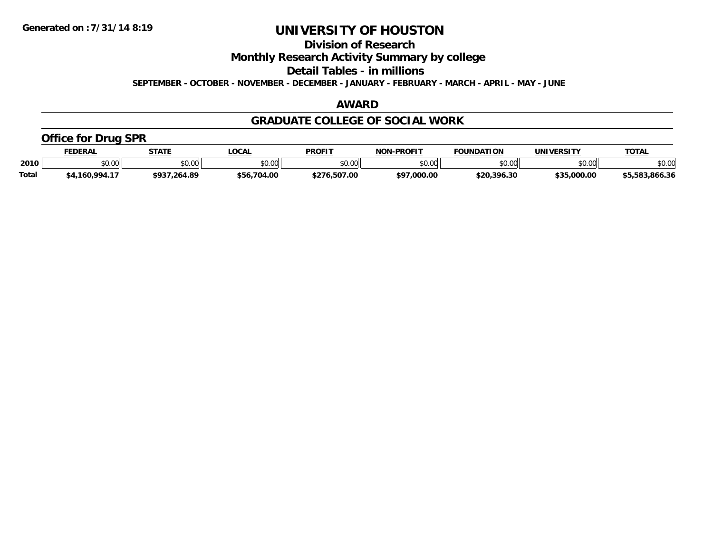**Division of Research**

**Monthly Research Activity Summary by college**

**Detail Tables - in millions**

**SEPTEMBER - OCTOBER - NOVEMBER - DECEMBER - JANUARY - FEBRUARY - MARCH - APRIL - MAY - JUNE**

#### **AWARD**

#### **GRADUATE COLLEGE OF SOCIAL WORK**

### **Office for Drug SPR**

|       | <b>EDERAL</b> | <b>STATE</b>          | <b>.OCAL</b>  | <b>PROFIT</b>     | <b>NON-PROFIT</b> | <b>FOUNDATION</b>          | <b>UNIVERSITY</b> | <b>TOTAL</b>   |
|-------|---------------|-----------------------|---------------|-------------------|-------------------|----------------------------|-------------------|----------------|
| 2010  | \$0.00        | 40.00<br><b>DU.UU</b> | 0000<br>vv.vv | \$0.00            | 60.00<br>\$U.UU   | $*$ $\cap$ $\cap$<br>JU.UU | \$0.00            | \$0.00         |
| Total | .160.994.1    | \$937.264.89          | \$56,704.00   | /6.507.00<br>よつフん | \$97,000.00       | \$20.396.30                | \$35,000.00       | \$5,583,866.36 |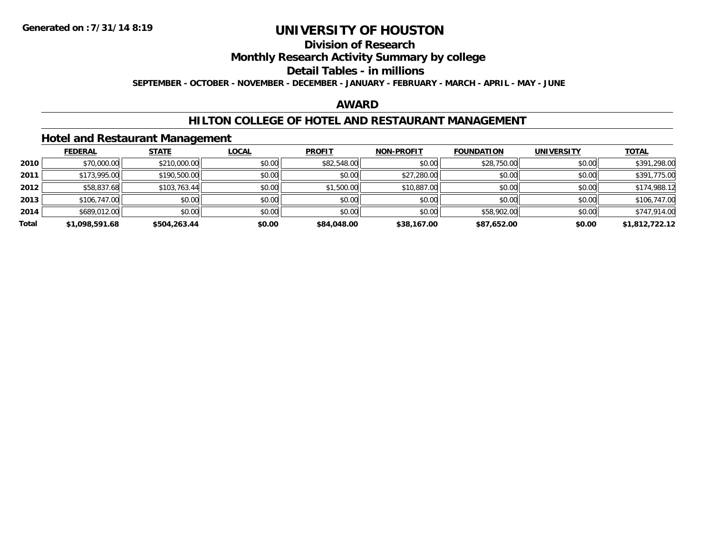### **Division of Research**

### **Monthly Research Activity Summary by college**

#### **Detail Tables - in millions**

**SEPTEMBER - OCTOBER - NOVEMBER - DECEMBER - JANUARY - FEBRUARY - MARCH - APRIL - MAY - JUNE**

#### **AWARD**

#### **HILTON COLLEGE OF HOTEL AND RESTAURANT MANAGEMENT**

#### **Hotel and Restaurant Management**

|       | <b>FEDERAL</b> | <b>STATE</b> | <u>LOCAL</u> | <b>PROFIT</b> | <b>NON-PROFIT</b> | <b>FOUNDATION</b> | <b>UNIVERSITY</b> | <b>TOTAL</b>   |
|-------|----------------|--------------|--------------|---------------|-------------------|-------------------|-------------------|----------------|
| 2010  | \$70,000.00    | \$210,000.00 | \$0.00       | \$82,548.00   | \$0.00            | \$28,750.00       | \$0.00            | \$391,298.00   |
| 2011  | \$173,995.00   | \$190,500.00 | \$0.00       | \$0.00        | \$27,280.00       | \$0.00            | \$0.00            | \$391,775.00   |
| 2012  | \$58,837.68    | \$103,763.44 | \$0.00       | \$1,500.00    | \$10,887.00       | \$0.00            | \$0.00            | \$174,988.12   |
| 2013  | \$106,747.00   | \$0.00       | \$0.00       | \$0.00        | \$0.00            | \$0.00            | \$0.00            | \$106,747.00   |
| 2014  | \$689,012.00   | \$0.00       | \$0.00       | \$0.00        | \$0.00            | \$58,902.00       | \$0.00            | \$747,914.00   |
| Total | \$1,098,591.68 | \$504,263.44 | \$0.00       | \$84,048,00   | \$38,167.00       | \$87,652.00       | \$0.00            | \$1,812,722.12 |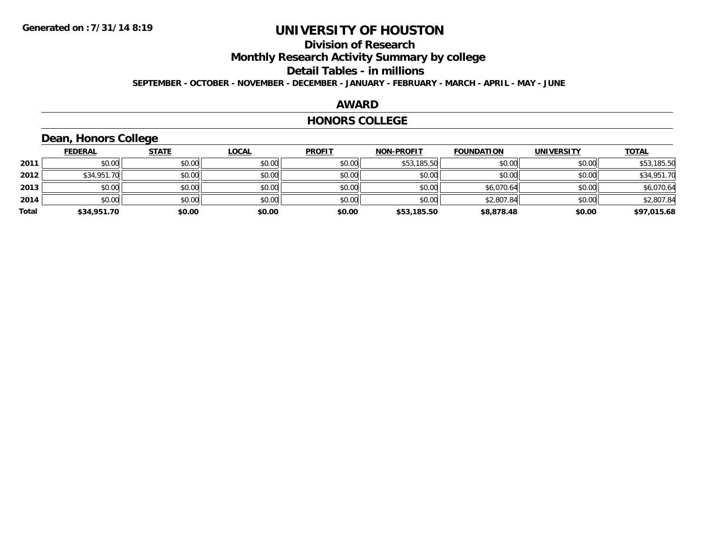### **Division of Research**

**Monthly Research Activity Summary by college**

#### **Detail Tables - in millions**

**SEPTEMBER - OCTOBER - NOVEMBER - DECEMBER - JANUARY - FEBRUARY - MARCH - APRIL - MAY - JUNE**

#### **AWARD**

#### **HONORS COLLEGE**

### **Dean, Honors College**

|       | <b>FEDERAL</b> | <b>STATE</b> | <u>LOCAL</u> | <b>PROFIT</b> | <b>NON-PROFIT</b> | <b>FOUNDATION</b> | <b>UNIVERSITY</b> | <b>TOTAL</b> |
|-------|----------------|--------------|--------------|---------------|-------------------|-------------------|-------------------|--------------|
| 2011  | \$0.00         | \$0.00       | \$0.00       | \$0.00        | \$53,185.50       | \$0.00            | \$0.00            | \$53,185.50  |
| 2012  | \$34,951.70    | \$0.00       | \$0.00       | \$0.00        | \$0.00            | \$0.00            | \$0.00            | \$34,951.70  |
| 2013  | \$0.00         | \$0.00       | \$0.00       | \$0.00        | \$0.00            | \$6,070.64        | \$0.00            | \$6,070.64   |
| 2014  | \$0.00         | \$0.00       | \$0.00       | \$0.00        | \$0.00            | \$2,807.84        | \$0.00            | \$2,807.84   |
| Total | \$34,951.70    | \$0.00       | \$0.00       | \$0.00        | \$53,185.50       | \$8,878.48        | \$0.00            | \$97,015.68  |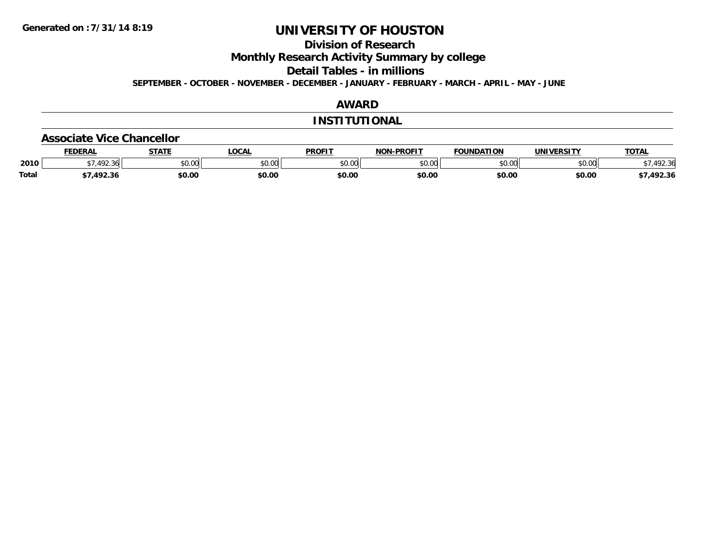**Division of Research**

**Monthly Research Activity Summary by college**

**Detail Tables - in millions**

**SEPTEMBER - OCTOBER - NOVEMBER - DECEMBER - JANUARY - FEBRUARY - MARCH - APRIL - MAY - JUNE**

### **AWARD**

#### **INSTITUTIONAL**

#### **Associate Vice Chancellor**

|              | <b>FEDERAL</b>       | <b>STATE</b>   | <b>LOCAL</b> | <b>PROFIT</b>                                       | <b>NON-PROFIT</b> | FOUNDATION    | UNIVERSITY    | <b>TOTAL</b>         |
|--------------|----------------------|----------------|--------------|-----------------------------------------------------|-------------------|---------------|---------------|----------------------|
| 2010         | $\sqrt{2}$<br>$\sim$ | nn on<br>DU.UG | \$0.00       | $\uparrow$ $\uparrow$ $\uparrow$ $\uparrow$<br>vv.v | 0000<br>งบ.บบ     | 0000<br>JU.UU | 0000<br>JU.UU | 102.21<br>՝<br>72.30 |
| <b>Total</b> | יכנטו<br>92.St       | \$0.00         | \$0.00       | \$0.00                                              | \$0.00            | \$0.00        | \$0.00        | .492.36              |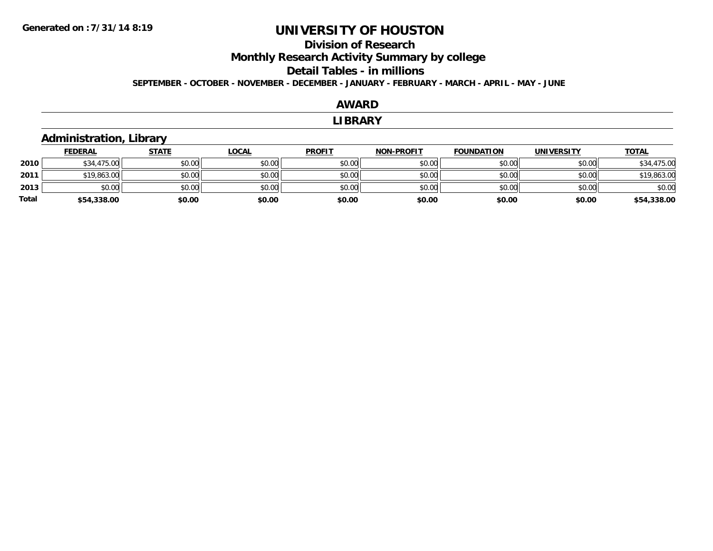# **Division of ResearchMonthly Research Activity Summary by college Detail Tables - in millions**

**SEPTEMBER - OCTOBER - NOVEMBER - DECEMBER - JANUARY - FEBRUARY - MARCH - APRIL - MAY - JUNE**

# **AWARD**

#### **LIBRARY**

### **Administration, Library**

|              | <b>FEDERAL</b> | <b>STATE</b> | <b>LOCAL</b> | <b>PROFIT</b> | <b>NON-PROFIT</b> | <b>FOUNDATION</b> | <b>UNIVERSITY</b> | <b>TOTAL</b> |
|--------------|----------------|--------------|--------------|---------------|-------------------|-------------------|-------------------|--------------|
| 2010         | \$34,475.00    | \$0.00       | \$0.00       | \$0.00        | \$0.00            | \$0.00            | \$0.00            | \$34,475.00  |
| 2011         | \$19,863.00    | \$0.00       | \$0.00       | \$0.00        | \$0.00            | \$0.00            | \$0.00            | \$19,863.00  |
| 2013         | \$0.00         | \$0.00       | \$0.00       | \$0.00        | \$0.00            | \$0.00            | \$0.00            | \$0.00       |
| <b>Total</b> | \$54,338.00    | \$0.00       | \$0.00       | \$0.00        | \$0.00            | \$0.00            | \$0.00            | \$54,338.00  |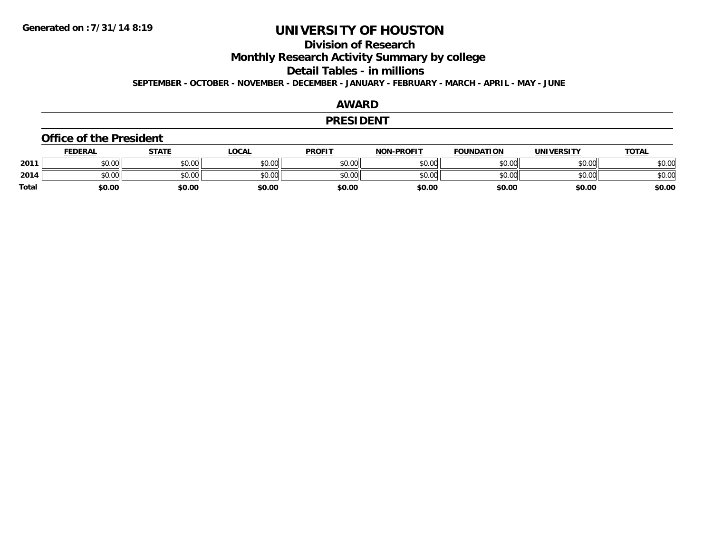### **Division of Research**

**Monthly Research Activity Summary by college**

**Detail Tables - in millions**

**SEPTEMBER - OCTOBER - NOVEMBER - DECEMBER - JANUARY - FEBRUARY - MARCH - APRIL - MAY - JUNE**

#### **AWARD**

#### **PRESIDENT**

#### **Office of the President**

|              | <b>FEDERAL</b> | STATE  | <u>LOCAL</u> | <b>PROFIT</b> | <b>NON-PROFIT</b> | <b>FOUNDATION</b> | <b>UNIVERSITY</b> | <b>TOTAL</b> |
|--------------|----------------|--------|--------------|---------------|-------------------|-------------------|-------------------|--------------|
| 2011         | \$0.00         | \$0.00 | \$0.00       | \$0.00        | \$0.00            | \$0.00            | \$0.00            | \$0.00       |
| 2014         | \$0.00         | \$0.00 | \$0.00       | \$0.00        | \$0.00            | \$0.00            | \$0.00            | \$0.00       |
| <b>Total</b> | \$0.00         | \$0.00 | \$0.00       | \$0.00        | \$0.00            | \$0.00            | \$0.00            | \$0.00       |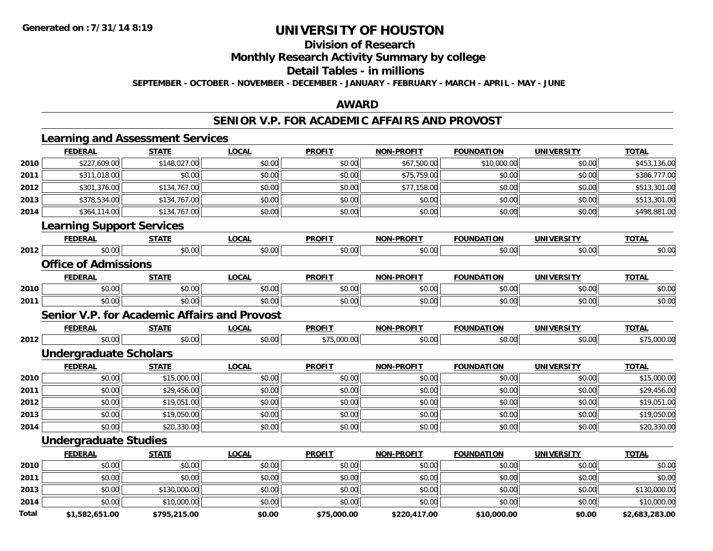### **Division of Research**

**Monthly Research Activity Summary by college**

#### **Detail Tables - in millions**

**SEPTEMBER - OCTOBER - NOVEMBER - DECEMBER - JANUARY - FEBRUARY - MARCH - APRIL - MAY - JUNE**

#### **AWARD**

#### **SENIOR V.P. FOR ACADEMIC AFFAIRS AND PROVOST**

|              | <b>Learning and Assessment Services</b>             |              |              |               |                   |                   |                   |                |
|--------------|-----------------------------------------------------|--------------|--------------|---------------|-------------------|-------------------|-------------------|----------------|
|              | <b>FEDERAL</b>                                      | <b>STATE</b> | <b>LOCAL</b> | <b>PROFIT</b> | <b>NON-PROFIT</b> | <b>FOUNDATION</b> | <b>UNIVERSITY</b> | <b>TOTAL</b>   |
| 2010         | \$227,609.00                                        | \$148,027.00 | \$0.00       | \$0.00        | \$67,500.00       | \$10,000.00       | \$0.00            | \$453,136.00   |
| 2011         | \$311,018.00                                        | \$0.00       | \$0.00       | \$0.00        | \$75,759.00       | \$0.00            | \$0.00            | \$386,777.00   |
| 2012         | \$301,376.00                                        | \$134,767.00 | \$0.00       | \$0.00        | \$77,158.00       | \$0.00            | \$0.00            | \$513,301.00   |
| 2013         | \$378,534.00                                        | \$134,767.00 | \$0.00       | \$0.00        | \$0.00            | \$0.00            | \$0.00            | \$513,301.00   |
| 2014         | \$364,114.00                                        | \$134,767.00 | \$0.00       | \$0.00        | \$0.00            | \$0.00            | \$0.00            | \$498,881.00   |
|              | <b>Learning Support Services</b>                    |              |              |               |                   |                   |                   |                |
|              | <b>FEDERAL</b>                                      | <b>STATE</b> | <b>LOCAL</b> | <b>PROFIT</b> | NON-PROFIT        | <b>FOUNDATION</b> | <b>UNIVERSITY</b> | <b>TOTAL</b>   |
| 2012         | \$0.00                                              | \$0.00       | \$0.00       | \$0.00        | \$0.00            | \$0.00            | \$0.00            | \$0.00         |
|              | <b>Office of Admissions</b>                         |              |              |               |                   |                   |                   |                |
|              | <b>FEDERAL</b>                                      | <b>STATE</b> | <b>LOCAL</b> | <b>PROFIT</b> | NON-PROFIT        | <b>FOUNDATION</b> | <b>UNIVERSITY</b> | <b>TOTAL</b>   |
| 2010         | \$0.00                                              | \$0.00       | \$0.00       | \$0.00        | \$0.00            | \$0.00            | \$0.00            | \$0.00         |
| 2011         | \$0.00                                              | \$0.00       | \$0.00       | \$0.00        | \$0.00            | \$0.00            | \$0.00            | \$0.00         |
|              | <b>Senior V.P. for Academic Affairs and Provost</b> |              |              |               |                   |                   |                   |                |
|              | <b>FEDERAL</b>                                      | <b>STATE</b> | <b>LOCAL</b> | <b>PROFIT</b> | NON-PROFIT        | <b>FOUNDATION</b> | <b>UNIVERSITY</b> | <b>TOTAL</b>   |
| 2012         | \$0.00                                              | \$0.00       | \$0.00       | \$75,000.00   | \$0.00            | \$0.00            | \$0.00            | \$75,000.00    |
|              | <b>Undergraduate Scholars</b>                       |              |              |               |                   |                   |                   |                |
|              | <b>FEDERAL</b>                                      | <b>STATE</b> | <b>LOCAL</b> | <b>PROFIT</b> | <b>NON-PROFIT</b> | <b>FOUNDATION</b> | <b>UNIVERSITY</b> | <b>TOTAL</b>   |
| 2010         | \$0.00                                              | \$15,000.00  | \$0.00       | \$0.00        | \$0.00            | \$0.00            | \$0.00            | \$15,000.00    |
| 2011         | \$0.00                                              | \$29,456.00  | \$0.00       | \$0.00        | \$0.00            | \$0.00            | \$0.00            | \$29,456.00    |
| 2012         | \$0.00                                              | \$19,051.00  | \$0.00       | \$0.00        | \$0.00            | \$0.00            | \$0.00            | \$19,051.00    |
| 2013         | \$0.00                                              | \$19,050.00  | \$0.00       | \$0.00        | \$0.00            | \$0.00            | \$0.00            | \$19,050.00    |
| 2014         | \$0.00                                              | \$20,330.00  | \$0.00       | \$0.00        | \$0.00            | \$0.00            | \$0.00            | \$20,330.00    |
|              | <b>Undergraduate Studies</b>                        |              |              |               |                   |                   |                   |                |
|              | <b>FEDERAL</b>                                      | <b>STATE</b> | <b>LOCAL</b> | <b>PROFIT</b> | <b>NON-PROFIT</b> | <b>FOUNDATION</b> | <b>UNIVERSITY</b> | <b>TOTAL</b>   |
| 2010         | \$0.00                                              | \$0.00       | \$0.00       | \$0.00        | \$0.00            | \$0.00            | \$0.00            | \$0.00         |
| 2011         | \$0.00                                              | \$0.00       | \$0.00       | \$0.00        | \$0.00            | \$0.00            | \$0.00            | \$0.00         |
| 2013         | \$0.00                                              | \$130,000.00 | \$0.00       | \$0.00        | \$0.00            | \$0.00            | \$0.00            | \$130,000.00   |
| 2014         | \$0.00                                              | \$10,000.00  | \$0.00       | \$0.00        | \$0.00            | \$0.00            | \$0.00            | \$10,000.00    |
| <b>Total</b> | \$1.582.651.00                                      | \$795.215.00 | \$0.00       | \$75.000.00   | \$220.417.00      | \$10,000.00       | \$0.00            | \$2.683.283.00 |

**\$1,582,651.00 \$795,215.00 \$0.00 \$75,000.00 \$220,417.00 \$10,000.00 \$0.00 \$2,683,283.00**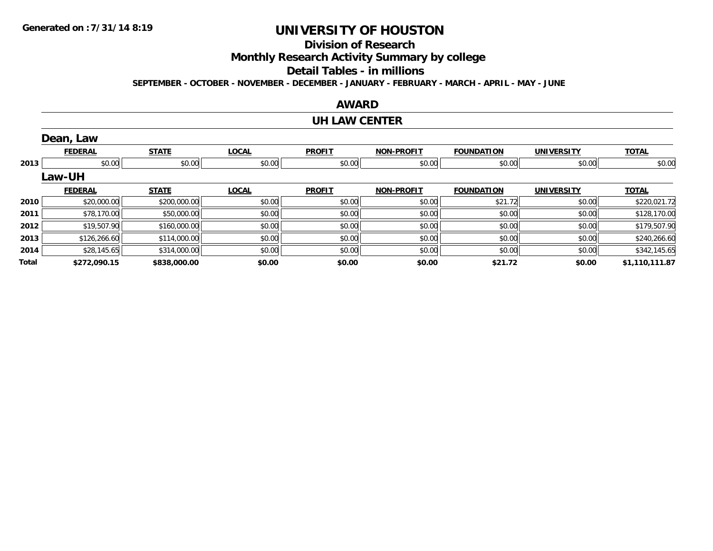### **Division of Research**

**Monthly Research Activity Summary by college**

#### **Detail Tables - in millions**

**SEPTEMBER - OCTOBER - NOVEMBER - DECEMBER - JANUARY - FEBRUARY - MARCH - APRIL - MAY - JUNE**

#### **AWARD**

#### **UH LAW CENTER**

|       | Dean, Law      |              |              |               |                   |                   |                   |                |
|-------|----------------|--------------|--------------|---------------|-------------------|-------------------|-------------------|----------------|
|       | <b>FEDERAL</b> | <b>STATE</b> | <b>LOCAL</b> | <b>PROFIT</b> | <b>NON-PROFIT</b> | <b>FOUNDATION</b> | <b>UNIVERSITY</b> | <b>TOTAL</b>   |
| 2013  | \$0.00         | \$0.00       | \$0.00       | \$0.00        | \$0.00            | \$0.00            | \$0.00            | \$0.00         |
|       | Law-UH         |              |              |               |                   |                   |                   |                |
|       | <b>FEDERAL</b> | <b>STATE</b> | <b>LOCAL</b> | <b>PROFIT</b> | <b>NON-PROFIT</b> | <b>FOUNDATION</b> | <b>UNIVERSITY</b> | <b>TOTAL</b>   |
| 2010  | \$20,000.00    | \$200,000.00 | \$0.00       | \$0.00        | \$0.00            | \$21.72           | \$0.00            | \$220,021.72   |
| 2011  | \$78,170.00    | \$50,000.00  | \$0.00       | \$0.00        | \$0.00            | \$0.00            | \$0.00            | \$128,170.00   |
| 2012  | \$19,507.90    | \$160,000.00 | \$0.00       | \$0.00        | \$0.00            | \$0.00            | \$0.00            | \$179,507.90   |
| 2013  | \$126,266.60   | \$114,000.00 | \$0.00       | \$0.00        | \$0.00            | \$0.00            | \$0.00            | \$240,266.60   |
| 2014  | \$28,145.65    | \$314,000.00 | \$0.00       | \$0.00        | \$0.00            | \$0.00            | \$0.00            | \$342,145.65   |
| Total | \$272,090.15   | \$838,000.00 | \$0.00       | \$0.00        | \$0.00            | \$21.72           | \$0.00            | \$1,110,111.87 |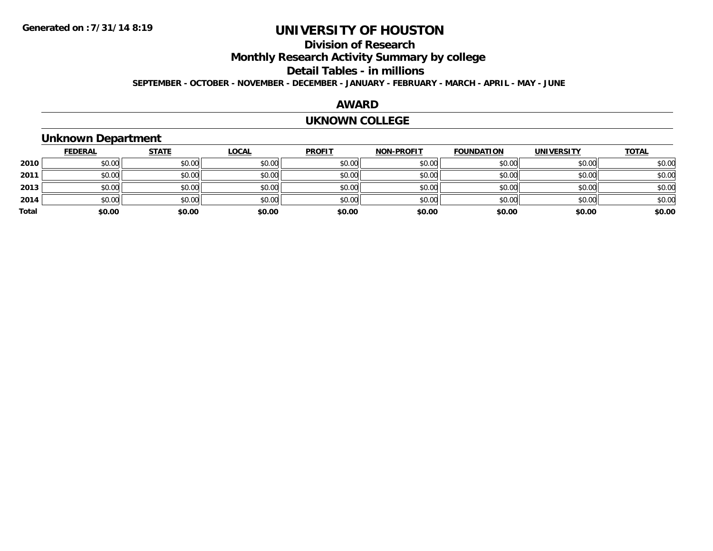### **Division of Research**

**Monthly Research Activity Summary by college**

#### **Detail Tables - in millions**

**SEPTEMBER - OCTOBER - NOVEMBER - DECEMBER - JANUARY - FEBRUARY - MARCH - APRIL - MAY - JUNE**

#### **AWARD**

#### **UKNOWN COLLEGE**

### **Unknown Department**

|       | <b>FEDERAL</b> | <b>STATE</b> | <u>LOCAL</u> | <b>PROFIT</b> | <b>NON-PROFIT</b> | <b>FOUNDATION</b> | <b>UNIVERSITY</b> | <b>TOTAL</b> |
|-------|----------------|--------------|--------------|---------------|-------------------|-------------------|-------------------|--------------|
| 2010  | \$0.00         | \$0.00       | \$0.00       | \$0.00        | \$0.00            | \$0.00            | \$0.00            | \$0.00       |
| 2011  | \$0.00         | \$0.00       | \$0.00       | \$0.00        | \$0.00            | \$0.00            | \$0.00            | \$0.00       |
| 2013  | \$0.00         | \$0.00       | \$0.00       | \$0.00        | \$0.00            | \$0.00            | \$0.00            | \$0.00       |
| 2014  | \$0.00         | \$0.00       | \$0.00       | \$0.00        | \$0.00            | \$0.00            | \$0.00            | \$0.00       |
| Total | \$0.00         | \$0.00       | \$0.00       | \$0.00        | \$0.00            | \$0.00            | \$0.00            | \$0.00       |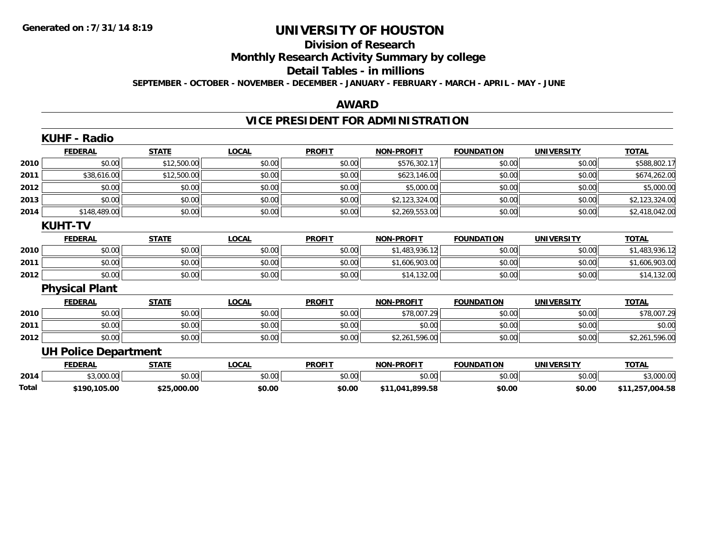# **Division of Research**

**Monthly Research Activity Summary by college**

#### **Detail Tables - in millions**

**SEPTEMBER - OCTOBER - NOVEMBER - DECEMBER - JANUARY - FEBRUARY - MARCH - APRIL - MAY - JUNE**

#### **AWARD**

### **VICE PRESIDENT FOR ADMINISTRATION**

|       | <b>KUHF - Radio</b>         |              |              |               |                   |                   |                   |                 |
|-------|-----------------------------|--------------|--------------|---------------|-------------------|-------------------|-------------------|-----------------|
|       | <b>FEDERAL</b>              | <b>STATE</b> | <b>LOCAL</b> | <b>PROFIT</b> | <b>NON-PROFIT</b> | <b>FOUNDATION</b> | <b>UNIVERSITY</b> | <b>TOTAL</b>    |
| 2010  | \$0.00                      | \$12,500.00  | \$0.00       | \$0.00        | \$576,302.17      | \$0.00            | \$0.00            | \$588,802.17    |
| 2011  | \$38,616.00                 | \$12,500.00  | \$0.00       | \$0.00        | \$623,146.00      | \$0.00            | \$0.00            | \$674,262.00    |
| 2012  | \$0.00                      | \$0.00       | \$0.00       | \$0.00        | \$5,000.00        | \$0.00            | \$0.00            | \$5,000.00      |
| 2013  | \$0.00                      | \$0.00       | \$0.00       | \$0.00        | \$2,123,324.00    | \$0.00            | \$0.00            | \$2,123,324.00  |
| 2014  | \$148,489.00                | \$0.00       | \$0.00       | \$0.00        | \$2,269,553.00    | \$0.00            | \$0.00            | \$2,418,042.00  |
|       | <b>KUHT-TV</b>              |              |              |               |                   |                   |                   |                 |
|       | <b>FEDERAL</b>              | <b>STATE</b> | <b>LOCAL</b> | <b>PROFIT</b> | <b>NON-PROFIT</b> | <b>FOUNDATION</b> | <b>UNIVERSITY</b> | <b>TOTAL</b>    |
| 2010  | \$0.00                      | \$0.00       | \$0.00       | \$0.00        | \$1,483,936.12    | \$0.00            | \$0.00            | \$1,483,936.12  |
| 2011  | \$0.00                      | \$0.00       | \$0.00       | \$0.00        | \$1,606,903.00    | \$0.00            | \$0.00            | \$1,606,903.00  |
| 2012  | \$0.00                      | \$0.00       | \$0.00       | \$0.00        | \$14,132.00       | \$0.00            | \$0.00            | \$14,132.00     |
|       | <b>Physical Plant</b>       |              |              |               |                   |                   |                   |                 |
|       | <b>FEDERAL</b>              | <b>STATE</b> | <b>LOCAL</b> | <b>PROFIT</b> | <b>NON-PROFIT</b> | <b>FOUNDATION</b> | <b>UNIVERSITY</b> | <b>TOTAL</b>    |
| 2010  | \$0.00                      | \$0.00       | \$0.00       | \$0.00        | \$78,007.29       | \$0.00            | \$0.00            | \$78,007.29     |
| 2011  | \$0.00                      | \$0.00       | \$0.00       | \$0.00        | \$0.00            | \$0.00            | \$0.00            | \$0.00          |
| 2012  | \$0.00                      | \$0.00       | \$0.00       | \$0.00        | \$2,261,596.00    | \$0.00            | \$0.00            | \$2,261,596.00  |
|       | <b>UH Police Department</b> |              |              |               |                   |                   |                   |                 |
|       | <b>FEDERAL</b>              | <b>STATE</b> | <b>LOCAL</b> | <b>PROFIT</b> | <b>NON-PROFIT</b> | <b>FOUNDATION</b> | <b>UNIVERSITY</b> | <b>TOTAL</b>    |
| 2014  | \$3,000.00                  | \$0.00       | \$0.00       | \$0.00        | \$0.00            | \$0.00            | \$0.00            | \$3,000.00      |
| Total | \$190,105.00                | \$25,000.00  | \$0.00       | \$0.00        | \$11,041,899.58   | \$0.00            | \$0.00            | \$11,257,004.58 |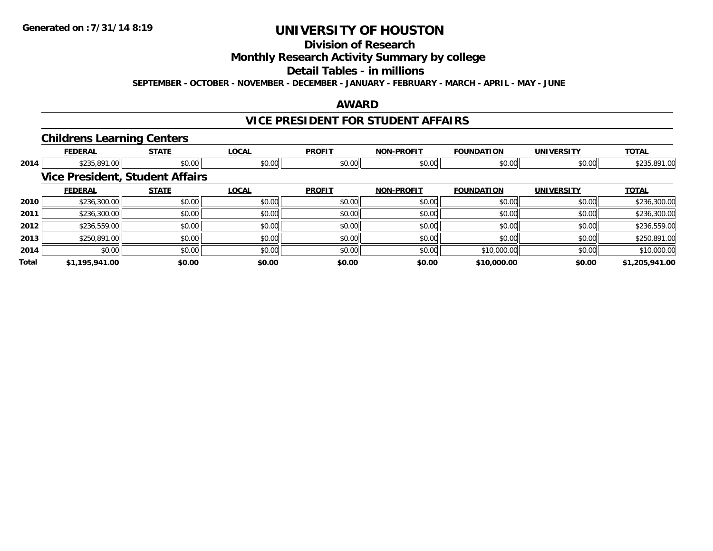### **Division of Research**

**Monthly Research Activity Summary by college**

#### **Detail Tables - in millions**

**SEPTEMBER - OCTOBER - NOVEMBER - DECEMBER - JANUARY - FEBRUARY - MARCH - APRIL - MAY - JUNE**

#### **AWARD**

#### **VICE PRESIDENT FOR STUDENT AFFAIRS**

#### **Childrens Learning Centers**

|       | <b>FEDERAL</b> | <b>STATE</b>                           | <b>LOCAL</b> | <b>PROFIT</b> | <b>NON-PROFIT</b> | <b>FOUNDATION</b> | <b>UNIVERSITY</b> | <b>TOTAL</b>   |
|-------|----------------|----------------------------------------|--------------|---------------|-------------------|-------------------|-------------------|----------------|
| 2014  | \$235,891.00   | \$0.00                                 | \$0.00       | \$0.00        | \$0.00            | \$0.00            | \$0.00            | \$235,891.00   |
|       |                | <b>Vice President, Student Affairs</b> |              |               |                   |                   |                   |                |
|       | <b>FEDERAL</b> | <b>STATE</b>                           | <b>LOCAL</b> | <b>PROFIT</b> | <b>NON-PROFIT</b> | <b>FOUNDATION</b> | <b>UNIVERSITY</b> | <b>TOTAL</b>   |
| 2010  | \$236,300.00   | \$0.00                                 | \$0.00       | \$0.00        | \$0.00            | \$0.00            | \$0.00            | \$236,300.00   |
| 2011  | \$236,300.00   | \$0.00                                 | \$0.00       | \$0.00        | \$0.00            | \$0.00            | \$0.00            | \$236,300.00   |
| 2012  | \$236,559.00   | \$0.00                                 | \$0.00       | \$0.00        | \$0.00            | \$0.00            | \$0.00            | \$236,559.00   |
| 2013  | \$250,891.00   | \$0.00                                 | \$0.00       | \$0.00        | \$0.00            | \$0.00            | \$0.00            | \$250,891.00   |
| 2014  | \$0.00         | \$0.00                                 | \$0.00       | \$0.00        | \$0.00            | \$10,000.00       | \$0.00            | \$10,000.00    |
| Total | \$1,195,941.00 | \$0.00                                 | \$0.00       | \$0.00        | \$0.00            | \$10,000.00       | \$0.00            | \$1,205,941.00 |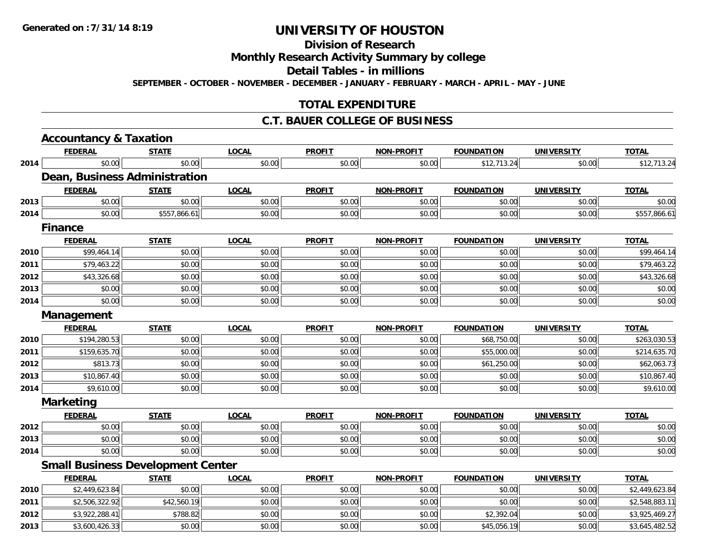# **Division of Research**

**Monthly Research Activity Summary by college**

**Detail Tables - in millions**

**SEPTEMBER - OCTOBER - NOVEMBER - DECEMBER - JANUARY - FEBRUARY - MARCH - APRIL - MAY - JUNE**

### **TOTAL EXPENDITURE**

#### **C.T. BAUER COLLEGE OF BUSINESS**

|      | <b>Accountancy &amp; Taxation</b>        |              |              |               |                   |                   |                   |                |
|------|------------------------------------------|--------------|--------------|---------------|-------------------|-------------------|-------------------|----------------|
|      | <b>FEDERAL</b>                           | <b>STATE</b> | <b>LOCAL</b> | <b>PROFIT</b> | <b>NON-PROFIT</b> | <b>FOUNDATION</b> | <b>UNIVERSITY</b> | <b>TOTAL</b>   |
| 2014 | \$0.00                                   | \$0.00       | \$0.00       | \$0.00        | \$0.00            | \$12,713.24       | \$0.00            | \$12,713.24    |
|      | <b>Dean, Business Administration</b>     |              |              |               |                   |                   |                   |                |
|      | <b>FEDERAL</b>                           | <b>STATE</b> | <b>LOCAL</b> | <b>PROFIT</b> | <b>NON-PROFIT</b> | <b>FOUNDATION</b> | <b>UNIVERSITY</b> | <b>TOTAL</b>   |
| 2013 | \$0.00                                   | \$0.00       | \$0.00       | \$0.00        | \$0.00            | \$0.00            | \$0.00            | \$0.00         |
| 2014 | \$0.00                                   | \$557,866.61 | \$0.00       | \$0.00        | \$0.00            | \$0.00            | \$0.00            | \$557,866.61   |
|      | <b>Finance</b>                           |              |              |               |                   |                   |                   |                |
|      | <b>FEDERAL</b>                           | <b>STATE</b> | <b>LOCAL</b> | <b>PROFIT</b> | <b>NON-PROFIT</b> | <b>FOUNDATION</b> | <b>UNIVERSITY</b> | <b>TOTAL</b>   |
| 2010 | \$99,464.14                              | \$0.00       | \$0.00       | \$0.00        | \$0.00            | \$0.00            | \$0.00            | \$99,464.14    |
| 2011 | \$79,463.22                              | \$0.00       | \$0.00       | \$0.00        | \$0.00            | \$0.00            | \$0.00            | \$79,463.22    |
| 2012 | \$43,326.68                              | \$0.00       | \$0.00       | \$0.00        | \$0.00            | \$0.00            | \$0.00            | \$43,326.68    |
| 2013 | \$0.00                                   | \$0.00       | \$0.00       | \$0.00        | \$0.00            | \$0.00            | \$0.00            | \$0.00         |
| 2014 | \$0.00                                   | \$0.00       | \$0.00       | \$0.00        | \$0.00            | \$0.00            | \$0.00            | \$0.00         |
|      | Management                               |              |              |               |                   |                   |                   |                |
|      | <b>FEDERAL</b>                           | <b>STATE</b> | <b>LOCAL</b> | <b>PROFIT</b> | <b>NON-PROFIT</b> | <b>FOUNDATION</b> | <b>UNIVERSITY</b> | <b>TOTAL</b>   |
| 2010 | \$194,280.53                             | \$0.00       | \$0.00       | \$0.00        | \$0.00            | \$68,750.00       | \$0.00            | \$263,030.53   |
| 2011 | \$159,635.70                             | \$0.00       | \$0.00       | \$0.00        | \$0.00            | \$55,000.00       | \$0.00            | \$214,635.70   |
| 2012 | \$813.73                                 | \$0.00       | \$0.00       | \$0.00        | \$0.00            | \$61,250.00       | \$0.00            | \$62,063.73    |
| 2013 | \$10,867.40                              | \$0.00       | \$0.00       | \$0.00        | \$0.00            | \$0.00            | \$0.00            | \$10,867.40    |
| 2014 | \$9,610.00                               | \$0.00       | \$0.00       | \$0.00        | \$0.00            | \$0.00            | \$0.00            | \$9,610.00     |
|      | <b>Marketing</b>                         |              |              |               |                   |                   |                   |                |
|      | <b>FEDERAL</b>                           | <b>STATE</b> | <b>LOCAL</b> | <b>PROFIT</b> | NON-PROFIT        | <b>FOUNDATION</b> | <b>UNIVERSITY</b> | <b>TOTAL</b>   |
| 2012 | \$0.00                                   | \$0.00       | \$0.00       | \$0.00        | \$0.00            | \$0.00            | \$0.00            | \$0.00         |
| 2013 | \$0.00                                   | \$0.00       | \$0.00       | \$0.00        | \$0.00            | \$0.00            | \$0.00            | \$0.00         |
| 2014 | \$0.00                                   | \$0.00       | \$0.00       | \$0.00        | \$0.00            | \$0.00            | \$0.00            | \$0.00         |
|      | <b>Small Business Development Center</b> |              |              |               |                   |                   |                   |                |
|      | <b>FEDERAL</b>                           | <b>STATE</b> | <b>LOCAL</b> | <b>PROFIT</b> | <b>NON-PROFIT</b> | <b>FOUNDATION</b> | <b>UNIVERSITY</b> | <b>TOTAL</b>   |
| 2010 | \$2,449,623.84                           | \$0.00       | \$0.00       | \$0.00        | \$0.00            | \$0.00            | \$0.00            | \$2,449,623.84 |
| 2011 | \$2,506,322.92                           | \$42,560.19  | \$0.00       | \$0.00        | \$0.00            | \$0.00            | \$0.00            | \$2,548,883.11 |
| 2012 | \$3,922,288.41                           | \$788.82     | \$0.00       | \$0.00        | \$0.00            | \$2,392.04        | \$0.00            | \$3,925,469.27 |
| 2013 | \$3,600,426.33                           | \$0.00       | \$0.00       | \$0.00        | \$0.00            | \$45,056.19       | \$0.00            | \$3,645,482.52 |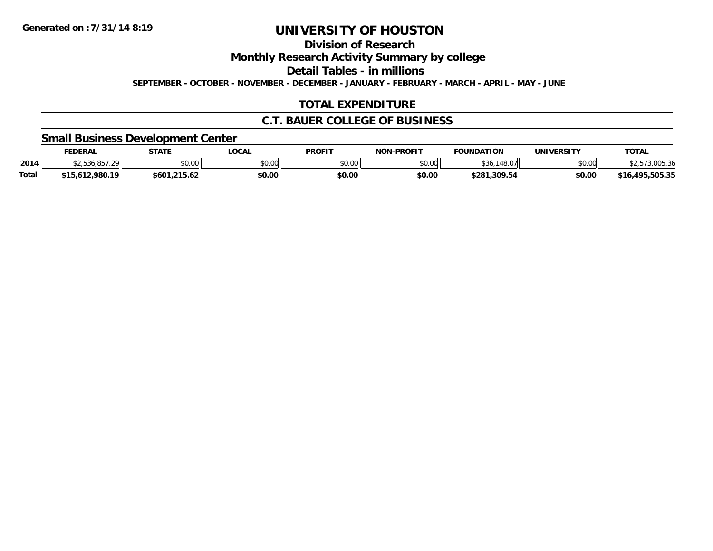**Division of Research**

**Monthly Research Activity Summary by college**

**Detail Tables - in millions**

**SEPTEMBER - OCTOBER - NOVEMBER - DECEMBER - JANUARY - FEBRUARY - MARCH - APRIL - MAY - JUNE**

### **TOTAL EXPENDITURE**

### **C.T. BAUER COLLEGE OF BUSINESS**

### **Small Business Development Center**

|              | <b>FEDERAL</b>   | <b>STATE</b>  | LOCAL  | <b>PROFIT</b>        | NON-PROFIT | <b>FOUNDATION</b> | UNIVERSITY | TOTAL                       |
|--------------|------------------|---------------|--------|----------------------|------------|-------------------|------------|-----------------------------|
| 2014         | ا39.7.29⊫ ت. ـــ | 0000<br>JU.UU | \$0.00 | 0000<br><b>JU.UU</b> | \$0.00     | \$36<br>0.V/      | \$0.00     | $\sim$ $\sim$<br>73.UU5.36  |
| <b>Total</b> | \$15,612,980.19  | \$601.215.62  | \$0.00 | \$0.00               | \$0.00     | \$281,309.54      | \$0.00     | 16.495.505.35<br><b>646</b> |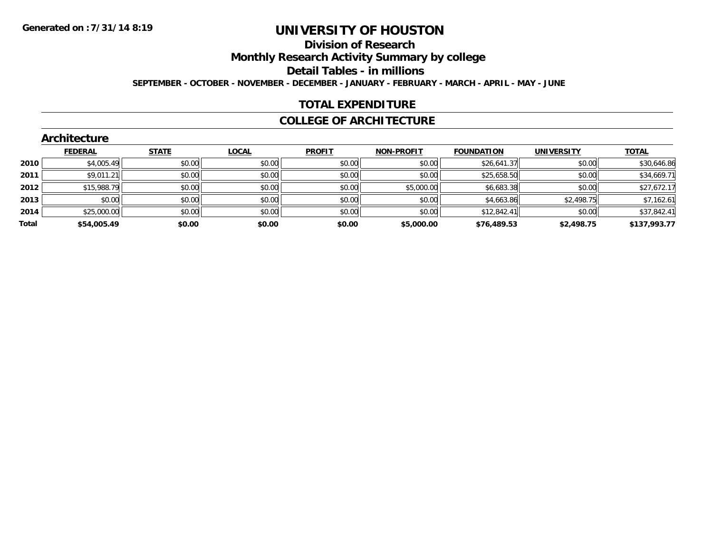#### **Division of Research**

**Monthly Research Activity Summary by college**

**Detail Tables - in millions**

**SEPTEMBER - OCTOBER - NOVEMBER - DECEMBER - JANUARY - FEBRUARY - MARCH - APRIL - MAY - JUNE**

#### **TOTAL EXPENDITURE**

#### **COLLEGE OF ARCHITECTURE**

|       | Architecture   |              |              |               |                   |                   |                   |              |
|-------|----------------|--------------|--------------|---------------|-------------------|-------------------|-------------------|--------------|
|       | <b>FEDERAL</b> | <b>STATE</b> | <b>LOCAL</b> | <b>PROFIT</b> | <b>NON-PROFIT</b> | <b>FOUNDATION</b> | <b>UNIVERSITY</b> | <b>TOTAL</b> |
| 2010  | \$4,005.49     | \$0.00       | \$0.00       | \$0.00        | \$0.00            | \$26,641.37       | \$0.00            | \$30,646.86  |
| 2011  | \$9,011.21     | \$0.00       | \$0.00       | \$0.00        | \$0.00            | \$25,658.50       | \$0.00            | \$34,669.71  |
| 2012  | \$15,988.79    | \$0.00       | \$0.00       | \$0.00        | \$5,000.00        | \$6,683.38        | \$0.00            | \$27,672.17  |
| 2013  | \$0.00         | \$0.00       | \$0.00       | \$0.00        | \$0.00            | \$4,663.86        | \$2,498.75        | \$7,162.61   |
| 2014  | \$25,000.00    | \$0.00       | \$0.00       | \$0.00        | \$0.00            | \$12,842.41       | \$0.00            | \$37,842.41  |
| Total | \$54,005.49    | \$0.00       | \$0.00       | \$0.00        | \$5,000.00        | \$76,489.53       | \$2,498.75        | \$137,993.77 |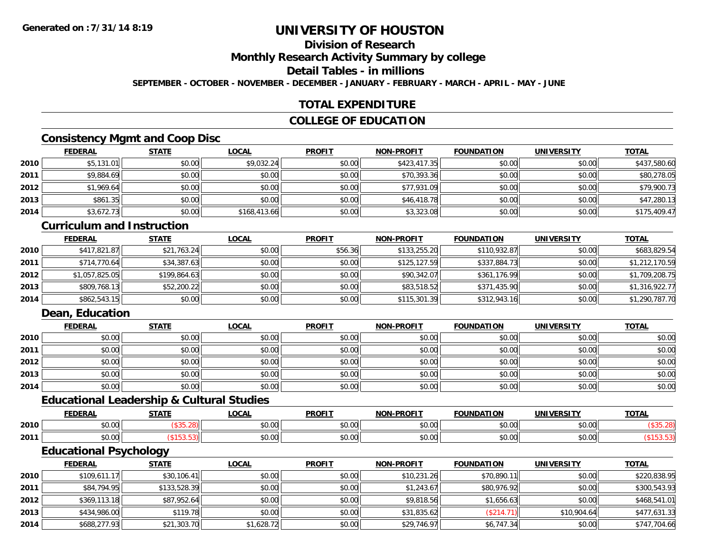### **Division of Research**

**Monthly Research Activity Summary by college**

#### **Detail Tables - in millions**

**SEPTEMBER - OCTOBER - NOVEMBER - DECEMBER - JANUARY - FEBRUARY - MARCH - APRIL - MAY - JUNE**

### **TOTAL EXPENDITURE**

### **COLLEGE OF EDUCATION**

### **Consistency Mgmt and Coop Disc**

|      | <b>FEDERAL</b> | <b>STATE</b> | <u>LOCAL</u> | <b>PROFIT</b> | <b>NON-PROFIT</b> | <b>FOUNDATION</b> | <b>UNIVERSITY</b> | <b>TOTAL</b> |
|------|----------------|--------------|--------------|---------------|-------------------|-------------------|-------------------|--------------|
| 2010 | \$5,131.01     | \$0.00       | \$9,032.24   | \$0.00        | \$423,417.35      | \$0.00            | \$0.00            | \$437,580.60 |
| 2011 | \$9,884.69     | \$0.00       | \$0.00       | \$0.00        | \$70,393.36       | \$0.00            | \$0.00            | \$80,278.05  |
| 2012 | \$1,969.64     | \$0.00       | \$0.00       | \$0.00        | \$77,931.09       | \$0.00            | \$0.00            | \$79,900.73  |
| 2013 | \$861.35       | \$0.00       | \$0.00       | \$0.00        | \$46,418.78       | \$0.00            | \$0.00            | \$47,280.13  |
| 2014 | \$3,672.73     | \$0.00       | \$168,413.66 | \$0.00        | \$3,323.08        | \$0.00            | \$0.00            | \$175,409.47 |

### **Curriculum and Instruction**

|      | <b>FEDERAL</b> | <u>STATE</u> | <u>LOCAL</u> | <b>PROFIT</b> | <b>NON-PROFIT</b> | <b>FOUNDATION</b> | <b>UNIVERSITY</b> | <b>TOTAL</b>   |
|------|----------------|--------------|--------------|---------------|-------------------|-------------------|-------------------|----------------|
| 2010 | \$417,821.87   | \$21,763.24  | \$0.00       | \$56.36       | \$133,255.20      | \$110,932.87      | \$0.00            | \$683,829.54   |
| 2011 | \$714,770.64   | \$34,387.63  | \$0.00       | \$0.00        | \$125,127.59      | \$337,884.73      | \$0.00            | \$1,212,170.59 |
| 2012 | \$1,057,825.05 | \$199,864.63 | \$0.00       | \$0.00        | \$90,342.07       | \$361,176.99      | \$0.00            | \$1,709,208.75 |
| 2013 | \$809,768.13   | \$52,200.22  | \$0.00       | \$0.00        | \$83,518.52       | \$371,435.90      | \$0.00            | \$1,316,922.77 |
| 2014 | \$862,543.15   | \$0.00       | \$0.00       | \$0.00        | \$115,301.39      | \$312,943.16      | \$0.00            | \$1,290,787.70 |

### **Dean, Education**

|      | <b>FEDERAL</b> | <b>STATE</b> | <u>LOCAL</u> | <b>PROFIT</b> | <b>NON-PROFIT</b> | <b>FOUNDATION</b> | <b>UNIVERSITY</b> | <b>TOTAL</b> |
|------|----------------|--------------|--------------|---------------|-------------------|-------------------|-------------------|--------------|
| 2010 | \$0.00         | \$0.00       | \$0.00       | \$0.00        | \$0.00            | \$0.00            | \$0.00            | \$0.00       |
| 2011 | \$0.00         | \$0.00       | \$0.00       | \$0.00        | \$0.00            | \$0.00            | \$0.00            | \$0.00       |
| 2012 | \$0.00         | \$0.00       | \$0.00       | \$0.00        | \$0.00            | \$0.00            | \$0.00            | \$0.00       |
| 2013 | \$0.00         | \$0.00       | \$0.00       | \$0.00        | \$0.00            | \$0.00            | \$0.00            | \$0.00       |
| 2014 | \$0.00         | \$0.00       | \$0.00       | \$0.00        | \$0.00            | \$0.00            | \$0.00            | \$0.00       |

### **Educational Leadership & Cultural Studies**

|      | <b>FEDERAL</b>  | <b>CTATE</b> | <b>OCAL</b>                                             | <b>PROFIT</b>          | <b>DDAFIT</b><br><b>NON</b> | <b>FOUNDATION</b> | UNIVERSITY    | <b>TOTAL</b> |
|------|-----------------|--------------|---------------------------------------------------------|------------------------|-----------------------------|-------------------|---------------|--------------|
| 2010 | ሐሴ ሰሰ<br>טט.טע  |              | $\mathfrak{e}\cap\mathfrak{g}\cap\mathfrak{g}$<br>pu.uu | 0000<br>JU.U           | ტი იი<br>vu.uu              | 0 <sub>n</sub>    | 0000          |              |
| 2011 | $\sim$<br>vv.vv |              | \$0.00                                                  | 0 <sub>n</sub><br>JU.U | 0000<br>vv.vv               | $\sim$ 00         | 0000<br>JU.UU |              |

### **Educational Psychology**

|      | <b>FEDERAL</b> | <b>STATE</b> | <u>LOCAL</u> | <b>PROFIT</b> | <b>NON-PROFIT</b> | <b>FOUNDATION</b> | <b>UNIVERSITY</b> | <b>TOTAL</b> |
|------|----------------|--------------|--------------|---------------|-------------------|-------------------|-------------------|--------------|
| 2010 | \$109,611.17   | \$30,106.41  | \$0.00       | \$0.00        | \$10,231.26       | \$70,890.11       | \$0.00            | \$220,838.95 |
| 2011 | \$84,794.95    | \$133,528.39 | \$0.00       | \$0.00        | \$1,243.67        | \$80,976.92       | \$0.00            | \$300,543.93 |
| 2012 | \$369,113.18   | \$87,952.64  | \$0.00       | \$0.00        | \$9,818.56        | \$1,656.63        | \$0.00            | \$468,541.01 |
| 2013 | \$434,986.00   | \$119.78     | \$0.00       | \$0.00        | \$31,835.62       | (\$214.71)        | \$10,904.64       | \$477,631.33 |
| 2014 | \$688,277.93   | \$21,303.70  | \$1,628.72   | \$0.00        | \$29,746.97       | \$6,747.34        | \$0.00            | \$747,704.66 |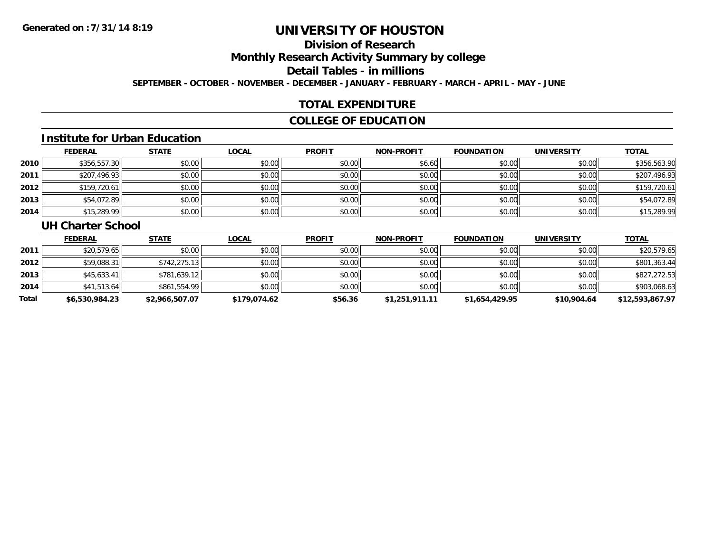### **Division of Research**

**Monthly Research Activity Summary by college**

**Detail Tables - in millions**

**SEPTEMBER - OCTOBER - NOVEMBER - DECEMBER - JANUARY - FEBRUARY - MARCH - APRIL - MAY - JUNE**

### **TOTAL EXPENDITURE**

### **COLLEGE OF EDUCATION**

#### **Institute for Urban Education**

|      | <b>FEDERAL</b> | <b>STATE</b> | <b>LOCAL</b> | <b>PROFIT</b> | <b>NON-PROFIT</b> | <b>FOUNDATION</b> | <b>UNIVERSITY</b> | <b>TOTAL</b> |
|------|----------------|--------------|--------------|---------------|-------------------|-------------------|-------------------|--------------|
| 2010 | \$356,557.30   | \$0.00       | \$0.00       | \$0.00        | \$6.60            | \$0.00            | \$0.00            | \$356,563.90 |
| 2011 | \$207,496.93   | \$0.00       | \$0.00       | \$0.00        | \$0.00            | \$0.00            | \$0.00            | \$207,496.93 |
| 2012 | \$159,720.61   | \$0.00       | \$0.00       | \$0.00        | \$0.00            | \$0.00            | \$0.00            | \$159,720.61 |
| 2013 | \$54,072.89    | \$0.00       | \$0.00       | \$0.00        | \$0.00            | \$0.00            | \$0.00            | \$54,072.89  |
| 2014 | \$15,289.99    | \$0.00       | \$0.00       | \$0.00        | \$0.00            | \$0.00            | \$0.00            | \$15,289.99  |

#### **UH Charter School**

|       | <u>FEDERAL</u> | <u>STATE</u>   | <b>LOCAL</b> | <b>PROFIT</b> | <b>NON-PROFIT</b> | <b>FOUNDATION</b> | <b>UNIVERSITY</b> | <b>TOTAL</b>    |
|-------|----------------|----------------|--------------|---------------|-------------------|-------------------|-------------------|-----------------|
| 2011  | \$20,579.65    | \$0.00         | \$0.00       | \$0.00        | \$0.00            | \$0.00            | \$0.00            | \$20,579.65     |
| 2012  | \$59,088.31    | \$742, 275.13  | \$0.00       | \$0.00        | \$0.00            | \$0.00            | \$0.00            | \$801,363.44    |
| 2013  | \$45,633.41    | \$781,639.12   | \$0.00       | \$0.00        | \$0.00            | \$0.00            | \$0.00            | \$827,272.53    |
| 2014  | \$41,513.64    | \$861,554.99   | \$0.00       | \$0.00        | \$0.00            | \$0.00            | \$0.00            | \$903,068.63    |
| Total | \$6,530,984.23 | \$2,966,507.07 | \$179,074.62 | \$56.36       | \$1,251,911.11    | \$1,654,429.95    | \$10,904.64       | \$12,593,867.97 |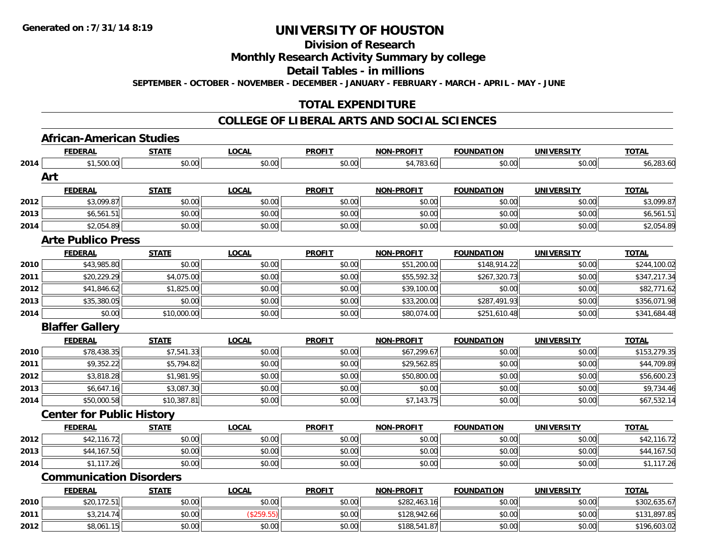### **Division of Research**

### **Monthly Research Activity Summary by college**

#### **Detail Tables - in millions**

**SEPTEMBER - OCTOBER - NOVEMBER - DECEMBER - JANUARY - FEBRUARY - MARCH - APRIL - MAY - JUNE**

### **TOTAL EXPENDITURE**

#### **COLLEGE OF LIBERAL ARTS AND SOCIAL SCIENCES**

# **African-American Studies**

|      | <b>FEDERAL</b>                   | <b>STATE</b> | <b>LOCAL</b> | <b>PROFIT</b> | <b>NON-PROFIT</b> | <b>FOUNDATION</b> | <b>UNIVERSITY</b> | <b>TOTAL</b> |
|------|----------------------------------|--------------|--------------|---------------|-------------------|-------------------|-------------------|--------------|
| 2014 | \$1,500.00                       | \$0.00       | \$0.00       | \$0.00        | \$4,783.60        | \$0.00            | \$0.00            | \$6,283.60   |
|      | Art                              |              |              |               |                   |                   |                   |              |
|      | <b>FEDERAL</b>                   | <b>STATE</b> | <b>LOCAL</b> | <b>PROFIT</b> | NON-PROFIT        | <b>FOUNDATION</b> | <b>UNIVERSITY</b> | <b>TOTAL</b> |
| 2012 | \$3,099.87                       | \$0.00       | \$0.00       | \$0.00        | \$0.00            | \$0.00            | \$0.00            | \$3,099.87   |
| 2013 | \$6,561.51                       | \$0.00       | \$0.00       | \$0.00        | \$0.00            | \$0.00            | \$0.00            | \$6,561.51   |
| 2014 | \$2,054.89                       | \$0.00       | \$0.00       | \$0.00        | \$0.00            | \$0.00            | \$0.00            | \$2,054.89   |
|      | <b>Arte Publico Press</b>        |              |              |               |                   |                   |                   |              |
|      | <b>FEDERAL</b>                   | <b>STATE</b> | <b>LOCAL</b> | <b>PROFIT</b> | <b>NON-PROFIT</b> | <b>FOUNDATION</b> | <b>UNIVERSITY</b> | <b>TOTAL</b> |
| 2010 | \$43,985.80                      | \$0.00       | \$0.00       | \$0.00        | \$51,200.00       | \$148,914.22      | \$0.00            | \$244,100.02 |
| 2011 | \$20,229.29                      | \$4,075.00   | \$0.00       | \$0.00        | \$55,592.32       | \$267,320.73      | \$0.00            | \$347,217.34 |
| 2012 | \$41,846.62                      | \$1,825.00   | \$0.00       | \$0.00        | \$39,100.00       | \$0.00            | \$0.00            | \$82,771.62  |
| 2013 | \$35,380.05                      | \$0.00       | \$0.00       | \$0.00        | \$33,200.00       | \$287,491.93      | \$0.00            | \$356,071.98 |
| 2014 | \$0.00                           | \$10,000.00  | \$0.00       | \$0.00        | \$80,074.00       | \$251,610.48      | \$0.00            | \$341,684.48 |
|      | <b>Blaffer Gallery</b>           |              |              |               |                   |                   |                   |              |
|      | <b>FEDERAL</b>                   | <b>STATE</b> | <b>LOCAL</b> | <b>PROFIT</b> | <b>NON-PROFIT</b> | <b>FOUNDATION</b> | <b>UNIVERSITY</b> | <b>TOTAL</b> |
| 2010 | \$78,438.35                      | \$7,541.33   | \$0.00       | \$0.00        | \$67,299.67       | \$0.00            | \$0.00            | \$153,279.35 |
| 2011 | \$9,352.22                       | \$5,794.82   | \$0.00       | \$0.00        | \$29,562.85       | \$0.00            | \$0.00            | \$44,709.89  |
| 2012 | \$3,818.28                       | \$1,981.95   | \$0.00       | \$0.00        | \$50,800.00       | \$0.00            | \$0.00            | \$56,600.23  |
| 2013 | \$6,647.16                       | \$3,087.30   | \$0.00       | \$0.00        | \$0.00            | \$0.00            | \$0.00            | \$9,734.46   |
| 2014 | \$50,000.58                      | \$10,387.81  | \$0.00       | \$0.00        | \$7,143.75        | \$0.00            | \$0.00            | \$67,532.14  |
|      | <b>Center for Public History</b> |              |              |               |                   |                   |                   |              |
|      | <b>FEDERAL</b>                   | <b>STATE</b> | <b>LOCAL</b> | <b>PROFIT</b> | <b>NON-PROELI</b> | <b>FOUNDATION</b> | <b>UNIVERSITY</b> | <b>TOTAL</b> |
| 2012 | \$42,116.72                      | \$0.00       | \$0.00       | \$0.00        | \$0.00            | \$0.00            | \$0.00            | \$42,116.72  |
| 2013 | \$44,167.50                      | \$0.00       | \$0.00       | \$0.00        | \$0.00            | \$0.00            | \$0.00            | \$44,167.50  |
| 2014 | \$1,117.26                       | \$0.00       | \$0.00       | \$0.00        | \$0.00            | \$0.00            | \$0.00            | \$1,117.26   |
|      | <b>Communication Disorders</b>   |              |              |               |                   |                   |                   |              |
|      | <b>FEDERAL</b>                   | <b>STATE</b> | <b>LOCAL</b> | <b>PROFIT</b> | <b>NON-PROFIT</b> | <b>FOUNDATION</b> | <b>UNIVERSITY</b> | <b>TOTAL</b> |
| 2010 | \$20,172.51                      | \$0.00       | \$0.00       | \$0.00        | \$282,463.16      | \$0.00            | \$0.00            | \$302,635.67 |
| 2011 | \$3,214.74                       | \$0.00       | (\$259.55)   | \$0.00        | \$128,942.66      | \$0.00            | \$0.00            | \$131,897.85 |
| 2012 | \$8,061.15                       | \$0.00       | \$0.00       | \$0.00        | \$188,541.87      | \$0.00            | \$0.00            | \$196,603.02 |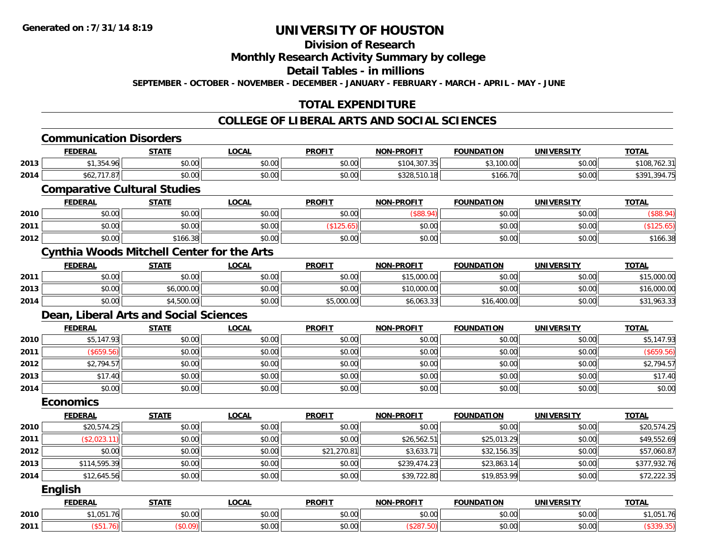### **Division of Research**

# **Monthly Research Activity Summary by college**

#### **Detail Tables - in millions**

**SEPTEMBER - OCTOBER - NOVEMBER - DECEMBER - JANUARY - FEBRUARY - MARCH - APRIL - MAY - JUNE**

### **TOTAL EXPENDITURE**

|      | <b>Communication Disorders</b>                    |              |              |               |                   |                   |                   |              |
|------|---------------------------------------------------|--------------|--------------|---------------|-------------------|-------------------|-------------------|--------------|
|      | <b>FEDERAL</b>                                    | <b>STATE</b> | <b>LOCAL</b> | <b>PROFIT</b> | <b>NON-PROFIT</b> | <b>FOUNDATION</b> | <b>UNIVERSITY</b> | <b>TOTAL</b> |
| 2013 | \$1,354.96                                        | \$0.00       | \$0.00       | \$0.00        | \$104,307.35      | \$3,100.00        | \$0.00            | \$108,762.31 |
| 2014 | \$62,717.87                                       | \$0.00       | \$0.00       | \$0.00        | \$328,510.18      | \$166.70          | \$0.00            | \$391,394.75 |
|      | <b>Comparative Cultural Studies</b>               |              |              |               |                   |                   |                   |              |
|      | <b>FEDERAL</b>                                    | <b>STATE</b> | <b>LOCAL</b> | <b>PROFIT</b> | <b>NON-PROFIT</b> | <b>FOUNDATION</b> | <b>UNIVERSITY</b> | <b>TOTAL</b> |
| 2010 | \$0.00                                            | \$0.00       | \$0.00       | \$0.00        | (\$88.94)         | \$0.00            | \$0.00            | (\$88.94)    |
| 2011 | \$0.00                                            | \$0.00       | \$0.00       | (\$125.65)    | \$0.00            | \$0.00            | \$0.00            | (\$125.65)   |
| 2012 | \$0.00                                            | \$166.38     | \$0.00       | \$0.00        | \$0.00            | \$0.00            | \$0.00            | \$166.38     |
|      | <b>Cynthia Woods Mitchell Center for the Arts</b> |              |              |               |                   |                   |                   |              |
|      | <b>FEDERAL</b>                                    | <b>STATE</b> | <b>LOCAL</b> | <b>PROFIT</b> | <b>NON-PROFIT</b> | <b>FOUNDATION</b> | <b>UNIVERSITY</b> | <b>TOTAL</b> |
| 2011 | \$0.00                                            | \$0.00       | \$0.00       | \$0.00        | \$15,000.00       | \$0.00            | \$0.00            | \$15,000.00  |
| 2013 | \$0.00                                            | \$6,000.00   | \$0.00       | \$0.00        | \$10,000.00       | \$0.00            | \$0.00            | \$16,000.00  |
| 2014 | \$0.00                                            | \$4,500.00   | \$0.00       | \$5,000.00    | \$6,063.33        | \$16,400.00       | \$0.00            | \$31,963.33  |
|      | Dean, Liberal Arts and Social Sciences            |              |              |               |                   |                   |                   |              |
|      | <b>FEDERAL</b>                                    | <b>STATE</b> | <b>LOCAL</b> | <b>PROFIT</b> | <b>NON-PROFIT</b> | <b>FOUNDATION</b> | <b>UNIVERSITY</b> | <b>TOTAL</b> |
| 2010 | \$5,147.93                                        | \$0.00       | \$0.00       | \$0.00        | \$0.00            | \$0.00            | \$0.00            | \$5,147.93   |
| 2011 | (\$659.56)                                        | \$0.00       | \$0.00       | \$0.00        | \$0.00            | \$0.00            | \$0.00            | (\$659.56)   |
| 2012 | \$2,794.57                                        | \$0.00       | \$0.00       | \$0.00        | \$0.00            | \$0.00            | \$0.00            | \$2,794.57   |
| 2013 | \$17.40                                           | \$0.00       | \$0.00       | \$0.00        | \$0.00            | \$0.00            | \$0.00            | \$17.40      |
| 2014 | \$0.00                                            | \$0.00       | \$0.00       | \$0.00        | \$0.00            | \$0.00            | \$0.00            | \$0.00       |
|      | <b>Economics</b>                                  |              |              |               |                   |                   |                   |              |
|      | <b>FEDERAL</b>                                    | <b>STATE</b> | <b>LOCAL</b> | <b>PROFIT</b> | <b>NON-PROFIT</b> | <b>FOUNDATION</b> | <b>UNIVERSITY</b> | <b>TOTAL</b> |
| 2010 | \$20,574.25                                       | \$0.00       | \$0.00       | \$0.00        | \$0.00            | \$0.00            | \$0.00            | \$20,574.25  |
| 2011 | (\$2,023.11)                                      | \$0.00       | \$0.00       | \$0.00        | \$26,562.51       | \$25,013.29       | \$0.00            | \$49,552.69  |
| 2012 | \$0.00                                            | \$0.00       | \$0.00       | \$21,270.81   | \$3,633.71        | \$32,156.35       | \$0.00            | \$57,060.87  |
| 2013 | \$114,595.39                                      | \$0.00       | \$0.00       | \$0.00        | \$239,474.23      | \$23,863.14       | \$0.00            | \$377,932.76 |
| 2014 | \$12,645.56                                       | \$0.00       | \$0.00       | \$0.00        | \$39,722.80       | \$19,853.99       | \$0.00            | \$72,222.35  |
|      | <b>English</b>                                    |              |              |               |                   |                   |                   |              |
|      | <b>FEDERAL</b>                                    | <b>STATE</b> | <b>LOCAL</b> | <b>PROFIT</b> | <b>NON-PROFIT</b> | <b>FOUNDATION</b> | <b>UNIVERSITY</b> | <b>TOTAL</b> |
| 2010 | \$1,051.76                                        | \$0.00       | \$0.00       | \$0.00        | \$0.00            | \$0.00            | \$0.00            | \$1,051.76   |
| 2011 | (\$51.76)                                         | (\$0.09)     | \$0.00       | \$0.00        | (\$287.50)        | \$0.00            | \$0.00            | (\$339.35)   |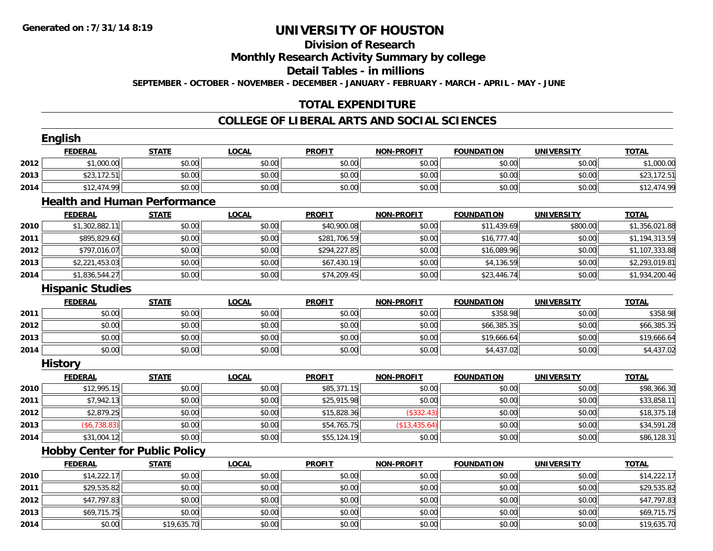# **Division of Research**

**Monthly Research Activity Summary by college**

**Detail Tables - in millions**

**SEPTEMBER - OCTOBER - NOVEMBER - DECEMBER - JANUARY - FEBRUARY - MARCH - APRIL - MAY - JUNE**

# **TOTAL EXPENDITURE**

#### **COLLEGE OF LIBERAL ARTS AND SOCIAL SCIENCES**

|      | <b>English</b>                        |              |              |               |                   |                   |                   |                |
|------|---------------------------------------|--------------|--------------|---------------|-------------------|-------------------|-------------------|----------------|
|      | <b>FEDERAL</b>                        | <b>STATE</b> | <b>LOCAL</b> | <b>PROFIT</b> | <b>NON-PROFIT</b> | <b>FOUNDATION</b> | <b>UNIVERSITY</b> | <b>TOTAL</b>   |
| 2012 | \$1,000.00                            | \$0.00       | \$0.00       | \$0.00        | \$0.00            | \$0.00            | \$0.00            | \$1,000.00     |
| 2013 | \$23,172.51                           | \$0.00       | \$0.00       | \$0.00        | \$0.00            | \$0.00            | \$0.00            | \$23,172.51    |
| 2014 | \$12,474.99                           | \$0.00       | \$0.00       | \$0.00        | \$0.00            | \$0.00            | \$0.00            | \$12,474.99    |
|      | <b>Health and Human Performance</b>   |              |              |               |                   |                   |                   |                |
|      | <b>FEDERAL</b>                        | <b>STATE</b> | <b>LOCAL</b> | <b>PROFIT</b> | <b>NON-PROFIT</b> | <b>FOUNDATION</b> | <b>UNIVERSITY</b> | <b>TOTAL</b>   |
| 2010 | \$1,302,882.11                        | \$0.00       | \$0.00       | \$40,900.08   | \$0.00            | \$11,439.69       | \$800.00          | \$1,356,021.88 |
| 2011 | \$895,829.60                          | \$0.00       | \$0.00       | \$281,706.59  | \$0.00            | \$16,777.40       | \$0.00            | \$1,194,313.59 |
| 2012 | \$797,016.07                          | \$0.00       | \$0.00       | \$294,227.85  | \$0.00            | \$16,089.96       | \$0.00            | \$1,107,333.88 |
| 2013 | \$2,221,453.03                        | \$0.00       | \$0.00       | \$67,430.19   | \$0.00            | \$4,136.59        | \$0.00            | \$2,293,019.81 |
| 2014 | \$1,836,544.27                        | \$0.00       | \$0.00       | \$74,209.45   | \$0.00            | \$23,446.74       | \$0.00            | \$1,934,200.46 |
|      | <b>Hispanic Studies</b>               |              |              |               |                   |                   |                   |                |
|      | <b>FEDERAL</b>                        | <b>STATE</b> | <b>LOCAL</b> | <b>PROFIT</b> | <b>NON-PROFIT</b> | <b>FOUNDATION</b> | <b>UNIVERSITY</b> | <b>TOTAL</b>   |
| 2011 | \$0.00                                | \$0.00       | \$0.00       | \$0.00        | \$0.00            | \$358.98          | \$0.00            | \$358.98       |
| 2012 | \$0.00                                | \$0.00       | \$0.00       | \$0.00        | \$0.00            | \$66,385.35       | \$0.00            | \$66,385.35    |
| 2013 | \$0.00                                | \$0.00       | \$0.00       | \$0.00        | \$0.00            | \$19,666.64       | \$0.00            | \$19,666.64    |
| 2014 | \$0.00                                | \$0.00       | \$0.00       | \$0.00        | \$0.00            | \$4,437.02        | \$0.00            | \$4,437.02     |
|      | <b>History</b>                        |              |              |               |                   |                   |                   |                |
|      | <b>FEDERAL</b>                        | <b>STATE</b> | <b>LOCAL</b> | <b>PROFIT</b> | <b>NON-PROFIT</b> | <b>FOUNDATION</b> | <b>UNIVERSITY</b> | <b>TOTAL</b>   |
| 2010 | \$12,995.15                           | \$0.00       | \$0.00       | \$85,371.15   | \$0.00            | \$0.00            | \$0.00            | \$98,366.30    |
| 2011 | \$7,942.13                            | \$0.00       | \$0.00       | \$25,915.98   | \$0.00            | \$0.00            | \$0.00            | \$33,858.11    |
| 2012 | \$2,879.25                            | \$0.00       | \$0.00       | \$15,828.36   | (\$332.43)        | \$0.00            | \$0.00            | \$18,375.18    |
| 2013 | (\$6,738.83)                          | \$0.00       | \$0.00       | \$54,765.75   | (\$13,435.64)     | \$0.00            | \$0.00            | \$34,591.28    |
| 2014 | \$31,004.12                           | \$0.00       | \$0.00       | \$55,124.19   | \$0.00            | \$0.00            | \$0.00            | \$86,128.31    |
|      | <b>Hobby Center for Public Policy</b> |              |              |               |                   |                   |                   |                |
|      | <b>FEDERAL</b>                        | <b>STATE</b> | <b>LOCAL</b> | <b>PROFIT</b> | <b>NON-PROFIT</b> | <b>FOUNDATION</b> | <b>UNIVERSITY</b> | <b>TOTAL</b>   |
| 2010 | \$14,222.17                           | \$0.00       | \$0.00       | \$0.00        | \$0.00            | \$0.00            | \$0.00            | \$14,222.17    |
| 2011 | \$29,535.82                           | \$0.00       | \$0.00       | \$0.00        | \$0.00            | \$0.00            | \$0.00            | \$29,535.82    |
| 2012 | \$47,797.83                           | \$0.00       | \$0.00       | \$0.00        | \$0.00            | \$0.00            | \$0.00            | \$47,797.83    |
| 2013 | \$69,715.75                           | \$0.00       | \$0.00       | \$0.00        | \$0.00            | \$0.00            | \$0.00            | \$69,715.75    |
| 2014 | \$0.00                                | \$19,635.70  | \$0.00       | \$0.00        | \$0.00            | \$0.00            | \$0.00            | \$19,635.70    |
|      |                                       |              |              |               |                   |                   |                   |                |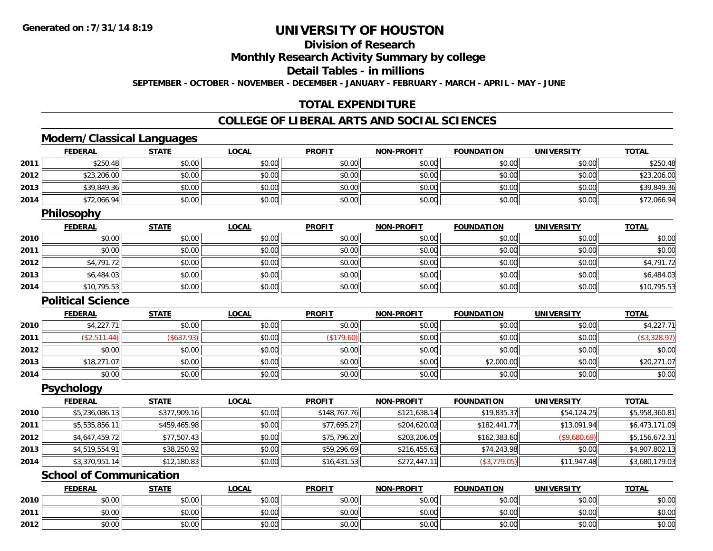**2012**

# **UNIVERSITY OF HOUSTON**

# **Division of Research**

**Monthly Research Activity Summary by college**

**Detail Tables - in millions**

**SEPTEMBER - OCTOBER - NOVEMBER - DECEMBER - JANUARY - FEBRUARY - MARCH - APRIL - MAY - JUNE**

### **TOTAL EXPENDITURE**

#### **COLLEGE OF LIBERAL ARTS AND SOCIAL SCIENCES**

### **Modern/Classical Languages**

|      | <b>FEDERAL</b>                 | <b>STATE</b> | <b>LOCAL</b> | <b>PROFIT</b> | <b>NON-PROFIT</b> | <b>FOUNDATION</b> | <b>UNIVERSITY</b> | <b>TOTAL</b>   |
|------|--------------------------------|--------------|--------------|---------------|-------------------|-------------------|-------------------|----------------|
| 2011 | \$250.48                       | \$0.00       | \$0.00       | \$0.00        | \$0.00            | \$0.00            | \$0.00            | \$250.48       |
| 2012 | \$23,206.00                    | \$0.00       | \$0.00       | \$0.00        | \$0.00            | \$0.00            | \$0.00            | \$23,206.00    |
| 2013 | \$39,849.36                    | \$0.00       | \$0.00       | \$0.00        | \$0.00            | \$0.00            | \$0.00            | \$39,849.36    |
| 2014 | \$72,066.94                    | \$0.00       | \$0.00       | \$0.00        | \$0.00            | \$0.00            | \$0.00            | \$72,066.94    |
|      | Philosophy                     |              |              |               |                   |                   |                   |                |
|      | <b>FEDERAL</b>                 | <b>STATE</b> | <b>LOCAL</b> | <b>PROFIT</b> | <b>NON-PROFIT</b> | <b>FOUNDATION</b> | <b>UNIVERSITY</b> | <b>TOTAL</b>   |
| 2010 | \$0.00                         | \$0.00       | \$0.00       | \$0.00        | \$0.00            | \$0.00            | \$0.00            | \$0.00         |
| 2011 | \$0.00                         | \$0.00       | \$0.00       | \$0.00        | \$0.00            | \$0.00            | \$0.00            | \$0.00         |
| 2012 | \$4,791.72                     | \$0.00       | \$0.00       | \$0.00        | \$0.00            | \$0.00            | \$0.00            | \$4,791.72     |
| 2013 | \$6,484.03                     | \$0.00       | \$0.00       | \$0.00        | \$0.00            | \$0.00            | \$0.00            | \$6,484.03     |
| 2014 | \$10,795.53                    | \$0.00       | \$0.00       | \$0.00        | \$0.00            | \$0.00            | \$0.00            | \$10,795.53    |
|      | <b>Political Science</b>       |              |              |               |                   |                   |                   |                |
|      | <b>FEDERAL</b>                 | <b>STATE</b> | <b>LOCAL</b> | <b>PROFIT</b> | <b>NON-PROFIT</b> | <b>FOUNDATION</b> | <b>UNIVERSITY</b> | <b>TOTAL</b>   |
| 2010 | \$4,227.71                     | \$0.00       | \$0.00       | \$0.00        | \$0.00            | \$0.00            | \$0.00            | \$4,227.71     |
| 2011 | (\$2,511.44)                   | (\$637.93)   | \$0.00       | (\$179.60)    | \$0.00            | \$0.00            | \$0.00            | (\$3,328.97)   |
| 2012 | \$0.00                         | \$0.00       | \$0.00       | \$0.00        | \$0.00            | \$0.00            | \$0.00            | \$0.00         |
| 2013 | \$18,271.07                    | \$0.00       | \$0.00       | \$0.00        | \$0.00            | \$2,000.00        | \$0.00            | \$20,271.07    |
| 2014 | \$0.00                         | \$0.00       | \$0.00       | \$0.00        | \$0.00            | \$0.00            | \$0.00            | \$0.00         |
|      | <b>Psychology</b>              |              |              |               |                   |                   |                   |                |
|      | <b>FEDERAL</b>                 | <b>STATE</b> | <b>LOCAL</b> | <b>PROFIT</b> | <b>NON-PROFIT</b> | <b>FOUNDATION</b> | <b>UNIVERSITY</b> | <b>TOTAL</b>   |
| 2010 | \$5,236,086.13                 | \$377,909.16 | \$0.00       | \$148,767.76  | \$121,638.14      | \$19,835.37       | \$54,124.25       | \$5,958,360.81 |
| 2011 | \$5,535,856.11                 | \$459,465.98 | \$0.00       | \$77,695.27   | \$204,620.02      | \$182,441.77      | \$13,091.94       | \$6,473,171.09 |
| 2012 | \$4,647,459.72                 | \$77,507.43  | \$0.00       | \$75,796.20   | \$203,206.05      | \$162,383.60      | (\$9,680.69)      | \$5,156,672.31 |
| 2013 | \$4,519,554.91                 | \$38,250.92  | \$0.00       | \$59,296.69   | \$216,455.63      | \$74,243.98       | \$0.00            | \$4,907,802.13 |
| 2014 | \$3,370,951.14                 | \$12,180.83  | \$0.00       | \$16,431.53   | \$272,447.11      | (\$3,779.05)      | \$11,947.48       | \$3,680,179.03 |
|      | <b>School of Communication</b> |              |              |               |                   |                   |                   |                |
|      | <b>FEDERAL</b>                 | <b>STATE</b> | <b>LOCAL</b> | <b>PROFIT</b> | <b>NON-PROFIT</b> | <b>FOUNDATION</b> | <b>UNIVERSITY</b> | <b>TOTAL</b>   |
| 2010 | \$0.00                         | \$0.00       | \$0.00       | \$0.00        | \$0.00            | \$0.00            | \$0.00            | \$0.00         |
| 2011 | \$0.00                         | \$0.00       | \$0.00       | \$0.00        | \$0.00            | \$0.00            | \$0.00            | \$0.00         |

2 | \$0.00 \$0.00 \$0.00 \$0.00 \$0.00 \$0.00 \$0.00 \$0.00 \$0.00 \$0.00 \$0.00 \$0.00 \$0.00 \$0.00 \$0.00 \$0.00 \$0.00 \$0.00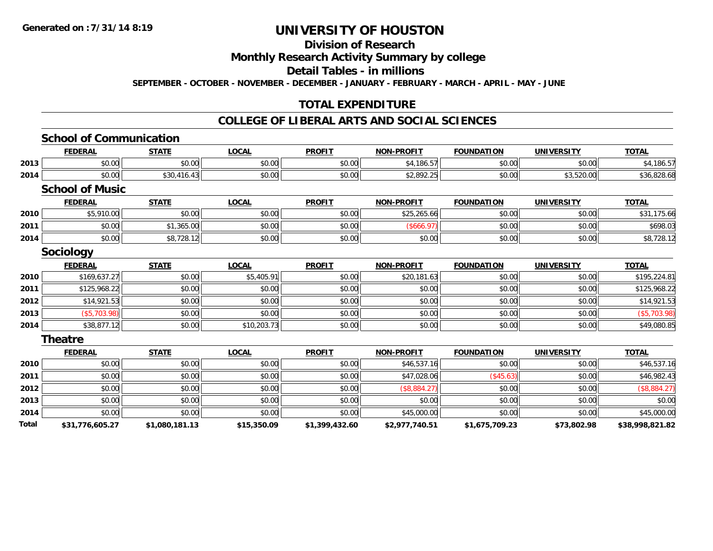#### **Division of Research**

**Monthly Research Activity Summary by college**

**Detail Tables - in millions**

**SEPTEMBER - OCTOBER - NOVEMBER - DECEMBER - JANUARY - FEBRUARY - MARCH - APRIL - MAY - JUNE**

### **TOTAL EXPENDITURE**

#### **COLLEGE OF LIBERAL ARTS AND SOCIAL SCIENCES**

#### **School of CommunicationFEDERAL STATE LOCAL PROFIT NON-PROFIT FOUNDATION UNIVERSITY TOTALTOTAL 2013** \$0.00 \$0.00 \$0.00 \$0.00 \$4,186.57 \$0.00 \$0.00 \$4,186.57 **2014**4 \$0.00 \$0.00 \$30,416.43 \$0.00 \$0.00 \$0.00 \$0.00 \$2,892.25 \$0.00 \$3,520.00 \$3,520.00 \$36,828.68 **School of MusicFEDERAL STATE LOCAL PROFIT NON-PROFIT FOUNDATION UNIVERSITY TOTALTOTAL 2010** $\textsf{[0]} \quad \textsf{[0]} \quad \textsf{[0]} \quad \textsf{[0]} \quad \textsf{[0]} \quad \textsf{[0]} \quad \textsf{[0]} \quad \textsf{[0]} \quad \textsf{[0]} \quad \textsf{[0]} \quad \textsf{[0]} \quad \textsf{[0]} \quad \textsf{[0]} \quad \textsf{[0]} \quad \textsf{[0]} \quad \textsf{[0]} \quad \textsf{[0]} \quad \textsf{[0]} \quad \textsf{[0]} \quad \textsf{[0]} \quad \textsf{[0]} \quad \textsf{[0]} \quad \textsf{[0]} \quad \textsf{[0]} \quad \textsf{$ **2011** \$0.00 \$1,365.00 \$0.00 \$0.00 (\$666.97) \$0.00 \$0.00 \$698.03 **2014**4 \$0.00 \$0.00 \$0.00 \$8,728.12 \$0.00 \$0.00 \$0.00 \$0.00 \$0.00 \$0.00 \$0.00 \$0.00 \$0.00 \$0.00 \$8,728.12 **Sociology FEDERAL STATE LOCAL PROFIT NON-PROFIT FOUNDATION UNIVERSITY TOTAL2010** \$169,637.27 \$0.00 \$5,405.91 \$0.00 \$20,181.63 \$0.00 \$0.00 \$195,224.81 **2011**1 \$125,968.22 \$0.00 \$0.00 \$0.00 \$0.00 \$0.00 \$0.00 \$0.00 \$0.00 \$0.00 \$0.00 \$125,968.22 **2012**2 | \$14,921.53|| \$0.00| \$0.00|| \$0.00|| \$0.00|| \$0.00|| \$0.00|| \$0.00|| \$0.00|| \$0.00|| \$14,921.53 **2013** (\$5,703.98) \$0.00 \$0.00 \$0.00 \$0.00 \$0.00 \$0.00 (\$5,703.98) **2014** \$38,877.12 \$0.00 \$10,203.73 \$0.00 \$0.00 \$0.00 \$0.00 \$49,080.85 **Theatre FEDERAL STATE LOCAL PROFIT NON-PROFIT FOUNDATION UNIVERSITY TOTAL2010** $\textsf{[0]} \quad \textsf{[0]} \quad \textsf{[0]} \quad \textsf{[0]} \quad \textsf{[0]} \quad \textsf{[0]} \quad \textsf{[0]} \quad \textsf{[0]} \quad \textsf{[0]} \quad \textsf{[0]} \quad \textsf{[0]} \quad \textsf{[0]} \quad \textsf{[0]} \quad \textsf{[0]} \quad \textsf{[0]} \quad \textsf{[0]} \quad \textsf{[0]} \quad \textsf{[0]} \quad \textsf{[0]} \quad \textsf{[0]} \quad \textsf{[0]} \quad \textsf{[0]} \quad \textsf{[0]} \quad \textsf{[0]} \quad \textsf{$ **2011** \$0.00 \$0.00 \$0.00 \$0.00 \$47,028.06 (\$45.63) \$0.00 \$46,982.43 **2012**2 | \$0.00| \$0.00| \$0.00| \$0.00| \$0.00| \$0.00| \$0.00| (\$8,884.27) **2013**3 \$0.00 | \$0.00 | \$0.00 | \$0.00 | \$0.00 | \$0.00 | \$0.00 | \$0.00 **2014**4 \$0.00 \$0.00 \$0.00 \$0.00 \$0.00 \$0.00 \$0.00 \$0.00 \$0.00 \$45,000.00 \$45,000.00 \$0.00 \$0.00 \$0.00 \$45,000.00 **Total\$31,776,605.27 \$1,080,181.13 \$15,350.09 \$1,399,432.60 \$2,977,740.51 \$1,675,709.23 \$73,802.98 \$38,998,821.82**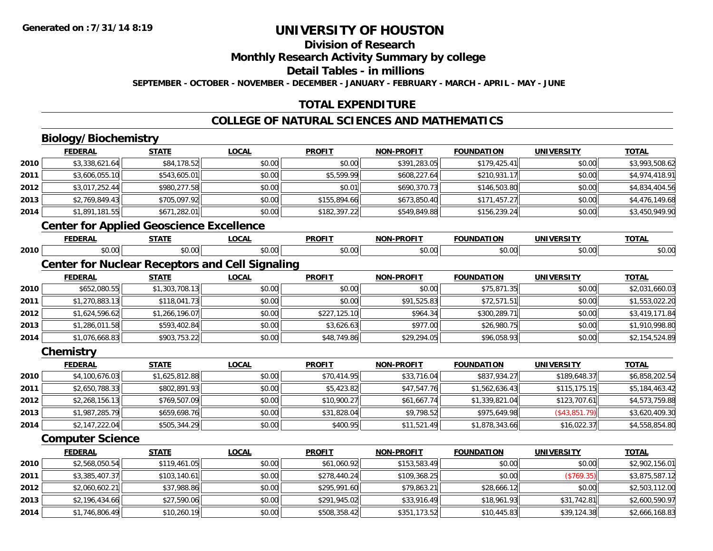# **Division of Research**

**Monthly Research Activity Summary by college**

**Detail Tables - in millions**

**SEPTEMBER - OCTOBER - NOVEMBER - DECEMBER - JANUARY - FEBRUARY - MARCH - APRIL - MAY - JUNE**

# **TOTAL EXPENDITURE**

### **COLLEGE OF NATURAL SCIENCES AND MATHEMATICS**

# **Biology/Biochemistry**

**2013**

**2014**

|      | ____________                                           |                |              |               |                   |                   |                   |                |
|------|--------------------------------------------------------|----------------|--------------|---------------|-------------------|-------------------|-------------------|----------------|
|      | <b>FEDERAL</b>                                         | <b>STATE</b>   | <b>LOCAL</b> | <b>PROFIT</b> | <b>NON-PROFIT</b> | <b>FOUNDATION</b> | <b>UNIVERSITY</b> | <b>TOTAL</b>   |
| 2010 | \$3,338,621.64                                         | \$84,178.52    | \$0.00       | \$0.00        | \$391,283.05      | \$179,425.41      | \$0.00            | \$3,993,508.62 |
| 2011 | \$3,606,055.10                                         | \$543,605.01   | \$0.00       | \$5,599.99    | \$608,227.64      | \$210,931.17      | \$0.00            | \$4,974,418.91 |
| 2012 | \$3,017,252.44                                         | \$980,277.58   | \$0.00       | \$0.01        | \$690,370.73      | \$146,503.80      | \$0.00            | \$4,834,404.56 |
| 2013 | \$2,769,849.43                                         | \$705,097.92   | \$0.00       | \$155,894.66  | \$673,850.40      | \$171,457.27      | \$0.00            | \$4,476,149.68 |
| 2014 | \$1,891,181.55                                         | \$671,282.01   | \$0.00       | \$182,397.22  | \$549,849.88      | \$156,239.24      | \$0.00            | \$3,450,949.90 |
|      | <b>Center for Applied Geoscience Excellence</b>        |                |              |               |                   |                   |                   |                |
|      | <b>FEDERAL</b>                                         | <b>STATE</b>   | <b>LOCAL</b> | <b>PROFIT</b> | <b>NON-PROFIT</b> | <b>FOUNDATION</b> | <b>UNIVERSITY</b> | <b>TOTAL</b>   |
| 2010 | \$0.00                                                 | \$0.00         | \$0.00       | \$0.00        | \$0.00            | \$0.00            | \$0.00            | \$0.00         |
|      | <b>Center for Nuclear Receptors and Cell Signaling</b> |                |              |               |                   |                   |                   |                |
|      | <b>FEDERAL</b>                                         | <b>STATE</b>   | <b>LOCAL</b> | <b>PROFIT</b> | <b>NON-PROFIT</b> | <b>FOUNDATION</b> | <b>UNIVERSITY</b> | <b>TOTAL</b>   |
| 2010 | \$652,080.55                                           | \$1,303,708.13 | \$0.00       | \$0.00        | \$0.00            | \$75,871.35       | \$0.00            | \$2,031,660.03 |
| 2011 | \$1,270,883.13                                         | \$118,041.73   | \$0.00       | \$0.00        | \$91,525.83       | \$72,571.51       | \$0.00            | \$1,553,022.20 |
| 2012 | \$1,624,596.62                                         | \$1,266,196.07 | \$0.00       | \$227,125.10  | \$964.34          | \$300,289.71      | \$0.00            | \$3,419,171.84 |
| 2013 | \$1,286,011.58                                         | \$593,402.84   | \$0.00       | \$3,626.63    | \$977.00          | \$26,980.75       | \$0.00            | \$1,910,998.80 |
| 2014 | \$1,076,668.83                                         | \$903,753.22   | \$0.00       | \$48,749.86   | \$29,294.05       | \$96,058.93       | \$0.00            | \$2,154,524.89 |
|      | Chemistry                                              |                |              |               |                   |                   |                   |                |
|      | <b>FEDERAL</b>                                         | <b>STATE</b>   | <b>LOCAL</b> | <b>PROFIT</b> | <b>NON-PROFIT</b> | <b>FOUNDATION</b> | <b>UNIVERSITY</b> | <b>TOTAL</b>   |
| 2010 | \$4,100,676.03                                         | \$1,625,812.88 | \$0.00       | \$70,414.95   | \$33,716.04       | \$837,934.27      | \$189,648.37      | \$6,858,202.54 |
| 2011 | \$2,650,788.33                                         | \$802,891.93   | \$0.00       | \$5,423.82    | \$47,547.76       | \$1,562,636.43    | \$115, 175.15     | \$5,184,463.42 |
| 2012 | \$2,268,156.13                                         | \$769,507.09   | \$0.00       | \$10,900.27   | \$61,667.74       | \$1,339,821.04    | \$123,707.61      | \$4,573,759.88 |
| 2013 | \$1,987,285.79                                         | \$659,698.76   | \$0.00       | \$31,828.04   | \$9,798.52        | \$975,649.98      | (\$43,851.79)     | \$3,620,409.30 |
| 2014 | \$2,147,222.04                                         | \$505,344.29   | \$0.00       | \$400.95      | \$11,521.49       | \$1,878,343.66    | \$16,022.37       | \$4,558,854.80 |
|      | <b>Computer Science</b>                                |                |              |               |                   |                   |                   |                |
|      | <b>FEDERAL</b>                                         | <b>STATE</b>   | <b>LOCAL</b> | <b>PROFIT</b> | <b>NON-PROFIT</b> | <b>FOUNDATION</b> | <b>UNIVERSITY</b> | <b>TOTAL</b>   |
| 2010 | \$2,568,050.54                                         | \$119,461.05   | \$0.00       | \$61,060.92   | \$153,583.49      | \$0.00            | \$0.00            | \$2,902,156.01 |
| 2011 | \$3,385,407.37                                         | \$103,140.61   | \$0.00       | \$278,440.24  | \$109,368.25      | \$0.00            | (\$769.35)        | \$3,875,587.12 |
| 2012 | \$2,060,602.21                                         | \$37,988.86    | \$0.00       | \$295,991.60  | \$79,863.21       | \$28,666.12       | \$0.00            | \$2,503,112.00 |

\$2,196,434.66 \$27,590.06 \$0.00 \$291,945.02 \$33,916.49 \$18,961.93 \$31,742.81 \$2,600,590.97

4 \$1,746,806.49| \$10,260.19| \$0.00| \$508,358.42| \$351,173.52| \$10,445.83| \$39,124.38| \$29,124.38 \$2,666,168.83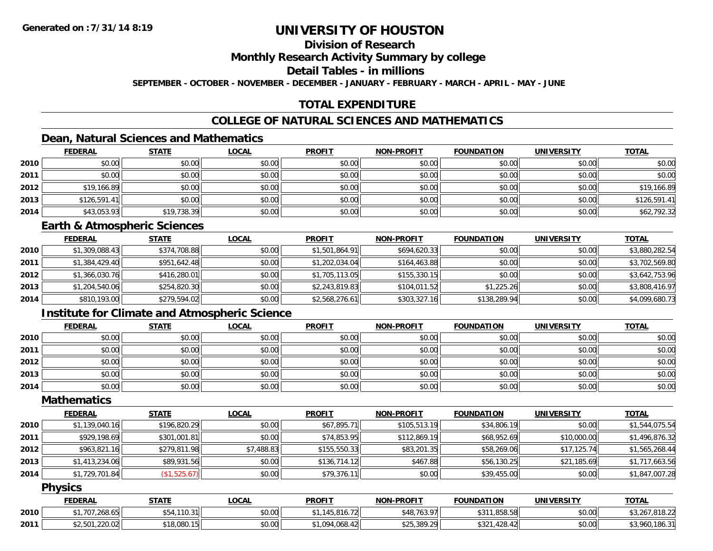# **Division of Research**

**Monthly Research Activity Summary by college**

**Detail Tables - in millions**

**SEPTEMBER - OCTOBER - NOVEMBER - DECEMBER - JANUARY - FEBRUARY - MARCH - APRIL - MAY - JUNE**

# **TOTAL EXPENDITURE**

### **COLLEGE OF NATURAL SCIENCES AND MATHEMATICS**

### **Dean, Natural Sciences and Mathematics**

|      | <b>FEDERAL</b> | <b>STATE</b> | <u>LOCAL</u> | <b>PROFIT</b> | <b>NON-PROFIT</b> | <b>FOUNDATION</b> | <b>UNIVERSITY</b> | <b>TOTAL</b> |
|------|----------------|--------------|--------------|---------------|-------------------|-------------------|-------------------|--------------|
| 2010 | \$0.00         | \$0.00       | \$0.00       | \$0.00        | \$0.00            | \$0.00            | \$0.00            | \$0.00       |
| 2011 | \$0.00         | \$0.00       | \$0.00       | \$0.00        | \$0.00            | \$0.00            | \$0.00            | \$0.00       |
| 2012 | \$19,166.89    | \$0.00       | \$0.00       | \$0.00        | \$0.00            | \$0.00            | \$0.00            | \$19,166.89  |
| 2013 | \$126,591.41   | \$0.00       | \$0.00       | \$0.00        | \$0.00            | \$0.00            | \$0.00            | \$126,591.41 |
| 2014 | \$43,053.93    | \$19,738.39  | \$0.00       | \$0.00        | \$0.00            | \$0.00            | \$0.00            | \$62,792.32  |

#### **Earth & Atmospheric Sciences**

|      | <b>FEDERAL</b> | <b>STATE</b> | <b>LOCAL</b> | <b>PROFIT</b>  | <b>NON-PROFIT</b> | <b>FOUNDATION</b> | <b>UNIVERSITY</b> | <b>TOTAL</b>   |
|------|----------------|--------------|--------------|----------------|-------------------|-------------------|-------------------|----------------|
| 2010 | \$1,309,088.43 | \$374,708.88 | \$0.00       | \$1,501,864.91 | \$694,620.33      | \$0.00            | \$0.00            | \$3,880,282.54 |
| 2011 | \$1,384,429.40 | \$951,642.48 | \$0.00       | \$1,202,034.04 | \$164,463.88      | \$0.00            | \$0.00            | \$3,702,569.80 |
| 2012 | \$1,366,030.76 | \$416,280.01 | \$0.00       | \$1,705,113.05 | \$155,330.15      | \$0.00            | \$0.00            | \$3,642,753.96 |
| 2013 | \$1,204,540.06 | \$254,820.30 | \$0.00       | \$2,243,819.83 | \$104.011.52      | \$1.225.26        | \$0.00            | \$3,808,416.97 |
| 2014 | \$810,193.00   | \$279,594.02 | \$0.00       | \$2,568,276.61 | \$303,327.16      | \$138,289.94      | \$0.00            | \$4,099,680.73 |

### **Institute for Climate and Atmospheric Science**

|      | <b>FEDERAL</b> | <b>STATE</b> | <u>LOCAL</u> | <b>PROFIT</b> | <b>NON-PROFIT</b> | <b>FOUNDATION</b> | <b>UNIVERSITY</b> | <b>TOTAL</b> |
|------|----------------|--------------|--------------|---------------|-------------------|-------------------|-------------------|--------------|
| 2010 | \$0.00         | \$0.00       | \$0.00       | \$0.00        | \$0.00            | \$0.00            | \$0.00            | \$0.00       |
| 2011 | \$0.00         | \$0.00       | \$0.00       | \$0.00        | \$0.00            | \$0.00            | \$0.00            | \$0.00       |
| 2012 | \$0.00         | \$0.00       | \$0.00       | \$0.00        | \$0.00            | \$0.00            | \$0.00            | \$0.00       |
| 2013 | \$0.00         | \$0.00       | \$0.00       | \$0.00        | \$0.00            | \$0.00            | \$0.00            | \$0.00       |
| 2014 | \$0.00         | \$0.00       | \$0.00       | \$0.00        | \$0.00            | \$0.00            | \$0.00            | \$0.00       |

#### **Mathematics**

|      | <b>FEDERAL</b> | <b>STATE</b> | <b>LOCAL</b> | <b>PROFIT</b> | <b>NON-PROFIT</b> | <b>FOUNDATION</b> | <b>UNIVERSITY</b> | <b>TOTAL</b>   |
|------|----------------|--------------|--------------|---------------|-------------------|-------------------|-------------------|----------------|
| 2010 | \$1,139,040.16 | \$196,820.29 | \$0.00       | \$67,895.71   | \$105,513.19      | \$34,806.19       | \$0.00            | \$1,544,075.54 |
| 2011 | \$929,198.69   | \$301,001.81 | \$0.00       | \$74,853.95   | \$112,869.19      | \$68,952.69       | \$10,000.00       | \$1,496,876.32 |
| 2012 | \$963,821.16   | \$279,811.98 | \$7,488.83   | \$155,550.33  | \$83,201.35       | \$58,269.06       | \$17,125.74       | \$1,565,268.44 |
| 2013 | \$1,413,234.06 | \$89,931.56  | \$0.00       | \$136,714.12  | \$467.88          | \$56,130.25       | \$21,185.69       | \$1,717,663.56 |
| 2014 | \$1,729,701.84 | (\$1,525.67) | \$0.00       | \$79,376.11   | \$0.00            | \$39,455.00       | \$0.00            | \$1,847,007.28 |

#### **Physics**

|      | <b>FEDERAL</b>                | STATE     | LOCAI  | <b>PROFIT</b>    | <b>M-PROFIT</b><br>NON- | <b>FOUNDATION</b>            | UNIVERSITY | <b>TOTAL</b>                            |
|------|-------------------------------|-----------|--------|------------------|-------------------------|------------------------------|------------|-----------------------------------------|
| 2010 | 7707010<br>0.001              | .110.31   | \$0.00 | 01L<br>5.816.721 | \$48,763.97<br>יוו פ.   | ,858.58<br>431'              | \$0.00     | 0.10, 0.0<br><b>∕ 20∠</b> د⊿<br>22.010, |
| 2011 | ີດລັດ ດີ<br>ልግ ፎስ1<br>.220.02 | 18,080.15 | \$0.00 | 0.01010<br>, UDY | \$25,389.29             | 100<br>よつつっ<br>428.42<br>⊅J∠ | \$0.00     | 186.3<br>' 96L                          |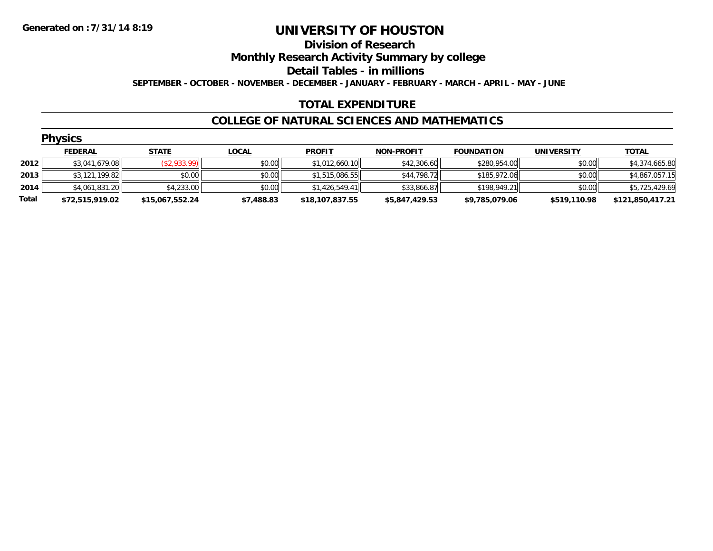#### **Division of Research**

**Monthly Research Activity Summary by college**

**Detail Tables - in millions**

**SEPTEMBER - OCTOBER - NOVEMBER - DECEMBER - JANUARY - FEBRUARY - MARCH - APRIL - MAY - JUNE**

#### **TOTAL EXPENDITURE**

#### **COLLEGE OF NATURAL SCIENCES AND MATHEMATICS**

|       | <b>Physics</b>  |                 |              |                 |                   |                   |                   |                  |
|-------|-----------------|-----------------|--------------|-----------------|-------------------|-------------------|-------------------|------------------|
|       | <b>FEDERAL</b>  | <b>STATE</b>    | <u>LOCAL</u> | <b>PROFIT</b>   | <b>NON-PROFIT</b> | <b>FOUNDATION</b> | <b>UNIVERSITY</b> | <b>TOTAL</b>     |
| 2012  | \$3,041,679.08  | (\$2,933.99)    | \$0.00       | \$1,012,660.10  | \$42,306.60       | \$280,954.00      | \$0.00            | \$4,374,665.80   |
| 2013  | \$3,121,199.82  | \$0.00          | \$0.00       | \$1,515,086.55  | \$44,798.72       | \$185,972.06      | \$0.00            | \$4,867,057.15   |
| 2014  | \$4,061,831.20  | \$4,233.00      | \$0.00       | \$1,426,549.41  | \$33,866.87       | \$198,949.21      | \$0.00            | \$5,725,429.69   |
| Total | \$72,515,919.02 | \$15,067,552.24 | \$7,488.83   | \$18,107,837.55 | \$5,847,429.53    | \$9,785,079.06    | \$519,110.98      | \$121,850,417.21 |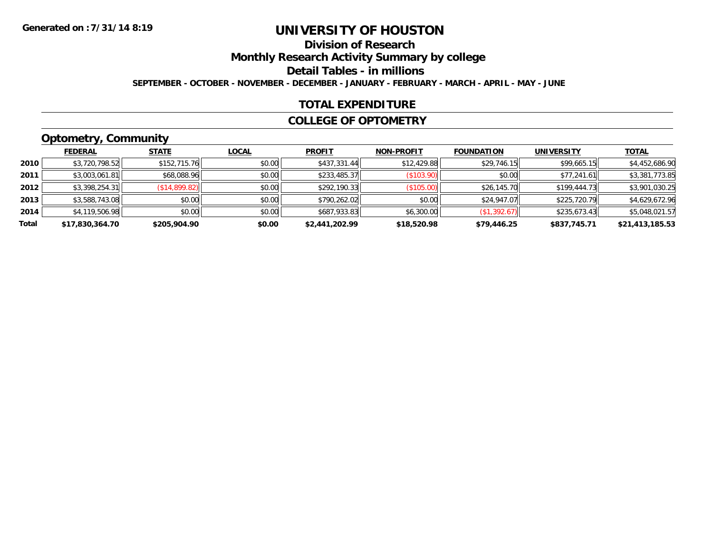# **Division of Research**

**Monthly Research Activity Summary by college**

**Detail Tables - in millions**

**SEPTEMBER - OCTOBER - NOVEMBER - DECEMBER - JANUARY - FEBRUARY - MARCH - APRIL - MAY - JUNE**

#### **TOTAL EXPENDITURE**

#### **COLLEGE OF OPTOMETRY**

# **Optometry, Community**

|       | <b>FEDERAL</b>  | <b>STATE</b>  | <b>LOCAL</b> | <b>PROFIT</b>  | <b>NON-PROFIT</b> | <b>FOUNDATION</b> | <b>UNIVERSITY</b> | <b>TOTAL</b>    |
|-------|-----------------|---------------|--------------|----------------|-------------------|-------------------|-------------------|-----------------|
| 2010  | \$3,720,798.52  | \$152,715.76  | \$0.00       | \$437,331.44   | \$12,429.88       | \$29,746.15       | \$99,665.15       | \$4,452,686.90  |
| 2011  | \$3,003,061.81  | \$68,088.96   | \$0.00       | \$233,485.37   | (S103.90)         | \$0.00            | \$77,241.61       | \$3,381,773.85  |
| 2012  | \$3,398,254.31  | (\$14,899.82) | \$0.00       | \$292,190.33   | (\$105.00)        | \$26,145.70       | \$199.444.73      | \$3,901,030.25  |
| 2013  | \$3,588,743.08  | \$0.00        | \$0.00       | \$790,262.02   | \$0.00            | \$24,947.07       | \$225,720.79      | \$4,629,672.96  |
| 2014  | \$4,119,506.98  | \$0.00        | \$0.00       | \$687,933.83   | \$6,300.00        | (\$1,392.67)      | \$235.673.43      | \$5,048,021.57  |
| Total | \$17,830,364.70 | \$205,904.90  | \$0.00       | \$2,441,202.99 | \$18,520.98       | \$79,446.25       | \$837,745.71      | \$21,413,185.53 |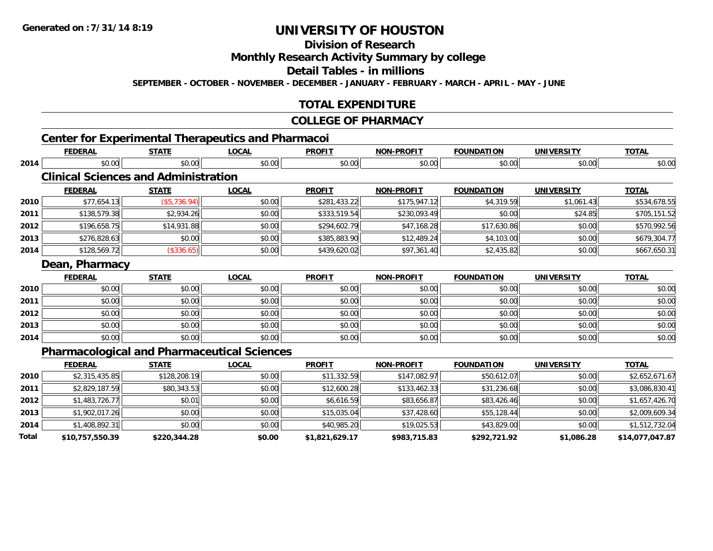**2012**

**2013**

**2014**

**Total**

# **UNIVERSITY OF HOUSTON**

# **Division of Research**

#### **Monthly Research Activity Summary by college**

#### **Detail Tables - in millions**

**SEPTEMBER - OCTOBER - NOVEMBER - DECEMBER - JANUARY - FEBRUARY - MARCH - APRIL - MAY - JUNE**

### **TOTAL EXPENDITURE**

#### **COLLEGE OF PHARMACY**

# **Center for Experimental Therapeutics and Pharmacoi**

|      | <b>FEDERAL</b>                              | <b>STATE</b> | <b>LOCAL</b>                                       | <b>PROFIT</b> | <b>NON-PROFIT</b> | <b>FOUNDATION</b> | <b>UNIVERSITY</b> | <b>TOTAL</b>   |
|------|---------------------------------------------|--------------|----------------------------------------------------|---------------|-------------------|-------------------|-------------------|----------------|
| 2014 | \$0.00                                      | \$0.00       | \$0.00                                             | \$0.00        | \$0.00            | \$0.00            | \$0.00            | \$0.00         |
|      | <b>Clinical Sciences and Administration</b> |              |                                                    |               |                   |                   |                   |                |
|      | <b>FEDERAL</b>                              | <b>STATE</b> | <b>LOCAL</b>                                       | <b>PROFIT</b> | <b>NON-PROFIT</b> | <b>FOUNDATION</b> | <b>UNIVERSITY</b> | <b>TOTAL</b>   |
| 2010 | \$77,654.13                                 | (\$5,736.94) | \$0.00                                             | \$281,433.22  | \$175,947.12      | \$4,319.59        | \$1,061.43        | \$534,678.55   |
| 2011 | \$138,579.38                                | \$2,934.26   | \$0.00                                             | \$333,519.54  | \$230,093.49      | \$0.00            | \$24.85           | \$705,151.52   |
| 2012 | \$196,658.75                                | \$14,931.88  | \$0.00                                             | \$294,602.79  | \$47,168.28       | \$17,630.86       | \$0.00            | \$570,992.56   |
| 2013 | \$276,828.63                                | \$0.00       | \$0.00                                             | \$385,883.90  | \$12,489.24       | \$4,103.00        | \$0.00            | \$679,304.77   |
| 2014 | \$128,569.72                                | (\$336.65)   | \$0.00                                             | \$439,620.02  | \$97,361.40       | \$2,435.82        | \$0.00            | \$667,650.31   |
|      | Dean, Pharmacy                              |              |                                                    |               |                   |                   |                   |                |
|      | <b>FEDERAL</b>                              | <b>STATE</b> | <b>LOCAL</b>                                       | <b>PROFIT</b> | <b>NON-PROFIT</b> | <b>FOUNDATION</b> | <b>UNIVERSITY</b> | <b>TOTAL</b>   |
| 2010 | \$0.00                                      | \$0.00       | \$0.00                                             | \$0.00        | \$0.00            | \$0.00            | \$0.00            | \$0.00         |
| 2011 | \$0.00                                      | \$0.00       | \$0.00                                             | \$0.00        | \$0.00            | \$0.00            | \$0.00            | \$0.00         |
| 2012 | \$0.00                                      | \$0.00       | \$0.00                                             | \$0.00        | \$0.00            | \$0.00            | \$0.00            | \$0.00         |
| 2013 | \$0.00                                      | \$0.00       | \$0.00                                             | \$0.00        | \$0.00            | \$0.00            | \$0.00            | \$0.00         |
| 2014 | \$0.00                                      | \$0.00       | \$0.00                                             | \$0.00        | \$0.00            | \$0.00            | \$0.00            | \$0.00         |
|      |                                             |              | <b>Pharmacological and Pharmaceutical Sciences</b> |               |                   |                   |                   |                |
|      | <b>FEDERAL</b>                              | <b>STATE</b> | <u>LOCAL</u>                                       | <b>PROFIT</b> | <b>NON-PROFIT</b> | <b>FOUNDATION</b> | <b>UNIVERSITY</b> | <b>TOTAL</b>   |
| 2010 | \$2,315,435.85                              | \$128,208.19 | \$0.00                                             | \$11,332.59   | \$147,082.97      | \$50,612.07       | \$0.00            | \$2,652,671.67 |
| 2011 | \$2,829,187.59                              | \$80,343.53  | \$0.00                                             | \$12,600.28   | \$133,462.33      | \$31,236.68       | \$0.00            | \$3,086,830.41 |

\$1,483,726.77 \$0.01 \$0.00 \$6,616.59 \$83,656.87 \$83,426.46 \$0.00 \$1,657,426.70

\$1,902,017.26 \$0.00 \$0.00 \$15,035.04 \$37,428.60 \$55,128.44 \$0.00 \$2,009,609.34

\$1,408,892.31 \$0.00 \$0.00 \$40,985.20 \$19,025.53 \$43,829.00 \$0.00 \$1,512,732.04

**\$10,757,550.39 \$220,344.28 \$0.00 \$1,821,629.17 \$983,715.83 \$292,721.92 \$1,086.28 \$14,077,047.87**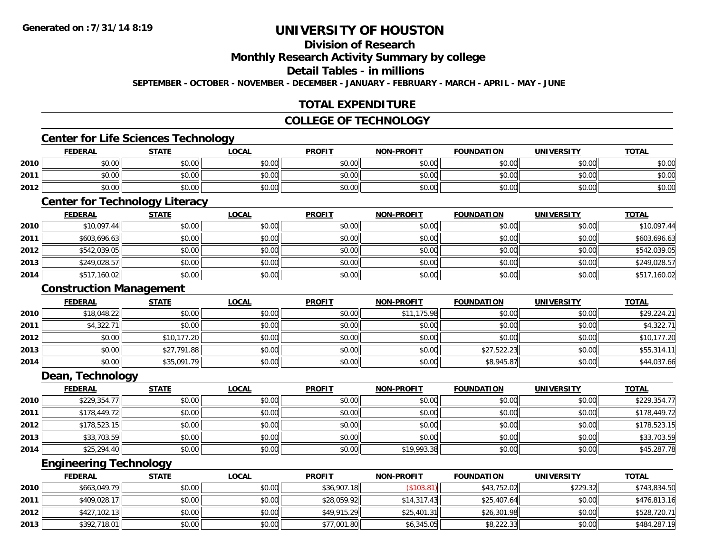# **Division of Research**

**Monthly Research Activity Summary by college**

#### **Detail Tables - in millions**

**SEPTEMBER - OCTOBER - NOVEMBER - DECEMBER - JANUARY - FEBRUARY - MARCH - APRIL - MAY - JUNE**

# **TOTAL EXPENDITURE**

#### **COLLEGE OF TECHNOLOGY**

# **Center for Life Sciences Technology**

|      | <b>FEDERAL</b> | <b>STATE</b> | <b>LOCAL</b> | <b>PROFIT</b> | NON-PROFIT | <b>FOUNDATION</b> | <b>UNIVERSITY</b> | <b>TOTAL</b> |
|------|----------------|--------------|--------------|---------------|------------|-------------------|-------------------|--------------|
| 2010 | \$0.00         | \$0.00       | \$0.00       | \$0.00        | \$0.00     | \$0.00            | \$0.00            | \$0.00       |
| 2011 | \$0.00         | \$0.00       | \$0.00       | \$0.00        | \$0.00     | \$0.00            | \$0.00            | \$0.00       |
| 2012 | \$0.00         | \$0.00       | \$0.00       | \$0.00        | \$0.00     | \$0.00            | \$0.00            | \$0.00       |

# **Center for Technology Literacy**

|      | <b>FEDERAL</b> | <b>STATE</b> | <b>LOCAL</b> | <b>PROFIT</b> | <b>NON-PROFIT</b> | <b>FOUNDATION</b> | <b>UNIVERSITY</b> | <b>TOTAL</b> |
|------|----------------|--------------|--------------|---------------|-------------------|-------------------|-------------------|--------------|
| 2010 | \$10,097.44    | \$0.00       | \$0.00       | \$0.00        | \$0.00            | \$0.00            | \$0.00            | \$10,097.44  |
| 2011 | \$603,696.63   | \$0.00       | \$0.00       | \$0.00        | \$0.00            | \$0.00            | \$0.00            | \$603,696.63 |
| 2012 | \$542,039.05   | \$0.00       | \$0.00       | \$0.00        | \$0.00            | \$0.00            | \$0.00            | \$542,039.05 |
| 2013 | \$249,028.57   | \$0.00       | \$0.00       | \$0.00        | \$0.00            | \$0.00            | \$0.00            | \$249,028.57 |
| 2014 | \$517,160.02   | \$0.00       | \$0.00       | \$0.00        | \$0.00            | \$0.00            | \$0.00            | \$517,160.02 |

#### **Construction Management**

|      | <b>FEDERAL</b> | <b>STATE</b> | <b>LOCAL</b> | <b>PROFIT</b> | <b>NON-PROFIT</b> | <b>FOUNDATION</b> | <b>UNIVERSITY</b> | <b>TOTAL</b> |
|------|----------------|--------------|--------------|---------------|-------------------|-------------------|-------------------|--------------|
| 2010 | \$18,048.22    | \$0.00       | \$0.00       | \$0.00        | \$11,175.98       | \$0.00            | \$0.00            | \$29,224.21  |
| 2011 | \$4,322.71     | \$0.00       | \$0.00       | \$0.00        | \$0.00            | \$0.00            | \$0.00            | \$4,322.71   |
| 2012 | \$0.00         | \$10,177.20  | \$0.00       | \$0.00        | \$0.00            | \$0.00            | \$0.00            | \$10,177.20  |
| 2013 | \$0.00         | \$27,791.88  | \$0.00       | \$0.00        | \$0.00            | \$27,522.23       | \$0.00            | \$55,314.11  |
| 2014 | \$0.00         | \$35,091.79  | \$0.00       | \$0.00        | \$0.00            | \$8,945.87        | \$0.00            | \$44,037.66  |

<u> 1980 - Johann Barn, amerikan besteman besteman besteman besteman besteman besteman besteman besteman bestema</u>

<u> 1989 - Johann Stoff, deutscher Stoffen und der Stoffen und der Stoffen und der Stoffen und der Stoffen und de</u>

### **Dean, Technology**

|      | <b>FEDERAL</b> | <b>STATE</b> | <b>LOCAL</b> | <b>PROFIT</b> | <b>NON-PROFIT</b> | <b>FOUNDATION</b> | <b>UNIVERSITY</b> | <b>TOTAL</b> |
|------|----------------|--------------|--------------|---------------|-------------------|-------------------|-------------------|--------------|
| 2010 | \$229,354.77   | \$0.00       | \$0.00       | \$0.00        | \$0.00            | \$0.00            | \$0.00            | \$229,354.77 |
| 2011 | \$178,449.72   | \$0.00       | \$0.00       | \$0.00        | \$0.00            | \$0.00            | \$0.00            | \$178,449.72 |
| 2012 | \$178,523.15   | \$0.00       | \$0.00       | \$0.00        | \$0.00            | \$0.00            | \$0.00            | \$178,523.15 |
| 2013 | \$33,703.59    | \$0.00       | \$0.00       | \$0.00        | \$0.00            | \$0.00            | \$0.00            | \$33,703.59  |
| 2014 | \$25,294.40    | \$0.00       | \$0.00       | \$0.00        | \$19,993.38       | \$0.00            | \$0.00            | \$45,287.78  |

### **Engineering Technology**

|      | <b>FEDERAL</b> | <b>STATE</b> | <b>LOCAL</b> | <b>PROFIT</b> | <b>NON-PROFIT</b> | <b>FOUNDATION</b> | UNIVERSITY | <b>TOTAL</b> |
|------|----------------|--------------|--------------|---------------|-------------------|-------------------|------------|--------------|
| 2010 | \$663,049.79   | \$0.00       | \$0.00       | \$36,907.18   | $($ \$103.81)     | \$43,752.02       | \$229.32   | \$743,834.50 |
| 2011 | \$409,028.17   | \$0.00       | \$0.00       | \$28,059.92   | \$14.317.43       | \$25,407.64       | \$0.00     | \$476,813.16 |
| 2012 | \$427,102.13   | \$0.00       | \$0.00       | \$49,915.29   | \$25,401.31       | \$26,301.98       | \$0.00     | \$528,720.71 |
| 2013 | \$392,718.01   | \$0.00       | \$0.00       | \$77,001.80   | \$6,345.05        | \$8,222.33        | \$0.00     | \$484,287.19 |

<u> 1989 - Johann Stoff, amerikansk politiker (d. 1989)</u>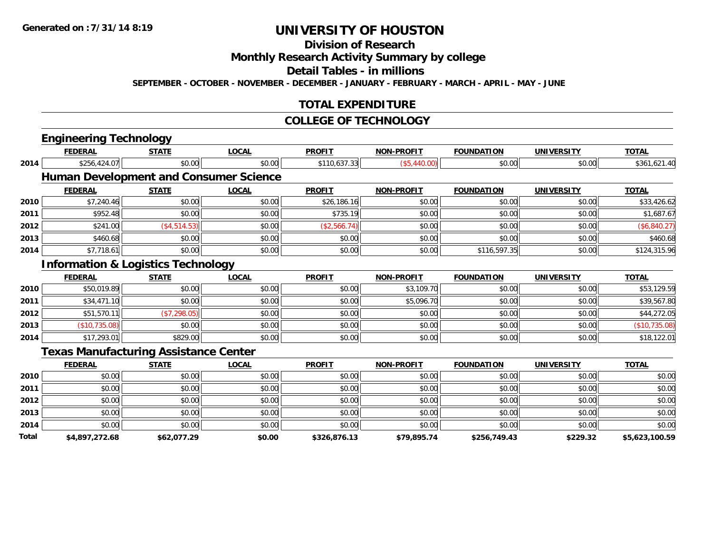# **Division of Research**

**Monthly Research Activity Summary by college**

**Detail Tables - in millions**

**SEPTEMBER - OCTOBER - NOVEMBER - DECEMBER - JANUARY - FEBRUARY - MARCH - APRIL - MAY - JUNE**

## **TOTAL EXPENDITURE**

#### **COLLEGE OF TECHNOLOGY**

|       | <b>Engineering Technology</b>                 |               |                                               |               |                   |                   |                   |                |
|-------|-----------------------------------------------|---------------|-----------------------------------------------|---------------|-------------------|-------------------|-------------------|----------------|
|       | <b>FEDERAL</b>                                | <b>STATE</b>  | <b>LOCAL</b>                                  | <b>PROFIT</b> | <b>NON-PROFIT</b> | <b>FOUNDATION</b> | <b>UNIVERSITY</b> | <b>TOTAL</b>   |
| 2014  | \$256,424.07                                  | \$0.00        | \$0.00                                        | \$110,637.33  | (\$5,440.00)      | \$0.00            | \$0.00            | \$361,621.40   |
|       |                                               |               | <b>Human Development and Consumer Science</b> |               |                   |                   |                   |                |
|       | <b>FEDERAL</b>                                | <b>STATE</b>  | <b>LOCAL</b>                                  | <b>PROFIT</b> | <b>NON-PROFIT</b> | <b>FOUNDATION</b> | <b>UNIVERSITY</b> | <b>TOTAL</b>   |
| 2010  | \$7,240.46                                    | \$0.00        | \$0.00                                        | \$26,186.16   | \$0.00            | \$0.00            | \$0.00            | \$33,426.62    |
| 2011  | \$952.48                                      | \$0.00        | \$0.00                                        | \$735.19      | \$0.00            | \$0.00            | \$0.00            | \$1,687.67     |
| 2012  | \$241.00                                      | ( \$4,514.53) | \$0.00                                        | (\$2,566.74)  | \$0.00            | \$0.00            | \$0.00            | (\$6,840.27)   |
| 2013  | \$460.68                                      | \$0.00        | \$0.00                                        | \$0.00        | \$0.00            | \$0.00            | \$0.00            | \$460.68       |
| 2014  | \$7,718.61                                    | \$0.00        | \$0.00                                        | \$0.00        | \$0.00            | \$116,597.35      | \$0.00            | \$124,315.96   |
|       | <b>Information &amp; Logistics Technology</b> |               |                                               |               |                   |                   |                   |                |
|       | <b>FEDERAL</b>                                | <b>STATE</b>  | <b>LOCAL</b>                                  | <b>PROFIT</b> | <b>NON-PROFIT</b> | <b>FOUNDATION</b> | <b>UNIVERSITY</b> | <b>TOTAL</b>   |
| 2010  | \$50,019.89                                   | \$0.00        | \$0.00                                        | \$0.00        | \$3,109.70        | \$0.00            | \$0.00            | \$53,129.59    |
| 2011  | \$34,471.10                                   | \$0.00        | \$0.00                                        | \$0.00        | \$5,096.70        | \$0.00            | \$0.00            | \$39,567.80    |
| 2012  | \$51,570.11                                   | (\$7,298.05)  | \$0.00                                        | \$0.00        | \$0.00            | \$0.00            | \$0.00            | \$44,272.05    |
| 2013  | (\$10,735.08)                                 | \$0.00        | \$0.00                                        | \$0.00        | \$0.00            | \$0.00            | \$0.00            | (\$10,735.08)  |
| 2014  | \$17,293.01                                   | \$829.00      | \$0.00                                        | \$0.00        | \$0.00            | \$0.00            | \$0.00            | \$18,122.01    |
|       | <b>Texas Manufacturing Assistance Center</b>  |               |                                               |               |                   |                   |                   |                |
|       | <b>FEDERAL</b>                                | <b>STATE</b>  | <b>LOCAL</b>                                  | <b>PROFIT</b> | <b>NON-PROFIT</b> | <b>FOUNDATION</b> | <b>UNIVERSITY</b> | <b>TOTAL</b>   |
| 2010  | \$0.00                                        | \$0.00        | \$0.00                                        | \$0.00        | \$0.00            | \$0.00            | \$0.00            | \$0.00         |
| 2011  | \$0.00                                        | \$0.00        | \$0.00                                        | \$0.00        | \$0.00            | \$0.00            | \$0.00            | \$0.00         |
| 2012  | \$0.00                                        | \$0.00        | \$0.00                                        | \$0.00        | \$0.00            | \$0.00            | \$0.00            | \$0.00         |
| 2013  | \$0.00                                        | \$0.00        | \$0.00                                        | \$0.00        | \$0.00            | \$0.00            | \$0.00            | \$0.00         |
| 2014  | \$0.00                                        | \$0.00        | \$0.00                                        | \$0.00        | \$0.00            | \$0.00            | \$0.00            | \$0.00         |
| Total | \$4,897,272.68                                | \$62,077.29   | \$0.00                                        | \$326,876.13  | \$79,895.74       | \$256,749.43      | \$229.32          | \$5,623,100.59 |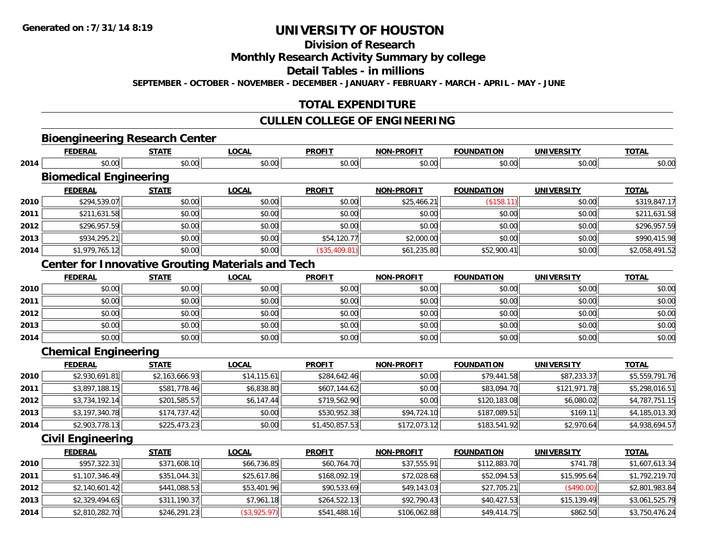# **Division of Research**

#### **Monthly Research Activity Summary by college**

### **Detail Tables - in millions**

**SEPTEMBER - OCTOBER - NOVEMBER - DECEMBER - JANUARY - FEBRUARY - MARCH - APRIL - MAY - JUNE**

### **TOTAL EXPENDITURE**

### **CULLEN COLLEGE OF ENGINEERING**

# **Bioengineering Research Center**

|      | <b>FEDERAL</b>                | <b>STATE</b> | <b>LOCAL</b> | <b>PROFIT</b>  | <b>NON-PROFIT</b> | <b>FOUNDATION</b> | <b>UNIVERSITY</b> | <b>TOTAL</b>   |
|------|-------------------------------|--------------|--------------|----------------|-------------------|-------------------|-------------------|----------------|
| 2014 | \$0.00                        | \$0.00       | \$0.00       | \$0.00         | \$0.00            | \$0.00            | \$0.00            | \$0.00         |
|      | <b>Biomedical Engineering</b> |              |              |                |                   |                   |                   |                |
|      | <b>FEDERAL</b>                | <b>STATE</b> | <b>LOCAL</b> | <b>PROFIT</b>  | NON-PROFIT        | <b>FOUNDATION</b> | <b>UNIVERSITY</b> | <b>TOTAL</b>   |
| 2010 | \$294,539.07                  | \$0.00       | \$0.00       | \$0.00         | \$25,466.21       | (\$158.11)        | \$0.00            | \$319,847.17   |
| 2011 | \$211,631.58                  | \$0.00       | \$0.00       | \$0.00         | \$0.00            | \$0.00            | \$0.00            | \$211,631.58   |
| 2012 | \$296,957.59                  | \$0.00       | \$0.00       | \$0.00         | \$0.00            | \$0.00            | \$0.00            | \$296.957.59   |
| 2013 | \$934,295.21                  | \$0.00       | \$0.00       | \$54,120.77    | \$2,000.00        | \$0.00            | \$0.00            | \$990,415.98   |
| 2014 | \$1,979,765.12                | \$0.00       | \$0.00       | $(*35,409.81)$ | \$61,235.80       | \$52,900.41       | \$0.00            | \$2,058,491.52 |

### **Center for Innovative Grouting Materials and Tech**

|      | <b>FEDERAL</b> | <b>STATE</b> | <u>LOCAL</u> | <b>PROFIT</b> | <b>NON-PROFIT</b> | <b>FOUNDATION</b> | <b>UNIVERSITY</b> | <b>TOTAL</b> |
|------|----------------|--------------|--------------|---------------|-------------------|-------------------|-------------------|--------------|
| 2010 | \$0.00         | \$0.00       | \$0.00       | \$0.00        | \$0.00            | \$0.00            | \$0.00            | \$0.00       |
| 2011 | \$0.00         | \$0.00       | \$0.00       | \$0.00        | \$0.00            | \$0.00            | \$0.00            | \$0.00       |
| 2012 | \$0.00         | \$0.00       | \$0.00       | \$0.00        | \$0.00            | \$0.00            | \$0.00            | \$0.00       |
| 2013 | \$0.00         | \$0.00       | \$0.00       | \$0.00        | \$0.00            | \$0.00            | \$0.00            | \$0.00       |
| 2014 | \$0.00         | \$0.00       | \$0.00       | \$0.00        | \$0.00            | \$0.00            | \$0.00            | \$0.00       |

### **Chemical Engineering**

|      | <b>FEDERAL</b> | <b>STATE</b>   | <u>LOCAL</u> | <b>PROFIT</b>  | <b>NON-PROFIT</b> | <b>FOUNDATION</b> | <b>UNIVERSITY</b> | <b>TOTAL</b>   |
|------|----------------|----------------|--------------|----------------|-------------------|-------------------|-------------------|----------------|
| 2010 | \$2,930,691.81 | \$2,163,666.93 | \$14, 115.61 | \$284,642.46   | \$0.00            | \$79,441.58       | \$87,233.37       | \$5,559,791.76 |
| 2011 | \$3,897,188.15 | \$581,778.46   | \$6,838.80   | \$607,144.62   | \$0.00            | \$83,094.70       | \$121,971.78      | \$5,298,016.51 |
| 2012 | \$3,734,192.14 | \$201,585.57   | \$6,147.44   | \$719,562.90   | \$0.00            | \$120,183.08      | \$6,080.02        | \$4,787,751.15 |
| 2013 | \$3,197,340.78 | \$174,737.42   | \$0.00       | \$530,952.38   | \$94,724.10       | \$187,089.51      | \$169.11          | \$4,185,013.30 |
| 2014 | \$2,903,778.13 | \$225,473.23   | \$0.00       | \$1,450,857.53 | \$172,073.12      | \$183,541.92      | \$2,970.64        | \$4,938,694.57 |

### **Civil Engineering**

|      | <b>FEDERAL</b> | <b>STATE</b> | <b>LOCAL</b> | <b>PROFIT</b> | <b>NON-PROFIT</b> | <b>FOUNDATION</b> | <b>UNIVERSITY</b> | <u>TOTAL</u>   |
|------|----------------|--------------|--------------|---------------|-------------------|-------------------|-------------------|----------------|
| 2010 | \$957,322.31   | \$371,608.10 | \$66,736.85  | \$60,764.70   | \$37,555.91       | \$112,883.70      | \$741.78          | \$1,607,613.34 |
| 2011 | \$1,107,346.49 | \$351,044.31 | \$25,617.86  | \$168,092.19  | \$72,028.68       | \$52,094.53       | \$15.995.64       | \$1,792,219.70 |
| 2012 | \$2,140,601.42 | \$441,088.53 | \$53,401.96  | \$90,533.69   | \$49,143.03       | \$27,705.21       | (\$490.00)        | \$2,801,983.84 |
| 2013 | \$2,329,494.65 | \$311,190.37 | \$7,961.18   | \$264,522.13  | \$92,790.43       | \$40,427.53       | \$15,139.49       | \$3,061,525.79 |
| 2014 | \$2,810,282.70 | \$246,291.23 | (\$3,925.97) | \$541,488.16  | \$106,062.88      | \$49,414.75       | \$862.50          | \$3,750,476.24 |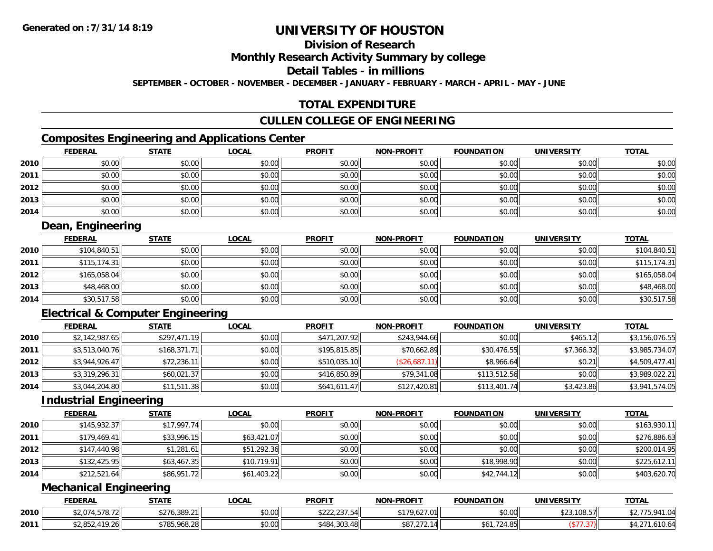# **Division of Research**

### **Monthly Research Activity Summary by college**

#### **Detail Tables - in millions**

**SEPTEMBER - OCTOBER - NOVEMBER - DECEMBER - JANUARY - FEBRUARY - MARCH - APRIL - MAY - JUNE**

## **TOTAL EXPENDITURE**

### **CULLEN COLLEGE OF ENGINEERING**

# **Composites Engineering and Applications Center**

|      | <b>FEDERAL</b> | <b>STATE</b> | <b>LOCAL</b> | <b>PROFIT</b> | <b>NON-PROFIT</b> | <b>FOUNDATION</b> | <b>UNIVERSITY</b> | <b>TOTAL</b> |
|------|----------------|--------------|--------------|---------------|-------------------|-------------------|-------------------|--------------|
| 2010 | \$0.00         | \$0.00       | \$0.00       | \$0.00        | \$0.00            | \$0.00            | \$0.00            | \$0.00       |
| 2011 | \$0.00         | \$0.00       | \$0.00       | \$0.00        | \$0.00            | \$0.00            | \$0.00            | \$0.00       |
| 2012 | \$0.00         | \$0.00       | \$0.00       | \$0.00        | \$0.00            | \$0.00            | \$0.00            | \$0.00       |
| 2013 | \$0.00         | \$0.00       | \$0.00       | \$0.00        | \$0.00            | \$0.00            | \$0.00            | \$0.00       |
| 2014 | \$0.00         | \$0.00       | \$0.00       | \$0.00        | \$0.00            | \$0.00            | \$0.00            | \$0.00       |

### **Dean, Engineering**

|      | <b>FEDERAL</b> | <u>STATE</u> | <u>LOCAL</u> | <b>PROFIT</b> | <b>NON-PROFIT</b> | <b>FOUNDATION</b> | <b>UNIVERSITY</b> | <b>TOTAL</b> |
|------|----------------|--------------|--------------|---------------|-------------------|-------------------|-------------------|--------------|
| 2010 | \$104,840.51   | \$0.00       | \$0.00       | \$0.00        | \$0.00            | \$0.00            | \$0.00            | \$104,840.51 |
| 2011 | \$115, 174.31  | \$0.00       | \$0.00       | \$0.00        | \$0.00            | \$0.00            | \$0.00            | \$115,174.31 |
| 2012 | \$165,058.04   | \$0.00       | \$0.00       | \$0.00        | \$0.00            | \$0.00            | \$0.00            | \$165,058.04 |
| 2013 | \$48,468.00    | \$0.00       | \$0.00       | \$0.00        | \$0.00            | \$0.00            | \$0.00            | \$48,468.00  |
| 2014 | \$30,517.58    | \$0.00       | \$0.00       | \$0.00        | \$0.00            | \$0.00            | \$0.00            | \$30,517.58  |

# **Electrical & Computer Engineering**

|      | <b>FEDERAL</b> | <u>STATE</u> | <b>LOCAL</b> | <b>PROFIT</b> | <b>NON-PROFIT</b> | <b>FOUNDATION</b> | <b>UNIVERSITY</b> | <b>TOTAL</b>   |
|------|----------------|--------------|--------------|---------------|-------------------|-------------------|-------------------|----------------|
| 2010 | \$2,142,987.65 | \$297,471.19 | \$0.00       | \$471,207.92  | \$243,944.66      | \$0.00            | \$465.12          | \$3,156,076.55 |
| 2011 | \$3,513,040.76 | \$168,371.71 | \$0.00       | \$195,815.85  | \$70,662.89       | \$30,476.55       | \$7,366.32        | \$3,985,734.07 |
| 2012 | \$3,944,926.47 | \$72,236.11  | \$0.00       | \$510,035.10  | (\$26,687.11)     | \$8,966.64        | \$0.21            | \$4,509,477.41 |
| 2013 | \$3,319,296.31 | \$60,021.37  | \$0.00       | \$416,850.89  | \$79,341.08       | \$113,512.56      | \$0.00            | \$3,989,022.21 |
| 2014 | \$3,044,204.80 | \$11,511.38  | \$0.00       | \$641,611.47  | \$127,420.81      | \$113,401.74      | \$3,423.86        | \$3,941,574.05 |

#### **Industrial Engineering**

|      | <b>FEDERAL</b> | <u>STATE</u> | <b>LOCAL</b> | <b>PROFIT</b> | <b>NON-PROFIT</b> | <b>FOUNDATION</b> | <b>UNIVERSITY</b> | <b>TOTAL</b> |
|------|----------------|--------------|--------------|---------------|-------------------|-------------------|-------------------|--------------|
| 2010 | \$145,932.37   | \$17,997.74  | \$0.00       | \$0.00        | \$0.00            | \$0.00            | \$0.00            | \$163,930.11 |
| 2011 | \$179,469.41   | \$33,996.15  | \$63,421.07  | \$0.00        | \$0.00            | \$0.00            | \$0.00            | \$276,886.63 |
| 2012 | \$147,440.98   | \$1,281.61   | \$51,292.36  | \$0.00        | \$0.00            | \$0.00            | \$0.00            | \$200,014.95 |
| 2013 | \$132,425.95   | \$63,467.35  | \$10,719.91  | \$0.00        | \$0.00            | \$18,998.90       | \$0.00            | \$225,612.11 |
| 2014 | \$212,521.64   | \$86,951.72  | \$61,403.22  | \$0.00        | \$0.00            | \$42,744.12       | \$0.00            | \$403,620.70 |

# **Mechanical Engineering**

|      | <b>FEDERAL</b>                                    | <b>STATE</b>           | LOCAL  | <b>PROFIT</b>                 | NON-PROFIT                                  | <b>FOUNDATION</b> | UNIVERSITY | <b>TOTAL</b>      |
|------|---------------------------------------------------|------------------------|--------|-------------------------------|---------------------------------------------|-------------------|------------|-------------------|
| 2010 | $0.071$ $0.70$ $0.70$<br>$22.014$ m<br>ا 21.78 ل. | <b>¢776</b><br>.389.21 | \$0.00 | 0.00000000000<br>116.162,2224 | .627.01<br>7.b∠                             | \$0.00            | ,108.57    | 0.941.04          |
| 2011 | 110.26<br><b>ልግ በ</b> ሮግ<br>7.ZU<br>, 2002 ש      | \$785,968.28           | \$0.00 | \$484,303.48                  | $\sim$ $\sim$ $\sim$ $\sim$<br>12.14<br>001 | $.724$ OF         |            | 110<br>L.O I U.O4 |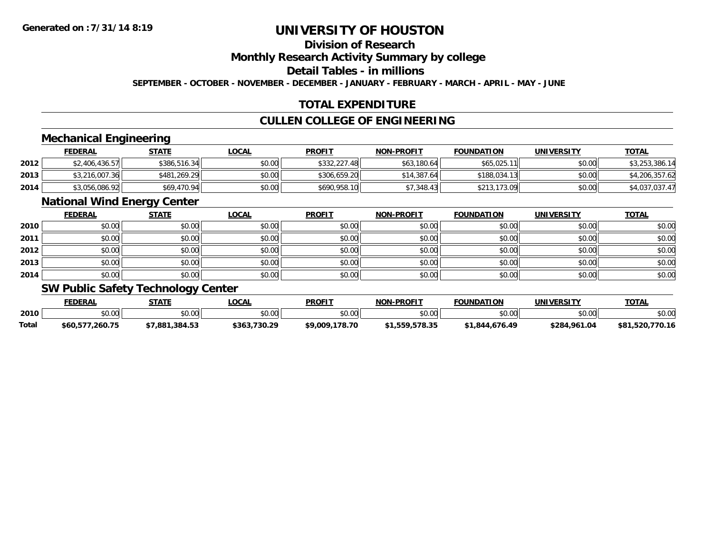# **Division of Research**

#### **Monthly Research Activity Summary by college**

# **Detail Tables - in millions**

**SEPTEMBER - OCTOBER - NOVEMBER - DECEMBER - JANUARY - FEBRUARY - MARCH - APRIL - MAY - JUNE**

### **TOTAL EXPENDITURE**

# **CULLEN COLLEGE OF ENGINEERING**

### **Mechanical Engineering**

|      | <b>FEDERAL</b> | <u>STATE</u> | <b>LOCAL</b> | <b>PROFIT</b> | <b>NON-PROFIT</b> | <b>FOUNDATION</b> | <b>UNIVERSITY</b> | <b>TOTAL</b>   |
|------|----------------|--------------|--------------|---------------|-------------------|-------------------|-------------------|----------------|
| 2012 | \$2,406,436.57 | \$386,516.34 | \$0.00       | \$332,227.48  | \$63,180.64       | \$65,025.11       | \$0.00            | \$3,253,386.14 |
| 2013 | \$3,216,007.36 | \$481,269.29 | \$0.00       | \$306,659.20  | \$14,387.64       | \$188,034.13      | \$0.00            | \$4,206,357.62 |
| 2014 | \$3,056,086.92 | \$69,470.94  | \$0.00       | \$690,958.10  | \$7.348.43        | \$213,173.09      | \$0.00            | \$4,037,037.47 |

#### **National Wind Energy Center**

|      | <b>FEDERAL</b> | <b>STATE</b> | <u>LOCAL</u> | <b>PROFIT</b> | NON-PROFIT | <b>FOUNDATION</b> | <b>UNIVERSITY</b> | <b>TOTAL</b> |
|------|----------------|--------------|--------------|---------------|------------|-------------------|-------------------|--------------|
| 2010 | \$0.00         | \$0.00       | \$0.00       | \$0.00        | \$0.00     | \$0.00            | \$0.00            | \$0.00       |
| 2011 | \$0.00         | \$0.00       | \$0.00       | \$0.00        | \$0.00     | \$0.00            | \$0.00            | \$0.00       |
| 2012 | \$0.00         | \$0.00       | \$0.00       | \$0.00        | \$0.00     | \$0.00            | \$0.00            | \$0.00       |
| 2013 | \$0.00         | \$0.00       | \$0.00       | \$0.00        | \$0.00     | \$0.00            | \$0.00            | \$0.00       |
| 2014 | \$0.00         | \$0.00       | \$0.00       | \$0.00        | \$0.00     | \$0.00            | \$0.00            | \$0.00       |

### **SW Public Safety Technology Center**

|       | <b>FEDERAL</b>  | STATE          | LOCAL        | <b>PROFIT</b>  | <b>NON-PROFIT</b> | <b>FOUNDATION</b> | UNIVERSITY   | <b>TOTAL</b>    |
|-------|-----------------|----------------|--------------|----------------|-------------------|-------------------|--------------|-----------------|
| 2010  | 0000<br>₽U.UU   | \$0.00         | \$0.00       | \$0.00         | \$0.00            | \$0.00            | \$0.00       | \$0.00          |
| Total | \$60.577.260.75 | \$7.881.384.53 | \$363.730.29 | \$9,009,178.70 | \$1,559,578.35    | \$1.844.676.49    | \$284,961.04 | \$81,520,770.16 |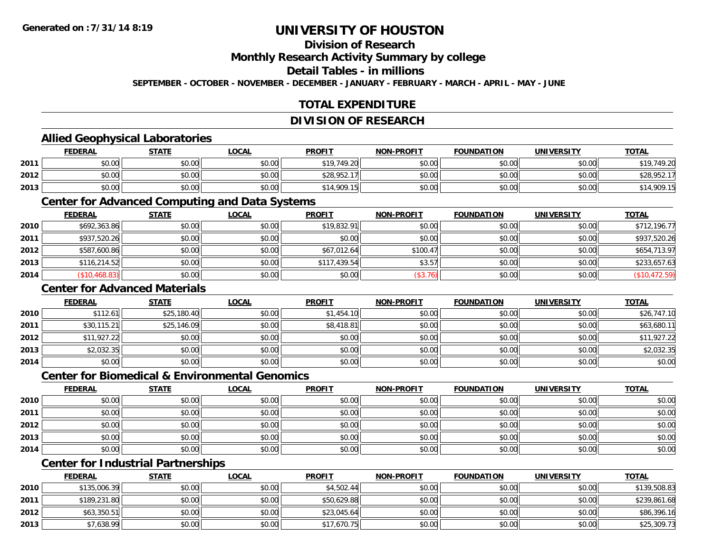# **Division of Research**

**Monthly Research Activity Summary by college**

#### **Detail Tables - in millions**

**SEPTEMBER - OCTOBER - NOVEMBER - DECEMBER - JANUARY - FEBRUARY - MARCH - APRIL - MAY - JUNE**

# **TOTAL EXPENDITURE**

#### **DIVISION OF RESEARCH**

### **Allied Geophysical Laboratories**

|      | <b>FEDERAL</b> | <u>STATE</u> | <u>LOCAL</u> | <b>PROFIT</b> | <b>NON-PROFIT</b> | <b>FOUNDATION</b> | <b>UNIVERSITY</b> | <b>TOTAL</b> |
|------|----------------|--------------|--------------|---------------|-------------------|-------------------|-------------------|--------------|
| 2011 | \$0.00         | \$0.00       | \$0.00       | \$19,749.20   | \$0.00            | \$0.00            | \$0.00            | \$19.749.20  |
| 2012 | \$0.00         | \$0.00       | \$0.00       | \$28,952.17   | \$0.00            | \$0.00            | \$0.00            | \$28.952.    |
| 2013 | \$0.00         | \$0.00       | \$0.00       | \$14,909.15   | \$0.00            | \$0.00            | \$0.00            | \$14,909.15  |

#### **Center for Advanced Computing and Data Systems**

|      | <b>FEDERAL</b> | <b>STATE</b> | <u>LOCAL</u> | <b>PROFIT</b> | <b>NON-PROFIT</b> | <b>FOUNDATION</b> | <b>UNIVERSITY</b> | <b>TOTAL</b>  |
|------|----------------|--------------|--------------|---------------|-------------------|-------------------|-------------------|---------------|
| 2010 | \$692,363.86   | \$0.00       | \$0.00       | \$19,832.91   | \$0.00            | \$0.00            | \$0.00            | \$712,196.77  |
| 2011 | \$937,520.26   | \$0.00       | \$0.00       | \$0.00        | \$0.00            | \$0.00            | \$0.00            | \$937,520.26  |
| 2012 | \$587,600.86   | \$0.00       | \$0.00       | \$67,012.64   | \$100.47          | \$0.00            | \$0.00            | \$654,713.97  |
| 2013 | \$116,214.52   | \$0.00       | \$0.00       | \$117,439.54  | \$3.57            | \$0.00            | \$0.00            | \$233,657.63  |
| 2014 | \$10,468.83    | \$0.00       | \$0.00       | \$0.00        | (\$3.76)          | \$0.00            | \$0.00            | (\$10,472.59) |

### **Center for Advanced Materials**

|      | <u>FEDERAL</u> | <b>STATE</b> | <u>LOCAL</u> | <b>PROFIT</b> | <b>NON-PROFIT</b> | <b>FOUNDATION</b> | <b>UNIVERSITY</b> | <b>TOTAL</b> |
|------|----------------|--------------|--------------|---------------|-------------------|-------------------|-------------------|--------------|
| 2010 | \$112.61       | \$25,180.40  | \$0.00       | \$1,454.10    | \$0.00            | \$0.00            | \$0.00            | \$26,747.10  |
| 2011 | \$30,115.21    | \$25,146.09  | \$0.00       | \$8,418.81    | \$0.00            | \$0.00            | \$0.00            | \$63,680.11  |
| 2012 | \$11,927.22    | \$0.00       | \$0.00       | \$0.00        | \$0.00            | \$0.00            | \$0.00            | \$11,927.22  |
| 2013 | \$2,032.35     | \$0.00       | \$0.00       | \$0.00        | \$0.00            | \$0.00            | \$0.00            | \$2,032.35   |
| 2014 | \$0.00         | \$0.00       | \$0.00       | \$0.00        | \$0.00            | \$0.00            | \$0.00            | \$0.00       |

#### **Center for Biomedical & Environmental Genomics**

|      | <u>FEDERAL</u> | <b>STATE</b> | <b>LOCAL</b> | <b>PROFIT</b> | <b>NON-PROFIT</b> | <b>FOUNDATION</b> | <b>UNIVERSITY</b> | <b>TOTAL</b> |
|------|----------------|--------------|--------------|---------------|-------------------|-------------------|-------------------|--------------|
| 2010 | \$0.00         | \$0.00       | \$0.00       | \$0.00        | \$0.00            | \$0.00            | \$0.00            | \$0.00       |
| 2011 | \$0.00         | \$0.00       | \$0.00       | \$0.00        | \$0.00            | \$0.00            | \$0.00            | \$0.00       |
| 2012 | \$0.00         | \$0.00       | \$0.00       | \$0.00        | \$0.00            | \$0.00            | \$0.00            | \$0.00       |
| 2013 | \$0.00         | \$0.00       | \$0.00       | \$0.00        | \$0.00            | \$0.00            | \$0.00            | \$0.00       |
| 2014 | \$0.00         | \$0.00       | \$0.00       | \$0.00        | \$0.00            | \$0.00            | \$0.00            | \$0.00       |

# **Center for Industrial Partnerships**

|      | <b>FEDERAL</b> | <u>STATE</u> | <u>LOCAL</u> | <b>PROFIT</b> | <b>NON-PROFIT</b> | <b>FOUNDATION</b> | <b>UNIVERSITY</b> | <b>TOTAL</b> |
|------|----------------|--------------|--------------|---------------|-------------------|-------------------|-------------------|--------------|
| 2010 | \$135,006.39   | \$0.00       | \$0.00       | \$4,502.44    | \$0.00            | \$0.00            | \$0.00            | \$139,508.83 |
| 2011 | \$189,231.80   | \$0.00       | \$0.00       | \$50,629.88   | \$0.00            | \$0.00            | \$0.00            | \$239,861.68 |
| 2012 | \$63,350.51    | \$0.00       | \$0.00       | \$23,045.64   | \$0.00            | \$0.00            | \$0.00            | \$86,396.16  |
| 2013 | \$7,638.99     | \$0.00       | \$0.00       | \$17,670.75   | \$0.00            | \$0.00            | \$0.00            | \$25,309.73  |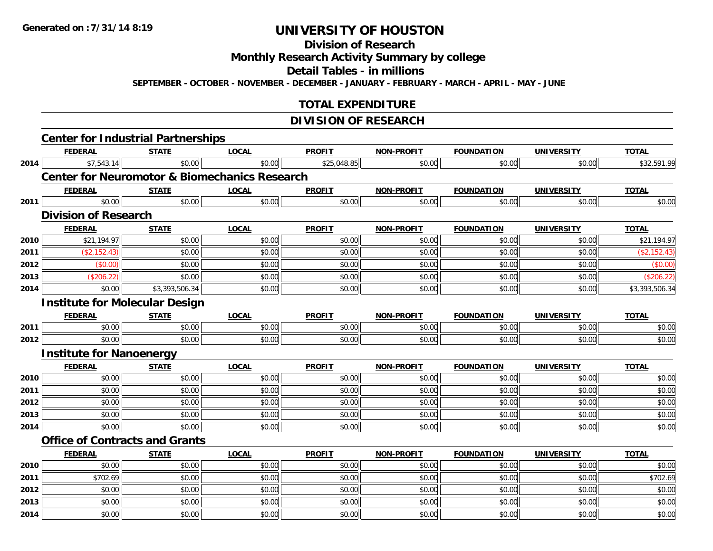#### **Division of Research**

**Monthly Research Activity Summary by college**

**Detail Tables - in millions**

**SEPTEMBER - OCTOBER - NOVEMBER - DECEMBER - JANUARY - FEBRUARY - MARCH - APRIL - MAY - JUNE**

## **TOTAL EXPENDITURE**

### **DIVISION OF RESEARCH**

|      | <b>Center for Industrial Partnerships</b>                |                |              |               |                   |                   |                   |                |
|------|----------------------------------------------------------|----------------|--------------|---------------|-------------------|-------------------|-------------------|----------------|
|      | <b>FEDERAL</b>                                           | <b>STATE</b>   | <b>LOCAL</b> | <b>PROFIT</b> | <b>NON-PROFIT</b> | <b>FOUNDATION</b> | <b>UNIVERSITY</b> | <b>TOTAL</b>   |
|      | \$7,543.14<br>2014                                       | \$0.00         | \$0.00       | \$25,048.85   | \$0.00            | \$0.00            | \$0.00            | \$32,591.99    |
|      | <b>Center for Neuromotor &amp; Biomechanics Research</b> |                |              |               |                   |                   |                   |                |
|      | <b>FEDERAL</b>                                           | <b>STATE</b>   | <b>LOCAL</b> | <b>PROFIT</b> | NON-PROFIT        | <b>FOUNDATION</b> | <b>UNIVERSITY</b> | <b>TOTAL</b>   |
| 2011 | \$0.00                                                   | \$0.00         | \$0.00       | \$0.00        | \$0.00            | \$0.00            | \$0.00            | \$0.00         |
|      | <b>Division of Research</b>                              |                |              |               |                   |                   |                   |                |
|      | <b>FEDERAL</b>                                           | <b>STATE</b>   | <b>LOCAL</b> | <b>PROFIT</b> | <b>NON-PROFIT</b> | <b>FOUNDATION</b> | <b>UNIVERSITY</b> | <b>TOTAL</b>   |
| 2010 | \$21,194.97                                              | \$0.00         | \$0.00       | \$0.00        | \$0.00            | \$0.00            | \$0.00            | \$21,194.97    |
| 2011 | (\$2,152.43)                                             | \$0.00         | \$0.00       | \$0.00        | \$0.00            | \$0.00            | \$0.00            | (\$2,152.43)   |
| 2012 | (\$0.00)                                                 | \$0.00         | \$0.00       | \$0.00        | \$0.00            | \$0.00            | \$0.00            | (\$0.00)       |
| 2013 | (\$206.22)                                               | \$0.00         | \$0.00       | \$0.00        | \$0.00            | \$0.00            | \$0.00            | (\$206.22)     |
| 2014 | \$0.00                                                   | \$3,393,506.34 | \$0.00       | \$0.00        | \$0.00            | \$0.00            | \$0.00            | \$3,393,506.34 |
|      | <b>Institute for Molecular Design</b>                    |                |              |               |                   |                   |                   |                |
|      | <b>FEDERAL</b>                                           | <b>STATE</b>   | <b>LOCAL</b> | <b>PROFIT</b> | NON-PROFIT        | <b>FOUNDATION</b> | <b>UNIVERSITY</b> | <b>TOTAL</b>   |
| 2011 | \$0.00                                                   | \$0.00         | \$0.00       | \$0.00        | \$0.00            | \$0.00            | \$0.00            | \$0.00         |
| 2012 | \$0.00                                                   | \$0.00         | \$0.00       | \$0.00        | \$0.00            | \$0.00            | \$0.00            | \$0.00         |
|      | <b>Institute for Nanoenergy</b>                          |                |              |               |                   |                   |                   |                |
|      | <b>FEDERAL</b>                                           | <b>STATE</b>   | <b>LOCAL</b> | <b>PROFIT</b> | <b>NON-PROFIT</b> | <b>FOUNDATION</b> | UNIVERSITY        | <b>TOTAL</b>   |
| 2010 | \$0.00                                                   | \$0.00         | \$0.00       | \$0.00        | \$0.00            | \$0.00            | \$0.00            | \$0.00         |
| 2011 | \$0.00                                                   | \$0.00         | \$0.00       | \$0.00        | \$0.00            | \$0.00            | \$0.00            | \$0.00         |
| 2012 | \$0.00                                                   | \$0.00         | \$0.00       | \$0.00        | \$0.00            | \$0.00            | \$0.00            | \$0.00         |
| 2013 | \$0.00                                                   | \$0.00         | \$0.00       | \$0.00        | \$0.00            | \$0.00            | \$0.00            | \$0.00         |
| 2014 | \$0.00                                                   | \$0.00         | \$0.00       | \$0.00        | \$0.00            | \$0.00            | \$0.00            | \$0.00         |
|      | <b>Office of Contracts and Grants</b>                    |                |              |               |                   |                   |                   |                |
|      | <b>FEDERAL</b>                                           | <b>STATE</b>   | <b>LOCAL</b> | <b>PROFIT</b> | <b>NON-PROFIT</b> | <b>FOUNDATION</b> | <b>UNIVERSITY</b> | <b>TOTAL</b>   |
| 2010 | \$0.00                                                   | \$0.00         | \$0.00       | \$0.00        | \$0.00            | \$0.00            | \$0.00            | \$0.00         |
| 2011 | \$702.69                                                 | \$0.00         | \$0.00       | \$0.00        | \$0.00            | \$0.00            | \$0.00            | \$702.69       |
| 2012 | \$0.00                                                   | \$0.00         | \$0.00       | \$0.00        | \$0.00            | \$0.00            | \$0.00            | \$0.00         |
| 2013 | \$0.00                                                   | \$0.00         | \$0.00       | \$0.00        | \$0.00            | \$0.00            | \$0.00            | \$0.00         |
| 2014 | \$0.00                                                   | \$0.00         | \$0.00       | \$0.00        | \$0.00            | \$0.00            | \$0.00            | \$0.00         |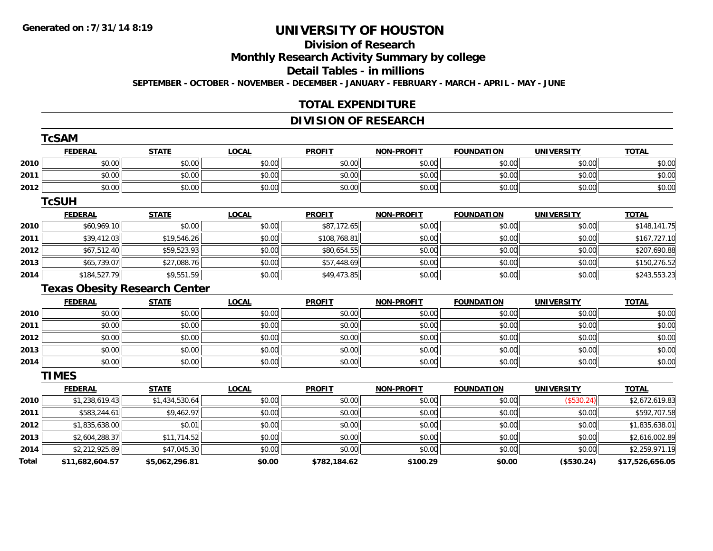# **Division of Research**

**Monthly Research Activity Summary by college**

#### **Detail Tables - in millions**

**SEPTEMBER - OCTOBER - NOVEMBER - DECEMBER - JANUARY - FEBRUARY - MARCH - APRIL - MAY - JUNE**

## **TOTAL EXPENDITURE**

### **DIVISION OF RESEARCH**

|                                      | <b>TcSAM</b>    |                |              |               |                   |                   |                   |                 |
|--------------------------------------|-----------------|----------------|--------------|---------------|-------------------|-------------------|-------------------|-----------------|
|                                      | <b>FEDERAL</b>  | <b>STATE</b>   | <b>LOCAL</b> | <b>PROFIT</b> | <b>NON-PROFIT</b> | <b>FOUNDATION</b> | <b>UNIVERSITY</b> | <b>TOTAL</b>    |
| 2010                                 | \$0.00          | \$0.00         | \$0.00       | \$0.00        | \$0.00            | \$0.00            | \$0.00            | \$0.00          |
| 2011                                 | \$0.00          | \$0.00         | \$0.00       | \$0.00        | \$0.00            | \$0.00            | \$0.00            | \$0.00          |
| 2012                                 | \$0.00          | \$0.00         | \$0.00       | \$0.00        | \$0.00            | \$0.00            | \$0.00            | \$0.00          |
|                                      | <b>TcSUH</b>    |                |              |               |                   |                   |                   |                 |
|                                      | <b>FEDERAL</b>  | <b>STATE</b>   | <b>LOCAL</b> | <b>PROFIT</b> | <b>NON-PROFIT</b> | <b>FOUNDATION</b> | <b>UNIVERSITY</b> | <b>TOTAL</b>    |
| 2010                                 | \$60,969.10     | \$0.00         | \$0.00       | \$87,172.65   | \$0.00            | \$0.00            | \$0.00            | \$148,141.75    |
| 2011                                 | \$39,412.03     | \$19,546.26    | \$0.00       | \$108,768.81  | \$0.00            | \$0.00            | \$0.00            | \$167,727.10    |
| 2012                                 | \$67,512.40     | \$59,523.93    | \$0.00       | \$80,654.55   | \$0.00            | \$0.00            | \$0.00            | \$207,690.88    |
| 2013                                 | \$65,739.07     | \$27,088.76    | \$0.00       | \$57,448.69   | \$0.00            | \$0.00            | \$0.00            | \$150,276.52    |
| 2014                                 | \$184,527.79    | \$9,551.59     | \$0.00       | \$49,473.85   | \$0.00            | \$0.00            | \$0.00            | \$243,553.23    |
| <b>Texas Obesity Research Center</b> |                 |                |              |               |                   |                   |                   |                 |
|                                      | <b>FEDERAL</b>  | <b>STATE</b>   | <b>LOCAL</b> | <b>PROFIT</b> | <b>NON-PROFIT</b> | <b>FOUNDATION</b> | <b>UNIVERSITY</b> | <b>TOTAL</b>    |
| 2010                                 | \$0.00          | \$0.00         | \$0.00       | \$0.00        | \$0.00            | \$0.00            | \$0.00            | \$0.00          |
| 2011                                 | \$0.00          | \$0.00         | \$0.00       | \$0.00        | \$0.00            | \$0.00            | \$0.00            | \$0.00          |
| 2012                                 | \$0.00          | \$0.00         | \$0.00       | \$0.00        | \$0.00            | \$0.00            | \$0.00            | \$0.00          |
| 2013                                 | \$0.00          | \$0.00         | \$0.00       | \$0.00        | \$0.00            | \$0.00            | \$0.00            | \$0.00          |
| 2014                                 | \$0.00          | \$0.00         | \$0.00       | \$0.00        | \$0.00            | \$0.00            | \$0.00            | \$0.00          |
|                                      | <b>TIMES</b>    |                |              |               |                   |                   |                   |                 |
|                                      | <b>FEDERAL</b>  | <b>STATE</b>   | <b>LOCAL</b> | <b>PROFIT</b> | <b>NON-PROFIT</b> | <b>FOUNDATION</b> | <b>UNIVERSITY</b> | <b>TOTAL</b>    |
| 2010                                 | \$1,238,619.43  | \$1,434,530.64 | \$0.00       | \$0.00        | \$0.00            | \$0.00            | (\$530.24)        | \$2,672,619.83  |
| 2011                                 | \$583,244.61    | \$9,462.97     | \$0.00       | \$0.00        | \$0.00            | \$0.00            | \$0.00            | \$592,707.58    |
| 2012                                 | \$1,835,638.00  | \$0.01         | \$0.00       | \$0.00        | \$0.00            | \$0.00            | \$0.00            | \$1,835,638.01  |
| 2013                                 | \$2,604,288.37  | \$11,714.52    | \$0.00       | \$0.00        | \$0.00            | \$0.00            | \$0.00            | \$2,616,002.89  |
| 2014                                 | \$2,212,925.89  | \$47,045.30    | \$0.00       | \$0.00        | \$0.00            | \$0.00            | \$0.00            | \$2,259,971.19  |
| Total                                | \$11,682,604.57 | \$5,062,296.81 | \$0.00       | \$782,184.62  | \$100.29          | \$0.00            | (\$530.24)        | \$17,526,656.05 |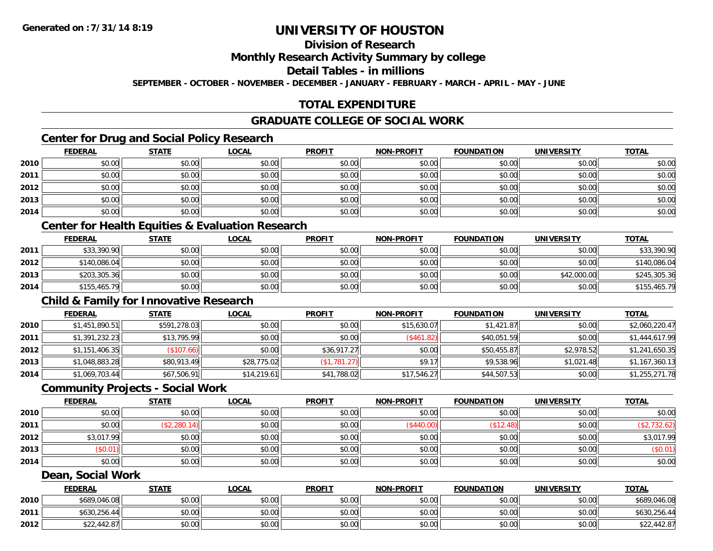# **Division of Research**

#### **Monthly Research Activity Summary by college**

#### **Detail Tables - in millions**

**SEPTEMBER - OCTOBER - NOVEMBER - DECEMBER - JANUARY - FEBRUARY - MARCH - APRIL - MAY - JUNE**

# **TOTAL EXPENDITURE**

### **GRADUATE COLLEGE OF SOCIAL WORK**

# **Center for Drug and Social Policy Research**

|      | <b>FEDERAL</b> | <b>STATE</b> | <b>LOCAL</b> | <b>PROFIT</b> | NON-PROFIT | <b>FOUNDATION</b> | <b>UNIVERSITY</b> | <u>TOTAL</u> |
|------|----------------|--------------|--------------|---------------|------------|-------------------|-------------------|--------------|
| 2010 | \$0.00         | \$0.00       | \$0.00       | \$0.00        | \$0.00     | \$0.00            | \$0.00            | \$0.00       |
| 2011 | \$0.00         | \$0.00       | \$0.00       | \$0.00        | \$0.00     | \$0.00            | \$0.00            | \$0.00       |
| 2012 | \$0.00         | \$0.00       | \$0.00       | \$0.00        | \$0.00     | \$0.00            | \$0.00            | \$0.00       |
| 2013 | \$0.00         | \$0.00       | \$0.00       | \$0.00        | \$0.00     | \$0.00            | \$0.00            | \$0.00       |
| 2014 | \$0.00         | \$0.00       | \$0.00       | \$0.00        | \$0.00     | \$0.00            | \$0.00            | \$0.00       |

# **Center for Health Equities & Evaluation Research**

|      | <b>FEDERAL</b> | <b>STATE</b> | <u>LOCAL</u> | <b>PROFIT</b> | <b>NON-PROFIT</b> | <b>FOUNDATION</b> | UNIVERSITY  | <b>TOTAL</b> |
|------|----------------|--------------|--------------|---------------|-------------------|-------------------|-------------|--------------|
| 2011 | \$33,390.90    | \$0.00       | \$0.00       | \$0.00        | \$0.00            | \$0.00            | \$0.00      | \$33,390.90  |
| 2012 | \$140,086.04   | \$0.00       | \$0.00       | \$0.00        | \$0.00            | \$0.00            | \$0.00      | \$140,086.04 |
| 2013 | \$203,305.36   | \$0.00       | \$0.00       | \$0.00        | \$0.00            | \$0.00            | \$42,000.00 | \$245,305.36 |
| 2014 | \$155,465.79   | \$0.00       | \$0.00       | \$0.00        | \$0.00            | \$0.00            | \$0.00      | \$155,465.79 |

### **Child & Family for Innovative Research**

|      | <b>FEDERAL</b> | <b>STATE</b> | <b>LOCAL</b> | <b>PROFIT</b> | <b>NON-PROFIT</b> | <b>FOUNDATION</b> | <b>UNIVERSITY</b> | <b>TOTAL</b>   |
|------|----------------|--------------|--------------|---------------|-------------------|-------------------|-------------------|----------------|
| 2010 | \$1,451,890.51 | \$591,278.03 | \$0.00       | \$0.00        | \$15,630.07       | \$1,421.87        | \$0.00            | \$2,060,220.47 |
| 2011 | \$1,391,232.23 | \$13,795.99  | \$0.00       | \$0.00        | (\$461.82)        | \$40,051.59       | \$0.00            | \$1,444,617.99 |
| 2012 | \$1,151,406.35 | (\$107.66)   | \$0.00       | \$36,917.27   | \$0.00            | \$50,455.87       | \$2,978.52        | \$1,241,650.35 |
| 2013 | \$1,048,883.28 | \$80,913.49  | \$28,775.02  | (\$1,781.27)  | \$9.17            | \$9,538.96        | \$1,021.48        | \$1,167,360.13 |
| 2014 | \$1,069,703.44 | \$67,506.91  | \$14,219.61  | \$41,788.02   | \$17,546.27       | \$44,507.53       | \$0.00            | \$1,255,271.78 |

### **Community Projects - Social Work**

|      | <b>FEDERAL</b> | <b>STATE</b> | <b>LOCAL</b> | <b>PROFIT</b> | <b>NON-PROFIT</b> | <b>FOUNDATION</b> | <b>UNIVERSITY</b> | <b>TOTAL</b> |
|------|----------------|--------------|--------------|---------------|-------------------|-------------------|-------------------|--------------|
| 2010 | \$0.00         | \$0.00       | \$0.00       | \$0.00        | \$0.00            | \$0.00            | \$0.00            | \$0.00       |
| 2011 | \$0.00         | \$2,280.14   | \$0.00       | \$0.00        | (\$440.00)        | (\$12.48)         | \$0.00            | \$2,732.62)  |
| 2012 | \$3,017.99     | \$0.00       | \$0.00       | \$0.00        | \$0.00            | \$0.00            | \$0.00            | \$3,017.99   |
| 2013 | (\$0.01)       | \$0.00       | \$0.00       | \$0.00        | \$0.00            | \$0.00            | \$0.00            | (\$0.01)     |
| 2014 | \$0.00         | \$0.00       | \$0.00       | \$0.00        | \$0.00            | \$0.00            | \$0.00            | \$0.00       |

#### **Dean, Social Work**

|      | <b>FEDERAL</b> | <b>STATE</b> | <u>LOCAL</u> | <b>PROFIT</b> | <b>NON-PROFIT</b> | <b>FOUNDATION</b> | <b>UNIVERSITY</b> | <b>TOTAL</b> |
|------|----------------|--------------|--------------|---------------|-------------------|-------------------|-------------------|--------------|
| 2010 | \$689,046.08   | \$0.00       | \$0.00       | \$0.00        | \$0.00            | \$0.00            | \$0.00            | \$689,046.08 |
| 2011 | \$630,256.44   | \$0.00       | \$0.00       | \$0.00        | \$0.00            | \$0.00            | \$0.00            | \$630,256.44 |
| 2012 | \$22,442.87    | \$0.00       | \$0.00       | \$0.00        | \$0.00            | \$0.00            | \$0.00            | \$22,442.87  |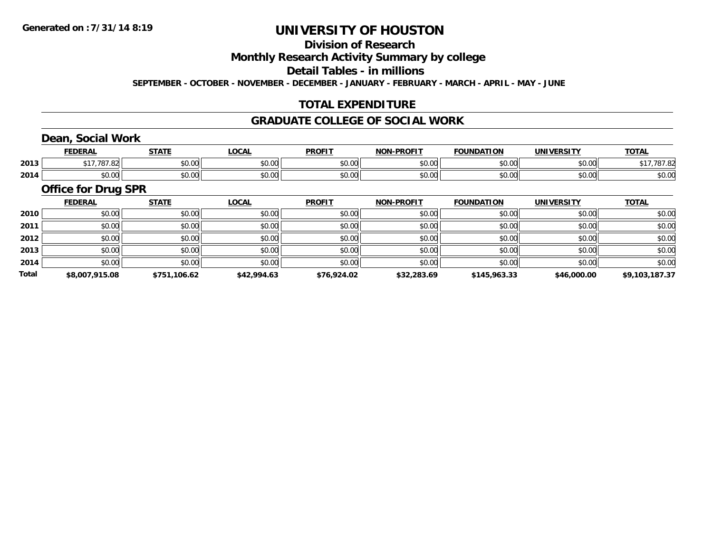# **Division of Research**

### **Monthly Research Activity Summary by college**

#### **Detail Tables - in millions**

**SEPTEMBER - OCTOBER - NOVEMBER - DECEMBER - JANUARY - FEBRUARY - MARCH - APRIL - MAY - JUNE**

### **TOTAL EXPENDITURE**

#### **GRADUATE COLLEGE OF SOCIAL WORK**

# **Dean, Social Work**

|      | ccncda<br>ERM      | $\sim$ $\sim$ $\sim$ $\sim$ | $\sim$ $\sim$ $\sim$<br>$\cdot$ | <b>PROFIT</b> | <b>DDAEIT</b><br><b>NION</b> | <b>FOUNDATION</b> | <b><i>'INIVERSITY</i></b> | <b>TOTA</b><br>וניו |
|------|--------------------|-----------------------------|---------------------------------|---------------|------------------------------|-------------------|---------------------------|---------------------|
| 2013 |                    | 00000<br>PU.UU              | vv.vv                           | 0000<br>vv.vv | 0000<br>pv.uu                | $\sim$ 00<br>טט.  | 0.00<br>vv.vv             | 70                  |
| 2014 | $\sim$ 00<br>vu.vu | 0.00<br>JU.UU               | vv.vv                           | 0000<br>JU.UU | $\overline{a}$<br>⊋∪.∪⊌      | PU.UU             | 0000<br>PO.OO             | JU.UU               |

#### **Office for Drug SPR**

|              | <b>FEDERAL</b> | <b>STATE</b> | LOCAL       | <b>PROFIT</b> | <b>NON-PROFIT</b> | <b>FOUNDATION</b> | <b>UNIVERSITY</b> | <b>TOTAL</b>   |
|--------------|----------------|--------------|-------------|---------------|-------------------|-------------------|-------------------|----------------|
| 2010         | \$0.00         | \$0.00       | \$0.00      | \$0.00        | \$0.00            | \$0.00            | \$0.00            | \$0.00         |
| 2011         | \$0.00         | \$0.00       | \$0.00      | \$0.00        | \$0.00            | \$0.00            | \$0.00            | \$0.00         |
| 2012         | \$0.00         | \$0.00       | \$0.00      | \$0.00        | \$0.00            | \$0.00            | \$0.00            | \$0.00         |
| 2013         | \$0.00         | \$0.00       | \$0.00      | \$0.00        | \$0.00            | \$0.00            | \$0.00            | \$0.00         |
| 2014         | \$0.00         | \$0.00       | \$0.00      | \$0.00        | \$0.00            | \$0.00            | \$0.00            | \$0.00         |
| <b>Total</b> | \$8,007,915.08 | \$751,106.62 | \$42,994.63 | \$76,924.02   | \$32,283.69       | \$145,963.33      | \$46,000.00       | \$9,103,187.37 |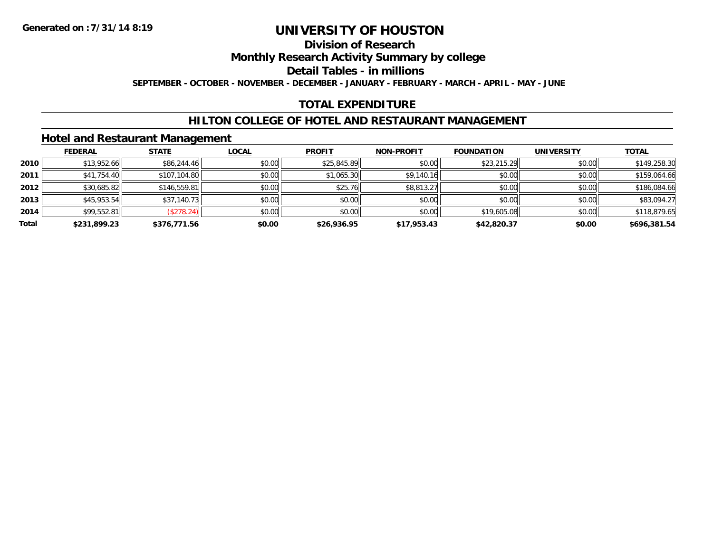### **Division of Research**

**Monthly Research Activity Summary by college**

**Detail Tables - in millions**

**SEPTEMBER - OCTOBER - NOVEMBER - DECEMBER - JANUARY - FEBRUARY - MARCH - APRIL - MAY - JUNE**

# **TOTAL EXPENDITURE**

### **HILTON COLLEGE OF HOTEL AND RESTAURANT MANAGEMENT**

#### **Hotel and Restaurant Management**

|       | <b>FEDERAL</b> | <b>STATE</b> | <u>LOCAL</u> | <b>PROFIT</b> | <b>NON-PROFIT</b> | <b>FOUNDATION</b> | <b>UNIVERSITY</b> | <b>TOTAL</b> |
|-------|----------------|--------------|--------------|---------------|-------------------|-------------------|-------------------|--------------|
| 2010  | \$13,952.66    | \$86,244.46  | \$0.00       | \$25,845.89   | \$0.00            | \$23,215.29       | \$0.00            | \$149,258.30 |
| 2011  | \$41,754.40    | \$107,104.80 | \$0.00       | \$1,065.30    | \$9,140.16        | \$0.00            | \$0.00            | \$159,064.66 |
| 2012  | \$30,685.82    | \$146,559.81 | \$0.00       | \$25.76       | \$8,813.27        | \$0.00            | \$0.00            | \$186,084.66 |
| 2013  | \$45,953.54    | \$37,140.73  | \$0.00       | \$0.00        | \$0.00            | \$0.00            | \$0.00            | \$83,094.27  |
| 2014  | \$99,552.81    | (\$278.24)   | \$0.00       | \$0.00        | \$0.00            | \$19,605.08       | \$0.00            | \$118,879.65 |
| Total | \$231,899.23   | \$376,771.56 | \$0.00       | \$26,936.95   | \$17,953.43       | \$42,820.37       | \$0.00            | \$696,381.54 |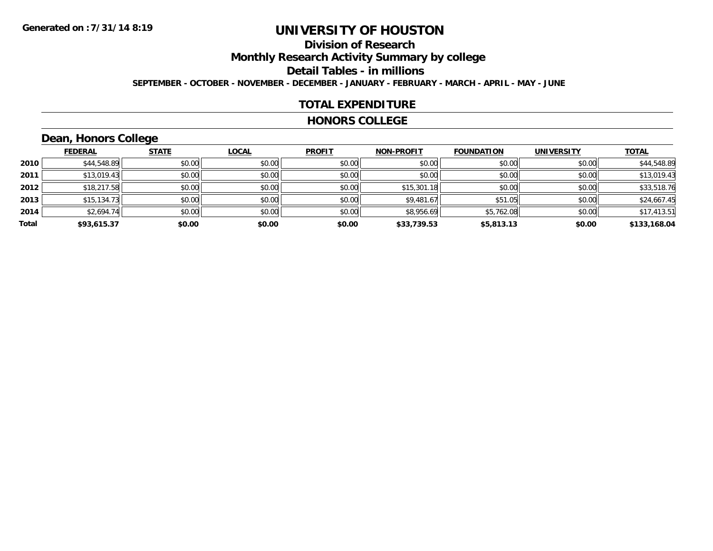# **Division of Research**

**Monthly Research Activity Summary by college**

**Detail Tables - in millions**

**SEPTEMBER - OCTOBER - NOVEMBER - DECEMBER - JANUARY - FEBRUARY - MARCH - APRIL - MAY - JUNE**

#### **TOTAL EXPENDITURE**

#### **HONORS COLLEGE**

# **Dean, Honors College**

|       |                | __           |              |               |                   |                   |                   |              |
|-------|----------------|--------------|--------------|---------------|-------------------|-------------------|-------------------|--------------|
|       | <b>FEDERAL</b> | <b>STATE</b> | <b>LOCAL</b> | <b>PROFIT</b> | <b>NON-PROFIT</b> | <b>FOUNDATION</b> | <b>UNIVERSITY</b> | <b>TOTAL</b> |
| 2010  | \$44,548.89    | \$0.00       | \$0.00       | \$0.00        | \$0.00            | \$0.00            | \$0.00            | \$44,548.89  |
| 2011  | \$13,019.43    | \$0.00       | \$0.00       | \$0.00        | \$0.00            | \$0.00            | \$0.00            | \$13,019.43  |
| 2012  | \$18,217.58    | \$0.00       | \$0.00       | \$0.00        | \$15,301.18       | \$0.00            | \$0.00            | \$33,518.76  |
| 2013  | \$15,134.73    | \$0.00       | \$0.00       | \$0.00        | \$9,481.67        | \$51.05           | \$0.00            | \$24,667.45  |
| 2014  | \$2,694.74     | \$0.00       | \$0.00       | \$0.00        | \$8,956.69        | \$5,762.08        | \$0.00            | \$17,413.51  |
| Total | \$93,615.37    | \$0.00       | \$0.00       | \$0.00        | \$33,739.53       | \$5,813.13        | \$0.00            | \$133,168.04 |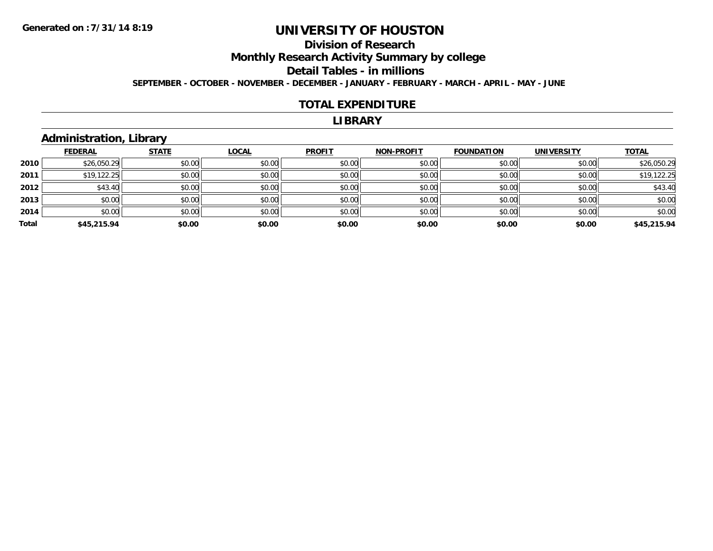# **Division of Research**

**Monthly Research Activity Summary by college**

**Detail Tables - in millions**

**SEPTEMBER - OCTOBER - NOVEMBER - DECEMBER - JANUARY - FEBRUARY - MARCH - APRIL - MAY - JUNE**

#### **TOTAL EXPENDITURE**

#### **LIBRARY**

### **Administration, Library**

|       | <b>FEDERAL</b> | <b>STATE</b> | <b>LOCAL</b> | <b>PROFIT</b> | <b>NON-PROFIT</b> | <b>FOUNDATION</b> | <b>UNIVERSITY</b> | <b>TOTAL</b> |
|-------|----------------|--------------|--------------|---------------|-------------------|-------------------|-------------------|--------------|
| 2010  | \$26,050.29    | \$0.00       | \$0.00       | \$0.00        | \$0.00            | \$0.00            | \$0.00            | \$26,050.29  |
| 2011  | \$19,122.25    | \$0.00       | \$0.00       | \$0.00        | \$0.00            | \$0.00            | \$0.00            | \$19,122.25  |
| 2012  | \$43.40        | \$0.00       | \$0.00       | \$0.00        | \$0.00            | \$0.00            | \$0.00            | \$43.40      |
| 2013  | \$0.00         | \$0.00       | \$0.00       | \$0.00        | \$0.00            | \$0.00            | \$0.00            | \$0.00       |
| 2014  | \$0.00         | \$0.00       | \$0.00       | \$0.00        | \$0.00            | \$0.00            | \$0.00            | \$0.00       |
| Total | \$45,215.94    | \$0.00       | \$0.00       | \$0.00        | \$0.00            | \$0.00            | \$0.00            | \$45,215.94  |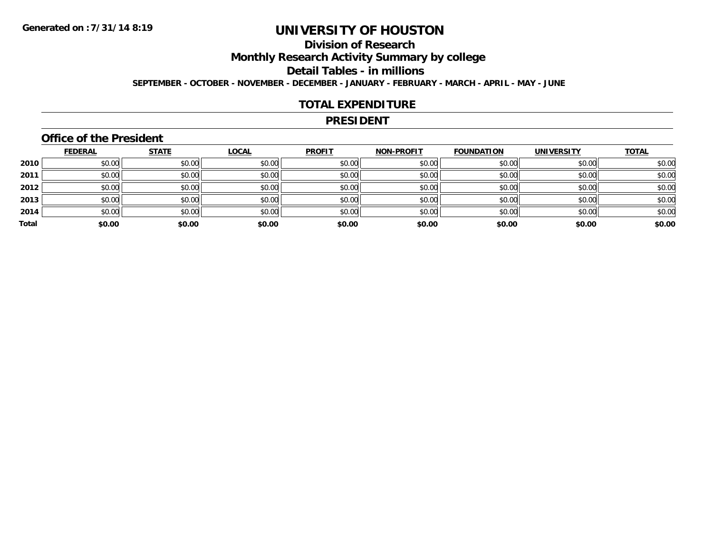# **Division of Research**

**Monthly Research Activity Summary by college**

**Detail Tables - in millions**

**SEPTEMBER - OCTOBER - NOVEMBER - DECEMBER - JANUARY - FEBRUARY - MARCH - APRIL - MAY - JUNE**

#### **TOTAL EXPENDITURE**

#### **PRESIDENT**

### **Office of the President**

|       | <b>FEDERAL</b> | <b>STATE</b> | <b>LOCAL</b> | <b>PROFIT</b> | <b>NON-PROFIT</b> | <b>FOUNDATION</b> | <b>UNIVERSITY</b> | <b>TOTAL</b> |
|-------|----------------|--------------|--------------|---------------|-------------------|-------------------|-------------------|--------------|
| 2010  | \$0.00         | \$0.00       | \$0.00       | \$0.00        | \$0.00            | \$0.00            | \$0.00            | \$0.00       |
| 2011  | \$0.00         | \$0.00       | \$0.00       | \$0.00        | \$0.00            | \$0.00            | \$0.00            | \$0.00       |
| 2012  | \$0.00         | \$0.00       | \$0.00       | \$0.00        | \$0.00            | \$0.00            | \$0.00            | \$0.00       |
| 2013  | \$0.00         | \$0.00       | \$0.00       | \$0.00        | \$0.00            | \$0.00            | \$0.00            | \$0.00       |
| 2014  | \$0.00         | \$0.00       | \$0.00       | \$0.00        | \$0.00            | \$0.00            | \$0.00            | \$0.00       |
| Total | \$0.00         | \$0.00       | \$0.00       | \$0.00        | \$0.00            | \$0.00            | \$0.00            | \$0.00       |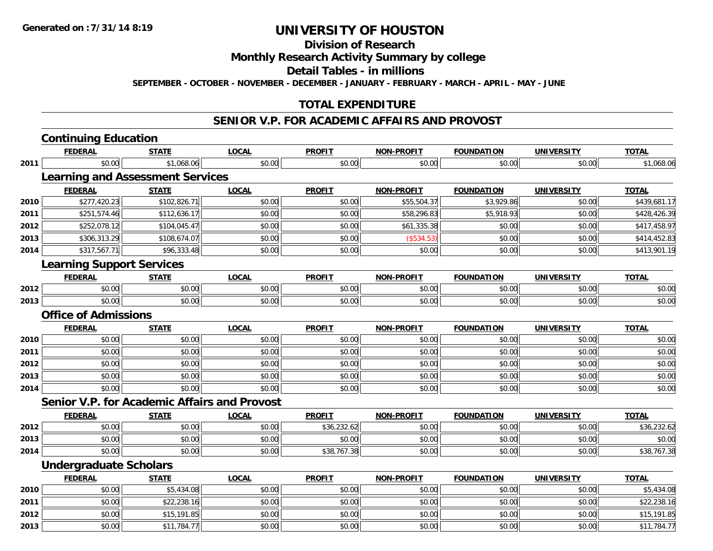**Division of Research**

**Monthly Research Activity Summary by college**

**Detail Tables - in millions**

**SEPTEMBER - OCTOBER - NOVEMBER - DECEMBER - JANUARY - FEBRUARY - MARCH - APRIL - MAY - JUNE**

## **TOTAL EXPENDITURE**

#### **SENIOR V.P. FOR ACADEMIC AFFAIRS AND PROVOST**

|      | <b>Continuing Education</b>                         |              |              |               |                   |                   |                   |              |
|------|-----------------------------------------------------|--------------|--------------|---------------|-------------------|-------------------|-------------------|--------------|
|      | <b>FEDERAL</b>                                      | <b>STATE</b> | <b>LOCAL</b> | <b>PROFIT</b> | <b>NON-PROFIT</b> | <b>FOUNDATION</b> | <b>UNIVERSITY</b> | <b>TOTAL</b> |
| 2011 | \$0.00                                              | \$1,068.06   | \$0.00       | \$0.00        | \$0.00            | \$0.00            | \$0.00            | \$1,068.06   |
|      | <b>Learning and Assessment Services</b>             |              |              |               |                   |                   |                   |              |
|      | <b>FEDERAL</b>                                      | <b>STATE</b> | <b>LOCAL</b> | <b>PROFIT</b> | <b>NON-PROFIT</b> | <b>FOUNDATION</b> | <b>UNIVERSITY</b> | <b>TOTAL</b> |
| 2010 | \$277,420.23                                        | \$102,826.71 | \$0.00       | \$0.00        | \$55,504.37       | \$3,929.86        | \$0.00            | \$439,681.17 |
| 2011 | \$251,574.46                                        | \$112,636.17 | \$0.00       | \$0.00        | \$58,296.83       | \$5,918.93        | \$0.00            | \$428,426.39 |
| 2012 | \$252,078.12                                        | \$104,045.47 | \$0.00       | \$0.00        | \$61,335.38       | \$0.00            | \$0.00            | \$417,458.97 |
| 2013 | \$306,313.29                                        | \$108,674.07 | \$0.00       | \$0.00        | (\$534.53)        | \$0.00            | \$0.00            | \$414,452.83 |
| 2014 | \$317,567.71                                        | \$96,333.48  | \$0.00       | \$0.00        | \$0.00            | \$0.00            | \$0.00            | \$413,901.19 |
|      | <b>Learning Support Services</b>                    |              |              |               |                   |                   |                   |              |
|      | <b>FEDERAL</b>                                      | <b>STATE</b> | <b>LOCAL</b> | <b>PROFIT</b> | <b>NON-PROFIT</b> | <b>FOUNDATION</b> | <b>UNIVERSITY</b> | <b>TOTAL</b> |
| 2012 | \$0.00                                              | \$0.00       | \$0.00       | \$0.00        | \$0.00            | \$0.00            | \$0.00            | \$0.00       |
| 2013 | \$0.00                                              | \$0.00       | \$0.00       | \$0.00        | \$0.00            | \$0.00            | \$0.00            | \$0.00       |
|      | <b>Office of Admissions</b>                         |              |              |               |                   |                   |                   |              |
|      | <b>FEDERAL</b>                                      | <b>STATE</b> | <b>LOCAL</b> | <b>PROFIT</b> | <b>NON-PROFIT</b> | <b>FOUNDATION</b> | <b>UNIVERSITY</b> | <b>TOTAL</b> |
| 2010 | \$0.00                                              | \$0.00       | \$0.00       | \$0.00        | \$0.00            | \$0.00            | \$0.00            | \$0.00       |
| 2011 | \$0.00                                              | \$0.00       | \$0.00       | \$0.00        | \$0.00            | \$0.00            | \$0.00            | \$0.00       |
| 2012 | \$0.00                                              | \$0.00       | \$0.00       | \$0.00        | \$0.00            | \$0.00            | \$0.00            | \$0.00       |
| 2013 | \$0.00                                              | \$0.00       | \$0.00       | \$0.00        | \$0.00            | \$0.00            | \$0.00            | \$0.00       |
| 2014 | \$0.00                                              | \$0.00       | \$0.00       | \$0.00        | \$0.00            | \$0.00            | \$0.00            | \$0.00       |
|      | <b>Senior V.P. for Academic Affairs and Provost</b> |              |              |               |                   |                   |                   |              |
|      | <b>FEDERAL</b>                                      | <b>STATE</b> | <b>LOCAL</b> | <b>PROFIT</b> | <b>NON-PROFIT</b> | <b>FOUNDATION</b> | <b>UNIVERSITY</b> | <b>TOTAL</b> |
| 2012 | \$0.00                                              | \$0.00       | \$0.00       | \$36,232.62   | \$0.00            | \$0.00            | \$0.00            | \$36,232.62  |
| 2013 | \$0.00                                              | \$0.00       | \$0.00       | \$0.00        | \$0.00            | \$0.00            | \$0.00            | \$0.00       |
| 2014 | \$0.00                                              | \$0.00       | \$0.00       | \$38,767.38   | \$0.00            | \$0.00            | \$0.00            | \$38,767.38  |
|      | <b>Undergraduate Scholars</b>                       |              |              |               |                   |                   |                   |              |
|      | <b>FEDERAL</b>                                      | <b>STATE</b> | <b>LOCAL</b> | <b>PROFIT</b> | <b>NON-PROFIT</b> | <b>FOUNDATION</b> | <b>UNIVERSITY</b> | <b>TOTAL</b> |
| 2010 | \$0.00                                              | \$5,434.08   | \$0.00       | \$0.00        | \$0.00            | \$0.00            | \$0.00            | \$5,434.08   |
| 2011 | \$0.00                                              | \$22,238.16  | \$0.00       | \$0.00        | \$0.00            | \$0.00            | \$0.00            | \$22,238.16  |
| 2012 | \$0.00                                              | \$15,191.85  | \$0.00       | \$0.00        | \$0.00            | \$0.00            | \$0.00            | \$15,191.85  |
| 2013 | \$0.00                                              | \$11,784.77  | \$0.00       | \$0.00        | \$0.00            | \$0.00            | \$0.00            | \$11,784.77  |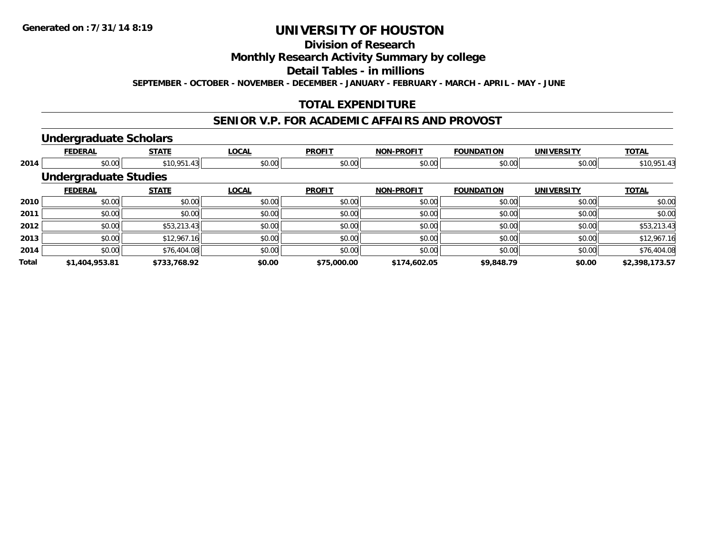# **Division of Research**

**Monthly Research Activity Summary by college**

**Detail Tables - in millions**

**SEPTEMBER - OCTOBER - NOVEMBER - DECEMBER - JANUARY - FEBRUARY - MARCH - APRIL - MAY - JUNE**

# **TOTAL EXPENDITURE**

#### **SENIOR V.P. FOR ACADEMIC AFFAIRS AND PROVOST**

#### **Undergraduate Scholars**

|              | <b>FEDERAL</b>               | <b>STATE</b> | <b>LOCAL</b> | <b>PROFIT</b> | <b>NON-PROFIT</b> | <b>FOUNDATION</b> | <b>UNIVERSITY</b> | <b>TOTAL</b>   |
|--------------|------------------------------|--------------|--------------|---------------|-------------------|-------------------|-------------------|----------------|
| 2014         | \$0.00                       | \$10,951.43  | \$0.00       | \$0.00        | \$0.00            | \$0.00            | \$0.00            | \$10,951.43    |
|              | <b>Undergraduate Studies</b> |              |              |               |                   |                   |                   |                |
|              | <b>FEDERAL</b>               | <b>STATE</b> | <b>LOCAL</b> | <b>PROFIT</b> | <b>NON-PROFIT</b> | <b>FOUNDATION</b> | <b>UNIVERSITY</b> | <b>TOTAL</b>   |
| 2010         | \$0.00                       | \$0.00       | \$0.00       | \$0.00        | \$0.00            | \$0.00            | \$0.00            | \$0.00         |
| 2011         | \$0.00                       | \$0.00       | \$0.00       | \$0.00        | \$0.00            | \$0.00            | \$0.00            | \$0.00         |
| 2012         | \$0.00                       | \$53,213.43  | \$0.00       | \$0.00        | \$0.00            | \$0.00            | \$0.00            | \$53,213.43    |
| 2013         | \$0.00                       | \$12,967.16  | \$0.00       | \$0.00        | \$0.00            | \$0.00            | \$0.00            | \$12,967.16    |
| 2014         | \$0.00                       | \$76,404.08  | \$0.00       | \$0.00        | \$0.00            | \$0.00            | \$0.00            | \$76,404.08    |
| <b>Total</b> | \$1,404,953.81               | \$733,768.92 | \$0.00       | \$75,000.00   | \$174,602.05      | \$9,848.79        | \$0.00            | \$2,398,173.57 |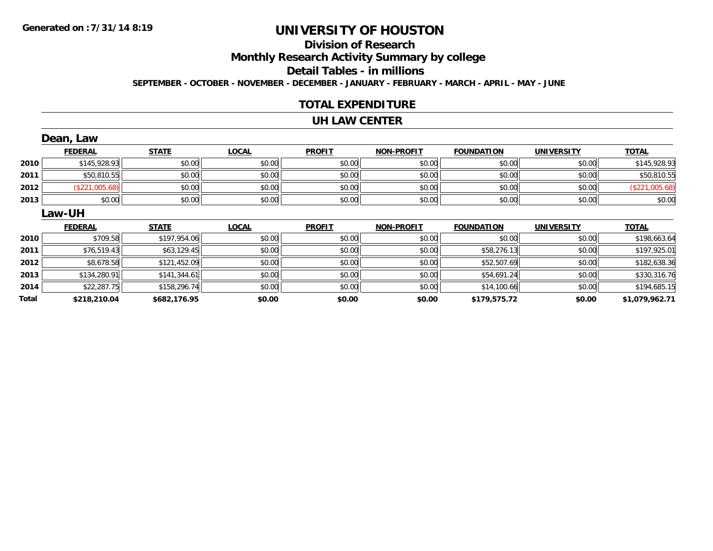# **Division of Research**

**Monthly Research Activity Summary by college**

**Detail Tables - in millions**

**SEPTEMBER - OCTOBER - NOVEMBER - DECEMBER - JANUARY - FEBRUARY - MARCH - APRIL - MAY - JUNE**

### **TOTAL EXPENDITURE**

#### **UH LAW CENTER**

|      | Dean, Law      |              |              |               |                   |                   |                   |                |  |  |  |
|------|----------------|--------------|--------------|---------------|-------------------|-------------------|-------------------|----------------|--|--|--|
|      | <b>FEDERAL</b> | <b>STATE</b> | <b>LOCAL</b> | <b>PROFIT</b> | <b>NON-PROFIT</b> | <b>FOUNDATION</b> | <b>UNIVERSITY</b> | <b>TOTAL</b>   |  |  |  |
| 2010 | \$145,928.93   | \$0.00       | \$0.00       | \$0.00        | \$0.00            | \$0.00            | \$0.00            | \$145,928.93   |  |  |  |
| 2011 | \$50,810.55    | \$0.00       | \$0.00       | \$0.00        | \$0.00            | \$0.00            | \$0.00            | \$50,810.55    |  |  |  |
| 2012 | (\$221,005.68) | \$0.00       | \$0.00       | \$0.00        | \$0.00            | \$0.00            | \$0.00            | (\$221,005.68) |  |  |  |
| 2013 | \$0.00         | \$0.00       | \$0.00       | \$0.00        | \$0.00            | \$0.00            | \$0.00            | \$0.00         |  |  |  |
|      | Law-UH         |              |              |               |                   |                   |                   |                |  |  |  |
|      |                |              |              |               |                   |                   |                   |                |  |  |  |
|      | <b>FEDERAL</b> | <b>STATE</b> | <b>LOCAL</b> | <b>PROFIT</b> | <b>NON-PROFIT</b> | <b>FOUNDATION</b> | <b>UNIVERSITY</b> | <b>TOTAL</b>   |  |  |  |
| 2010 | \$709.58       | \$197,954.06 | \$0.00       | \$0.00        | \$0.00            | \$0.00            | \$0.00            | \$198,663.64   |  |  |  |
| 2011 | \$76,519.43    | \$63,129.45  | \$0.00       | \$0.00        | \$0.00            | \$58,276.13       | \$0.00            | \$197,925.01   |  |  |  |
| 2012 | \$8,678.58     | \$121,452.09 | \$0.00       | \$0.00        | \$0.00            | \$52,507.69       | \$0.00            | \$182,638.36   |  |  |  |
| 2013 | \$134,280.91   | \$141,344.61 | \$0.00       | \$0.00        | \$0.00            | \$54,691.24       | \$0.00            | \$330,316.76   |  |  |  |
| 2014 | \$22,287.75    | \$158,296.74 | \$0.00       | \$0.00        | \$0.00            | \$14,100.66       | \$0.00            | \$194,685.15   |  |  |  |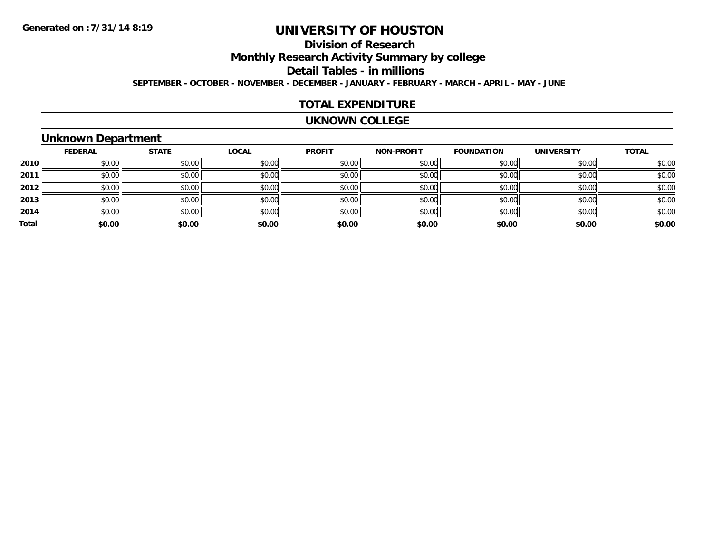# **Division of Research**

**Monthly Research Activity Summary by college**

**Detail Tables - in millions**

**SEPTEMBER - OCTOBER - NOVEMBER - DECEMBER - JANUARY - FEBRUARY - MARCH - APRIL - MAY - JUNE**

#### **TOTAL EXPENDITURE**

#### **UKNOWN COLLEGE**

# **Unknown Department**

|       | <b>FEDERAL</b> | <b>STATE</b> | <b>LOCAL</b> | <b>PROFIT</b> | <b>NON-PROFIT</b> | <b>FOUNDATION</b> | <b>UNIVERSITY</b> | <b>TOTAL</b> |
|-------|----------------|--------------|--------------|---------------|-------------------|-------------------|-------------------|--------------|
| 2010  | \$0.00         | \$0.00       | \$0.00       | \$0.00        | \$0.00            | \$0.00            | \$0.00            | \$0.00       |
| 2011  | \$0.00         | \$0.00       | \$0.00       | \$0.00        | \$0.00            | \$0.00            | \$0.00            | \$0.00       |
| 2012  | \$0.00         | \$0.00       | \$0.00       | \$0.00        | \$0.00            | \$0.00            | \$0.00            | \$0.00       |
| 2013  | \$0.00         | \$0.00       | \$0.00       | \$0.00        | \$0.00            | \$0.00            | \$0.00            | \$0.00       |
| 2014  | \$0.00         | \$0.00       | \$0.00       | \$0.00        | \$0.00            | \$0.00            | \$0.00            | \$0.00       |
| Total | \$0.00         | \$0.00       | \$0.00       | \$0.00        | \$0.00            | \$0.00            | \$0.00            | \$0.00       |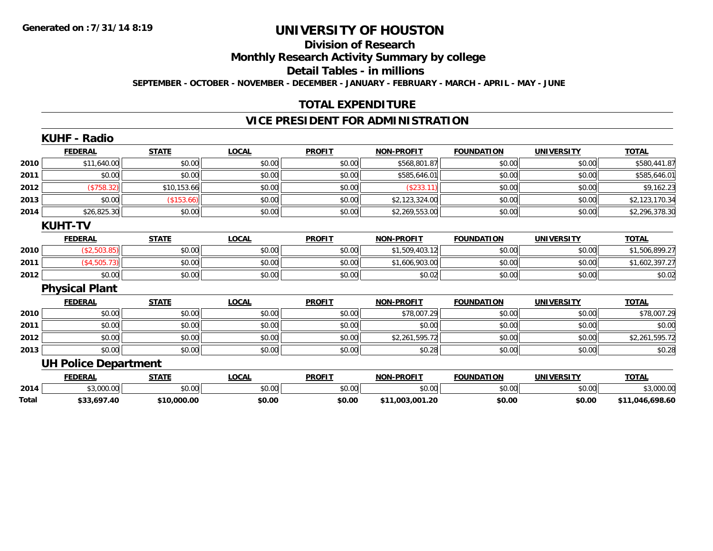# **Division of Research**

**Monthly Research Activity Summary by college**

**Detail Tables - in millions**

**SEPTEMBER - OCTOBER - NOVEMBER - DECEMBER - JANUARY - FEBRUARY - MARCH - APRIL - MAY - JUNE**

# **TOTAL EXPENDITURE**

### **VICE PRESIDENT FOR ADMINISTRATION**

|       | <b>KUHF - Radio</b>         |              |              |               |                   |                   |                   |                 |
|-------|-----------------------------|--------------|--------------|---------------|-------------------|-------------------|-------------------|-----------------|
|       | <b>FEDERAL</b>              | <b>STATE</b> | <b>LOCAL</b> | <b>PROFIT</b> | <b>NON-PROFIT</b> | <b>FOUNDATION</b> | <b>UNIVERSITY</b> | <b>TOTAL</b>    |
| 2010  | \$11,640.00                 | \$0.00       | \$0.00       | \$0.00        | \$568,801.87      | \$0.00            | \$0.00            | \$580,441.87    |
| 2011  | \$0.00                      | \$0.00       | \$0.00       | \$0.00        | \$585,646.01      | \$0.00            | \$0.00            | \$585,646.01    |
| 2012  | (\$758.32)                  | \$10,153.66  | \$0.00       | \$0.00        | (\$233.11)        | \$0.00            | \$0.00            | \$9,162.23      |
| 2013  | \$0.00                      | (\$153.66)   | \$0.00       | \$0.00        | \$2,123,324.00    | \$0.00            | \$0.00            | \$2,123,170.34  |
| 2014  | \$26,825.30                 | \$0.00       | \$0.00       | \$0.00        | \$2,269,553.00    | \$0.00            | \$0.00            | \$2,296,378.30  |
|       | <b>KUHT-TV</b>              |              |              |               |                   |                   |                   |                 |
|       | <b>FEDERAL</b>              | <b>STATE</b> | <b>LOCAL</b> | <b>PROFIT</b> | <b>NON-PROFIT</b> | <b>FOUNDATION</b> | <b>UNIVERSITY</b> | <b>TOTAL</b>    |
| 2010  | (\$2,503.85)                | \$0.00       | \$0.00       | \$0.00        | \$1,509,403.12    | \$0.00            | \$0.00            | \$1,506,899.27  |
| 2011  | (\$4,505.73)                | \$0.00       | \$0.00       | \$0.00        | \$1,606,903.00    | \$0.00            | \$0.00            | \$1,602,397.27  |
| 2012  | \$0.00                      | \$0.00       | \$0.00       | \$0.00        | \$0.02            | \$0.00            | \$0.00            | \$0.02          |
|       | <b>Physical Plant</b>       |              |              |               |                   |                   |                   |                 |
|       | <b>FEDERAL</b>              | <b>STATE</b> | <b>LOCAL</b> | <b>PROFIT</b> | <b>NON-PROFIT</b> | <b>FOUNDATION</b> | <b>UNIVERSITY</b> | <b>TOTAL</b>    |
| 2010  | \$0.00                      | \$0.00       | \$0.00       | \$0.00        | \$78,007.29       | \$0.00            | \$0.00            | \$78,007.29     |
| 2011  | \$0.00                      | \$0.00       | \$0.00       | \$0.00        | \$0.00            | \$0.00            | \$0.00            | \$0.00          |
| 2012  | \$0.00                      | \$0.00       | \$0.00       | \$0.00        | \$2,261,595.72    | \$0.00            | \$0.00            | \$2,261,595.72  |
| 2013  | \$0.00                      | \$0.00       | \$0.00       | \$0.00        | \$0.28            | \$0.00            | \$0.00            | \$0.28          |
|       | <b>UH Police Department</b> |              |              |               |                   |                   |                   |                 |
|       | <b>FEDERAL</b>              | <b>STATE</b> | <b>LOCAL</b> | <b>PROFIT</b> | <b>NON-PROFIT</b> | <b>FOUNDATION</b> | <b>UNIVERSITY</b> | <b>TOTAL</b>    |
| 2014  | \$3,000.00                  | \$0.00       | \$0.00       | \$0.00        | \$0.00            | \$0.00            | \$0.00            | \$3,000.00      |
| Total | \$33,697.40                 | \$10,000.00  | \$0.00       | \$0.00        | \$11,003,001.20   | \$0.00            | \$0.00            | \$11.046.698.60 |

**\$33,697.40 \$10,000.00 \$0.00 \$0.00 \$11,003,001.20 \$0.00 \$0.00 \$11,046,698.60**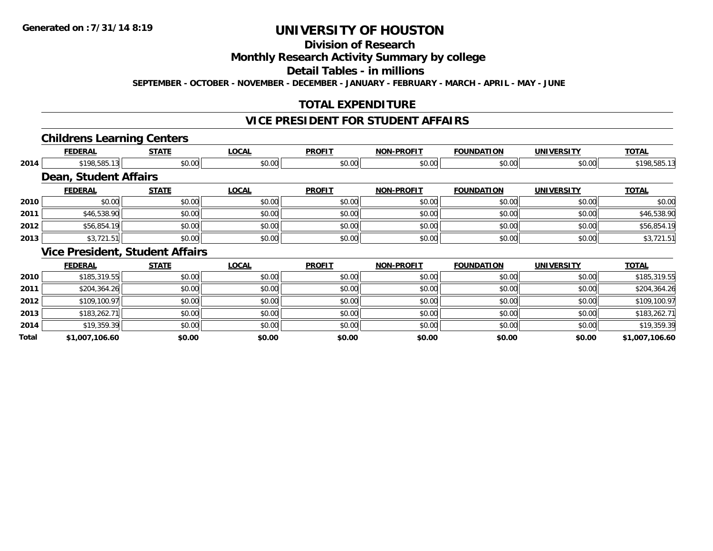**Total**

# **UNIVERSITY OF HOUSTON**

# **Division of Research**

### **Monthly Research Activity Summary by college**

#### **Detail Tables - in millions**

**SEPTEMBER - OCTOBER - NOVEMBER - DECEMBER - JANUARY - FEBRUARY - MARCH - APRIL - MAY - JUNE**

## **TOTAL EXPENDITURE**

### **VICE PRESIDENT FOR STUDENT AFFAIRS**

#### **Childrens Learning Centers**

|      | <b>FEDERAL</b>        | <b>STATE</b>                           | <b>LOCAL</b> | <b>PROFIT</b> | <b>NON-PROFIT</b> | <b>FOUNDATION</b> | <b>UNIVERSITY</b> | <b>TOTAL</b> |
|------|-----------------------|----------------------------------------|--------------|---------------|-------------------|-------------------|-------------------|--------------|
| 2014 | \$198,585.13          | \$0.00                                 | \$0.00       | \$0.00        | \$0.00            | \$0.00            | \$0.00            | \$198,585.13 |
|      | Dean, Student Affairs |                                        |              |               |                   |                   |                   |              |
|      | <b>FEDERAL</b>        | <b>STATE</b>                           | <b>LOCAL</b> | <b>PROFIT</b> | <b>NON-PROFIT</b> | <b>FOUNDATION</b> | <b>UNIVERSITY</b> | <b>TOTAL</b> |
| 2010 | \$0.00                | \$0.00                                 | \$0.00       | \$0.00        | \$0.00            | \$0.00            | \$0.00            | \$0.00       |
| 2011 | \$46,538.90           | \$0.00                                 | \$0.00       | \$0.00        | \$0.00            | \$0.00            | \$0.00            | \$46,538.90  |
| 2012 | \$56,854.19           | \$0.00                                 | \$0.00       | \$0.00        | \$0.00            | \$0.00            | \$0.00            | \$56,854.19  |
| 2013 | \$3,721.51            | \$0.00                                 | \$0.00       | \$0.00        | \$0.00            | \$0.00            | \$0.00            | \$3,721.51   |
|      |                       | <b>Vice President, Student Affairs</b> |              |               |                   |                   |                   |              |
|      | <b>FEDERAL</b>        | <b>STATE</b>                           | <b>LOCAL</b> | <b>PROFIT</b> | <b>NON-PROFIT</b> | <b>FOUNDATION</b> | <b>UNIVERSITY</b> | <b>TOTAL</b> |
| 2010 | \$185,319.55          | \$0.00                                 | \$0.00       | \$0.00        | \$0.00            | \$0.00            | \$0.00            | \$185,319.55 |
| 2011 | \$204,364.26          | \$0.00                                 | \$0.00       | \$0.00        | \$0.00            | \$0.00            | \$0.00            | \$204,364.26 |
| 2012 | \$109,100.97          | \$0.00                                 | \$0.00       | \$0.00        | \$0.00            | \$0.00            | \$0.00            | \$109,100.97 |
| 2013 | \$183,262.71          | \$0.00                                 | \$0.00       | \$0.00        | \$0.00            | \$0.00            | \$0.00            | \$183,262.71 |
| 2014 | \$19,359.39           | \$0.00                                 | \$0.00       | \$0.00        | \$0.00            | \$0.00            | \$0.00            | \$19,359.39  |

**\$1,007,106.60 \$0.00 \$0.00 \$0.00 \$0.00 \$0.00 \$0.00 \$1,007,106.60**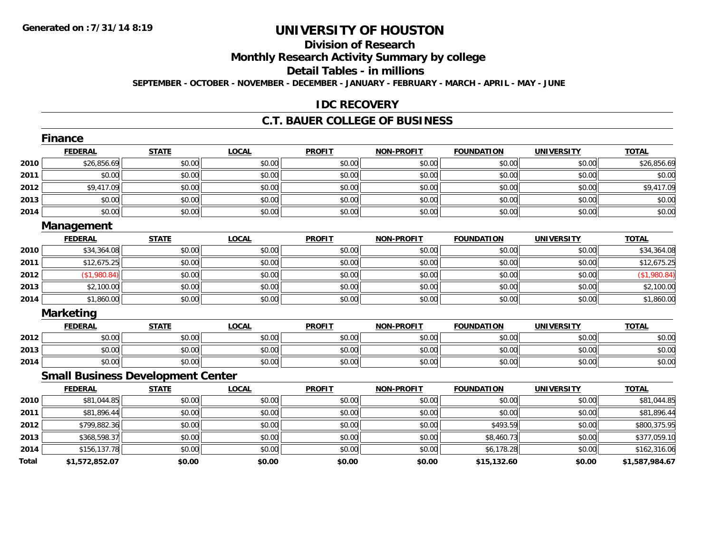# **Division of Research**

**Monthly Research Activity Summary by college**

**Detail Tables - in millions**

**SEPTEMBER - OCTOBER - NOVEMBER - DECEMBER - JANUARY - FEBRUARY - MARCH - APRIL - MAY - JUNE**

#### **IDC RECOVERY**

#### **C.T. BAUER COLLEGE OF BUSINESS**

|       | <b>Finance</b>                           |              |              |               |                   |                   |                   |                |
|-------|------------------------------------------|--------------|--------------|---------------|-------------------|-------------------|-------------------|----------------|
|       | <b>FEDERAL</b>                           | <b>STATE</b> | <b>LOCAL</b> | <b>PROFIT</b> | <b>NON-PROFIT</b> | <b>FOUNDATION</b> | <b>UNIVERSITY</b> | <b>TOTAL</b>   |
| 2010  | \$26,856.69                              | \$0.00       | \$0.00       | \$0.00        | \$0.00            | \$0.00            | \$0.00            | \$26,856.69    |
| 2011  | \$0.00                                   | \$0.00       | \$0.00       | \$0.00        | \$0.00            | \$0.00            | \$0.00            | \$0.00         |
| 2012  | \$9,417.09                               | \$0.00       | \$0.00       | \$0.00        | \$0.00            | \$0.00            | \$0.00            | \$9,417.09     |
| 2013  | \$0.00                                   | \$0.00       | \$0.00       | \$0.00        | \$0.00            | \$0.00            | \$0.00            | \$0.00         |
| 2014  | \$0.00                                   | \$0.00       | \$0.00       | \$0.00        | \$0.00            | \$0.00            | \$0.00            | \$0.00         |
|       | Management                               |              |              |               |                   |                   |                   |                |
|       | <b>FEDERAL</b>                           | <b>STATE</b> | <b>LOCAL</b> | <b>PROFIT</b> | <b>NON-PROFIT</b> | <b>FOUNDATION</b> | <b>UNIVERSITY</b> | <b>TOTAL</b>   |
| 2010  | \$34,364.08                              | \$0.00       | \$0.00       | \$0.00        | \$0.00            | \$0.00            | \$0.00            | \$34,364.08    |
| 2011  | \$12,675.25                              | \$0.00       | \$0.00       | \$0.00        | \$0.00            | \$0.00            | \$0.00            | \$12,675.25    |
| 2012  | (\$1,980.84)                             | \$0.00       | \$0.00       | \$0.00        | \$0.00            | \$0.00            | \$0.00            | (\$1,980.84)   |
| 2013  | \$2,100.00                               | \$0.00       | \$0.00       | \$0.00        | \$0.00            | \$0.00            | \$0.00            | \$2,100.00     |
| 2014  | \$1,860.00                               | \$0.00       | \$0.00       | \$0.00        | \$0.00            | \$0.00            | \$0.00            | \$1,860.00     |
|       | <b>Marketing</b>                         |              |              |               |                   |                   |                   |                |
|       | <b>FEDERAL</b>                           | <b>STATE</b> | <b>LOCAL</b> | <b>PROFIT</b> | <b>NON-PROFIT</b> | <b>FOUNDATION</b> | <b>UNIVERSITY</b> | <b>TOTAL</b>   |
| 2012  | \$0.00                                   | \$0.00       | \$0.00       | \$0.00        | \$0.00            | \$0.00            | \$0.00            | \$0.00         |
| 2013  | \$0.00                                   | \$0.00       | \$0.00       | \$0.00        | \$0.00            | \$0.00            | \$0.00            | \$0.00         |
| 2014  | \$0.00                                   | \$0.00       | \$0.00       | \$0.00        | \$0.00            | \$0.00            | \$0.00            | \$0.00         |
|       | <b>Small Business Development Center</b> |              |              |               |                   |                   |                   |                |
|       | <b>FEDERAL</b>                           | <b>STATE</b> | <b>LOCAL</b> | <b>PROFIT</b> | <b>NON-PROFIT</b> | <b>FOUNDATION</b> | <b>UNIVERSITY</b> | <b>TOTAL</b>   |
| 2010  | \$81,044.85                              | \$0.00       | \$0.00       | \$0.00        | \$0.00            | \$0.00            | \$0.00            | \$81,044.85    |
| 2011  | \$81,896.44                              | \$0.00       | \$0.00       | \$0.00        | \$0.00            | \$0.00            | \$0.00            | \$81,896.44    |
| 2012  | \$799,882.36                             | \$0.00       | \$0.00       | \$0.00        | \$0.00            | \$493.59          | \$0.00            | \$800,375.95   |
| 2013  | \$368,598.37                             | \$0.00       | \$0.00       | \$0.00        | \$0.00            | \$8,460.73        | \$0.00            | \$377,059.10   |
| 2014  | \$156,137.78                             | \$0.00       | \$0.00       | \$0.00        | \$0.00            | \$6,178.28        | \$0.00            | \$162,316.06   |
| Total | \$1,572,852.07                           | \$0.00       | \$0.00       | \$0.00        | \$0.00            | \$15,132.60       | \$0.00            | \$1,587,984.67 |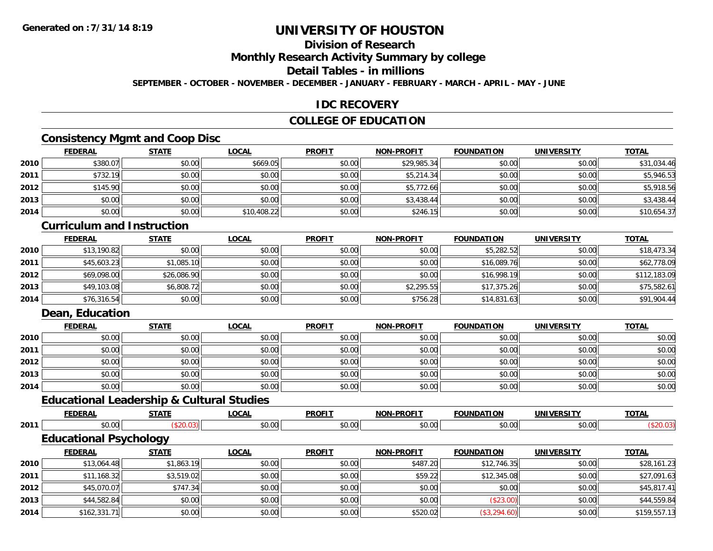# **Division of Research**

**Monthly Research Activity Summary by college**

# **Detail Tables - in millions**

**SEPTEMBER - OCTOBER - NOVEMBER - DECEMBER - JANUARY - FEBRUARY - MARCH - APRIL - MAY - JUNE**

### **IDC RECOVERY**

### **COLLEGE OF EDUCATION**

# **Consistency Mgmt and Coop Disc**

|      | <b>FEDERAL</b> | <b>STATE</b> | <b>LOCAL</b> | <b>PROFIT</b> | NON-PROFIT  | <b>FOUNDATION</b> | <b>UNIVERSITY</b> | <b>TOTAL</b> |
|------|----------------|--------------|--------------|---------------|-------------|-------------------|-------------------|--------------|
| 2010 | \$380.07       | \$0.00       | \$669.05     | \$0.00        | \$29,985.34 | \$0.00            | \$0.00            | \$31,034.46  |
| 2011 | \$732.19       | \$0.00       | \$0.00       | \$0.00        | \$5,214.34  | \$0.00            | \$0.00            | \$5,946.53   |
| 2012 | \$145.90       | \$0.00       | \$0.00       | \$0.00        | \$5,772.66  | \$0.00            | \$0.00            | \$5,918.56   |
| 2013 | \$0.00         | \$0.00       | \$0.00       | \$0.00        | \$3,438.44  | \$0.00            | \$0.00            | \$3,438.44   |
| 2014 | \$0.00         | \$0.00       | \$10,408.22  | \$0.00        | \$246.15    | \$0.00            | \$0.00            | \$10,654.37  |

#### **Curriculum and Instruction**

|      | <b>FEDERAL</b> | <u>STATE</u> | <u>LOCAL</u> | <b>PROFIT</b> | <b>NON-PROFIT</b> | <b>FOUNDATION</b> | <b>UNIVERSITY</b> | <b>TOTAL</b> |
|------|----------------|--------------|--------------|---------------|-------------------|-------------------|-------------------|--------------|
| 2010 | \$13,190.82    | \$0.00       | \$0.00       | \$0.00        | \$0.00            | \$5,282.52        | \$0.00            | \$18,473.34  |
| 2011 | \$45,603.23    | \$1,085.10   | \$0.00       | \$0.00        | \$0.00            | \$16,089.76       | \$0.00            | \$62,778.09  |
| 2012 | \$69,098.00    | \$26,086.90  | \$0.00       | \$0.00        | \$0.00            | \$16,998.19       | \$0.00            | \$112,183.09 |
| 2013 | \$49,103.08    | \$6,808.72   | \$0.00       | \$0.00        | \$2,295.55        | \$17,375.26       | \$0.00            | \$75,582.61  |
| 2014 | \$76,316.54    | \$0.00       | \$0.00       | \$0.00        | \$756.28          | \$14,831.63       | \$0.00            | \$91,904.44  |

#### **Dean, Education**

|      | <b>FEDERAL</b> | <b>STATE</b> | <b>LOCAL</b> | <b>PROFIT</b> | <b>NON-PROFIT</b> | <b>FOUNDATION</b> | <b>UNIVERSITY</b> | <b>TOTAL</b> |
|------|----------------|--------------|--------------|---------------|-------------------|-------------------|-------------------|--------------|
| 2010 | \$0.00         | \$0.00       | \$0.00       | \$0.00        | \$0.00            | \$0.00            | \$0.00            | \$0.00       |
| 2011 | \$0.00         | \$0.00       | \$0.00       | \$0.00        | \$0.00            | \$0.00            | \$0.00            | \$0.00       |
| 2012 | \$0.00         | \$0.00       | \$0.00       | \$0.00        | \$0.00            | \$0.00            | \$0.00            | \$0.00       |
| 2013 | \$0.00         | \$0.00       | \$0.00       | \$0.00        | \$0.00            | \$0.00            | \$0.00            | \$0.00       |
| 2014 | \$0.00         | \$0.00       | \$0.00       | \$0.00        | \$0.00            | \$0.00            | \$0.00            | \$0.00       |

# **Educational Leadership & Cultural Studies**

|      | <u>FEDERAL</u>                | <b>STATE</b> | <u>LOCAL</u> | <b>PROFIT</b> | <b>NON-PROFIT</b> | <b>FOUNDATION</b> | UNIVERSITY | <b>TOTAL</b> |
|------|-------------------------------|--------------|--------------|---------------|-------------------|-------------------|------------|--------------|
| 2011 | \$0.00                        | \$20.03]     | \$0.00       | \$0.00        | \$0.00            | \$0.00            | \$0.00     | \$20.03)     |
|      | <b>Educational Psychology</b> |              |              |               |                   |                   |            |              |
|      | <b>FEDERAL</b>                | <b>STATE</b> | <u>LOCAL</u> | <b>PROFIT</b> | <b>NON-PROFIT</b> | <b>FOUNDATION</b> | UNIVERSITY | <b>TOTAL</b> |
| 2010 | \$13,064.48                   | \$1,863.19   | \$0.00       | \$0.00        | \$487.20          | \$12.746.35       | \$0.00     | \$28,161.23  |
| 2011 | \$11.168.32                   | \$3.519.02   | \$0.00       | \$0.00        | \$59.22           | \$12,345.08       | \$0.00     | \$27.091.63  |

| ---  | $V = V - V - V - V$ | $V'$ , $V'$ , $V'$ , $V'$ , $V'$ | $\vee$ . | 40.00  | 4701.201 | $V = 12.1 T V. V V$ | 40.00  | 420, 101.20  |
|------|---------------------|----------------------------------|----------|--------|----------|---------------------|--------|--------------|
| 2011 | 168.32              | \$3,519.02                       | \$0.00   | \$0.00 | \$59.22  | \$12,345.08         | \$0.00 | \$27,091.63  |
| 2012 | \$45,070.07         | \$747.34                         | \$0.00   | \$0.00 | \$0.00   | \$0.00              | \$0.00 | \$45,817.41  |
| 2013 | \$44,582.84         | \$0.00                           | \$0.00   | \$0.00 | \$0.00   | \$23.00             | \$0.00 | \$44,559.84  |
| 2014 | \$162,331.71        | \$0.00                           | \$0.00   | \$0.00 | \$520.02 | \$3,294.60          | \$0.00 | \$159,557.13 |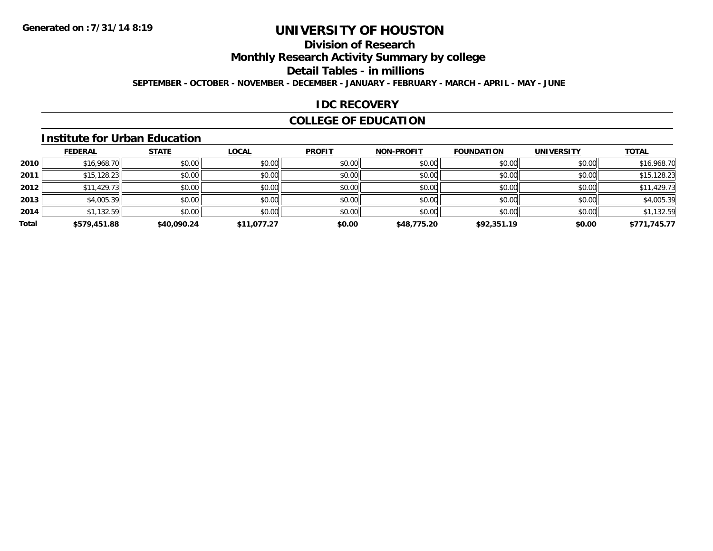# **Division of Research**

**Monthly Research Activity Summary by college**

**Detail Tables - in millions**

**SEPTEMBER - OCTOBER - NOVEMBER - DECEMBER - JANUARY - FEBRUARY - MARCH - APRIL - MAY - JUNE**

#### **IDC RECOVERY**

### **COLLEGE OF EDUCATION**

#### **Institute for Urban Education**

|       | <b>FEDERAL</b> | <b>STATE</b> | <b>LOCAL</b> | <b>PROFIT</b> | <b>NON-PROFIT</b> | <b>FOUNDATION</b> | <b>UNIVERSITY</b> | <b>TOTAL</b> |
|-------|----------------|--------------|--------------|---------------|-------------------|-------------------|-------------------|--------------|
| 2010  | \$16,968.70    | \$0.00       | \$0.00       | \$0.00        | \$0.00            | \$0.00            | \$0.00            | \$16,968.70  |
| 2011  | \$15, 128.23   | \$0.00       | \$0.00       | \$0.00        | \$0.00            | \$0.00            | \$0.00            | \$15,128.23  |
| 2012  | \$11,429.73    | \$0.00       | \$0.00       | \$0.00        | \$0.00            | \$0.00            | \$0.00            | \$11,429.73  |
| 2013  | \$4,005.39     | \$0.00       | \$0.00       | \$0.00        | \$0.00            | \$0.00            | \$0.00            | \$4,005.39   |
| 2014  | \$1,132.59     | \$0.00       | \$0.00       | \$0.00        | \$0.00            | \$0.00            | \$0.00            | \$1,132.59   |
| Total | \$579,451.88   | \$40,090.24  | \$11,077.27  | \$0.00        | \$48,775.20       | \$92,351.19       | \$0.00            | \$771,745.77 |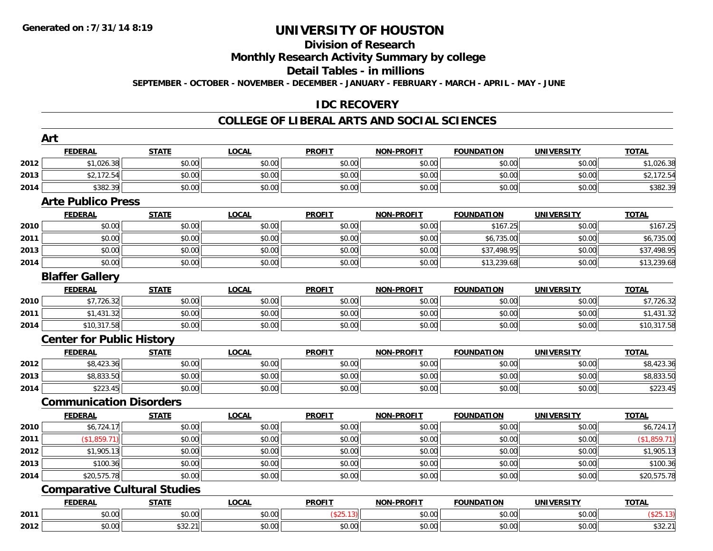# **Division of Research**

**Monthly Research Activity Summary by college**

**Detail Tables - in millions**

**SEPTEMBER - OCTOBER - NOVEMBER - DECEMBER - JANUARY - FEBRUARY - MARCH - APRIL - MAY - JUNE**

### **IDC RECOVERY**

#### **COLLEGE OF LIBERAL ARTS AND SOCIAL SCIENCES**

|      | Art                                 |              |              |               |                   |                   |                   |              |
|------|-------------------------------------|--------------|--------------|---------------|-------------------|-------------------|-------------------|--------------|
|      | <b>FEDERAL</b>                      | <b>STATE</b> | <b>LOCAL</b> | <b>PROFIT</b> | <b>NON-PROFIT</b> | <b>FOUNDATION</b> | <b>UNIVERSITY</b> | <b>TOTAL</b> |
| 2012 | \$1,026.38                          | \$0.00       | \$0.00       | \$0.00        | \$0.00            | \$0.00            | \$0.00            | \$1,026.38   |
| 2013 | \$2,172.54                          | \$0.00       | \$0.00       | \$0.00        | \$0.00            | \$0.00            | \$0.00            | \$2,172.54   |
| 2014 | \$382.39                            | \$0.00       | \$0.00       | \$0.00        | \$0.00            | \$0.00            | \$0.00            | \$382.39     |
|      | <b>Arte Publico Press</b>           |              |              |               |                   |                   |                   |              |
|      | <b>FEDERAL</b>                      | <b>STATE</b> | <b>LOCAL</b> | <b>PROFIT</b> | <b>NON-PROFIT</b> | <b>FOUNDATION</b> | <b>UNIVERSITY</b> | <b>TOTAL</b> |
| 2010 | \$0.00                              | \$0.00       | \$0.00       | \$0.00        | \$0.00            | \$167.25          | \$0.00            | \$167.25     |
| 2011 | \$0.00                              | \$0.00       | \$0.00       | \$0.00        | \$0.00            | \$6,735.00        | \$0.00            | \$6,735.00   |
| 2013 | \$0.00                              | \$0.00       | \$0.00       | \$0.00        | \$0.00            | \$37,498.95       | \$0.00            | \$37,498.95  |
| 2014 | \$0.00                              | \$0.00       | \$0.00       | \$0.00        | \$0.00            | \$13,239.68       | \$0.00            | \$13,239.68  |
|      | <b>Blaffer Gallery</b>              |              |              |               |                   |                   |                   |              |
|      | <b>FEDERAL</b>                      | <b>STATE</b> | <b>LOCAL</b> | <b>PROFIT</b> | <b>NON-PROFIT</b> | <b>FOUNDATION</b> | <b>UNIVERSITY</b> | <b>TOTAL</b> |
| 2010 | \$7,726.32                          | \$0.00       | \$0.00       | \$0.00        | \$0.00            | \$0.00            | \$0.00            | \$7,726.32   |
| 2011 | \$1,431.32                          | \$0.00       | \$0.00       | \$0.00        | \$0.00            | \$0.00            | \$0.00            | \$1,431.32   |
| 2014 | \$10,317.58                         | \$0.00       | \$0.00       | \$0.00        | \$0.00            | \$0.00            | \$0.00            | \$10,317.58  |
|      | <b>Center for Public History</b>    |              |              |               |                   |                   |                   |              |
|      | <b>FEDERAL</b>                      | <b>STATE</b> | <b>LOCAL</b> | <b>PROFIT</b> | <b>NON-PROFIT</b> | <b>FOUNDATION</b> | <b>UNIVERSITY</b> | <b>TOTAL</b> |
| 2012 | \$8,423.36                          | \$0.00       | \$0.00       | \$0.00        | \$0.00            | \$0.00            | \$0.00            | \$8,423.36   |
| 2013 | \$8,833.50                          | \$0.00       | \$0.00       | \$0.00        | \$0.00            | \$0.00            | \$0.00            | \$8,833.50   |
| 2014 | \$223.45                            | \$0.00       | \$0.00       | \$0.00        | \$0.00            | \$0.00            | \$0.00            | \$223.45     |
|      | <b>Communication Disorders</b>      |              |              |               |                   |                   |                   |              |
|      | <b>FEDERAL</b>                      | <b>STATE</b> | <b>LOCAL</b> | <b>PROFIT</b> | <b>NON-PROFIT</b> | <b>FOUNDATION</b> | <b>UNIVERSITY</b> | <b>TOTAL</b> |
| 2010 | \$6,724.17                          | \$0.00       | \$0.00       | \$0.00        | \$0.00            | \$0.00            | \$0.00            | \$6,724.17   |
| 2011 | (\$1,859.71)                        | \$0.00       | \$0.00       | \$0.00        | \$0.00            | \$0.00            | \$0.00            | (\$1,859.71) |
| 2012 | \$1,905.13                          | \$0.00       | \$0.00       | \$0.00        | \$0.00            | \$0.00            | \$0.00            | \$1,905.13   |
| 2013 | \$100.36                            | \$0.00       | \$0.00       | \$0.00        | \$0.00            | \$0.00            | \$0.00            | \$100.36     |
| 2014 | \$20,575.78                         | \$0.00       | \$0.00       | \$0.00        | \$0.00            | \$0.00            | \$0.00            | \$20,575.78  |
|      | <b>Comparative Cultural Studies</b> |              |              |               |                   |                   |                   |              |
|      | <b>FEDERAL</b>                      | <b>STATE</b> | <b>LOCAL</b> | <b>PROFIT</b> | <b>NON-PROFIT</b> | <b>FOUNDATION</b> | <b>UNIVERSITY</b> | <b>TOTAL</b> |
| 2011 | \$0.00                              | \$0.00       | \$0.00       | (\$25.13)     | \$0.00            | \$0.00            | \$0.00            | (\$25.13)    |
| 2012 | \$0.00                              | \$32.21      | \$0.00       | \$0.00        | \$0.00            | \$0.00            | \$0.00            | \$32.21      |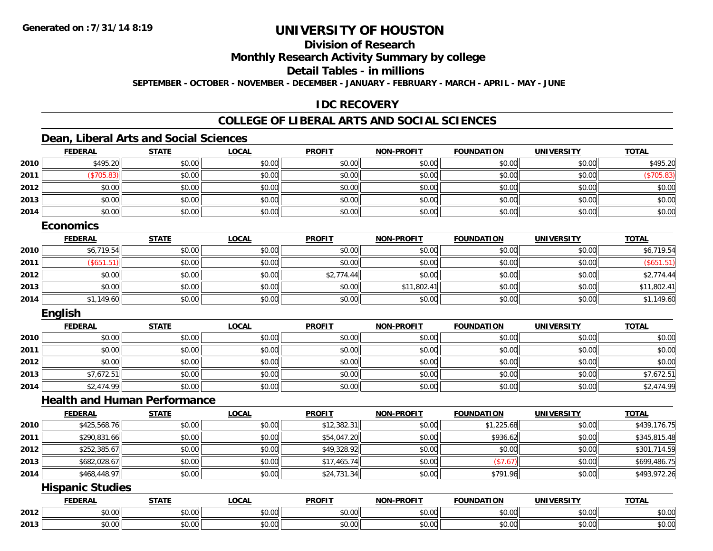# **Division of Research**

**Monthly Research Activity Summary by college**

**Detail Tables - in millions**

**SEPTEMBER - OCTOBER - NOVEMBER - DECEMBER - JANUARY - FEBRUARY - MARCH - APRIL - MAY - JUNE**

## **IDC RECOVERY**

# **COLLEGE OF LIBERAL ARTS AND SOCIAL SCIENCES**

### **Dean, Liberal Arts and Social Sciences**

|      | <b>FEDERAL</b> | <b>STATE</b> | <u>LOCAL</u> | <b>PROFIT</b> | <b>NON-PROFIT</b> | <b>FOUNDATION</b> | <b>UNIVERSITY</b> | <b>TOTAL</b> |
|------|----------------|--------------|--------------|---------------|-------------------|-------------------|-------------------|--------------|
| 2010 | \$495.20       | \$0.00       | \$0.00       | \$0.00        | \$0.00            | \$0.00            | \$0.00            | \$495.20     |
| 2011 | \$705.83       | \$0.00       | \$0.00       | \$0.00        | \$0.00            | \$0.00            | \$0.00            | \$705.83     |
| 2012 | \$0.00         | \$0.00       | \$0.00       | \$0.00        | \$0.00            | \$0.00            | \$0.00            | \$0.00       |
| 2013 | \$0.00         | \$0.00       | \$0.00       | \$0.00        | \$0.00            | \$0.00            | \$0.00            | \$0.00       |
| 2014 | \$0.00         | \$0.00       | \$0.00       | \$0.00        | \$0.00            | \$0.00            | \$0.00            | \$0.00       |
|      |                |              |              |               |                   |                   |                   |              |

#### **Economics**

|      | <b>FEDERAL</b> | <b>STATE</b> | <b>LOCAL</b> | <b>PROFIT</b> | <b>NON-PROFIT</b> | <b>FOUNDATION</b> | <b>UNIVERSITY</b> | <b>TOTAL</b> |
|------|----------------|--------------|--------------|---------------|-------------------|-------------------|-------------------|--------------|
| 2010 | \$6,719.54     | \$0.00       | \$0.00       | \$0.00        | \$0.00            | \$0.00            | \$0.00            | \$6,719.54   |
| 2011 | (\$651.51      | \$0.00       | \$0.00       | \$0.00        | \$0.00            | \$0.00            | \$0.00            | \$651.51)    |
| 2012 | \$0.00         | \$0.00       | \$0.00       | \$2,774.44    | \$0.00            | \$0.00            | \$0.00            | \$2,774.44   |
| 2013 | \$0.00         | \$0.00       | \$0.00       | \$0.00        | \$11,802.41       | \$0.00            | \$0.00            | \$11,802.41  |
| 2014 | \$1,149.60     | \$0.00       | \$0.00       | \$0.00        | \$0.00            | \$0.00            | \$0.00            | \$1,149.60   |

#### **English**

|      | <b>FEDERAL</b> | <b>STATE</b> | <b>LOCAL</b> | <b>PROFIT</b> | <b>NON-PROFIT</b> | <b>FOUNDATION</b> | <b>UNIVERSITY</b> | <b>TOTAL</b> |
|------|----------------|--------------|--------------|---------------|-------------------|-------------------|-------------------|--------------|
| 2010 | \$0.00         | \$0.00       | \$0.00       | \$0.00        | \$0.00            | \$0.00            | \$0.00            | \$0.00       |
| 2011 | \$0.00         | \$0.00       | \$0.00       | \$0.00        | \$0.00            | \$0.00            | \$0.00            | \$0.00       |
| 2012 | \$0.00         | \$0.00       | \$0.00       | \$0.00        | \$0.00            | \$0.00            | \$0.00            | \$0.00       |
| 2013 | \$7,672.51     | \$0.00       | \$0.00       | \$0.00        | \$0.00            | \$0.00            | \$0.00            | \$7,672.51   |
| 2014 | \$2,474.99     | \$0.00       | \$0.00       | \$0.00        | \$0.00            | \$0.00            | \$0.00            | \$2,474.99   |

#### **Health and Human Performance**

|      | <b>FEDERAL</b> | <b>STATE</b> | <b>LOCAL</b> | <b>PROFIT</b> | <b>NON-PROFIT</b> | <b>FOUNDATION</b> | UNIVERSITY | <b>TOTAL</b> |
|------|----------------|--------------|--------------|---------------|-------------------|-------------------|------------|--------------|
| 2010 | \$425,568.76   | \$0.00       | \$0.00       | \$12,382.31   | \$0.00            | \$1,225.68        | \$0.00     | \$439,176.75 |
| 2011 | \$290,831.66   | \$0.00       | \$0.00       | \$54,047.20   | \$0.00            | \$936.62          | \$0.00     | \$345,815.48 |
| 2012 | \$252,385.67   | \$0.00       | \$0.00       | \$49,328.92   | \$0.00            | \$0.00            | \$0.00     | \$301,714.59 |
| 2013 | \$682,028.67   | \$0.00       | \$0.00       | \$17,465.74   | \$0.00            | (\$7.67)          | \$0.00     | \$699,486.75 |
| 2014 | \$468,448.97   | \$0.00       | \$0.00       | \$24,731.34   | \$0.00            | \$791.96          | \$0.00     | \$493,972.26 |

### **Hispanic Studies**

|      | <b>FFBFB</b><br>-115 | $- - - - -$                                                                             | $\sim$ $\sim$ $\sim$<br>.UUA | <b>PROFIT</b> | $$ DDOF!<br>  | .<br><b>'INDL</b>                                              | <b>ININI</b><br>ne 1.<br>$\mathbf{v}$ | <b>TOTAL</b>                    |
|------|----------------------|-----------------------------------------------------------------------------------------|------------------------------|---------------|---------------|----------------------------------------------------------------|---------------------------------------|---------------------------------|
| 2012 | $\sim$ 00<br>טט.     | $\sim$ 00<br>JU.U                                                                       | $\sim$ $\sim$<br>vv.vv       | 0000<br>ww.uu | 0.00<br>ww.uu | $\mathfrak{g} \cap \mathfrak{g}$<br>JU.UU                      | $\sim$ 00<br>$\mathsf{v}\mathsf{v}$   | $\triangle$ $\triangle$<br>JU.U |
| 2013 | $\sim$ 00<br>JU.UU   | $\begin{array}{c} \hline \text{A} & \text{A} & \text{A} \\ \hline \end{array}$<br>JU.UU | $\sim$ $\sim$<br>JU.UU       | 0000<br>JU.UU | 0.00<br>JU.UU | $\mathfrak{g} \cap \mathfrak{g} \subset \mathfrak{g}$<br>JU.UU | $\sim$ 00<br>JU.UU                    | JU.UU                           |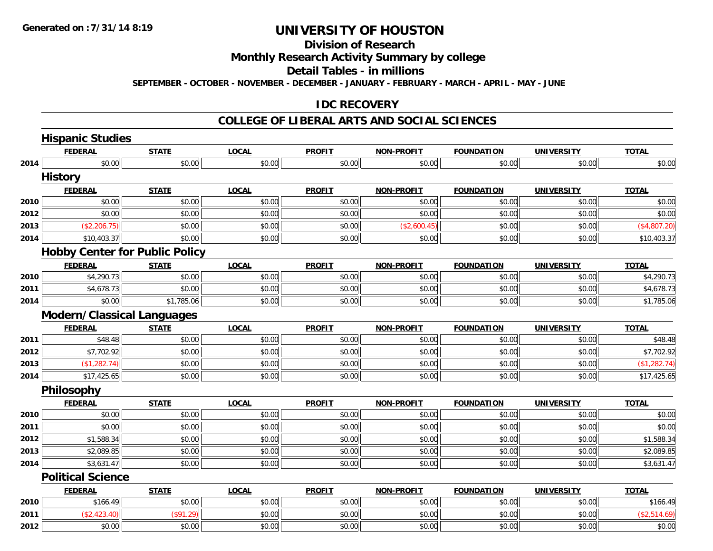# **Division of Research**

# **Monthly Research Activity Summary by college**

#### **Detail Tables - in millions**

**SEPTEMBER - OCTOBER - NOVEMBER - DECEMBER - JANUARY - FEBRUARY - MARCH - APRIL - MAY - JUNE**

#### **IDC RECOVERY**

#### **COLLEGE OF LIBERAL ARTS AND SOCIAL SCIENCES**

|      | <b>Hispanic Studies</b>               |              |              |               |                   |                   |                   |              |
|------|---------------------------------------|--------------|--------------|---------------|-------------------|-------------------|-------------------|--------------|
|      | <b>FEDERAL</b>                        | <b>STATE</b> | <b>LOCAL</b> | <b>PROFIT</b> | <b>NON-PROFIT</b> | <b>FOUNDATION</b> | <b>UNIVERSITY</b> | <b>TOTAL</b> |
| 2014 | \$0.00                                | \$0.00       | \$0.00       | \$0.00        | \$0.00            | \$0.00            | \$0.00            | \$0.00       |
|      | <b>History</b>                        |              |              |               |                   |                   |                   |              |
|      | <b>FEDERAL</b>                        | <b>STATE</b> | <b>LOCAL</b> | <b>PROFIT</b> | <b>NON-PROFIT</b> | <b>FOUNDATION</b> | <b>UNIVERSITY</b> | <b>TOTAL</b> |
| 2010 | \$0.00                                | \$0.00       | \$0.00       | \$0.00        | \$0.00            | \$0.00            | \$0.00            | \$0.00       |
| 2012 | \$0.00                                | \$0.00       | \$0.00       | \$0.00        | \$0.00            | \$0.00            | \$0.00            | \$0.00       |
| 2013 | (\$2,206.75)                          | \$0.00       | \$0.00       | \$0.00        | (\$2,600.45)      | \$0.00            | \$0.00            | (\$4,807.20) |
| 2014 | \$10,403.37                           | \$0.00       | \$0.00       | \$0.00        | \$0.00            | \$0.00            | \$0.00            | \$10,403.37  |
|      | <b>Hobby Center for Public Policy</b> |              |              |               |                   |                   |                   |              |
|      | <b>FEDERAL</b>                        | <b>STATE</b> | <b>LOCAL</b> | <b>PROFIT</b> | <b>NON-PROFIT</b> | <b>FOUNDATION</b> | <b>UNIVERSITY</b> | <b>TOTAL</b> |
| 2010 | \$4,290.73                            | \$0.00       | \$0.00       | \$0.00        | \$0.00            | \$0.00            | \$0.00            | \$4,290.73   |
| 2011 | \$4,678.73                            | \$0.00       | \$0.00       | \$0.00        | \$0.00            | \$0.00            | \$0.00            | \$4,678.73   |
| 2014 | \$0.00                                | \$1,785.06   | \$0.00       | \$0.00        | \$0.00            | \$0.00            | \$0.00            | \$1,785.06   |
|      | <b>Modern/Classical Languages</b>     |              |              |               |                   |                   |                   |              |
|      | <b>FEDERAL</b>                        | <b>STATE</b> | <b>LOCAL</b> | <b>PROFIT</b> | <b>NON-PROFIT</b> | <b>FOUNDATION</b> | <b>UNIVERSITY</b> | <b>TOTAL</b> |
| 2011 | \$48.48                               | \$0.00       | \$0.00       | \$0.00        | \$0.00            | \$0.00            | \$0.00            | \$48.48      |
| 2012 | \$7,702.92                            | \$0.00       | \$0.00       | \$0.00        | \$0.00            | \$0.00            | \$0.00            | \$7,702.92   |
| 2013 | (\$1,282.74)                          | \$0.00       | \$0.00       | \$0.00        | \$0.00            | \$0.00            | \$0.00            | (\$1,282.74) |
| 2014 | \$17,425.65                           | \$0.00       | \$0.00       | \$0.00        | \$0.00            | \$0.00            | \$0.00            | \$17,425.65  |
|      | Philosophy                            |              |              |               |                   |                   |                   |              |
|      | <b>FEDERAL</b>                        | <b>STATE</b> | <b>LOCAL</b> | <b>PROFIT</b> | <b>NON-PROFIT</b> | <b>FOUNDATION</b> | <b>UNIVERSITY</b> | <b>TOTAL</b> |
| 2010 | \$0.00                                | \$0.00       | \$0.00       | \$0.00        | \$0.00            | \$0.00            | \$0.00            | \$0.00       |
| 2011 | \$0.00                                | \$0.00       | \$0.00       | \$0.00        | \$0.00            | \$0.00            | \$0.00            | \$0.00       |
| 2012 | \$1,588.34                            | \$0.00       | \$0.00       | \$0.00        | \$0.00            | \$0.00            | \$0.00            | \$1,588.34   |
| 2013 | \$2,089.85                            | \$0.00       | \$0.00       | \$0.00        | \$0.00            | \$0.00            | \$0.00            | \$2,089.85   |
| 2014 | \$3,631.47                            | \$0.00       | \$0.00       | \$0.00        | \$0.00            | \$0.00            | \$0.00            | \$3,631.47   |
|      | <b>Political Science</b>              |              |              |               |                   |                   |                   |              |
|      | <b>FEDERAL</b>                        | <b>STATE</b> | <b>LOCAL</b> | <b>PROFIT</b> | <b>NON-PROFIT</b> | <b>FOUNDATION</b> | <b>UNIVERSITY</b> | <b>TOTAL</b> |
| 2010 | \$166.49                              | \$0.00       | \$0.00       | \$0.00        | \$0.00            | \$0.00            | \$0.00            | \$166.49     |
| 2011 | (\$2,423.40)                          | (\$91.29)    | \$0.00       | \$0.00        | \$0.00            | \$0.00            | \$0.00            | (\$2,514.69) |
| 2012 | \$0.00                                | \$0.00       | \$0.00       | \$0.00        | \$0.00            | \$0.00            | \$0.00            | \$0.00       |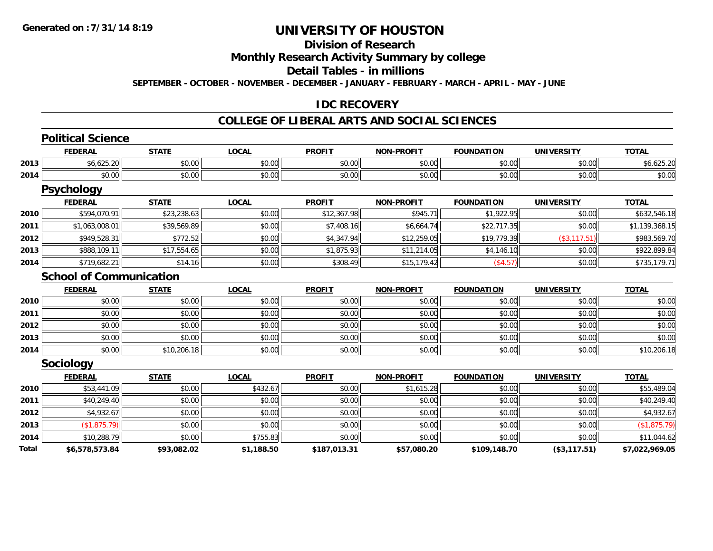# **Division of Research**

**Monthly Research Activity Summary by college**

**Detail Tables - in millions**

**SEPTEMBER - OCTOBER - NOVEMBER - DECEMBER - JANUARY - FEBRUARY - MARCH - APRIL - MAY - JUNE**

### **IDC RECOVERY**

#### **COLLEGE OF LIBERAL ARTS AND SOCIAL SCIENCES**

|              | <b>Political Science</b>       |              |              |               |                   |                   |                   |                |
|--------------|--------------------------------|--------------|--------------|---------------|-------------------|-------------------|-------------------|----------------|
|              | <b>FEDERAL</b>                 | <b>STATE</b> | <b>LOCAL</b> | <b>PROFIT</b> | <b>NON-PROFIT</b> | <b>FOUNDATION</b> | <b>UNIVERSITY</b> | <b>TOTAL</b>   |
| 2013         | \$6,625.20                     | \$0.00       | \$0.00       | \$0.00        | \$0.00            | \$0.00            | \$0.00            | \$6,625.20     |
| 2014         | \$0.00                         | \$0.00       | \$0.00       | \$0.00        | \$0.00            | \$0.00            | \$0.00            | \$0.00         |
|              | <b>Psychology</b>              |              |              |               |                   |                   |                   |                |
|              | <b>FEDERAL</b>                 | <b>STATE</b> | <b>LOCAL</b> | <b>PROFIT</b> | <b>NON-PROFIT</b> | <b>FOUNDATION</b> | <b>UNIVERSITY</b> | <b>TOTAL</b>   |
| 2010         | \$594,070.91                   | \$23,238.63  | \$0.00       | \$12,367.98   | \$945.71          | \$1,922.95        | \$0.00            | \$632,546.18   |
| 2011         | \$1,063,008.01                 | \$39,569.89  | \$0.00       | \$7,408.16    | \$6,664.74        | \$22,717.35       | \$0.00            | \$1,139,368.15 |
| 2012         | \$949,528.31                   | \$772.52     | \$0.00       | \$4,347.94    | \$12,259.05       | \$19,779.39       | (\$3, 117.51)     | \$983,569.70   |
| 2013         | \$888,109.11                   | \$17,554.65  | \$0.00       | \$1,875.93    | \$11,214.05       | \$4,146.10        | \$0.00            | \$922,899.84   |
| 2014         | \$719,682.21                   | \$14.16      | \$0.00       | \$308.49      | \$15,179.42       | (\$4.57)          | \$0.00            | \$735,179.71   |
|              | <b>School of Communication</b> |              |              |               |                   |                   |                   |                |
|              | <b>FEDERAL</b>                 | <b>STATE</b> | <b>LOCAL</b> | <b>PROFIT</b> | <b>NON-PROFIT</b> | <b>FOUNDATION</b> | <b>UNIVERSITY</b> | <b>TOTAL</b>   |
| 2010         | \$0.00                         | \$0.00       | \$0.00       | \$0.00        | \$0.00            | \$0.00            | \$0.00            | \$0.00         |
| 2011         | \$0.00                         | \$0.00       | \$0.00       | \$0.00        | \$0.00            | \$0.00            | \$0.00            | \$0.00         |
| 2012         | \$0.00                         | \$0.00       | \$0.00       | \$0.00        | \$0.00            | \$0.00            | \$0.00            | \$0.00         |
| 2013         | \$0.00                         | \$0.00       | \$0.00       | \$0.00        | \$0.00            | \$0.00            | \$0.00            | \$0.00         |
| 2014         | \$0.00                         | \$10,206.18  | \$0.00       | \$0.00        | \$0.00            | \$0.00            | \$0.00            | \$10,206.18    |
|              | Sociology                      |              |              |               |                   |                   |                   |                |
|              | <b>FEDERAL</b>                 | <b>STATE</b> | <b>LOCAL</b> | <b>PROFIT</b> | <b>NON-PROFIT</b> | <b>FOUNDATION</b> | <b>UNIVERSITY</b> | <b>TOTAL</b>   |
| 2010         | \$53,441.09                    | \$0.00       | \$432.67     | \$0.00        | \$1,615.28        | \$0.00            | \$0.00            | \$55,489.04    |
| 2011         | \$40,249.40                    | \$0.00       | \$0.00       | \$0.00        | \$0.00            | \$0.00            | \$0.00            | \$40,249.40    |
| 2012         | \$4,932.67                     | \$0.00       | \$0.00       | \$0.00        | \$0.00            | \$0.00            | \$0.00            | \$4,932.67     |
| 2013         | \$1,875.79                     | \$0.00       | \$0.00       | \$0.00        | \$0.00            | \$0.00            | \$0.00            | (\$1,875.79)   |
| 2014         | \$10,288.79                    | \$0.00       | \$755.83     | \$0.00        | \$0.00            | \$0.00            | \$0.00            | \$11,044.62    |
| <b>Total</b> | \$6,578,573.84                 | \$93,082.02  | \$1,188.50   | \$187,013.31  | \$57,080.20       | \$109,148.70      | (\$3,117.51)      | \$7,022,969.05 |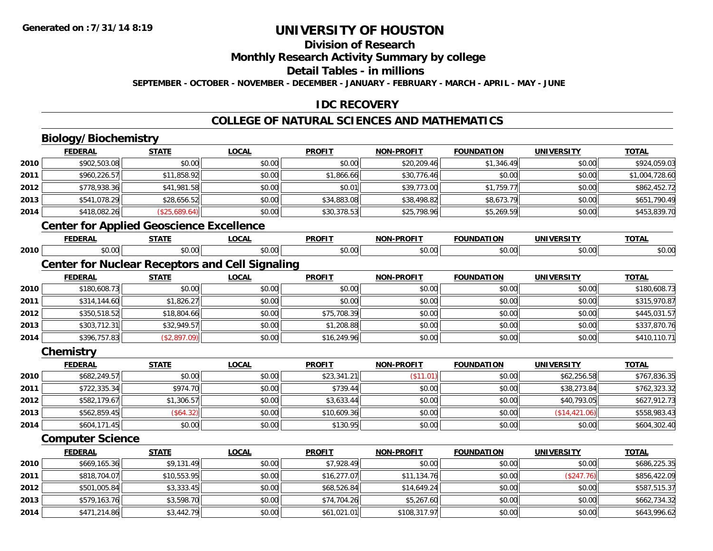# **Division of Research**

**Monthly Research Activity Summary by college**

**Detail Tables - in millions**

**SEPTEMBER - OCTOBER - NOVEMBER - DECEMBER - JANUARY - FEBRUARY - MARCH - APRIL - MAY - JUNE**

# **IDC RECOVERY**

# **COLLEGE OF NATURAL SCIENCES AND MATHEMATICS**

# **Biology/Biochemistry**

**2014**

|      | <b>FEDERAL</b>                                         | <b>STATE</b>  | <b>LOCAL</b> | <b>PROFIT</b> | <b>NON-PROFIT</b> | <b>FOUNDATION</b> | <b>UNIVERSITY</b> | <b>TOTAL</b>   |
|------|--------------------------------------------------------|---------------|--------------|---------------|-------------------|-------------------|-------------------|----------------|
| 2010 | \$902,503.08                                           | \$0.00        | \$0.00       | \$0.00        | \$20,209.46       | \$1,346.49        | \$0.00            | \$924,059.03   |
| 2011 | \$960,226.57                                           | \$11,858.92   | \$0.00       | \$1,866.66    | \$30,776.46       | \$0.00            | \$0.00            | \$1,004,728.60 |
| 2012 | \$778,938.36                                           | \$41,981.58   | \$0.00       | \$0.01        | \$39,773.00       | \$1,759.77        | \$0.00            | \$862,452.72   |
| 2013 | \$541,078.29                                           | \$28,656.52   | \$0.00       | \$34,883.08   | \$38,498.82       | \$8,673.79        | \$0.00            | \$651,790.49   |
| 2014 | \$418,082.26                                           | (\$25,689.64) | \$0.00       | \$30,378.53   | \$25,798.96       | \$5,269.59        | \$0.00            | \$453,839.70   |
|      | <b>Center for Applied Geoscience Excellence</b>        |               |              |               |                   |                   |                   |                |
|      | <b>FEDERAL</b>                                         | <b>STATE</b>  | <b>LOCAL</b> | <b>PROFIT</b> | <b>NON-PROFIT</b> | <b>FOUNDATION</b> | <b>UNIVERSITY</b> | <b>TOTAL</b>   |
| 2010 | \$0.00                                                 | \$0.00        | \$0.00       | \$0.00        | \$0.00            | \$0.00            | \$0.00            | \$0.00         |
|      | <b>Center for Nuclear Receptors and Cell Signaling</b> |               |              |               |                   |                   |                   |                |
|      | <b>FEDERAL</b>                                         | <b>STATE</b>  | <b>LOCAL</b> | <b>PROFIT</b> | <b>NON-PROFIT</b> | <b>FOUNDATION</b> | <b>UNIVERSITY</b> | <b>TOTAL</b>   |
| 2010 | \$180,608.73                                           | \$0.00        | \$0.00       | \$0.00        | \$0.00            | \$0.00            | \$0.00            | \$180,608.73   |
| 2011 | \$314,144.60                                           | \$1,826.27    | \$0.00       | \$0.00        | \$0.00            | \$0.00            | \$0.00            | \$315,970.87   |
| 2012 | \$350,518.52                                           | \$18,804.66   | \$0.00       | \$75,708.39   | \$0.00            | \$0.00            | \$0.00            | \$445,031.57   |
| 2013 | \$303,712.31                                           | \$32,949.57   | \$0.00       | \$1,208.88    | \$0.00            | \$0.00            | \$0.00            | \$337,870.76   |
| 2014 | \$396,757.83                                           | (\$2,897.09)  | \$0.00       | \$16,249.96   | \$0.00            | \$0.00            | \$0.00            | \$410,110.71   |
|      | Chemistry                                              |               |              |               |                   |                   |                   |                |
|      | <b>FEDERAL</b>                                         | <b>STATE</b>  | <b>LOCAL</b> | <b>PROFIT</b> | <b>NON-PROFIT</b> | <b>FOUNDATION</b> | <b>UNIVERSITY</b> | <b>TOTAL</b>   |
| 2010 | \$682,249.57                                           | \$0.00        | \$0.00       | \$23,341.21   | (\$11.01)         | \$0.00            | \$62,256.58       | \$767,836.35   |
| 2011 | \$722,335.34                                           | \$974.70      | \$0.00       | \$739.44      | \$0.00            | \$0.00            | \$38,273.84       | \$762,323.32   |
| 2012 | \$582,179.67                                           | \$1,306.57    | \$0.00       | \$3,633.44    | \$0.00            | \$0.00            | \$40,793.05       | \$627,912.73   |
| 2013 | \$562,859.45                                           | (\$64.32)     | \$0.00       | \$10,609.36   | \$0.00            | \$0.00            | (\$14,421.06)     | \$558,983.43   |
| 2014 | \$604,171.45                                           | \$0.00        | \$0.00       | \$130.95      | \$0.00            | \$0.00            | \$0.00            | \$604,302.40   |
|      | <b>Computer Science</b>                                |               |              |               |                   |                   |                   |                |
|      | <b>FEDERAL</b>                                         | <b>STATE</b>  | <b>LOCAL</b> | <b>PROFIT</b> | <b>NON-PROFIT</b> | <b>FOUNDATION</b> | <b>UNIVERSITY</b> | <b>TOTAL</b>   |
| 2010 | \$669,165.36                                           | \$9,131.49    | \$0.00       | \$7,928.49    | \$0.00            | \$0.00            | \$0.00            | \$686,225.35   |
| 2011 | \$818,704.07                                           | \$10,553.95   | \$0.00       | \$16,277.07   | \$11,134.76       | \$0.00            | (\$247.76)        | \$856,422.09   |
| 2012 | \$501,005.84                                           | \$3,333.45    | \$0.00       | \$68,526.84   | \$14,649.24       | \$0.00            | \$0.00            | \$587,515.37   |
| 2013 | \$579,163.76                                           | \$3,598.70    | \$0.00       | \$74,704.26   | \$5,267.60        | \$0.00            | \$0.00            | \$662,734.32   |

4 \$471,214.86 \$3,442.79 \$3,442.79 \$0.00 \$61,021.01 \$61,021.01 \$108,317.97 \$0.00 \$0.00 \$0.00 \$0.00 \$643,996.62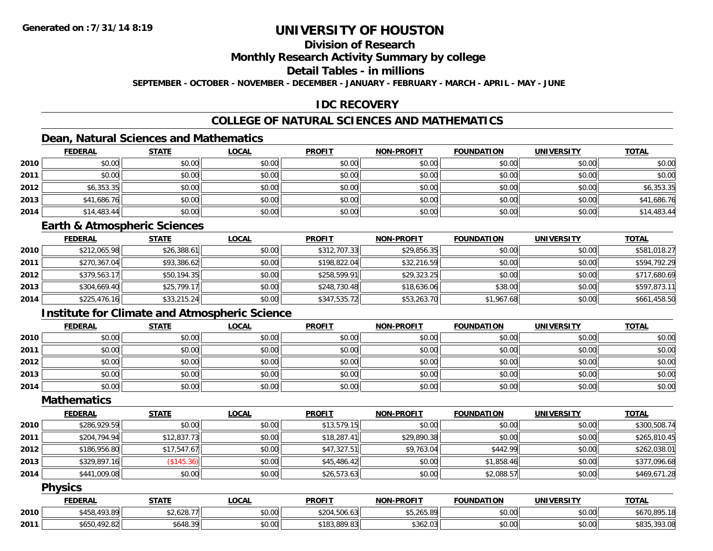# **Division of Research**

**Monthly Research Activity Summary by college**

**Detail Tables - in millions**

**SEPTEMBER - OCTOBER - NOVEMBER - DECEMBER - JANUARY - FEBRUARY - MARCH - APRIL - MAY - JUNE**

# **IDC RECOVERY**

# **COLLEGE OF NATURAL SCIENCES AND MATHEMATICS**

# **Dean, Natural Sciences and Mathematics**

|      | <b>FEDERAL</b> | <b>STATE</b> | <u>LOCAL</u> | <b>PROFIT</b> | <b>NON-PROFIT</b> | <b>FOUNDATION</b> | <b>UNIVERSITY</b> | <b>TOTAL</b> |
|------|----------------|--------------|--------------|---------------|-------------------|-------------------|-------------------|--------------|
| 2010 | \$0.00         | \$0.00       | \$0.00       | \$0.00        | \$0.00            | \$0.00            | \$0.00            | \$0.00       |
| 2011 | \$0.00         | \$0.00       | \$0.00       | \$0.00        | \$0.00            | \$0.00            | \$0.00            | \$0.00       |
| 2012 | \$6,353.35     | \$0.00       | \$0.00       | \$0.00        | \$0.00            | \$0.00            | \$0.00            | \$6,353.35   |
| 2013 | \$41,686.76    | \$0.00       | \$0.00       | \$0.00        | \$0.00            | \$0.00            | \$0.00            | \$41,686.76  |
| 2014 | \$14,483.44    | \$0.00       | \$0.00       | \$0.00        | \$0.00            | \$0.00            | \$0.00            | \$14,483.44  |

#### **Earth & Atmospheric Sciences**

|      | <b>FEDERAL</b> | <b>STATE</b> | <u>LOCAL</u> | <b>PROFIT</b> | <b>NON-PROFIT</b> | <b>FOUNDATION</b> | <b>UNIVERSITY</b> | <b>TOTAL</b> |
|------|----------------|--------------|--------------|---------------|-------------------|-------------------|-------------------|--------------|
| 2010 | \$212,065.98   | \$26,388.61  | \$0.00       | \$312,707.33  | \$29,856.35       | \$0.00            | \$0.00            | \$581,018.27 |
| 2011 | \$270,367.04   | \$93,386.62  | \$0.00       | \$198,822.04  | \$32,216.59       | \$0.00            | \$0.00            | \$594,792.29 |
| 2012 | \$379,563.17   | \$50,194.35  | \$0.00       | \$258,599.91  | \$29,323.25       | \$0.00            | \$0.00            | \$717,680.69 |
| 2013 | \$304,669.40   | \$25,799.17  | \$0.00       | \$248,730.48  | \$18,636.06       | \$38.00           | \$0.00            | \$597,873.11 |
| 2014 | \$225,476.16   | \$33,215.24  | \$0.00       | \$347,535.72  | \$53,263.70       | \$1,967.68        | \$0.00            | \$661,458.50 |

## **Institute for Climate and Atmospheric Science**

|      | <b>FEDERAL</b> | <b>STATE</b> | <u>LOCAL</u> | <b>PROFIT</b> | <b>NON-PROFIT</b> | <b>FOUNDATION</b> | <b>UNIVERSITY</b> | <b>TOTAL</b> |
|------|----------------|--------------|--------------|---------------|-------------------|-------------------|-------------------|--------------|
| 2010 | \$0.00         | \$0.00       | \$0.00       | \$0.00        | \$0.00            | \$0.00            | \$0.00            | \$0.00       |
| 2011 | \$0.00         | \$0.00       | \$0.00       | \$0.00        | \$0.00            | \$0.00            | \$0.00            | \$0.00       |
| 2012 | \$0.00         | \$0.00       | \$0.00       | \$0.00        | \$0.00            | \$0.00            | \$0.00            | \$0.00       |
| 2013 | \$0.00         | \$0.00       | \$0.00       | \$0.00        | \$0.00            | \$0.00            | \$0.00            | \$0.00       |
| 2014 | \$0.00         | \$0.00       | \$0.00       | \$0.00        | \$0.00            | \$0.00            | \$0.00            | \$0.00       |

### **Mathematics**

|      | <b>FEDERAL</b> | <b>STATE</b>       | <b>LOCAL</b> | <b>PROFIT</b> | <b>NON-PROFIT</b> | <b>FOUNDATION</b> | <b>UNIVERSITY</b> | <b>TOTAL</b> |
|------|----------------|--------------------|--------------|---------------|-------------------|-------------------|-------------------|--------------|
| 2010 | \$286,929.59   | \$0.00             | \$0.00       | \$13,579.15   | \$0.00            | \$0.00            | \$0.00            | \$300,508.74 |
| 2011 | \$204,794.94   | \$12,837.73        | \$0.00       | \$18,287.41   | \$29,890.38       | \$0.00            | \$0.00            | \$265,810.45 |
| 2012 | \$186,956.80   | \$17.547.67        | \$0.00       | \$47,327.51   | \$9,763.04        | \$442.99          | \$0.00            | \$262,038.01 |
| 2013 | \$329,897.16   | $($ \$145.36) $  $ | \$0.00       | \$45,486.42   | \$0.00            | \$1,858.46        | \$0.00            | \$377,096.68 |
| 2014 | \$441,009.08   | \$0.00             | \$0.00       | \$26,573.63   | \$0.00            | \$2,088.57        | \$0.00            | \$469,671.28 |

#### **Physics**

|      | <b>FEDERAL</b>                | STATE      | LOCAL  | <b>PROFIT</b> | <b>NON-PROFIT</b>     | <b>FOUNDATION</b> | <b>UNIVERSITY</b> | <b>TOTAL</b> |
|------|-------------------------------|------------|--------|---------------|-----------------------|-------------------|-------------------|--------------|
| 2010 | 458,493.89<br>¢ 4 E O         | \$2,628.77 | \$0.00 | \$204,506.63  | ATAYFOP<br>55.Z05.8YH | \$0.00            | \$0.00            | \$670,895.18 |
| 2011 | 102.02<br>TATO<br>84.∠65∪,050 | \$648.39   | \$0.00 | \$183,889.83  | \$362.03              | \$0.00            | \$0.00            | \$835,393.08 |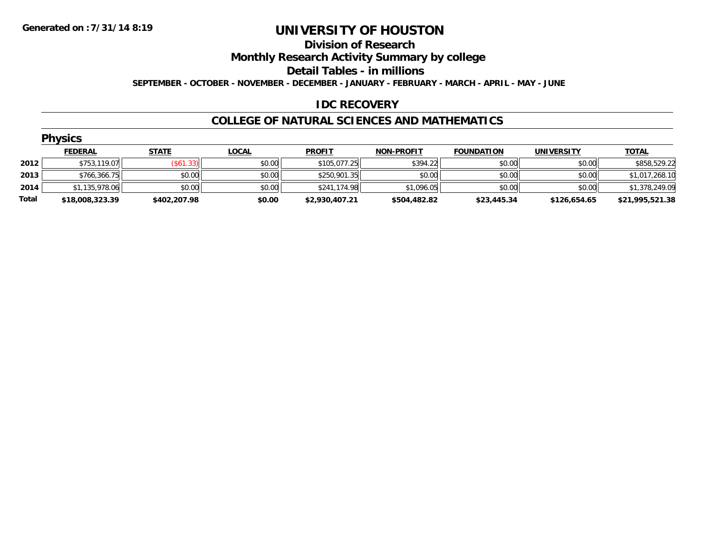#### **Division of Research**

**Monthly Research Activity Summary by college**

**Detail Tables - in millions**

**SEPTEMBER - OCTOBER - NOVEMBER - DECEMBER - JANUARY - FEBRUARY - MARCH - APRIL - MAY - JUNE**

### **IDC RECOVERY**

#### **COLLEGE OF NATURAL SCIENCES AND MATHEMATICS**

|       | <b>Physics</b>  |              |              |                |                   |                   |                   |                 |  |  |  |  |
|-------|-----------------|--------------|--------------|----------------|-------------------|-------------------|-------------------|-----------------|--|--|--|--|
|       | <b>FEDERAL</b>  | <b>STATE</b> | <b>LOCAL</b> | <b>PROFIT</b>  | <b>NON-PROFIT</b> | <b>FOUNDATION</b> | <b>UNIVERSITY</b> | <b>TOTAL</b>    |  |  |  |  |
| 2012  | \$753,119.07    | (S61.33)     | \$0.00       | \$105,077.25   | \$394.22          | \$0.00            | \$0.00            | \$858,529.22    |  |  |  |  |
| 2013  | \$766,366.75    | \$0.00       | \$0.00       | \$250,901.35   | \$0.00            | \$0.00            | \$0.00            | \$1,017,268.10  |  |  |  |  |
| 2014  | \$1,135,978.06  | \$0.00       | \$0.00       | \$241,174.98   | \$1,096.05        | \$0.00            | \$0.00            | \$1,378,249.09  |  |  |  |  |
| Total | \$18,008,323.39 | \$402,207.98 | \$0.00       | \$2,930,407.21 | \$504,482.82      | \$23,445.34       | \$126,654.65      | \$21,995,521.38 |  |  |  |  |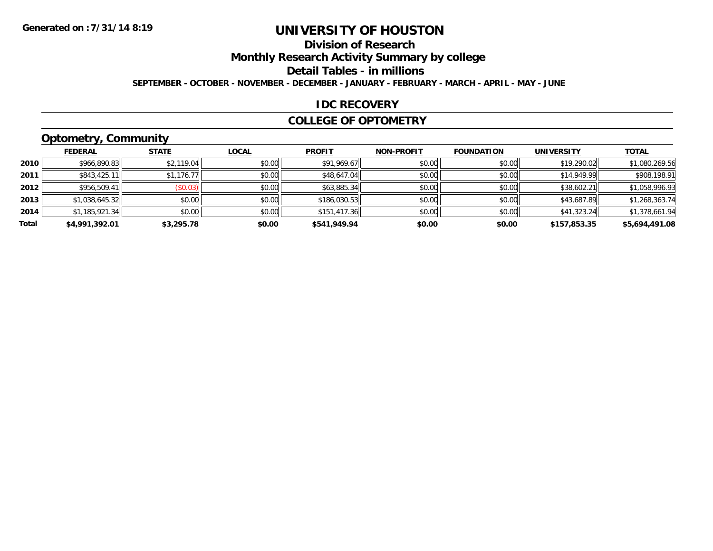# **Division of Research**

**Monthly Research Activity Summary by college**

**Detail Tables - in millions**

**SEPTEMBER - OCTOBER - NOVEMBER - DECEMBER - JANUARY - FEBRUARY - MARCH - APRIL - MAY - JUNE**

### **IDC RECOVERY**

#### **COLLEGE OF OPTOMETRY**

# **Optometry, Community**

|       | .              |                         |              |               |                   |                   |                   |                |
|-------|----------------|-------------------------|--------------|---------------|-------------------|-------------------|-------------------|----------------|
|       | <b>FEDERAL</b> | <b>STATE</b>            | <b>LOCAL</b> | <b>PROFIT</b> | <b>NON-PROFIT</b> | <b>FOUNDATION</b> | <b>UNIVERSITY</b> | <b>TOTAL</b>   |
| 2010  | \$966,890.83   | \$2,119.04              | \$0.00       | \$91,969.67   | \$0.00            | \$0.00            | \$19,290.02       | \$1,080,269.56 |
| 2011  | \$843,425.11   | \$1,176.77              | \$0.00       | \$48,647.04   | \$0.00            | \$0.00            | \$14,949.99       | \$908,198.91   |
| 2012  | \$956,509.41   | $($ \$0.03) $\parallel$ | \$0.00       | \$63,885.34   | \$0.00            | \$0.00            | \$38,602.21       | \$1,058,996.93 |
| 2013  | \$1,038,645.32 | \$0.00                  | \$0.00       | \$186,030.53  | \$0.00            | \$0.00            | \$43,687.89       | \$1,268,363.74 |
| 2014  | \$1,185,921.34 | \$0.00                  | \$0.00       | \$151,417.36  | \$0.00            | \$0.00            | \$41,323.24       | \$1,378,661.94 |
| Total | \$4,991,392.01 | \$3,295.78              | \$0.00       | \$541,949.94  | \$0.00            | \$0.00            | \$157,853.35      | \$5,694,491.08 |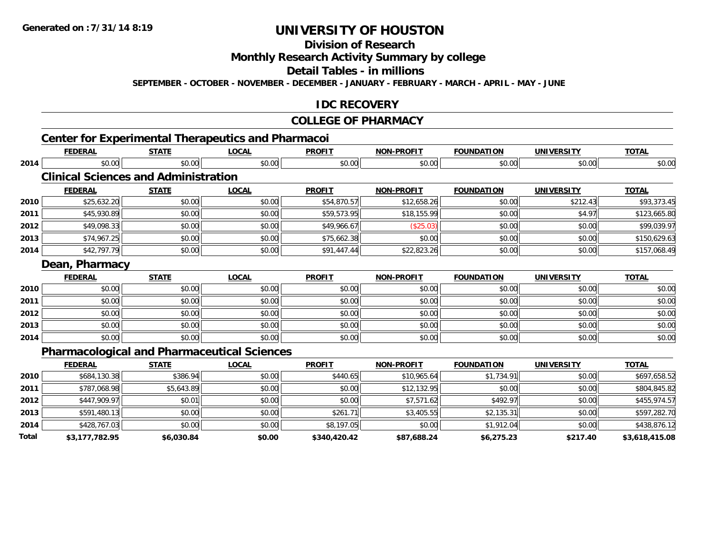# **Division of Research**

### **Monthly Research Activity Summary by college**

#### **Detail Tables - in millions**

**SEPTEMBER - OCTOBER - NOVEMBER - DECEMBER - JANUARY - FEBRUARY - MARCH - APRIL - MAY - JUNE**

### **IDC RECOVERY**

#### **COLLEGE OF PHARMACY**

|              | <b>FEDERAL</b>                                     | <b>STATE</b> | <b>LOCAL</b> | <b>PROFIT</b> | <b>NON-PROFIT</b> | <b>FOUNDATION</b> | <b>UNIVERSITY</b> | <b>TOTAL</b>   |
|--------------|----------------------------------------------------|--------------|--------------|---------------|-------------------|-------------------|-------------------|----------------|
| 2014         | \$0.00                                             | \$0.00       | \$0.00       | \$0.00        | \$0.00            | \$0.00            | \$0.00            | \$0.00         |
|              | <b>Clinical Sciences and Administration</b>        |              |              |               |                   |                   |                   |                |
|              | <b>FEDERAL</b>                                     | <b>STATE</b> | <b>LOCAL</b> | <b>PROFIT</b> | <b>NON-PROFIT</b> | <b>FOUNDATION</b> | <b>UNIVERSITY</b> | <b>TOTAL</b>   |
| 2010         | \$25,632.20                                        | \$0.00       | \$0.00       | \$54,870.57   | \$12,658.26       | \$0.00            | \$212.43          | \$93,373.45    |
| 2011         | \$45,930.89                                        | \$0.00       | \$0.00       | \$59,573.95   | \$18,155.99       | \$0.00            | \$4.97            | \$123,665.80   |
| 2012         | \$49,098.33                                        | \$0.00       | \$0.00       | \$49,966.67   | (\$25.03)         | \$0.00            | \$0.00            | \$99,039.97    |
| 2013         | \$74,967.25                                        | \$0.00       | \$0.00       | \$75,662.38   | \$0.00            | \$0.00            | \$0.00            | \$150,629.63   |
| 2014         | \$42,797.79                                        | \$0.00       | \$0.00       | \$91,447.44   | \$22,823.26       | \$0.00            | \$0.00            | \$157,068.49   |
|              | Dean, Pharmacy                                     |              |              |               |                   |                   |                   |                |
|              | <b>FEDERAL</b>                                     | <b>STATE</b> | <b>LOCAL</b> | <b>PROFIT</b> | <b>NON-PROFIT</b> | <b>FOUNDATION</b> | <b>UNIVERSITY</b> | <b>TOTAL</b>   |
| 2010         | \$0.00                                             | \$0.00       | \$0.00       | \$0.00        | \$0.00            | \$0.00            | \$0.00            | \$0.00         |
| 2011         | \$0.00                                             | \$0.00       | \$0.00       | \$0.00        | \$0.00            | \$0.00            | \$0.00            | \$0.00         |
| 2012         | \$0.00                                             | \$0.00       | \$0.00       | \$0.00        | \$0.00            | \$0.00            | \$0.00            | \$0.00         |
| 2013         | \$0.00                                             | \$0.00       | \$0.00       | \$0.00        | \$0.00            | \$0.00            | \$0.00            | \$0.00         |
| 2014         | \$0.00                                             | \$0.00       | \$0.00       | \$0.00        | \$0.00            | \$0.00            | \$0.00            | \$0.00         |
|              | <b>Pharmacological and Pharmaceutical Sciences</b> |              |              |               |                   |                   |                   |                |
|              | <b>FEDERAL</b>                                     | <b>STATE</b> | <b>LOCAL</b> | <b>PROFIT</b> | <b>NON-PROFIT</b> | <b>FOUNDATION</b> | <b>UNIVERSITY</b> | <b>TOTAL</b>   |
| 2010         | \$684,130.38                                       | \$386.94     | \$0.00       | \$440.65      | \$10,965.64       | \$1,734.91        | \$0.00            | \$697,658.52   |
| 2011         | \$787,068.98                                       | \$5,643.89   | \$0.00       | \$0.00        | \$12,132.95       | \$0.00            | \$0.00            | \$804,845.82   |
| 2012         | \$447,909.97                                       | \$0.01       | \$0.00       | \$0.00        | \$7,571.62        | \$492.97          | \$0.00            | \$455,974.57   |
| 2013         | \$591,480.13                                       | \$0.00       | \$0.00       | \$261.71      | \$3,405.55        | \$2,135.31        | \$0.00            | \$597,282.70   |
| 2014         | \$428,767.03                                       | \$0.00       | \$0.00       | \$8,197.05    | \$0.00            | \$1,912.04        | \$0.00            | \$438,876.12   |
| <b>Total</b> | \$3.177.782.95                                     | \$6.030.84   | \$0.00       | \$340.420.42  | \$87.688.24       | \$6.275.23        | \$217.40          | \$3.618.415.08 |

**\$3,177,782.95 \$6,030.84 \$0.00 \$340,420.42 \$87,688.24 \$6,275.23 \$217.40 \$3,618,415.08**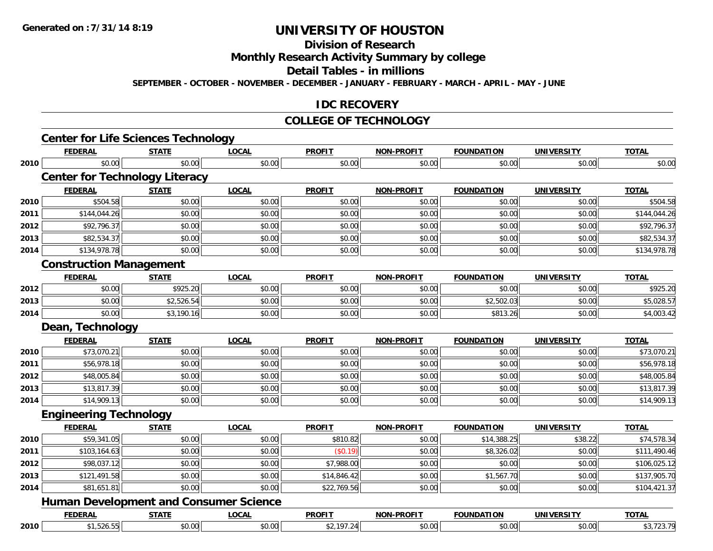# **Division of Research**

**Monthly Research Activity Summary by college**

**Detail Tables - in millions**

**SEPTEMBER - OCTOBER - NOVEMBER - DECEMBER - JANUARY - FEBRUARY - MARCH - APRIL - MAY - JUNE**

### **IDC RECOVERY**

#### **COLLEGE OF TECHNOLOGY**

|      | <b>FEDERAL</b>                                | <b>STATE</b> | <b>LOCAL</b> | <b>PROFIT</b> | <b>NON-PROFIT</b> | <b>FOUNDATION</b> | <b>UNIVERSITY</b> | <b>TOTAL</b> |
|------|-----------------------------------------------|--------------|--------------|---------------|-------------------|-------------------|-------------------|--------------|
| 2010 | \$0.00                                        | \$0.00       | \$0.00       | \$0.00        | \$0.00            | \$0.00            | \$0.00            | \$0.00       |
|      | <b>Center for Technology Literacy</b>         |              |              |               |                   |                   |                   |              |
|      | <b>FEDERAL</b>                                | <b>STATE</b> | <b>LOCAL</b> | <b>PROFIT</b> | <b>NON-PROFIT</b> | <b>FOUNDATION</b> | <b>UNIVERSITY</b> | <b>TOTAL</b> |
| 2010 | \$504.58                                      | \$0.00       | \$0.00       | \$0.00        | \$0.00            | \$0.00            | \$0.00            | \$504.58     |
| 2011 | \$144,044.26                                  | \$0.00       | \$0.00       | \$0.00        | \$0.00            | \$0.00            | \$0.00            | \$144,044.26 |
| 2012 | \$92,796.37                                   | \$0.00       | \$0.00       | \$0.00        | \$0.00            | \$0.00            | \$0.00            | \$92,796.37  |
| 2013 | \$82,534.37                                   | \$0.00       | \$0.00       | \$0.00        | \$0.00            | \$0.00            | \$0.00            | \$82,534.37  |
| 2014 | \$134,978.78                                  | \$0.00       | \$0.00       | \$0.00        | \$0.00            | \$0.00            | \$0.00            | \$134,978.78 |
|      | <b>Construction Management</b>                |              |              |               |                   |                   |                   |              |
|      | <b>FEDERAL</b>                                | <b>STATE</b> | <b>LOCAL</b> | <b>PROFIT</b> | <b>NON-PROFIT</b> | <b>FOUNDATION</b> | <b>UNIVERSITY</b> | <b>TOTAL</b> |
| 2012 | \$0.00                                        | \$925.20     | \$0.00       | \$0.00        | \$0.00            | \$0.00            | \$0.00            | \$925.20     |
| 2013 | \$0.00                                        | \$2,526.54   | \$0.00       | \$0.00        | \$0.00            | \$2,502.03        | \$0.00            | \$5,028.57   |
| 2014 | \$0.00                                        | \$3,190.16   | \$0.00       | \$0.00        | \$0.00            | \$813.26          | \$0.00            | \$4,003.42   |
|      | Dean, Technology                              |              |              |               |                   |                   |                   |              |
|      | <b>FEDERAL</b>                                | <b>STATE</b> | <b>LOCAL</b> | <b>PROFIT</b> | <b>NON-PROFIT</b> | <b>FOUNDATION</b> | <b>UNIVERSITY</b> | <b>TOTAL</b> |
| 2010 | \$73,070.21                                   | \$0.00       | \$0.00       | \$0.00        | \$0.00            | \$0.00            | \$0.00            | \$73,070.21  |
| 2011 | \$56,978.18                                   | \$0.00       | \$0.00       | \$0.00        | \$0.00            | \$0.00            | \$0.00            | \$56,978.18  |
| 2012 | \$48,005.84                                   | \$0.00       | \$0.00       | \$0.00        | \$0.00            | \$0.00            | \$0.00            | \$48,005.84  |
| 2013 | \$13,817.39                                   | \$0.00       | \$0.00       | \$0.00        | \$0.00            | \$0.00            | \$0.00            | \$13,817.39  |
| 2014 | \$14,909.13                                   | \$0.00       | \$0.00       | \$0.00        | \$0.00            | \$0.00            | \$0.00            | \$14,909.13  |
|      | <b>Engineering Technology</b>                 |              |              |               |                   |                   |                   |              |
|      | <b>FEDERAL</b>                                | <b>STATE</b> | <b>LOCAL</b> | <b>PROFIT</b> | <b>NON-PROFIT</b> | <b>FOUNDATION</b> | <b>UNIVERSITY</b> | <b>TOTAL</b> |
| 2010 | \$59,341.05                                   | \$0.00       | \$0.00       | \$810.82      | \$0.00            | \$14,388.25       | \$38.22           | \$74,578.34  |
| 2011 | \$103,164.63                                  | \$0.00       | \$0.00       | (\$0.19)      | \$0.00            | \$8,326.02        | \$0.00            | \$111,490.46 |
| 2012 | \$98,037.12                                   | \$0.00       | \$0.00       | \$7,988.00    | \$0.00            | \$0.00            | \$0.00            | \$106,025.12 |
| 2013 | \$121,491.58                                  | \$0.00       | \$0.00       | \$14,846.42   | \$0.00            | \$1,567.70        | \$0.00            | \$137,905.70 |
| 2014 | \$81,651.81                                   | \$0.00       | \$0.00       | \$22,769.56   | \$0.00            | \$0.00            | \$0.00            | \$104,421.37 |
|      | <b>Human Development and Consumer Science</b> |              |              |               |                   |                   |                   |              |
|      |                                               |              |              |               |                   |                   |                   |              |
|      | <b>FEDERAL</b>                                | <b>STATE</b> | <b>LOCAL</b> | <b>PROFIT</b> | <b>NON-PROFIT</b> | <b>FOUNDATION</b> | <b>UNIVERSITY</b> | <b>TOTAL</b> |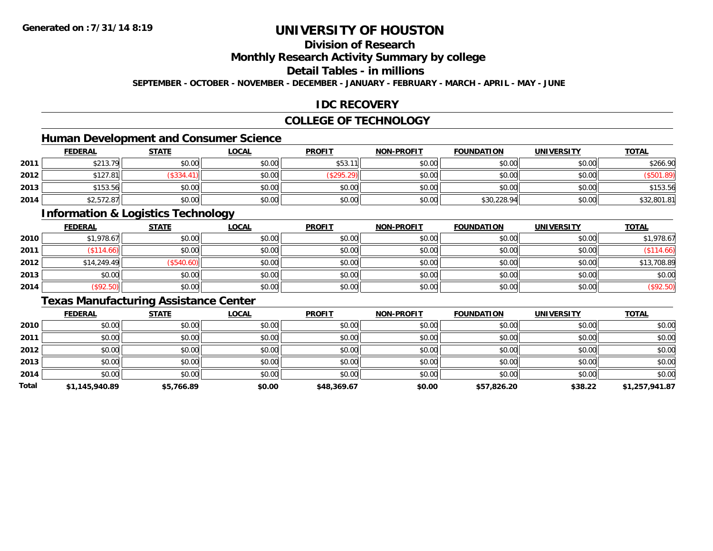# **Division of Research**

### **Monthly Research Activity Summary by college**

### **Detail Tables - in millions**

**SEPTEMBER - OCTOBER - NOVEMBER - DECEMBER - JANUARY - FEBRUARY - MARCH - APRIL - MAY - JUNE**

### **IDC RECOVERY**

## **COLLEGE OF TECHNOLOGY**

# **Human Development and Consumer Science**

|      | <b>FEDERAL</b> | <b>STATE</b> | <b>LOCAL</b> | <b>PROFIT</b> | <b>NON-PROFIT</b> | <b>FOUNDATION</b> | <b>UNIVERSITY</b> | <b>TOTAL</b> |
|------|----------------|--------------|--------------|---------------|-------------------|-------------------|-------------------|--------------|
| 2011 | \$213.79       | \$0.00       | \$0.00       | \$53.11       | \$0.00            | \$0.00            | \$0.00            | \$266.90     |
| 2012 | \$127.81       | \$334.       | \$0.00       | \$295.2\$     | \$0.00            | \$0.00            | \$0.00            | \$501.89     |
| 2013 | \$153.56       | \$0.00       | \$0.00       | \$0.00        | \$0.00            | \$0.00            | \$0.00            | \$153.56     |
| 2014 | \$2,572.87     | \$0.00       | \$0.00       | \$0.00        | \$0.00            | \$30,228.94       | \$0.00            | \$32,801.81  |

# **Information & Logistics Technology**

|      | <b>FEDERAL</b>            | <b>STATE</b> | <u>LOCAL</u> | <b>PROFIT</b> | <b>NON-PROFIT</b> | <b>FOUNDATION</b> | <b>UNIVERSITY</b> | <b>TOTAL</b> |
|------|---------------------------|--------------|--------------|---------------|-------------------|-------------------|-------------------|--------------|
| 2010 | \$1,978.67                | \$0.00       | \$0.00       | \$0.00        | \$0.00            | \$0.00            | \$0.00            | \$1,978.67   |
| 2011 | $($ \$114.66) $  \cdot  $ | \$0.00       | \$0.00       | \$0.00        | \$0.00            | \$0.00            | \$0.00            | \$114.66     |
| 2012 | \$14,249.49               | (\$540.60)   | \$0.00       | \$0.00        | \$0.00            | \$0.00            | \$0.00            | \$13,708.89  |
| 2013 | \$0.00                    | \$0.00       | \$0.00       | \$0.00        | \$0.00            | \$0.00            | \$0.00            | \$0.00       |
| 2014 | (\$92.50)                 | \$0.00       | \$0.00       | \$0.00        | \$0.00            | \$0.00            | \$0.00            | (\$92.50)    |

# **Texas Manufacturing Assistance Center**

|       | <b>FEDERAL</b> | <b>STATE</b> | <b>LOCAL</b> | <b>PROFIT</b> | <b>NON-PROFIT</b> | <b>FOUNDATION</b> | <b>UNIVERSITY</b> | <b>TOTAL</b>   |
|-------|----------------|--------------|--------------|---------------|-------------------|-------------------|-------------------|----------------|
| 2010  | \$0.00         | \$0.00       | \$0.00       | \$0.00        | \$0.00            | \$0.00            | \$0.00            | \$0.00         |
| 2011  | \$0.00         | \$0.00       | \$0.00       | \$0.00        | \$0.00            | \$0.00            | \$0.00            | \$0.00         |
| 2012  | \$0.00         | \$0.00       | \$0.00       | \$0.00        | \$0.00            | \$0.00            | \$0.00            | \$0.00         |
| 2013  | \$0.00         | \$0.00       | \$0.00       | \$0.00        | \$0.00            | \$0.00            | \$0.00            | \$0.00         |
| 2014  | \$0.00         | \$0.00       | \$0.00       | \$0.00        | \$0.00            | \$0.00            | \$0.00            | \$0.00         |
| Total | \$1,145,940.89 | \$5,766.89   | \$0.00       | \$48,369.67   | \$0.00            | \$57,826.20       | \$38.22           | \$1,257,941.87 |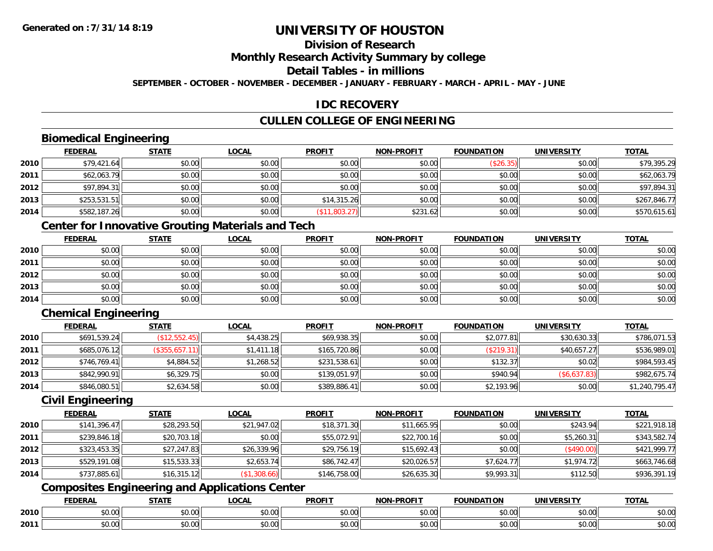# **Division of Research**

### **Monthly Research Activity Summary by college**

## **Detail Tables - in millions**

**SEPTEMBER - OCTOBER - NOVEMBER - DECEMBER - JANUARY - FEBRUARY - MARCH - APRIL - MAY - JUNE**

### **IDC RECOVERY**

# **CULLEN COLLEGE OF ENGINEERING**

# **Biomedical Engineering**

|      | <b>FEDERAL</b> | <b>STATE</b> | <u>LOCAL</u> | <b>PROFIT</b> | <b>NON-PROFIT</b> | <b>FOUNDATION</b> | <b>UNIVERSITY</b> | <b>TOTAL</b> |
|------|----------------|--------------|--------------|---------------|-------------------|-------------------|-------------------|--------------|
| 2010 | \$79,421.64    | \$0.00       | \$0.00       | \$0.00        | \$0.00            | (\$26.35)         | \$0.00            | \$79,395.29  |
| 2011 | \$62,063.79    | \$0.00       | \$0.00       | \$0.00        | \$0.00            | \$0.00            | \$0.00            | \$62,063.79  |
| 2012 | \$97,894.31    | \$0.00       | \$0.00       | \$0.00        | \$0.00            | \$0.00            | \$0.00            | \$97,894.31  |
| 2013 | \$253,531.51   | \$0.00       | \$0.00       | \$14,315.26   | \$0.00            | \$0.00            | \$0.00            | \$267,846.77 |
| 2014 | \$582,187.26   | \$0.00       | \$0.00       | (\$11,803.27) | \$231.62          | \$0.00            | \$0.00            | \$570,615.61 |

# **Center for Innovative Grouting Materials and Tech**

|      | <u>FEDERAL</u> | <u>STATE</u> | <u>LOCAL</u> | <b>PROFIT</b> | <b>NON-PROFIT</b> | <b>FOUNDATION</b> | <b>UNIVERSITY</b> | <b>TOTAL</b> |
|------|----------------|--------------|--------------|---------------|-------------------|-------------------|-------------------|--------------|
| 2010 | \$0.00         | \$0.00       | \$0.00       | \$0.00        | \$0.00            | \$0.00            | \$0.00            | \$0.00       |
| 2011 | \$0.00         | \$0.00       | \$0.00       | \$0.00        | \$0.00            | \$0.00            | \$0.00            | \$0.00       |
| 2012 | \$0.00         | \$0.00       | \$0.00       | \$0.00        | \$0.00            | \$0.00            | \$0.00            | \$0.00       |
| 2013 | \$0.00         | \$0.00       | \$0.00       | \$0.00        | \$0.00            | \$0.00            | \$0.00            | \$0.00       |
| 2014 | \$0.00         | \$0.00       | \$0.00       | \$0.00        | \$0.00            | \$0.00            | \$0.00            | \$0.00       |

# **Chemical Engineering**

|      | <b>FEDERAL</b> | <b>STATE</b>   | <u>LOCAL</u> | <b>PROFIT</b> | <b>NON-PROFIT</b> | <b>FOUNDATION</b> | <b>UNIVERSITY</b> | <b>TOTAL</b>   |
|------|----------------|----------------|--------------|---------------|-------------------|-------------------|-------------------|----------------|
| 2010 | \$691,539.24   | (\$12,552.45)  | \$4,438.25   | \$69,938.35   | \$0.00            | \$2,077.81        | \$30,630.33       | \$786,071.53   |
| 2011 | \$685,076.12   | (\$355,657.11) | \$1,411.18   | \$165,720.86  | \$0.00            | (\$219.31)        | \$40,657.27       | \$536,989.01   |
| 2012 | \$746.769.41   | \$4,884.52     | \$1,268.52   | \$231,538.61  | \$0.00            | \$132.37          | \$0.02            | \$984,593.45   |
| 2013 | \$842,990.91   | \$6,329.75     | \$0.00       | \$139,051.97  | \$0.00            | \$940.94          | (\$6,637.83)      | \$982,675.74   |
| 2014 | \$846,080.51   | \$2,634.58     | \$0.00       | \$389,886.41  | \$0.00            | \$2,193.96        | \$0.00            | \$1,240,795.47 |

### **Civil Engineering**

|      | <b>FEDERAL</b> | <b>STATE</b> | <u>LOCAL</u> | <b>PROFIT</b> | <b>NON-PROFIT</b> | <b>FOUNDATION</b> | <b>UNIVERSITY</b> | <b>TOTAL</b> |
|------|----------------|--------------|--------------|---------------|-------------------|-------------------|-------------------|--------------|
| 2010 | \$141,396.47   | \$28,293.50  | \$21,947.02  | \$18,371.30   | \$11,665.95       | \$0.00            | \$243.94          | \$221,918.18 |
| 2011 | \$239,846.18   | \$20,703.18  | \$0.00       | \$55,072.91   | \$22,700.16       | \$0.00            | \$5,260.31        | \$343,582.74 |
| 2012 | \$323,453.35   | \$27,247.83  | \$26,339.96  | \$29,756.19   | \$15,692.43       | \$0.00            | (\$490.00)        | \$421,999.77 |
| 2013 | \$529,191.08   | \$15,533.33  | \$2,653.74   | \$86,742.47   | \$20,026.57       | \$7,624.77        | \$1,974.72        | \$663,746.68 |
| 2014 | \$737,885.61   | \$16,315.12  | (\$1,308.66) | \$146,758.00  | \$26,635.30       | \$9,993.31        | \$112.50          | \$936,391.19 |

# **Composites Engineering and Applications Center**

|      | <b>DERAL</b>                     | <b>CTATI</b>          | .OCAI                  | <b>PROFIT</b>        | <b>DDAEIT</b><br><b>NION</b> | .<br>ב נוחו<br>LION | - R.J.        | <b>TOTAL</b>            |
|------|----------------------------------|-----------------------|------------------------|----------------------|------------------------------|---------------------|---------------|-------------------------|
| 2010 | $\sim$<br>$. \cup . \cup \cup$   | $\overline{ }$<br>ט.ט | $\sim$ 00<br>pu.uu     | 0000<br>ັ⊎ບ.ບບ,      | 0.00<br>PO.OO                | vv.vv               | 0.00<br>vv.vv | 0000<br>\$U.UU          |
| 2011 | $\sim$ $\sim$<br>$\sim$<br>,u.uu | しいい                   | $\sim$ $\sim$<br>vu.uu | $\sim$ 00<br>ັ້ນບ.ບພ | 0.00<br><b>JU.UU</b>         | JU.UU               | 0.00<br>PO.OO | 0 <sup>0</sup><br>JU.UU |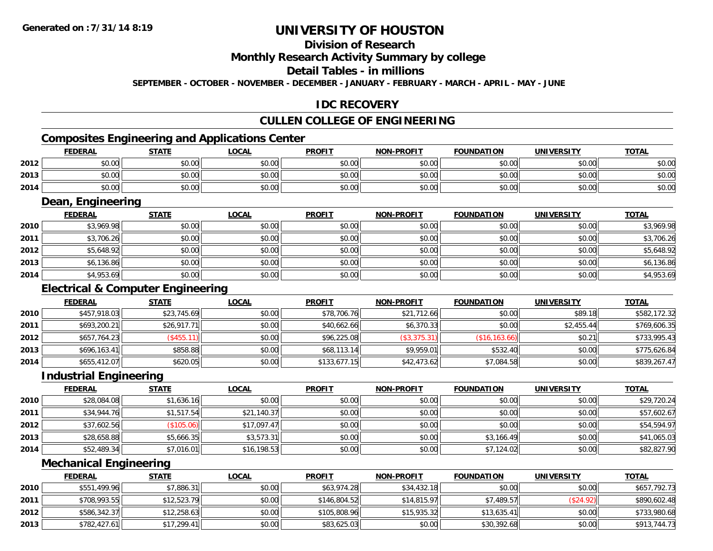# **Division of Research**

### **Monthly Research Activity Summary by college**

#### **Detail Tables - in millions**

**SEPTEMBER - OCTOBER - NOVEMBER - DECEMBER - JANUARY - FEBRUARY - MARCH - APRIL - MAY - JUNE**

## **IDC RECOVERY**

# **CULLEN COLLEGE OF ENGINEERING**

# **Composites Engineering and Applications Center**

|      | <b>FEDERAL</b> | <b>STATE</b> | LOCAL  | <b>PROFIT</b> | <b>NON-PROFIT</b> | <b>FOUNDATION</b> | <b>UNIVERSITY</b> | <b>TOTAL</b> |
|------|----------------|--------------|--------|---------------|-------------------|-------------------|-------------------|--------------|
| 2012 | \$0.00         | \$0.00       | \$0.00 | \$0.00        | \$0.00            | \$0.00            | \$0.00            | \$0.00       |
| 2013 | \$0.00         | \$0.00       | \$0.00 | \$0.00        | \$0.00            | \$0.00            | \$0.00            | \$0.00       |
| 2014 | \$0.00         | \$0.00       | \$0.00 | \$0.00        | \$0.00            | \$0.00            | \$0.00            | \$0.00       |

<u> 1989 - Johann Stoff, deutscher Stoffen und der Stoffen und der Stoffen und der Stoffen und der Stoffen und der</u>

### **Dean, Engineering**

|      | <b>FEDERAL</b> | <b>STATE</b> | <u>LOCAL</u> | <b>PROFIT</b> | <b>NON-PROFIT</b> | <b>FOUNDATION</b> | <b>UNIVERSITY</b> | <b>TOTAL</b> |
|------|----------------|--------------|--------------|---------------|-------------------|-------------------|-------------------|--------------|
| 2010 | \$3,969.98     | \$0.00       | \$0.00       | \$0.00        | \$0.00            | \$0.00            | \$0.00            | \$3,969.98   |
| 2011 | \$3,706.26     | \$0.00       | \$0.00       | \$0.00        | \$0.00            | \$0.00            | \$0.00            | \$3,706.26   |
| 2012 | \$5,648.92     | \$0.00       | \$0.00       | \$0.00        | \$0.00            | \$0.00            | \$0.00            | \$5,648.92   |
| 2013 | \$6,136.86     | \$0.00       | \$0.00       | \$0.00        | \$0.00            | \$0.00            | \$0.00            | \$6,136.86   |
| 2014 | \$4,953.69     | \$0.00       | \$0.00       | \$0.00        | \$0.00            | \$0.00            | \$0.00            | \$4,953.69   |

### **Electrical & Computer Engineering**

|      | <b>FEDERAL</b> | <b>STATE</b> | <b>LOCAL</b> | <b>PROFIT</b> | <b>NON-PROFIT</b> | <b>FOUNDATION</b> | <b>UNIVERSITY</b> | <b>TOTAL</b> |
|------|----------------|--------------|--------------|---------------|-------------------|-------------------|-------------------|--------------|
| 2010 | \$457,918.03   | \$23,745.69  | \$0.00       | \$78,706.76   | \$21,712.66       | \$0.00            | \$89.18           | \$582,172.32 |
| 2011 | \$693,200.21   | \$26,917.71  | \$0.00       | \$40,662.66   | \$6,370.33        | \$0.00            | \$2,455.44        | \$769,606.35 |
| 2012 | \$657,764.23   | $(*455.11)$  | \$0.00       | \$96,225.08   | (\$3,375.31)      | (\$16, 163.66)    | \$0.21            | \$733,995.43 |
| 2013 | \$696,163.41   | \$858.88     | \$0.00       | \$68,113.14   | \$9,959.01        | \$532.40          | \$0.00            | \$775,626.84 |
| 2014 | \$655,412.07   | \$620.05     | \$0.00       | \$133,677.15  | \$42,473.62       | \$7,084.58        | \$0.00            | \$839,267.47 |

<u> 1980 - Johann Barn, mars ann an t-Amhain Aonaich an t-Aonaich an t-Aonaich an t-Aonaich an t-Aonaich an t-Aon</u>

#### **Industrial Engineering**

|      | <b>FEDERAL</b> | <b>STATE</b> | <u>LOCAL</u> | <b>PROFIT</b> | <b>NON-PROFIT</b> | <b>FOUNDATION</b> | <b>UNIVERSITY</b> | <b>TOTAL</b> |
|------|----------------|--------------|--------------|---------------|-------------------|-------------------|-------------------|--------------|
| 2010 | \$28,084.08    | \$1,636.16   | \$0.00       | \$0.00        | \$0.00            | \$0.00            | \$0.00            | \$29,720.24  |
| 2011 | \$34,944.76    | \$1,517.54   | \$21,140.37  | \$0.00        | \$0.00            | \$0.00            | \$0.00            | \$57,602.67  |
| 2012 | \$37,602.56    | (\$105.06)   | \$17,097.47  | \$0.00        | \$0.00            | \$0.00            | \$0.00            | \$54,594.97  |
| 2013 | \$28,658.88    | \$5,666.35   | \$3,573.31   | \$0.00        | \$0.00            | \$3,166.49        | \$0.00            | \$41,065.03  |
| 2014 | \$52,489.34    | \$7,016.01   | \$16,198.53  | \$0.00        | \$0.00            | \$7,124.02        | \$0.00            | \$82,827.90  |

#### **Mechanical Engineering**

|      | <b>FEDERAL</b> | <b>STATE</b> | <b>LOCAL</b> | <b>PROFIT</b> | <b>NON-PROFIT</b> | <b>FOUNDATION</b> | <b>UNIVERSITY</b> | <b>TOTAL</b> |
|------|----------------|--------------|--------------|---------------|-------------------|-------------------|-------------------|--------------|
| 2010 | \$551,499.96   | \$7,886.31   | \$0.00       | \$63,974.28   | \$34,432.18       | \$0.00            | \$0.00            | \$657,792.73 |
| 2011 | \$708,993.55   | \$12,523.79  | \$0.00       | \$146,804.52  | \$14,815.97       | \$7,489.57        | (\$24.92)         | \$890,602.48 |
| 2012 | \$586,342.37   | \$12,258.63  | \$0.00       | \$105,808.96  | \$15.935.32       | \$13,635.41       | \$0.00            | \$733,980.68 |
| 2013 | \$782,427.61   | \$17,299.41  | \$0.00       | \$83,625.03   | \$0.00            | \$30,392.68       | \$0.00            | \$913,744.73 |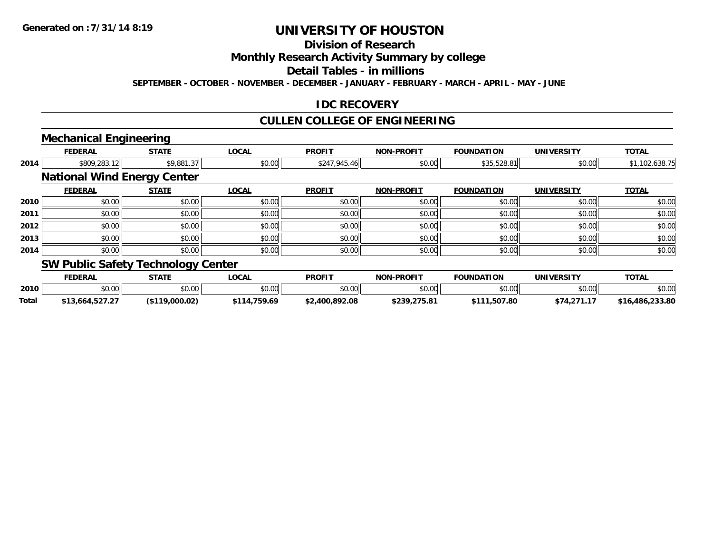# **Division of Research**

**Monthly Research Activity Summary by college**

**Detail Tables - in millions**

**SEPTEMBER - OCTOBER - NOVEMBER - DECEMBER - JANUARY - FEBRUARY - MARCH - APRIL - MAY - JUNE**

### **IDC RECOVERY**

## **CULLEN COLLEGE OF ENGINEERING**

## **Mechanical Engineering**

|      | <b>FEDERAL</b>                            | <b>STATE</b> | <b>LOCAL</b> | <b>PROFIT</b> | <b>NON-PROFIT</b> | <b>FOUNDATION</b> | <b>UNIVERSITY</b> | <b>TOTAL</b>   |
|------|-------------------------------------------|--------------|--------------|---------------|-------------------|-------------------|-------------------|----------------|
| 2014 | \$809,283.12                              | \$9,881.37   | \$0.00       | \$247,945.46  | \$0.00            | \$35,528.81       | \$0.00            | \$1,102,638.75 |
|      | <b>National Wind Energy Center</b>        |              |              |               |                   |                   |                   |                |
|      | <b>FEDERAL</b>                            | <b>STATE</b> | <b>LOCAL</b> | <b>PROFIT</b> | <b>NON-PROFIT</b> | <b>FOUNDATION</b> | <b>UNIVERSITY</b> | <b>TOTAL</b>   |
| 2010 | \$0.00                                    | \$0.00       | \$0.00       | \$0.00        | \$0.00            | \$0.00            | \$0.00            | \$0.00         |
| 2011 | \$0.00                                    | \$0.00       | \$0.00       | \$0.00        | \$0.00            | \$0.00            | \$0.00            | \$0.00         |
| 2012 | \$0.00                                    | \$0.00       | \$0.00       | \$0.00        | \$0.00            | \$0.00            | \$0.00            | \$0.00         |
| 2013 | \$0.00                                    | \$0.00       | \$0.00       | \$0.00        | \$0.00            | \$0.00            | \$0.00            | \$0.00         |
| 2014 | \$0.00                                    | \$0.00       | \$0.00       | \$0.00        | \$0.00            | \$0.00            | \$0.00            | \$0.00         |
|      | <b>SW Public Safety Technology Center</b> |              |              |               |                   |                   |                   |                |

#### **FEDERAL STATE LOCAL PROFIT NON-PROFIT FOUNDATION UNIVERSITY TOTALTOTAL 2010**0 \$0.00 \$0.00 \$0.00 \$0.00 \$0.00 \$0.00 \$0.00 \$0.00 \$0.00 \$0.00 \$0.00 \$0.00 \$0.00 \$0.00 \$0.00 \$0.00 \$0.00 **Total\$13,664,527.27 (\$119,000.02) \$114,759.69 \$2,400,892.08 \$239,275.81 \$111,507.80 \$74,271.17 \$16,486,233.80**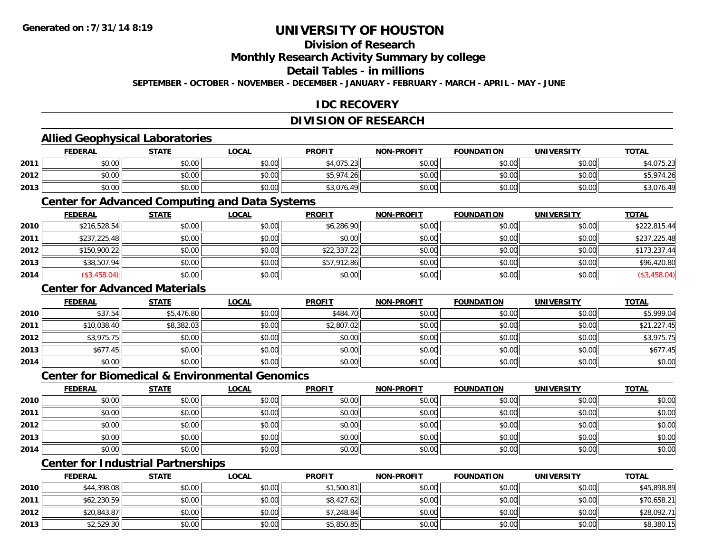# **Division of Research**

**Monthly Research Activity Summary by college**

### **Detail Tables - in millions**

**SEPTEMBER - OCTOBER - NOVEMBER - DECEMBER - JANUARY - FEBRUARY - MARCH - APRIL - MAY - JUNE**

# **IDC RECOVERY**

# **DIVISION OF RESEARCH**

### **Allied Geophysical Laboratories**

|      | <b>FEDERAL</b> | <b>STATE</b> | <u>LOCAL</u>           | <b>PROFIT</b> | <b>NON-PROFIT</b> | <b>FOUNDATION</b> | <b>UNIVERSITY</b> | <b>TOTAL</b>            |
|------|----------------|--------------|------------------------|---------------|-------------------|-------------------|-------------------|-------------------------|
| 2011 | \$0.00         | \$0.00       | $n \cap \neg$<br>JU.UU | \$4,075.23    | \$0.00            | \$0.00            | \$0.00            | .075.23<br>1.3.2.3      |
| 2012 | \$0.00         | \$0.00       | \$0.00                 | \$5,974.26    | \$0.00            | \$0.00            | \$0.00            | 974 26                  |
| 2013 | \$0.00         | \$0.00       | \$0.00                 | \$3,076.49    | \$0.00            | \$0.00            | \$0.00            | $\sqrt{71}$<br>90.4∨,ل∢ |

### **Center for Advanced Computing and Data Systems**

|      | <b>FEDERAL</b> | <b>STATE</b> | <b>LOCAL</b> | <b>PROFIT</b> | <b>NON-PROFIT</b> | <b>FOUNDATION</b> | <b>UNIVERSITY</b> | <b>TOTAL</b> |
|------|----------------|--------------|--------------|---------------|-------------------|-------------------|-------------------|--------------|
| 2010 | \$216,528.54   | \$0.00       | \$0.00       | \$6,286.90    | \$0.00            | \$0.00            | \$0.00            | \$222,815.44 |
| 2011 | \$237,225.48   | \$0.00       | \$0.00       | \$0.00        | \$0.00            | \$0.00            | \$0.00            | \$237,225.48 |
| 2012 | \$150,900.22   | \$0.00       | \$0.00       | \$22,337.22   | \$0.00            | \$0.00            | \$0.00            | \$173,237.44 |
| 2013 | \$38,507.94    | \$0.00       | \$0.00       | \$57,912.86   | \$0.00            | \$0.00            | \$0.00            | \$96,420.80  |
| 2014 | $(*3,458.04)$  | \$0.00       | \$0.00       | \$0.00        | \$0.00            | \$0.00            | \$0.00            | \$3,458.04   |

### **Center for Advanced Materials**

|      | <b>FEDERAL</b> | <b>STATE</b> | <u>LOCAL</u> | <b>PROFIT</b> | <b>NON-PROFIT</b> | <b>FOUNDATION</b> | <b>UNIVERSITY</b> | <b>TOTAL</b> |
|------|----------------|--------------|--------------|---------------|-------------------|-------------------|-------------------|--------------|
| 2010 | \$37.54        | \$5,476.80   | \$0.00       | \$484.70      | \$0.00            | \$0.00            | \$0.00            | \$5,999.04   |
| 2011 | \$10,038.40    | \$8,382.03   | \$0.00       | \$2,807.02    | \$0.00            | \$0.00            | \$0.00            | \$21,227.45  |
| 2012 | \$3,975.75     | \$0.00       | \$0.00       | \$0.00        | \$0.00            | \$0.00            | \$0.00            | \$3,975.75   |
| 2013 | \$677.45       | \$0.00       | \$0.00       | \$0.00        | \$0.00            | \$0.00            | \$0.00            | \$677.45     |
| 2014 | \$0.00         | \$0.00       | \$0.00       | \$0.00        | \$0.00            | \$0.00            | \$0.00            | \$0.00       |

### **Center for Biomedical & Environmental Genomics**

|      | <u>FEDERAL</u> | <b>STATE</b> | <b>LOCAL</b> | <b>PROFIT</b> | NON-PROFIT | <b>FOUNDATION</b> | <b>UNIVERSITY</b> | <b>TOTAL</b> |
|------|----------------|--------------|--------------|---------------|------------|-------------------|-------------------|--------------|
| 2010 | \$0.00         | \$0.00       | \$0.00       | \$0.00        | \$0.00     | \$0.00            | \$0.00            | \$0.00       |
| 2011 | \$0.00         | \$0.00       | \$0.00       | \$0.00        | \$0.00     | \$0.00            | \$0.00            | \$0.00       |
| 2012 | \$0.00         | \$0.00       | \$0.00       | \$0.00        | \$0.00     | \$0.00            | \$0.00            | \$0.00       |
| 2013 | \$0.00         | \$0.00       | \$0.00       | \$0.00        | \$0.00     | \$0.00            | \$0.00            | \$0.00       |
| 2014 | \$0.00         | \$0.00       | \$0.00       | \$0.00        | \$0.00     | \$0.00            | \$0.00            | \$0.00       |

# **Center for Industrial Partnerships**

|      | <b>FEDERAL</b> | <b>STATE</b> | <u>LOCAL</u> | <b>PROFIT</b> | <b>NON-PROFIT</b> | <b>FOUNDATION</b> | <b>UNIVERSITY</b> | <b>TOTAL</b> |
|------|----------------|--------------|--------------|---------------|-------------------|-------------------|-------------------|--------------|
| 2010 | \$44,398.08    | \$0.00       | \$0.00       | \$1,500.81    | \$0.00            | \$0.00            | \$0.00            | \$45,898.89  |
| 2011 | \$62,230.59    | \$0.00       | \$0.00       | \$8,427.62    | \$0.00            | \$0.00            | \$0.00            | \$70,658.21  |
| 2012 | \$20,843.87    | \$0.00       | \$0.00       | \$7,248.84    | \$0.00            | \$0.00            | \$0.00            | \$28,092.71  |
| 2013 | \$2,529.30     | \$0.00       | \$0.00       | \$5,850.85    | \$0.00            | \$0.00            | \$0.00            | \$8,380.15   |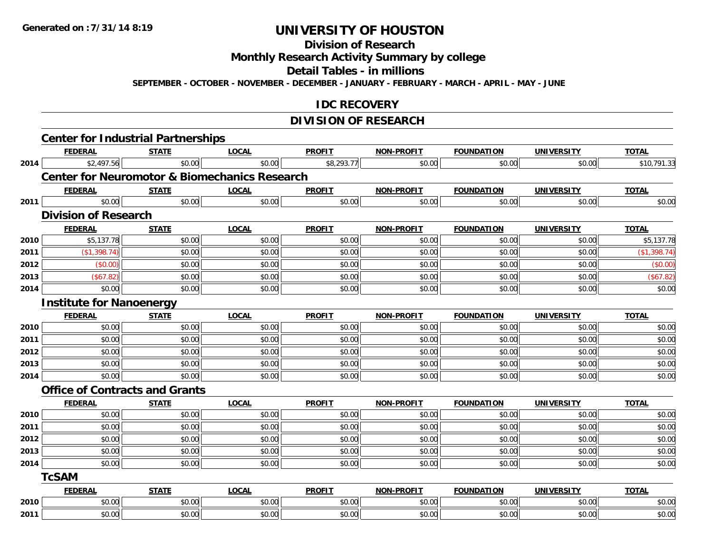#### **Division of Research**

**Monthly Research Activity Summary by college**

**Detail Tables - in millions**

**SEPTEMBER - OCTOBER - NOVEMBER - DECEMBER - JANUARY - FEBRUARY - MARCH - APRIL - MAY - JUNE**

### **IDC RECOVERY**

# **DIVISION OF RESEARCH**

|      | <b>FEDERAL</b>                                           | <b>STATE</b> | <b>LOCAL</b> | <b>PROFIT</b> | <b>NON-PROFIT</b> | <b>FOUNDATION</b> | <b>UNIVERSITY</b> | <b>TOTAL</b> |
|------|----------------------------------------------------------|--------------|--------------|---------------|-------------------|-------------------|-------------------|--------------|
| 2014 | \$2,497.56                                               | \$0.00       | \$0.00       | \$8,293.77    | \$0.00            | \$0.00            | \$0.00            | \$10,791.33  |
|      | <b>Center for Neuromotor &amp; Biomechanics Research</b> |              |              |               |                   |                   |                   |              |
|      | <b>FEDERAL</b>                                           | <b>STATE</b> | <b>LOCAL</b> | <b>PROFIT</b> | <b>NON-PROFIT</b> | <b>FOUNDATION</b> | <b>UNIVERSITY</b> | <b>TOTAL</b> |
| 2011 | \$0.00                                                   | \$0.00       | \$0.00       | \$0.00        | \$0.00            | \$0.00            | \$0.00            | \$0.00       |
|      | <b>Division of Research</b>                              |              |              |               |                   |                   |                   |              |
|      | <b>FEDERAL</b>                                           | <b>STATE</b> | <b>LOCAL</b> | <b>PROFIT</b> | <b>NON-PROFIT</b> | <b>FOUNDATION</b> | <b>UNIVERSITY</b> | <b>TOTAL</b> |
| 2010 | \$5,137.78                                               | \$0.00       | \$0.00       | \$0.00        | \$0.00            | \$0.00            | \$0.00            | \$5,137.78   |
| 2011 | (\$1,398.74)                                             | \$0.00       | \$0.00       | \$0.00        | \$0.00            | \$0.00            | \$0.00            | (\$1,398.74) |
| 2012 | $($ \$0.00)                                              | \$0.00       | \$0.00       | \$0.00        | \$0.00            | \$0.00            | \$0.00            | (\$0.00)     |
| 2013 | (\$67.82)                                                | \$0.00       | \$0.00       | \$0.00        | \$0.00            | \$0.00            | \$0.00            | (\$67.82)    |
| 2014 | \$0.00                                                   | \$0.00       | \$0.00       | \$0.00        | \$0.00            | \$0.00            | \$0.00            | \$0.00       |
|      | <b>Institute for Nanoenergy</b>                          |              |              |               |                   |                   |                   |              |
|      | <b>FEDERAL</b>                                           | <b>STATE</b> | <b>LOCAL</b> | <b>PROFIT</b> | <b>NON-PROFIT</b> | <b>FOUNDATION</b> | <b>UNIVERSITY</b> | <b>TOTAL</b> |
| 2010 | \$0.00                                                   | \$0.00       | \$0.00       | \$0.00        | \$0.00            | \$0.00            | \$0.00            | \$0.00       |
| 2011 | \$0.00                                                   | \$0.00       | \$0.00       | \$0.00        | \$0.00            | \$0.00            | \$0.00            | \$0.00       |
| 2012 | \$0.00                                                   | \$0.00       | \$0.00       | \$0.00        | \$0.00            | \$0.00            | \$0.00            | \$0.00       |
| 2013 | \$0.00                                                   | \$0.00       | \$0.00       | \$0.00        | \$0.00            | \$0.00            | \$0.00            | \$0.00       |
| 2014 | \$0.00                                                   | \$0.00       | \$0.00       | \$0.00        | \$0.00            | \$0.00            | \$0.00            | \$0.00       |
|      | <b>Office of Contracts and Grants</b>                    |              |              |               |                   |                   |                   |              |
|      | <b>FEDERAL</b>                                           | <b>STATE</b> | <b>LOCAL</b> | <b>PROFIT</b> | <b>NON-PROFIT</b> | <b>FOUNDATION</b> | <b>UNIVERSITY</b> | <b>TOTAL</b> |
| 2010 | \$0.00                                                   | \$0.00       | \$0.00       | \$0.00        | \$0.00            | \$0.00            | \$0.00            | \$0.00       |
| 2011 | \$0.00                                                   | \$0.00       | \$0.00       | \$0.00        | \$0.00            | \$0.00            | \$0.00            | \$0.00       |
| 2012 | \$0.00                                                   | \$0.00       | \$0.00       | \$0.00        | \$0.00            | \$0.00            | \$0.00            | \$0.00       |
| 2013 | \$0.00                                                   | \$0.00       | \$0.00       | \$0.00        | \$0.00            | \$0.00            | \$0.00            | \$0.00       |
| 2014 | \$0.00                                                   | \$0.00       | \$0.00       | \$0.00        | \$0.00            | \$0.00            | \$0.00            | \$0.00       |
|      | <b>TcSAM</b>                                             |              |              |               |                   |                   |                   |              |
|      | <b>FEDERAL</b>                                           | <b>STATE</b> | <b>LOCAL</b> | <b>PROFIT</b> | <b>NON-PROFIT</b> | <b>FOUNDATION</b> | <b>UNIVERSITY</b> | <b>TOTAL</b> |
| 2010 | \$0.00                                                   | \$0.00       | \$0.00       | \$0.00        | \$0.00            | \$0.00            | \$0.00            | \$0.00       |
|      |                                                          |              |              |               |                   |                   |                   |              |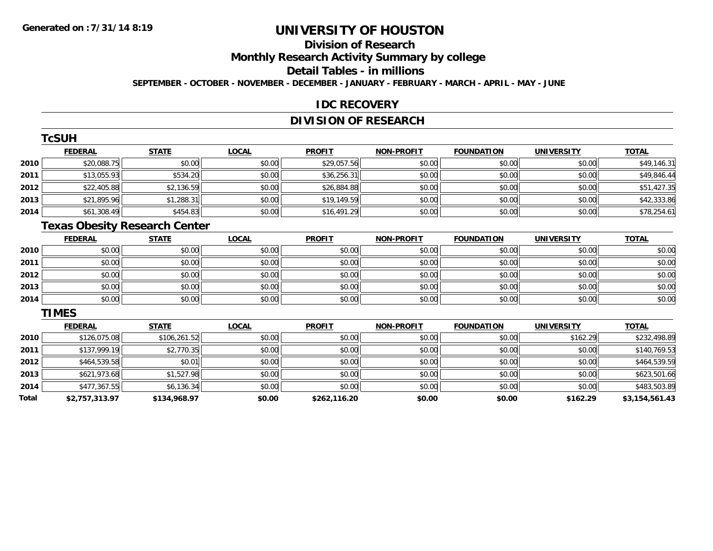# **Division of Research**

**Monthly Research Activity Summary by college**

#### **Detail Tables - in millions**

**SEPTEMBER - OCTOBER - NOVEMBER - DECEMBER - JANUARY - FEBRUARY - MARCH - APRIL - MAY - JUNE**

### **IDC RECOVERY**

# **DIVISION OF RESEARCH**

|      | <b>TcSUH</b>   |              |              |               |                   |                   |                   |              |
|------|----------------|--------------|--------------|---------------|-------------------|-------------------|-------------------|--------------|
|      | <b>FEDERAL</b> | <b>STATE</b> | <b>LOCAL</b> | <b>PROFIT</b> | <b>NON-PROFIT</b> | <b>FOUNDATION</b> | <b>UNIVERSITY</b> | <b>TOTAL</b> |
| 2010 | \$20,088.75    | \$0.00       | \$0.00       | \$29,057.56   | \$0.00            | \$0.00            | \$0.00            | \$49,146.31  |
| 2011 | \$13,055.93    | \$534.20     | \$0.00       | \$36,256.31   | \$0.00            | \$0.00            | \$0.00            | \$49,846.44  |
| 2012 | \$22,405.88    | \$2,136.59   | \$0.00       | \$26,884.88   | \$0.00            | \$0.00            | \$0.00            | \$51,427.35  |
| 2013 | \$21,895.96    | \$1,288.31   | \$0.00       | \$19,149.59   | \$0.00            | \$0.00            | \$0.00            | \$42,333.86  |
| 2014 | \$61,308.49    | \$454.83     | \$0.00       | \$16,491.29   | \$0.00            | \$0.00            | \$0.00            | \$78,254.61  |

# **Texas Obesity Research Center**

|      | <b>FEDERAL</b> | <b>STATE</b> | <u>LOCAL</u> | <b>PROFIT</b> | <b>NON-PROFIT</b> | <b>FOUNDATION</b> | <b>UNIVERSITY</b> | <b>TOTAL</b> |
|------|----------------|--------------|--------------|---------------|-------------------|-------------------|-------------------|--------------|
| 2010 | \$0.00         | \$0.00       | \$0.00       | \$0.00        | \$0.00            | \$0.00            | \$0.00            | \$0.00       |
| 2011 | \$0.00         | \$0.00       | \$0.00       | \$0.00        | \$0.00            | \$0.00            | \$0.00            | \$0.00       |
| 2012 | \$0.00         | \$0.00       | \$0.00       | \$0.00        | \$0.00            | \$0.00            | \$0.00            | \$0.00       |
| 2013 | \$0.00         | \$0.00       | \$0.00       | \$0.00        | \$0.00            | \$0.00            | \$0.00            | \$0.00       |
| 2014 | \$0.00         | \$0.00       | \$0.00       | \$0.00        | \$0.00            | \$0.00            | \$0.00            | \$0.00       |

#### **TIMES**

|       | <b>FEDERAL</b> | <b>STATE</b> | <b>LOCAL</b> | <b>PROFIT</b> | <b>NON-PROFIT</b> | <b>FOUNDATION</b> | <b>UNIVERSITY</b> | <u>TOTAL</u>   |
|-------|----------------|--------------|--------------|---------------|-------------------|-------------------|-------------------|----------------|
| 2010  | \$126,075.08   | \$106,261.52 | \$0.00       | \$0.00        | \$0.00            | \$0.00            | \$162.29          | \$232,498.89   |
| 2011  | \$137,999.19   | \$2,770.35   | \$0.00       | \$0.00        | \$0.00            | \$0.00            | \$0.00            | \$140,769.53   |
| 2012  | \$464,539.58   | \$0.01       | \$0.00       | \$0.00        | \$0.00            | \$0.00            | \$0.00            | \$464,539.59   |
| 2013  | \$621,973.68   | \$1,527.98   | \$0.00       | \$0.00        | \$0.00            | \$0.00            | \$0.00            | \$623,501.66   |
| 2014  | \$477,367.55   | \$6,136.34   | \$0.00       | \$0.00        | \$0.00            | \$0.00            | \$0.00            | \$483,503.89   |
| Total | \$2,757,313.97 | \$134,968.97 | \$0.00       | \$262,116.20  | \$0.00            | \$0.00            | \$162.29          | \$3,154,561.43 |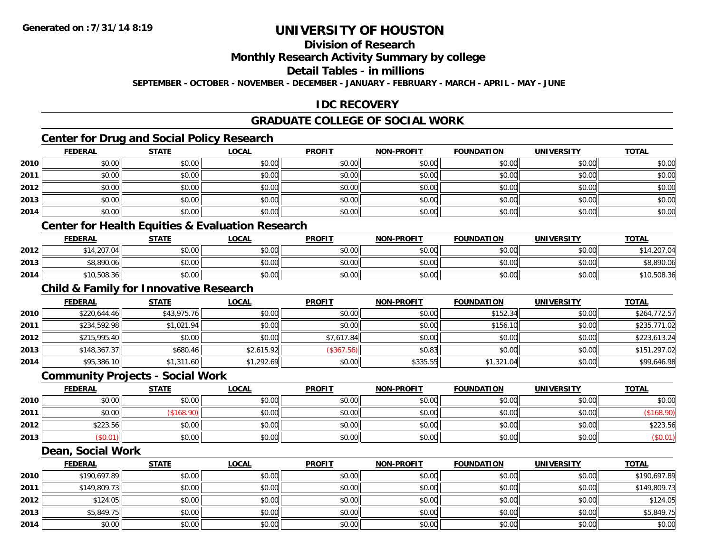# **Division of Research**

### **Monthly Research Activity Summary by college**

#### **Detail Tables - in millions**

**SEPTEMBER - OCTOBER - NOVEMBER - DECEMBER - JANUARY - FEBRUARY - MARCH - APRIL - MAY - JUNE**

## **IDC RECOVERY**

# **GRADUATE COLLEGE OF SOCIAL WORK**

# **Center for Drug and Social Policy Research**

|      | <b>FEDERAL</b> | <b>STATE</b> | <b>LOCAL</b> | <b>PROFIT</b> | NON-PROFIT | <b>FOUNDATION</b> | <b>UNIVERSITY</b> | <u>TOTAL</u> |
|------|----------------|--------------|--------------|---------------|------------|-------------------|-------------------|--------------|
| 2010 | \$0.00         | \$0.00       | \$0.00       | \$0.00        | \$0.00     | \$0.00            | \$0.00            | \$0.00       |
| 2011 | \$0.00         | \$0.00       | \$0.00       | \$0.00        | \$0.00     | \$0.00            | \$0.00            | \$0.00       |
| 2012 | \$0.00         | \$0.00       | \$0.00       | \$0.00        | \$0.00     | \$0.00            | \$0.00            | \$0.00       |
| 2013 | \$0.00         | \$0.00       | \$0.00       | \$0.00        | \$0.00     | \$0.00            | \$0.00            | \$0.00       |
| 2014 | \$0.00         | \$0.00       | \$0.00       | \$0.00        | \$0.00     | \$0.00            | \$0.00            | \$0.00       |

### **Center for Health Equities & Evaluation Research**

|      | <b>FEDERAL</b> | <b>STATE</b> | <u>LOCAL</u> | <b>PROFIT</b> | <b>NON-PROFIT</b> | <b>FOUNDATION</b> | UNIVERSITY | <b>TOTAL</b> |
|------|----------------|--------------|--------------|---------------|-------------------|-------------------|------------|--------------|
| 2012 | .14,207.04     | \$0.00       | \$0.00       | \$0.00        | \$0.00            | \$0.00            | \$0.00     | .207.04      |
| 2013 | \$8,890.06     | \$0.00       | \$0.00       | \$0.00        | \$0.00            | \$0.00            | \$0.00     | \$8,890.06   |
| 2014 | \$10,508.36    | \$0.00       | \$0.00       | \$0.00        | \$0.00            | \$0.00            | \$0.00     | \$10,508.36  |

# **Child & Family for Innovative Research**

|      | <b>FEDERAL</b> | <u>STATE</u> | <u>LOCAL</u> | <b>PROFIT</b> | <b>NON-PROFIT</b> | <b>FOUNDATION</b> | <b>UNIVERSITY</b> | <b>TOTAL</b> |
|------|----------------|--------------|--------------|---------------|-------------------|-------------------|-------------------|--------------|
| 2010 | \$220,644.46   | \$43,975.76  | \$0.00       | \$0.00        | \$0.00            | \$152.34          | \$0.00            | \$264,772.57 |
| 2011 | \$234,592.98   | \$1,021.94   | \$0.00       | \$0.00        | \$0.00            | \$156.10          | \$0.00            | \$235,771.02 |
| 2012 | \$215,995.40   | \$0.00       | \$0.00       | \$7,617.84    | \$0.00            | \$0.00            | \$0.00            | \$223,613.24 |
| 2013 | \$148,367.37   | \$680.46     | \$2,615.92   | (\$367.56)    | \$0.83            | \$0.00            | \$0.00            | \$151,297.02 |
| 2014 | \$95,386.10    | \$1,311.60   | \$1,292.69   | \$0.00        | \$335.55          | \$1,321.04        | \$0.00            | \$99,646.98  |

#### **Community Projects - Social Work**

|      | <b>FEDERAL</b> | STATE  | <b>LOCAL</b> | <b>PROFIT</b> | <b>NON-PROFIT</b> | <b>FOUNDATION</b> | UNIVERSITY | <b>TOTAL</b> |
|------|----------------|--------|--------------|---------------|-------------------|-------------------|------------|--------------|
| 2010 | \$0.00         | \$0.00 | \$0.00       | \$0.00        | \$0.00            | \$0.00            | \$0.00     | \$0.00       |
| 2011 | \$0.00         | 168.90 | \$0.00       | \$0.00        | \$0.00            | \$0.00            | \$0.00     |              |
| 2012 | \$223.56       | \$0.00 | \$0.00       | \$0.00        | \$0.00            | \$0.00            | \$0.00     | \$223.56     |
| 2013 | \$0.01)        | \$0.00 | \$0.00       | \$0.00        | \$0.00            | \$0.00            | \$0.00     | (\$0.01)     |

#### **Dean, Social Work**

|      | <b>FEDERAL</b> | <b>STATE</b> | <b>LOCAL</b> | <b>PROFIT</b> | <b>NON-PROFIT</b> | <b>FOUNDATION</b> | <b>UNIVERSITY</b> | <b>TOTAL</b> |
|------|----------------|--------------|--------------|---------------|-------------------|-------------------|-------------------|--------------|
| 2010 | \$190,697.89   | \$0.00       | \$0.00       | \$0.00        | \$0.00            | \$0.00            | \$0.00            | \$190,697.89 |
| 2011 | \$149,809.73   | \$0.00       | \$0.00       | \$0.00        | \$0.00            | \$0.00            | \$0.00            | \$149,809.73 |
| 2012 | \$124.05       | \$0.00       | \$0.00       | \$0.00        | \$0.00            | \$0.00            | \$0.00            | \$124.05     |
| 2013 | \$5,849.75     | \$0.00       | \$0.00       | \$0.00        | \$0.00            | \$0.00            | \$0.00            | \$5,849.75   |
| 2014 | \$0.00         | \$0.00       | \$0.00       | \$0.00        | \$0.00            | \$0.00            | \$0.00            | \$0.00       |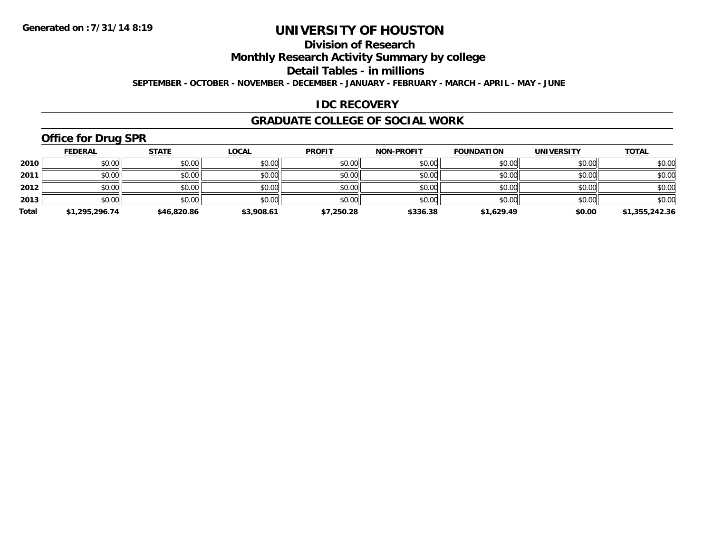# **Division of Research**

**Monthly Research Activity Summary by college**

**Detail Tables - in millions**

**SEPTEMBER - OCTOBER - NOVEMBER - DECEMBER - JANUARY - FEBRUARY - MARCH - APRIL - MAY - JUNE**

### **IDC RECOVERY**

#### **GRADUATE COLLEGE OF SOCIAL WORK**

# **Office for Drug SPR**

|       | <b>FEDERAL</b> | <u>STATE</u> | <b>LOCAL</b> | <b>PROFIT</b> | <b>NON-PROFIT</b> | <b>FOUNDATION</b> | <b>UNIVERSITY</b> | <b>TOTAL</b>   |
|-------|----------------|--------------|--------------|---------------|-------------------|-------------------|-------------------|----------------|
| 2010  | \$0.00         | \$0.00       | \$0.00       | \$0.00        | \$0.00            | \$0.00            | \$0.00            | \$0.00         |
| 2011  | \$0.00         | \$0.00       | \$0.00       | \$0.00        | \$0.00            | \$0.00            | \$0.00            | \$0.00         |
| 2012  | \$0.00         | \$0.00       | \$0.00       | \$0.00        | \$0.00            | \$0.00            | \$0.00            | \$0.00         |
| 2013  | \$0.00         | \$0.00       | \$0.00       | \$0.00        | \$0.00            | \$0.00            | \$0.00            | \$0.00         |
| Total | \$1,295,296.74 | \$46,820.86  | \$3,908.61   | \$7,250.28    | \$336.38          | \$1,629.49        | \$0.00            | \$1,355,242.36 |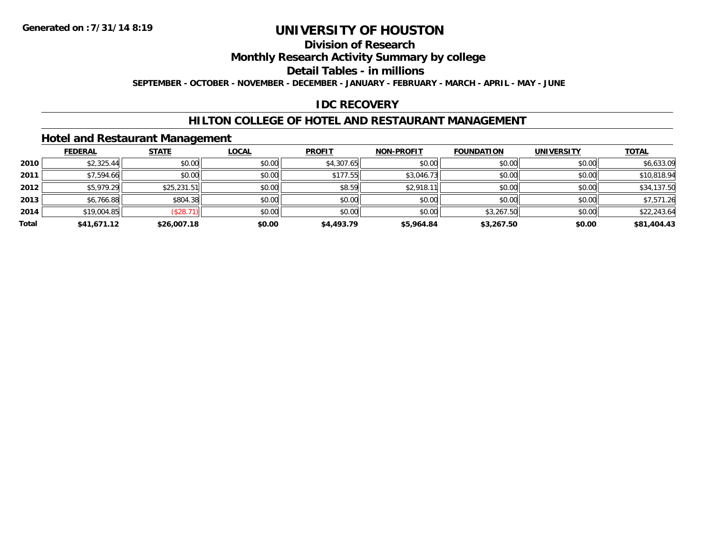# **Division of Research**

**Monthly Research Activity Summary by college**

**Detail Tables - in millions**

**SEPTEMBER - OCTOBER - NOVEMBER - DECEMBER - JANUARY - FEBRUARY - MARCH - APRIL - MAY - JUNE**

# **IDC RECOVERY**

### **HILTON COLLEGE OF HOTEL AND RESTAURANT MANAGEMENT**

### **Hotel and Restaurant Management**

|       | <b>FEDERAL</b> | <b>STATE</b> | <b>LOCAL</b> | <b>PROFIT</b> | <b>NON-PROFIT</b> | <b>FOUNDATION</b> | <b>UNIVERSITY</b> | <b>TOTAL</b> |
|-------|----------------|--------------|--------------|---------------|-------------------|-------------------|-------------------|--------------|
| 2010  | \$2,325.44     | \$0.00       | \$0.00       | \$4,307.65    | \$0.00            | \$0.00            | \$0.00            | \$6,633.09   |
| 2011  | \$7,594.66     | \$0.00       | \$0.00       | \$177.55      | \$3,046.73        | \$0.00            | \$0.00            | \$10,818.94  |
| 2012  | \$5,979.29     | \$25,231.51  | \$0.00       | \$8.59        | \$2,918.11        | \$0.00            | \$0.00            | \$34,137.50  |
| 2013  | \$6,766.88     | \$804.38     | \$0.00       | \$0.00        | \$0.00            | \$0.00            | \$0.00            | \$7,571.26   |
| 2014  | \$19,004.85    | (\$28.71)    | \$0.00       | \$0.00        | \$0.00            | \$3,267.50        | \$0.00            | \$22,243.64  |
| Total | \$41,671.12    | \$26,007.18  | \$0.00       | \$4,493.79    | \$5,964.84        | \$3,267.50        | \$0.00            | \$81,404.43  |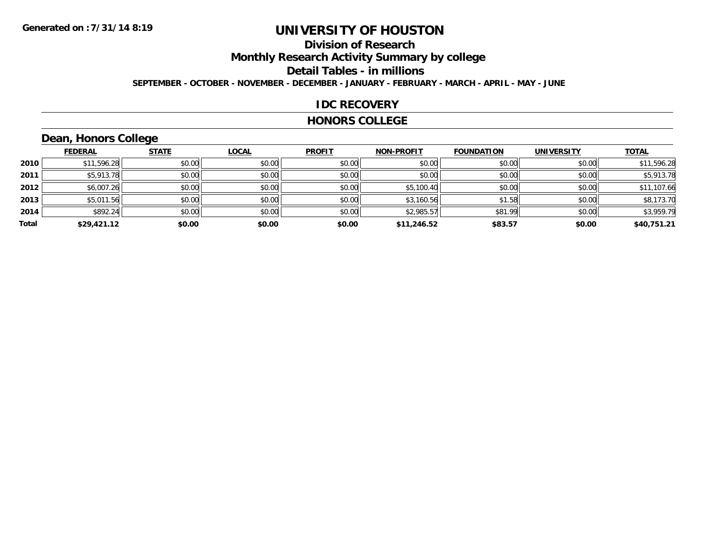# **Division of Research**

**Monthly Research Activity Summary by college**

**Detail Tables - in millions**

**SEPTEMBER - OCTOBER - NOVEMBER - DECEMBER - JANUARY - FEBRUARY - MARCH - APRIL - MAY - JUNE**

### **IDC RECOVERY**

#### **HONORS COLLEGE**

# **Dean, Honors College**

|       |                | $\sim$       |              |               |                   |                   |                   |              |
|-------|----------------|--------------|--------------|---------------|-------------------|-------------------|-------------------|--------------|
|       | <b>FEDERAL</b> | <b>STATE</b> | <b>LOCAL</b> | <b>PROFIT</b> | <b>NON-PROFIT</b> | <b>FOUNDATION</b> | <b>UNIVERSITY</b> | <b>TOTAL</b> |
| 2010  | \$11,596.28    | \$0.00       | \$0.00       | \$0.00        | \$0.00            | \$0.00            | \$0.00            | \$11,596.28  |
| 2011  | \$5,913.78     | \$0.00       | \$0.00       | \$0.00        | \$0.00            | \$0.00            | \$0.00            | \$5,913.78   |
| 2012  | \$6,007.26     | \$0.00       | \$0.00       | \$0.00        | \$5,100.40        | \$0.00            | \$0.00            | \$11,107.66  |
| 2013  | \$5,011.56     | \$0.00       | \$0.00       | \$0.00        | \$3,160.56        | \$1.58            | \$0.00            | \$8,173.70   |
| 2014  | \$892.24       | \$0.00       | \$0.00       | \$0.00        | \$2,985.57        | \$81.99           | \$0.00            | \$3,959.79   |
| Total | \$29,421.12    | \$0.00       | \$0.00       | \$0.00        | \$11,246.52       | \$83.57           | \$0.00            | \$40,751.21  |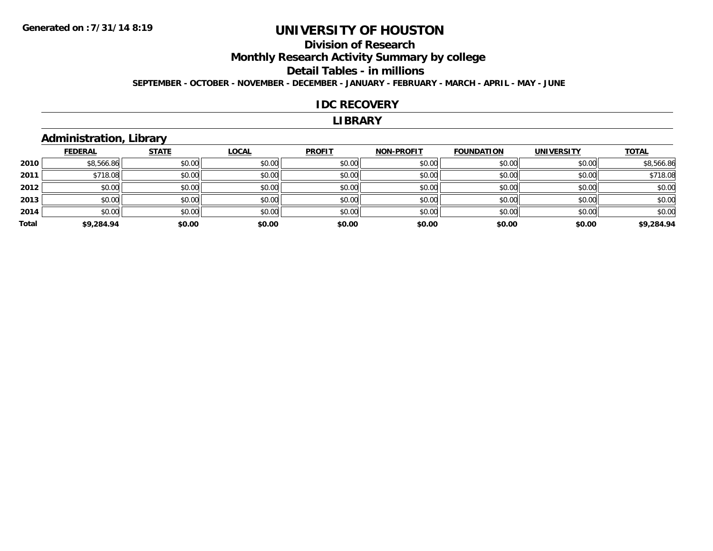# **Division of Research**

**Monthly Research Activity Summary by college**

#### **Detail Tables - in millions**

**SEPTEMBER - OCTOBER - NOVEMBER - DECEMBER - JANUARY - FEBRUARY - MARCH - APRIL - MAY - JUNE**

#### **IDC RECOVERY**

#### **LIBRARY**

# **Administration, Library**

|       | <b>FEDERAL</b> | <b>STATE</b> | <b>LOCAL</b> | <b>PROFIT</b> | <b>NON-PROFIT</b> | <b>FOUNDATION</b> | <b>UNIVERSITY</b> | <b>TOTAL</b> |
|-------|----------------|--------------|--------------|---------------|-------------------|-------------------|-------------------|--------------|
| 2010  | \$8,566.86     | \$0.00       | \$0.00       | \$0.00        | \$0.00            | \$0.00            | \$0.00            | \$8,566.86   |
| 2011  | \$718.08       | \$0.00       | \$0.00       | \$0.00        | \$0.00            | \$0.00            | \$0.00            | \$718.08     |
| 2012  | \$0.00         | \$0.00       | \$0.00       | \$0.00        | \$0.00            | \$0.00            | \$0.00            | \$0.00       |
| 2013  | \$0.00         | \$0.00       | \$0.00       | \$0.00        | \$0.00            | \$0.00            | \$0.00            | \$0.00       |
| 2014  | \$0.00         | \$0.00       | \$0.00       | \$0.00        | \$0.00            | \$0.00            | \$0.00            | \$0.00       |
| Total | \$9,284.94     | \$0.00       | \$0.00       | \$0.00        | \$0.00            | \$0.00            | \$0.00            | \$9,284.94   |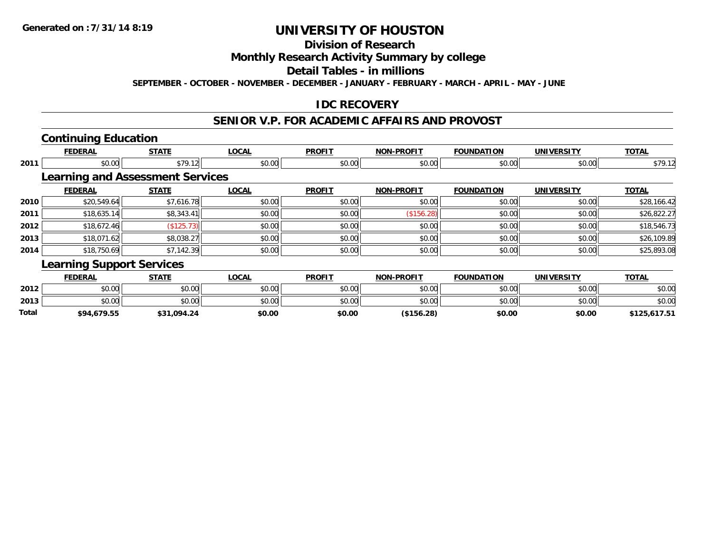# **Division of Research**

### **Monthly Research Activity Summary by college**

#### **Detail Tables - in millions**

**SEPTEMBER - OCTOBER - NOVEMBER - DECEMBER - JANUARY - FEBRUARY - MARCH - APRIL - MAY - JUNE**

### **IDC RECOVERY**

#### **SENIOR V.P. FOR ACADEMIC AFFAIRS AND PROVOST**

## **Continuing Education**

**2013**

**Total**

|      | <b>FEDERAL</b>                          | <b>STATE</b> | <b>LOCAL</b> | <b>PROFIT</b> | <b>NON-PROFIT</b> | <b>FOUNDATION</b> | <b>UNIVERSITY</b> | <b>TOTAL</b> |
|------|-----------------------------------------|--------------|--------------|---------------|-------------------|-------------------|-------------------|--------------|
| 2011 | \$0.00                                  | \$79.12      | \$0.00       | \$0.00        | \$0.00            | \$0.00            | \$0.00            | \$79.12      |
|      | <b>Learning and Assessment Services</b> |              |              |               |                   |                   |                   |              |
|      | <b>FEDERAL</b>                          | <b>STATE</b> | <b>LOCAL</b> | <b>PROFIT</b> | <b>NON-PROFIT</b> | <b>FOUNDATION</b> | <b>UNIVERSITY</b> | <b>TOTAL</b> |
| 2010 | \$20,549.64                             | \$7,616.78   | \$0.00       | \$0.00        | \$0.00            | \$0.00            | \$0.00            | \$28,166.42  |
| 2011 | \$18,635.14                             | \$8,343.41   | \$0.00       | \$0.00        | (\$156.28)        | \$0.00            | \$0.00            | \$26,822.27  |
| 2012 | \$18,672.46                             | (\$125.73)   | \$0.00       | \$0.00        | \$0.00            | \$0.00            | \$0.00            | \$18,546.73  |
| 2013 | \$18,071.62                             | \$8,038.27   | \$0.00       | \$0.00        | \$0.00            | \$0.00            | \$0.00            | \$26,109.89  |
| 2014 | \$18,750.69                             | \$7,142.39   | \$0.00       | \$0.00        | \$0.00            | \$0.00            | \$0.00            | \$25,893.08  |
|      | <b>Learning Support Services</b>        |              |              |               |                   |                   |                   |              |
|      | <b>FEDERAL</b>                          | <b>STATE</b> | <b>LOCAL</b> | <b>PROFIT</b> | <b>NON-PROFIT</b> | <b>FOUNDATION</b> | <b>UNIVERSITY</b> | <b>TOTAL</b> |
| 2012 | \$0.00                                  | \$0.00       | \$0.00       | \$0.00        | \$0.00            | \$0.00            | \$0.00            | \$0.00       |

3 \$0.00 | \$0.00 | \$0.00 | \$0.00 | \$0.00 | \$0.00 | \$0.00 | \$0

**\$94,679.55 \$31,094.24 \$0.00 \$0.00 (\$156.28) \$0.00 \$0.00 \$125,617.51**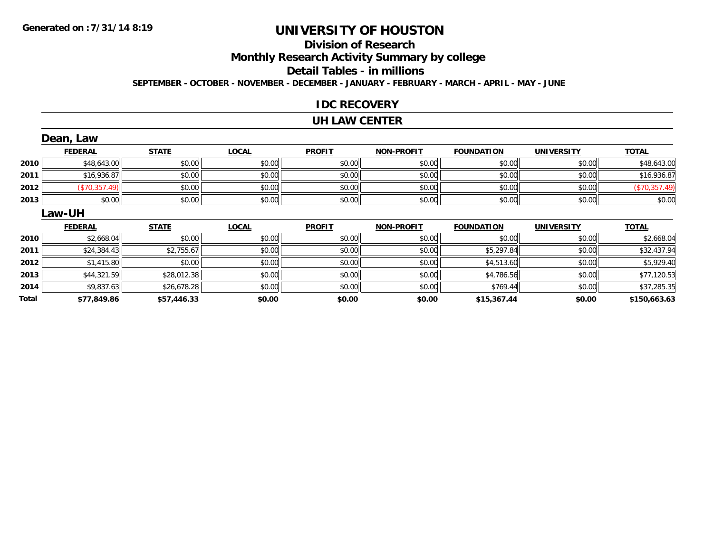# **Division of Research**

**Monthly Research Activity Summary by college**

#### **Detail Tables - in millions**

**SEPTEMBER - OCTOBER - NOVEMBER - DECEMBER - JANUARY - FEBRUARY - MARCH - APRIL - MAY - JUNE**

### **IDC RECOVERY**

#### **UH LAW CENTER**

|      | Dean, Law      |              |              |               |                   |                   |                   |               |
|------|----------------|--------------|--------------|---------------|-------------------|-------------------|-------------------|---------------|
|      | <b>FEDERAL</b> | <b>STATE</b> | <b>LOCAL</b> | <b>PROFIT</b> | <b>NON-PROFIT</b> | <b>FOUNDATION</b> | <b>UNIVERSITY</b> | <b>TOTAL</b>  |
| 2010 | \$48,643.00    | \$0.00       | \$0.00       | \$0.00        | \$0.00            | \$0.00            | \$0.00            | \$48,643.00   |
| 2011 | \$16,936.87    | \$0.00       | \$0.00       | \$0.00        | \$0.00            | \$0.00            | \$0.00            | \$16,936.87   |
| 2012 | (\$70,357.49)  | \$0.00       | \$0.00       | \$0.00        | \$0.00            | \$0.00            | \$0.00            | (\$70,357.49) |
| 2013 | \$0.00         | \$0.00       | \$0.00       | \$0.00        | \$0.00            | \$0.00            | \$0.00            | \$0.00        |
|      | Law-UH         |              |              |               |                   |                   |                   |               |
|      |                |              |              |               |                   |                   |                   |               |
|      | <b>FEDERAL</b> | <b>STATE</b> | <b>LOCAL</b> | <b>PROFIT</b> | <b>NON-PROFIT</b> | <b>FOUNDATION</b> | <b>UNIVERSITY</b> | <b>TOTAL</b>  |
| 2010 | \$2,668.04     | \$0.00       | \$0.00       | \$0.00        | \$0.00            | \$0.00            | \$0.00            | \$2,668.04    |
| 2011 | \$24,384.43    | \$2,755.67   | \$0.00       | \$0.00        | \$0.00            | \$5,297.84        | \$0.00            | \$32,437.94   |
| 2012 | \$1,415.80     | \$0.00       | \$0.00       | \$0.00        | \$0.00            | \$4,513.60        | \$0.00            | \$5,929.40    |
| 2013 | \$44,321.59    | \$28,012.38  | \$0.00       | \$0.00        | \$0.00            | \$4,786.56        | \$0.00            | \$77,120.53   |
| 2014 | \$9,837.63     | \$26,678.28  | \$0.00       | \$0.00        | \$0.00            | \$769.44          | \$0.00            | \$37,285.35   |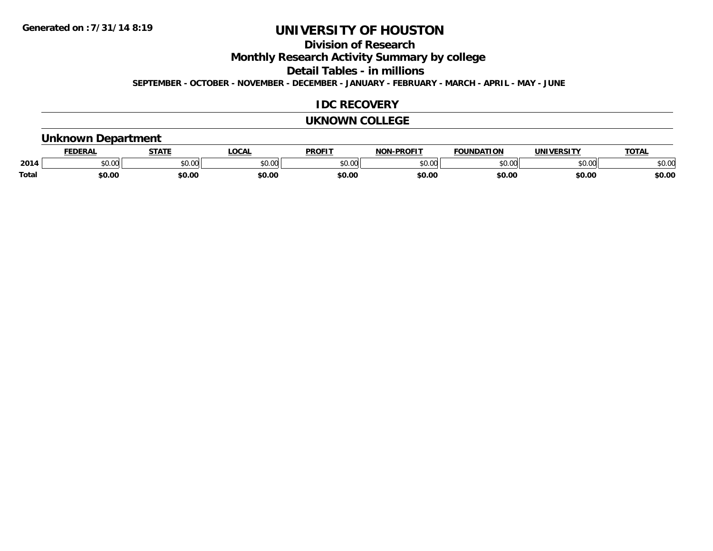**Division of Research**

**Monthly Research Activity Summary by college**

**Detail Tables - in millions**

**SEPTEMBER - OCTOBER - NOVEMBER - DECEMBER - JANUARY - FEBRUARY - MARCH - APRIL - MAY - JUNE**

### **IDC RECOVERY**

#### **UKNOWN COLLEGE**

### **Unknown Department**

|       | .<br>- מ     | <b>STATI</b>       | OCA                                                                                    | <b>PROFIT</b> | <b>DDAEIT</b><br><b>BIAB</b> | ΠΟΝ            | <u>urneitv</u><br><b>INIV</b> | TOTA.          |
|-------|--------------|--------------------|----------------------------------------------------------------------------------------|---------------|------------------------------|----------------|-------------------------------|----------------|
| 2014  | 0000<br>u.uu | $\sim$ 0.00<br>υv. | $\begin{array}{c} \hline \text{A} & \text{A} & \text{B} \\ \hline \end{array}$<br>יש.ט | 0000<br>JU.UU | ቀስ ሰሰ<br>ט.טע                | 0 <sub>n</sub> | \$0.00                        | ልስ ስሰ<br>DU.UU |
| Total | \$0.00       | \$0.00             | \$0.00                                                                                 | ቀስ ሰ<br>ov.u  | \$0.00                       | \$0.00         | \$0.00                        | \$0.00         |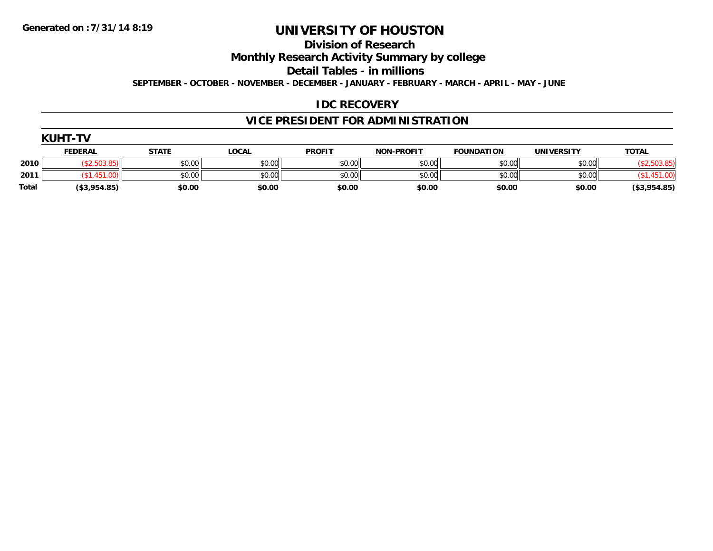**Division of Research**

**Monthly Research Activity Summary by college**

**Detail Tables - in millions**

**SEPTEMBER - OCTOBER - NOVEMBER - DECEMBER - JANUARY - FEBRUARY - MARCH - APRIL - MAY - JUNE**

### **IDC RECOVERY**

# **VICE PRESIDENT FOR ADMINISTRATION**

|       | <b>KUHT-TV</b> |              |              |               |                   |                   |                   |              |
|-------|----------------|--------------|--------------|---------------|-------------------|-------------------|-------------------|--------------|
|       | <b>FEDERAL</b> | <b>STATE</b> | <b>LOCAL</b> | <b>PROFIT</b> | <b>NON-PROFIT</b> | <b>FOUNDATION</b> | <b>UNIVERSITY</b> | <b>TOTAL</b> |
| 2010  | <b>EO2</b>     | \$0.00       | \$0.00       | \$0.00        | \$0.00            | \$0.00            | \$0.00            |              |
| 2011  | ,451.00)       | \$0.00       | \$0.00       | \$0.00        | \$0.00            | \$0.00            | \$0.00            |              |
| Total | (\$3,954.85)   | \$0.00       | \$0.00       | \$0.00        | \$0.00            | \$0.00            | \$0.00            | (\$3,954.85) |